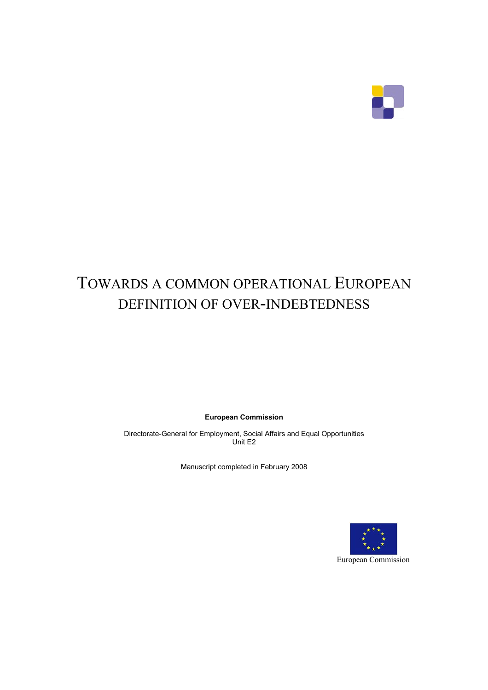

# TOWARDS A COMMON OPERATIONAL EUROPEAN DEFINITION OF OVER-INDEBTEDNESS

**European Commission** 

Directorate-General for Employment, Social Affairs and Equal Opportunities Unit E2

Manuscript completed in February 2008

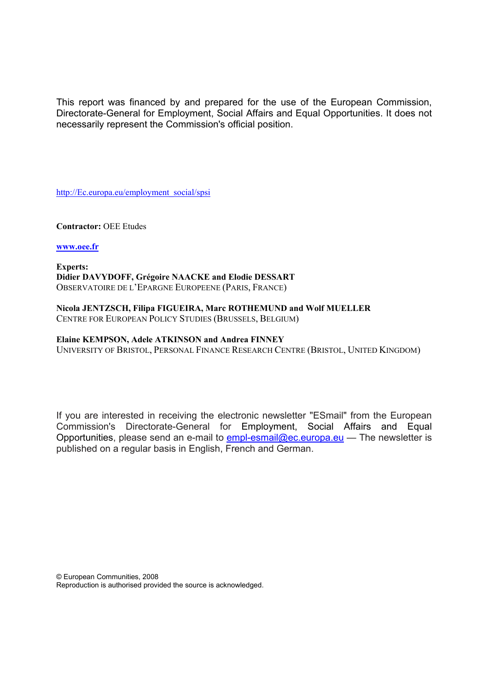This report was financed by and prepared for the use of the European Commission, Directorate-General for Employment, Social Affairs and Equal Opportunities. It does not necessarily represent the Commission's official position.

http://Ec.europa.eu/employment\_social/spsi

**Contractor:** OEE Etudes

#### **www.oee.fr**

**Experts: Didier DAVYDOFF, Grégoire NAACKE and Elodie DESSART** OBSERVATOIRE DE L'EPARGNE EUROPEENE (PARIS, FRANCE)

**Nicola JENTZSCH, Filipa FIGUEIRA, Marc ROTHEMUND and Wolf MUELLER** CENTRE FOR EUROPEAN POLICY STUDIES (BRUSSELS, BELGIUM)

#### **Elaine KEMPSON, Adele ATKINSON and Andrea FINNEY**

UNIVERSITY OF BRISTOL, PERSONAL FINANCE RESEARCH CENTRE (BRISTOL, UNITED KINGDOM)

If you are interested in receiving the electronic newsletter "ESmail" from the European Commission's Directorate-General for Employment, Social Affairs and Equal Opportunities, please send an e-mail to empl-esmail@ec.europa.eu — The newsletter is published on a regular basis in English, French and German.

© European Communities, 2008 Reproduction is authorised provided the source is acknowledged.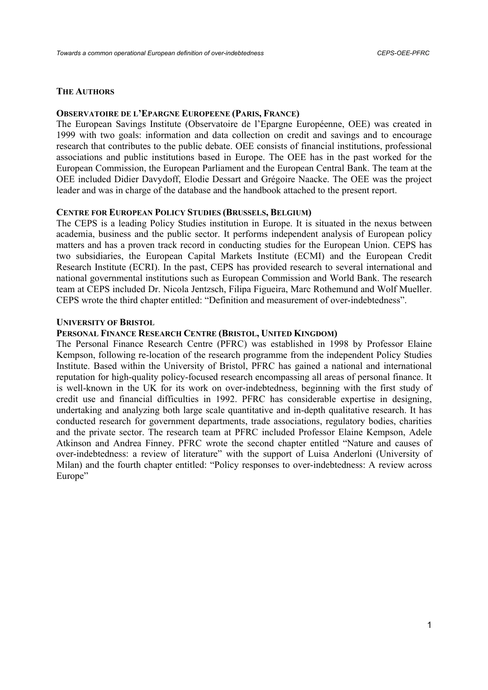#### **THE AUTHORS**

#### **OBSERVATOIRE DE L'EPARGNE EUROPEENE (PARIS, FRANCE)**

The European Savings Institute (Observatoire de l'Epargne Européenne, OEE) was created in 1999 with two goals: information and data collection on credit and savings and to encourage research that contributes to the public debate. OEE consists of financial institutions, professional associations and public institutions based in Europe. The OEE has in the past worked for the European Commission, the European Parliament and the European Central Bank. The team at the OEE included Didier Davydoff, Elodie Dessart and Grégoire Naacke. The OEE was the project leader and was in charge of the database and the handbook attached to the present report.

#### **CENTRE FOR EUROPEAN POLICY STUDIES (BRUSSELS, BELGIUM)**

The CEPS is a leading Policy Studies institution in Europe. It is situated in the nexus between academia, business and the public sector. It performs independent analysis of European policy matters and has a proven track record in conducting studies for the European Union. CEPS has two subsidiaries, the European Capital Markets Institute (ECMI) and the European Credit Research Institute (ECRI). In the past, CEPS has provided research to several international and national governmental institutions such as European Commission and World Bank. The research team at CEPS included Dr. Nicola Jentzsch, Filipa Figueira, Marc Rothemund and Wolf Mueller. CEPS wrote the third chapter entitled: "Definition and measurement of over-indebtedness".

#### **UNIVERSITY OF BRISTOL**

#### **PERSONAL FINANCE RESEARCH CENTRE (BRISTOL, UNITED KINGDOM)**

The Personal Finance Research Centre (PFRC) was established in 1998 by Professor Elaine Kempson, following re-location of the research programme from the independent Policy Studies Institute. Based within the University of Bristol, PFRC has gained a national and international reputation for high-quality policy-focused research encompassing all areas of personal finance. It is well-known in the UK for its work on over-indebtedness, beginning with the first study of credit use and financial difficulties in 1992. PFRC has considerable expertise in designing, undertaking and analyzing both large scale quantitative and in-depth qualitative research. It has conducted research for government departments, trade associations, regulatory bodies, charities and the private sector. The research team at PFRC included Professor Elaine Kempson, Adele Atkinson and Andrea Finney. PFRC wrote the second chapter entitled "Nature and causes of over-indebtedness: a review of literature" with the support of Luisa Anderloni (University of Milan) and the fourth chapter entitled: "Policy responses to over-indebtedness: A review across Europe"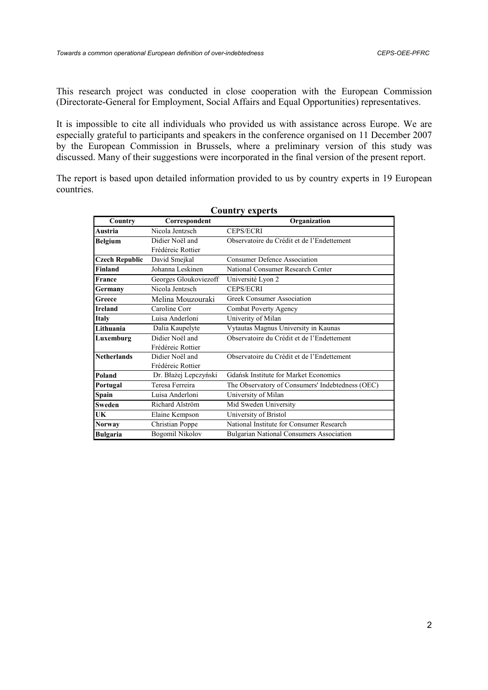This research project was conducted in close cooperation with the European Commission (Directorate-General for Employment, Social Affairs and Equal Opportunities) representatives.

It is impossible to cite all individuals who provided us with assistance across Europe. We are especially grateful to participants and speakers in the conference organised on 11 December 2007 by the European Commission in Brussels, where a preliminary version of this study was discussed. Many of their suggestions were incorporated in the final version of the present report.

The report is based upon detailed information provided to us by country experts in 19 European countries.

| Country               | Correspondent         | Organization                                     |
|-----------------------|-----------------------|--------------------------------------------------|
| Austria               | Nicola Jentzsch       | <b>CEPS/ECRI</b>                                 |
| Belgium               | Didier Noël and       | Observatoire du Crédit et de l'Endettement       |
|                       | Frédéreic Rottier     |                                                  |
| <b>Czech Republic</b> | David Smejkal         | <b>Consumer Defence Association</b>              |
| Finland               | Johanna Leskinen      | National Consumer Research Center                |
| France                | Georges Gloukoviezoff | Université Lyon 2                                |
| Germany               | Nicola Jentzsch       | <b>CEPS/ECRI</b>                                 |
| Greece                | Melina Mouzouraki     | <b>Greek Consumer Association</b>                |
| <b>Ireland</b>        | Caroline Corr         | Combat Poverty Agency                            |
| Italy                 | Luisa Anderloni       | Univerity of Milan                               |
| Lithuania             | Dalia Kaupelyte       | Vytautas Magnus University in Kaunas             |
| Luxemburg             | Didier Noël and       | Observatoire du Crédit et de l'Endettement       |
|                       | Frédéreic Rottier     |                                                  |
| <b>Netherlands</b>    | Didier Noël and       | Observatoire du Crédit et de l'Endettement       |
|                       | Frédéreic Rottier     |                                                  |
| Poland                | Dr. Błażej Lepczyński | <b>Gdańsk Institute for Market Economics</b>     |
| Portugal              | Teresa Ferreira       | The Observatory of Consumers' Indebtedness (OEC) |
| Spain                 | Luisa Anderloni       | University of Milan                              |
| Sweden                | Richard Alström       | Mid Sweden University                            |
| UK                    | Elaine Kempson        | University of Bristol                            |
| <b>Norway</b>         | Christian Poppe       | National Institute for Consumer Research         |
| <b>Bulgaria</b>       | Bogomil Nikolov       | <b>Bulgarian National Consumers Association</b>  |

#### **Country experts**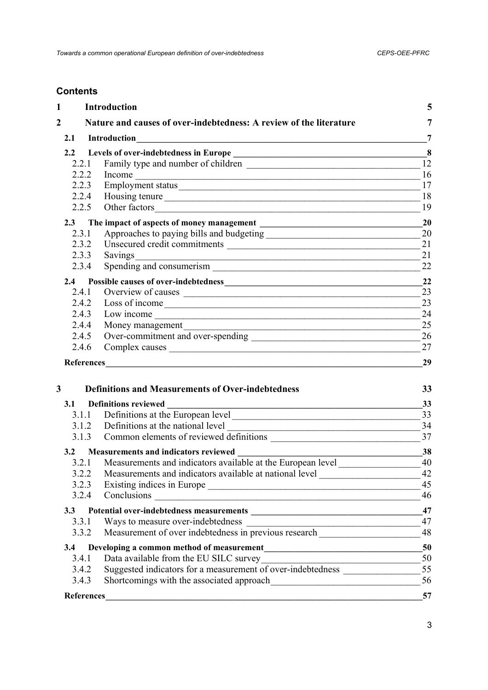## **Contents**

| $\mathbf{1}$      | Introduction                                                                                                                                                                                                                   | 5               |
|-------------------|--------------------------------------------------------------------------------------------------------------------------------------------------------------------------------------------------------------------------------|-----------------|
| $\overline{2}$    | Nature and causes of over-indebtedness: A review of the literature                                                                                                                                                             | 7               |
| 2.1               | Introduction<br><u> 1980 - Jan Barbarat, martin da basar da basar da basar da basar da basar da basar da basar da basar da basar</u>                                                                                           | 7               |
|                   |                                                                                                                                                                                                                                | 8               |
| 2.2.1             |                                                                                                                                                                                                                                | $\overline{12}$ |
| 2.2.2             | Income expansion of the contract of the contract of the contract of the contract of the contract of the contract of the contract of the contract of the contract of the contract of the contract of the contract of the contra | 16              |
| 2.2.3             | Employment status                                                                                                                                                                                                              | 17              |
| 2.2.4             | Housing tenure                                                                                                                                                                                                                 | 18              |
| 2.2.5             |                                                                                                                                                                                                                                | 19              |
| 2.3               |                                                                                                                                                                                                                                | 20              |
| 2.3.1             | Approaches to paying bills and budgeting                                                                                                                                                                                       | 20              |
| 2.3.2             |                                                                                                                                                                                                                                | 21              |
| 2.3.3             | Savings<br><u> 1989 - Johann Stein, marwolaethau a bhannaich an t-Albann an t-Albann an t-Albann an t-Albann an t-Albann an</u>                                                                                                | 21              |
| 2.3.4             |                                                                                                                                                                                                                                | 22              |
| 2.4               |                                                                                                                                                                                                                                | 22              |
| 2.4.1             |                                                                                                                                                                                                                                | 23              |
| 2.4.2             |                                                                                                                                                                                                                                | 23              |
| 2.4.3             |                                                                                                                                                                                                                                | 24              |
| 2.4.4             | Money management                                                                                                                                                                                                               | 25              |
| 2.4.5             | Over-commitment and over-spending                                                                                                                                                                                              | 26              |
| 2.4.6             | Complex causes                                                                                                                                                                                                                 | 27              |
|                   |                                                                                                                                                                                                                                | 29              |
|                   |                                                                                                                                                                                                                                |                 |
| 3                 | <b>Definitions and Measurements of Over-indebtedness</b>                                                                                                                                                                       | 33              |
| 3.1               | <b>Definitions reviewed</b>                                                                                                                                                                                                    | 33              |
| 3.1.1             | Definitions at the European level                                                                                                                                                                                              | 33              |
|                   | 3.1.2 Definitions at the national level<br><u> 1989 - Jan James James Barnett, fransk politik (d. 1989)</u>                                                                                                                    | 34              |
| 3.1.3             |                                                                                                                                                                                                                                | 37              |
| 3.2               | <b>Measurements and indicators reviewed</b>                                                                                                                                                                                    | 38              |
| 3.2.1             | Measurements and indicators available at the European level                                                                                                                                                                    | 40              |
| 3.2.2             | Measurements and indicators available at national level ________________________                                                                                                                                               | 42              |
| 3.2.3             |                                                                                                                                                                                                                                | 45              |
| 3.2.4             |                                                                                                                                                                                                                                | 46              |
| 3.3               |                                                                                                                                                                                                                                | 47              |
| 3.3.1             |                                                                                                                                                                                                                                | 47              |
| 3.3.2             | Measurement of over indebtedness in previous research                                                                                                                                                                          | 48              |
| 3.4               | Developing a common method of measurement<br><u>Letter and the common method of measurement</u>                                                                                                                                | 50              |
| 3.4.1             |                                                                                                                                                                                                                                |                 |
| 3.4.2             |                                                                                                                                                                                                                                |                 |
| 3.4.3             |                                                                                                                                                                                                                                | 56              |
| <b>References</b> |                                                                                                                                                                                                                                | 57              |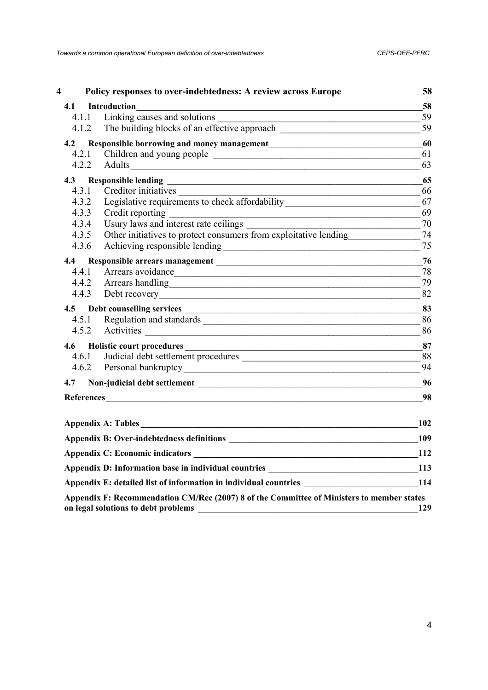| 4     | Policy responses to over-indebtedness: A review across Europe                                                                                          | 58  |
|-------|--------------------------------------------------------------------------------------------------------------------------------------------------------|-----|
| 4.1   | Introduction                                                                                                                                           | 58  |
| 4.1.1 | Linking causes and solutions<br><u> 1989 - Johann Stoff, deutscher Stoffen und der Stoffen und der Stoffen und der Stoffen und der Stoffen und der</u> | 59  |
| 4.1.2 | The building blocks of an effective approach                                                                                                           | 59  |
| 4.2   |                                                                                                                                                        | 60  |
| 4.2.1 |                                                                                                                                                        | 61  |
| 4.2.2 |                                                                                                                                                        | 63  |
| 4.3   |                                                                                                                                                        | 65  |
| 4.3.1 | Creditor initiatives                                                                                                                                   | 66  |
| 4.3.2 |                                                                                                                                                        | 67  |
| 4.3.3 | Credit reporting                                                                                                                                       | 69  |
| 4.3.4 |                                                                                                                                                        | 70  |
| 4.3.5 | Other initiatives to protect consumers from exploitative lending                                                                                       | 74  |
| 4.3.6 |                                                                                                                                                        | 75  |
| 4.4   |                                                                                                                                                        | 76  |
| 4.4.1 | Arrears avoidance                                                                                                                                      | 78  |
|       | 4.4.2 Arrears handling                                                                                                                                 | 79  |
| 4.4.3 |                                                                                                                                                        | 82  |
|       |                                                                                                                                                        | 83  |
| 4.5.1 |                                                                                                                                                        | 86  |
| 4.5.2 |                                                                                                                                                        | 86  |
| 4.6   |                                                                                                                                                        | 87  |
| 4.6.1 | Judicial debt settlement procedures                                                                                                                    | 88  |
| 4.6.2 |                                                                                                                                                        | 94  |
| 4.7   |                                                                                                                                                        | 96  |
|       |                                                                                                                                                        | 98  |
|       | Appendix A: Tables                                                                                                                                     | 102 |
|       |                                                                                                                                                        | 109 |
|       |                                                                                                                                                        | 112 |
|       | Appendix D: Information base in individual countries __________________________________113                                                             |     |
|       | Appendix E: detailed list of information in individual countries 114                                                                                   |     |
|       | Appendix F: Recommendation CM/Rec (2007) 8 of the Committee of Ministers to member states                                                              |     |
|       | on legal solutions to debt problems                                                                                                                    | 129 |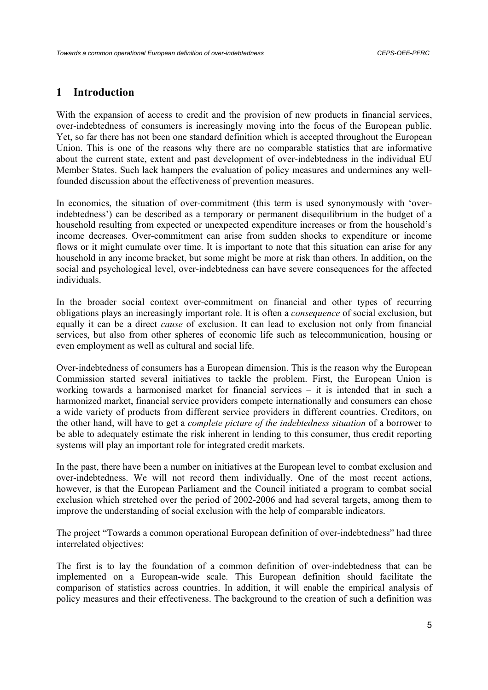## **1 Introduction**

With the expansion of access to credit and the provision of new products in financial services, over-indebtedness of consumers is increasingly moving into the focus of the European public. Yet, so far there has not been one standard definition which is accepted throughout the European Union. This is one of the reasons why there are no comparable statistics that are informative about the current state, extent and past development of over-indebtedness in the individual EU Member States. Such lack hampers the evaluation of policy measures and undermines any wellfounded discussion about the effectiveness of prevention measures.

In economics, the situation of over-commitment (this term is used synonymously with 'overindebtedness') can be described as a temporary or permanent disequilibrium in the budget of a household resulting from expected or unexpected expenditure increases or from the household's income decreases. Over-commitment can arise from sudden shocks to expenditure or income flows or it might cumulate over time. It is important to note that this situation can arise for any household in any income bracket, but some might be more at risk than others. In addition, on the social and psychological level, over-indebtedness can have severe consequences for the affected individuals.

In the broader social context over-commitment on financial and other types of recurring obligations plays an increasingly important role. It is often a *consequence* of social exclusion, but equally it can be a direct *cause* of exclusion. It can lead to exclusion not only from financial services, but also from other spheres of economic life such as telecommunication, housing or even employment as well as cultural and social life.

Over-indebtedness of consumers has a European dimension. This is the reason why the European Commission started several initiatives to tackle the problem. First, the European Union is working towards a harmonised market for financial services – it is intended that in such a harmonized market, financial service providers compete internationally and consumers can chose a wide variety of products from different service providers in different countries. Creditors, on the other hand, will have to get a *complete picture of the indebtedness situation* of a borrower to be able to adequately estimate the risk inherent in lending to this consumer, thus credit reporting systems will play an important role for integrated credit markets.

In the past, there have been a number on initiatives at the European level to combat exclusion and over-indebtedness. We will not record them individually. One of the most recent actions, however, is that the European Parliament and the Council initiated a program to combat social exclusion which stretched over the period of 2002-2006 and had several targets, among them to improve the understanding of social exclusion with the help of comparable indicators.

The project "Towards a common operational European definition of over-indebtedness" had three interrelated objectives:

The first is to lay the foundation of a common definition of over-indebtedness that can be implemented on a European-wide scale. This European definition should facilitate the comparison of statistics across countries. In addition, it will enable the empirical analysis of policy measures and their effectiveness. The background to the creation of such a definition was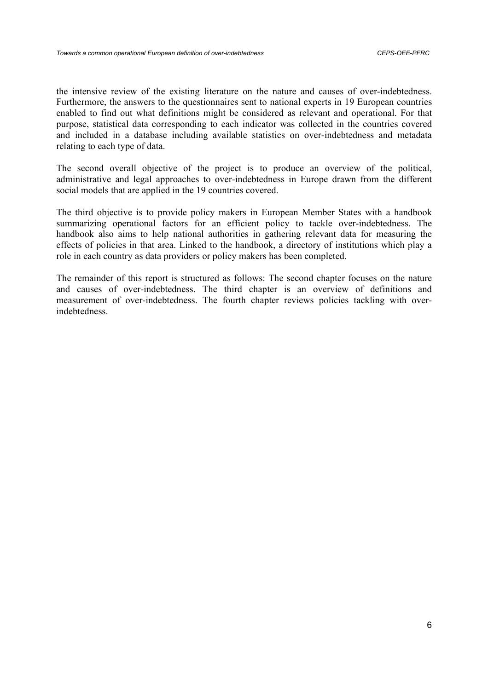the intensive review of the existing literature on the nature and causes of over-indebtedness. Furthermore, the answers to the questionnaires sent to national experts in 19 European countries enabled to find out what definitions might be considered as relevant and operational. For that purpose, statistical data corresponding to each indicator was collected in the countries covered and included in a database including available statistics on over-indebtedness and metadata relating to each type of data.

The second overall objective of the project is to produce an overview of the political, administrative and legal approaches to over-indebtedness in Europe drawn from the different social models that are applied in the 19 countries covered.

The third objective is to provide policy makers in European Member States with a handbook summarizing operational factors for an efficient policy to tackle over-indebtedness. The handbook also aims to help national authorities in gathering relevant data for measuring the effects of policies in that area. Linked to the handbook, a directory of institutions which play a role in each country as data providers or policy makers has been completed.

The remainder of this report is structured as follows: The second chapter focuses on the nature and causes of over-indebtedness. The third chapter is an overview of definitions and measurement of over-indebtedness. The fourth chapter reviews policies tackling with overindebtedness.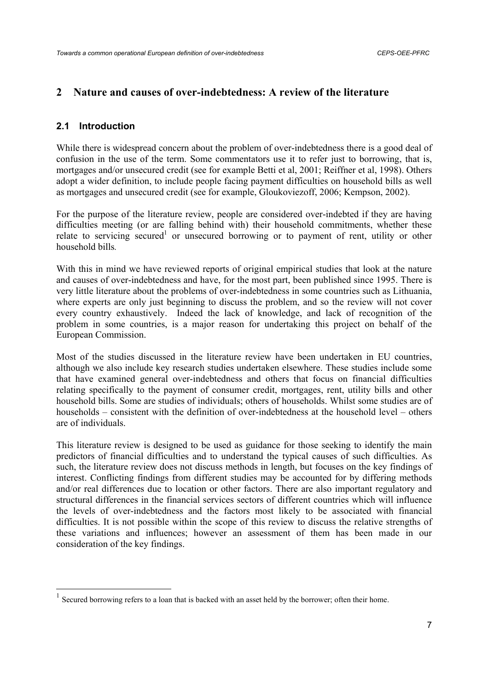## **2 Nature and causes of over-indebtedness: A review of the literature**

#### **2.1 Introduction**

While there is widespread concern about the problem of over-indebtedness there is a good deal of confusion in the use of the term. Some commentators use it to refer just to borrowing, that is, mortgages and/or unsecured credit (see for example Betti et al, 2001; Reiffner et al, 1998). Others adopt a wider definition, to include people facing payment difficulties on household bills as well as mortgages and unsecured credit (see for example, Gloukoviezoff, 2006; Kempson, 2002).

For the purpose of the literature review, people are considered over-indebted if they are having difficulties meeting (or are falling behind with) their household commitments, whether these relate to servicing secured<sup>1</sup> or unsecured borrowing or to payment of rent, utility or other household bills*.* 

With this in mind we have reviewed reports of original empirical studies that look at the nature and causes of over-indebtedness and have, for the most part, been published since 1995. There is very little literature about the problems of over-indebtedness in some countries such as Lithuania, where experts are only just beginning to discuss the problem, and so the review will not cover every country exhaustively. Indeed the lack of knowledge, and lack of recognition of the problem in some countries, is a major reason for undertaking this project on behalf of the European Commission.

Most of the studies discussed in the literature review have been undertaken in EU countries, although we also include key research studies undertaken elsewhere. These studies include some that have examined general over-indebtedness and others that focus on financial difficulties relating specifically to the payment of consumer credit, mortgages, rent, utility bills and other household bills. Some are studies of individuals; others of households. Whilst some studies are of households – consistent with the definition of over-indebtedness at the household level – others are of individuals.

This literature review is designed to be used as guidance for those seeking to identify the main predictors of financial difficulties and to understand the typical causes of such difficulties. As such, the literature review does not discuss methods in length, but focuses on the key findings of interest. Conflicting findings from different studies may be accounted for by differing methods and/or real differences due to location or other factors. There are also important regulatory and structural differences in the financial services sectors of different countries which will influence the levels of over-indebtedness and the factors most likely to be associated with financial difficulties. It is not possible within the scope of this review to discuss the relative strengths of these variations and influences; however an assessment of them has been made in our consideration of the key findings.

 $<sup>1</sup>$  Secured borrowing refers to a loan that is backed with an asset held by the borrower; often their home.</sup>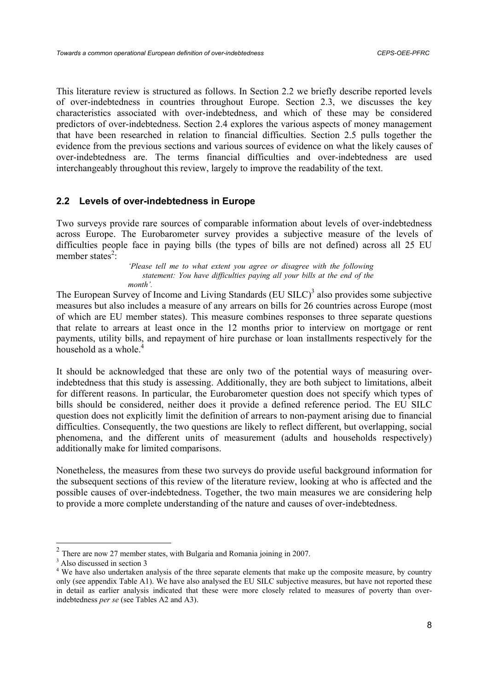This literature review is structured as follows. In Section 2.2 we briefly describe reported levels of over-indebtedness in countries throughout Europe. Section 2.3, we discusses the key characteristics associated with over-indebtedness, and which of these may be considered predictors of over-indebtedness. Section 2.4 explores the various aspects of money management that have been researched in relation to financial difficulties. Section 2.5 pulls together the evidence from the previous sections and various sources of evidence on what the likely causes of over-indebtedness are. The terms financial difficulties and over-indebtedness are used interchangeably throughout this review, largely to improve the readability of the text.

## **2.2 Levels of over-indebtedness in Europe**

Two surveys provide rare sources of comparable information about levels of over-indebtedness across Europe. The Eurobarometer survey provides a subjective measure of the levels of difficulties people face in paying bills (the types of bills are not defined) across all 25 EU member states<sup>2</sup>:

*'Please tell me to what extent you agree or disagree with the following statement: You have difficulties paying all your bills at the end of the month'.*

The European Survey of Income and Living Standards  $(EU S I L C)^3$  also provides some subjective measures but also includes a measure of any arrears on bills for 26 countries across Europe (most of which are EU member states). This measure combines responses to three separate questions that relate to arrears at least once in the 12 months prior to interview on mortgage or rent payments, utility bills, and repayment of hire purchase or loan installments respectively for the household as a whole.<sup>4</sup>

It should be acknowledged that these are only two of the potential ways of measuring overindebtedness that this study is assessing. Additionally, they are both subject to limitations, albeit for different reasons. In particular, the Eurobarometer question does not specify which types of bills should be considered, neither does it provide a defined reference period. The EU SILC question does not explicitly limit the definition of arrears to non-payment arising due to financial difficulties. Consequently, the two questions are likely to reflect different, but overlapping, social phenomena, and the different units of measurement (adults and households respectively) additionally make for limited comparisons.

Nonetheless, the measures from these two surveys do provide useful background information for the subsequent sections of this review of the literature review, looking at who is affected and the possible causes of over-indebtedness. Together, the two main measures we are considering help to provide a more complete understanding of the nature and causes of over-indebtedness.

<sup>2</sup> There are now 27 member states, with Bulgaria and Romania joining in 2007.

<sup>&</sup>lt;sup>3</sup> Also discussed in section 3

<sup>&</sup>lt;sup>4</sup> We have also undertaken analysis of the three separate elements that make up the composite measure, by country only (see appendix Table A1). We have also analysed the EU SILC subjective measures, but have not reported these in detail as earlier analysis indicated that these were more closely related to measures of poverty than overindebtedness *per se* (see Tables A2 and A3).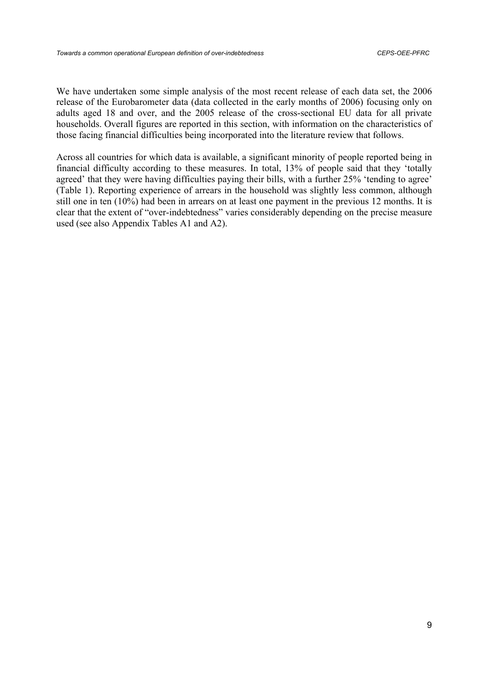We have undertaken some simple analysis of the most recent release of each data set, the 2006 release of the Eurobarometer data (data collected in the early months of 2006) focusing only on adults aged 18 and over, and the 2005 release of the cross-sectional EU data for all private households. Overall figures are reported in this section, with information on the characteristics of those facing financial difficulties being incorporated into the literature review that follows.

Across all countries for which data is available, a significant minority of people reported being in financial difficulty according to these measures. In total, 13% of people said that they 'totally agreed' that they were having difficulties paying their bills, with a further 25% 'tending to agree' (Table 1). Reporting experience of arrears in the household was slightly less common, although still one in ten (10%) had been in arrears on at least one payment in the previous 12 months. It is clear that the extent of "over-indebtedness" varies considerably depending on the precise measure used (see also Appendix Tables A1 and A2).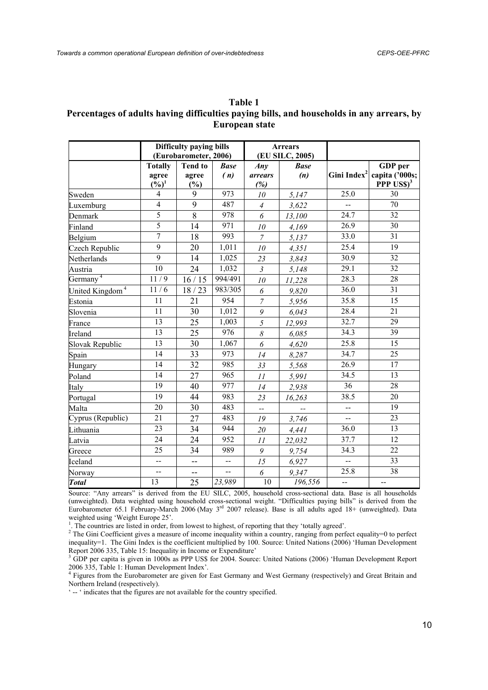| гяте г                                                                                    |
|-------------------------------------------------------------------------------------------|
| Percentages of adults having difficulties paying bills, and households in any arrears, by |
| European state                                                                            |

**Table 1** 

|                             | Difficulty paying bills  |                |             |                | <b>Arrears</b>  |                          |                             |
|-----------------------------|--------------------------|----------------|-------------|----------------|-----------------|--------------------------|-----------------------------|
|                             | (Eurobarometer, 2006)    |                |             |                | (EU SILC, 2005) |                          |                             |
|                             | <b>Totally</b>           | <b>Tend to</b> | <b>Base</b> | Any            | <b>Base</b>     |                          | GDP per                     |
|                             | agree                    | agree          | (n)         | <i>arrears</i> | (n)             | Gini Index <sup>2</sup>  | capita ('000s;              |
|                             | $(\%)^1$                 | (%)            |             | (%)            |                 |                          | <b>PPP USS)<sup>3</sup></b> |
| Sweden                      | 4                        | 9              | 973         | 10             | 5,147           | 25.0                     | 30                          |
| Luxemburg                   | $\overline{4}$           | 9              | 487         | $\overline{4}$ | 3,622           | uu                       | $\overline{70}$             |
| Denmark                     | 5                        | $\overline{8}$ | 978         | 6              | 13,100          | 24.7                     | 32                          |
| Finland                     | 5                        | 14             | 971         | 10             | 4,169           | 26.9                     | 30                          |
| Belgium                     | $\overline{7}$           | 18             | 993         | $\overline{7}$ | 5,137           | 33.0                     | 31                          |
| Czech Republic              | $\overline{9}$           | 20             | 1,011       | 10             | 4,351           | 25.4                     | 19                          |
| Netherlands                 | $\overline{9}$           | 14             | 1,025       | 23             | 3,843           | 30.9                     | 32                          |
| Austria                     | 10                       | 24             | 1,032       | $\mathfrak{Z}$ | 5,148           | 29.1                     | 32                          |
| Germany <sup>4</sup>        | 11/9                     | 16/15          | 994/491     | 10             | 11,228          | 28.3                     | 28                          |
| United Kingdom <sup>4</sup> | 11/6                     | 18/23          | 983/305     | 6              | 9,820           | 36.0                     | $\overline{31}$             |
| Estonia                     | $\overline{11}$          | 21             | 954         | $\overline{7}$ | 5,956           | 35.8                     | $\overline{15}$             |
| Slovenia                    | 11                       | 30             | 1,012       | 9              | 6,043           | 28.4                     | 21                          |
| France                      | 13                       | 25             | 1,003       | 5              | 12,993          | 32.7                     | 29                          |
| Ireland                     | 13                       | 25             | 976         | 8              | 6,085           | 34.3                     | 39                          |
| Slovak Republic             | $\overline{13}$          | 30             | 1,067       | 6              | 4,620           | 25.8                     | $\overline{15}$             |
| Spain                       | 14                       | 33             | 973         | 14             | 8,287           | 34.7                     | $\overline{25}$             |
| Hungary                     | 14                       | 32             | 985         | 33             | 5,568           | 26.9                     | 17                          |
| Poland                      | $\overline{14}$          | 27             | 965         | 11             | 5,991           | 34.5                     | $\overline{13}$             |
| Italy                       | 19                       | 40             | 977         | 14             | 2,938           | $\overline{36}$          | $\overline{28}$             |
| Portugal                    | 19                       | 44             | 983         | 23             | 16,263          | 38.5                     | 20                          |
| Malta                       | 20                       | 30             | 483         | LL.            |                 | $\overline{\phantom{a}}$ | 19                          |
| Cyprus (Republic)           | 21                       | 27             | 483         | 19             | 3,746           | uu                       | $\overline{23}$             |
| Lithuania                   | 23                       | 34             | 944         | 20             | 4,441           | 36.0                     | 13                          |
| Latvia                      | 24                       | 24             | 952         | 11             | 22,032          | 37.7                     | 12                          |
| Greece                      | 25                       | 34             | 989         | 9              | 9,754           | 34.3                     | $\overline{22}$             |
| Iceland                     | --                       | --             | $-$         | 15             | 6,927           | --                       | 33                          |
| Norway                      | $\overline{\phantom{a}}$ |                |             | 6              | 9,347           | 25.8                     | $\overline{38}$             |
| <b>Total</b>                | 13                       | 25             | 23,989      | $10\,$         | 196,556         | $\overline{\phantom{a}}$ | --                          |

Source: "Any arrears" is derived from the EU SILC, 2005, household cross-sectional data. Base is all households (unweighted). Data weighted using household cross-sectional weight. "Difficulties paying bills" is derived from the Eurobarometer 65.1 February-March 2006 (May 3rd 2007 release). Base is all adults aged 18+ (unweighted). Data weighted using 'Weight Europe 25'.

<sup>1</sup>. The countries are listed in order, from lowest to highest, of reporting that they 'totally agreed'.  $2 \text{ The } \text{Cini } \text{Coefficient}$  is a program of income inequality within a country repeipe from perform.

<sup>2</sup> The Gini Coefficient gives a measure of income inequality within a country, ranging from perfect equality=0 to perfect inequality=1. The Gini Index is the coefficient multiplied by 100. Source: United Nations (2006) 'Human Development Report 2006 335, Table 15: Inequality in Income or Expenditure'

<sup>3</sup> GDP per capita is given in 1000s as PPP US\$ for 2004. Source: United Nations (2006) 'Human Development Report 2006 335, Table 1: Human Development Index'. 4 Figures from the Eurobarometer are given for East Germany and West Germany (respectively) and Great Britain and

Northern Ireland (respectively).

' -- ' indicates that the figures are not available for the country specified.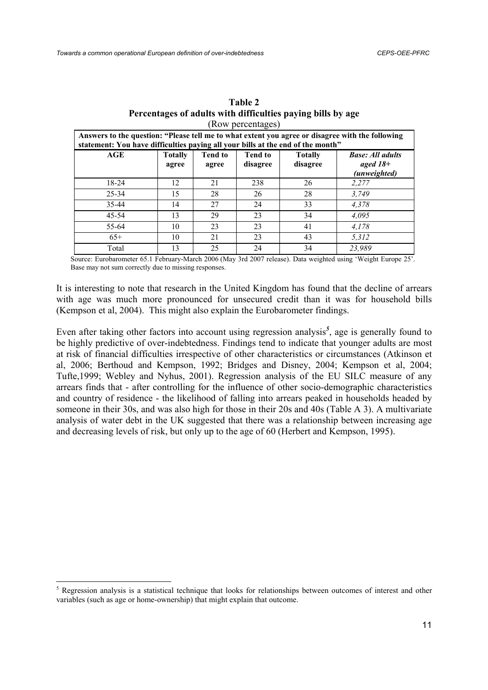| KOW portunidacy                                                                                                                                                                     |                         |                         |                            |                            |                                                       |  |  |  |
|-------------------------------------------------------------------------------------------------------------------------------------------------------------------------------------|-------------------------|-------------------------|----------------------------|----------------------------|-------------------------------------------------------|--|--|--|
| Answers to the question: "Please tell me to what extent you agree or disagree with the following<br>statement: You have difficulties paying all your bills at the end of the month" |                         |                         |                            |                            |                                                       |  |  |  |
| AGE                                                                                                                                                                                 | <b>Totally</b><br>agree | <b>Tend to</b><br>agree | <b>Tend to</b><br>disagree | <b>Totally</b><br>disagree | <b>Base: All adults</b><br>aged $18+$<br>(unweighted) |  |  |  |
| $18 - 24$                                                                                                                                                                           | 12                      | 21                      | 238                        | 26                         | 2,277                                                 |  |  |  |
| $25 - 34$                                                                                                                                                                           | 15                      | 28                      | 26                         | 28                         | 3.749                                                 |  |  |  |
| 35-44                                                                                                                                                                               | 14                      | 27                      | 24                         | 33                         | 4,378                                                 |  |  |  |
| $45 - 54$                                                                                                                                                                           | 13                      | 29                      | 23                         | 34                         | 4,095                                                 |  |  |  |
| 55-64                                                                                                                                                                               | 10                      | 23                      | 23                         | 41                         | 4.178                                                 |  |  |  |
| $65+$                                                                                                                                                                               | 10                      | 21                      | 23                         | 43                         | 5,312                                                 |  |  |  |
| Total                                                                                                                                                                               | 13                      | 25                      | 24                         | 34                         | 23.989                                                |  |  |  |

| <b>Table 2</b>                                              |  |  |  |  |  |  |  |
|-------------------------------------------------------------|--|--|--|--|--|--|--|
| Percentages of adults with difficulties paying bills by age |  |  |  |  |  |  |  |
| (Row percentages)                                           |  |  |  |  |  |  |  |

Source: Eurobarometer 65.1 February-March 2006 (May 3rd 2007 release). Data weighted using 'Weight Europe 25'. Base may not sum correctly due to missing responses.

It is interesting to note that research in the United Kingdom has found that the decline of arrears with age was much more pronounced for unsecured credit than it was for household bills (Kempson et al, 2004). This might also explain the Eurobarometer findings.

Even after taking other factors into account using regression analysis*<sup>5</sup>* , age is generally found to be highly predictive of over-indebtedness. Findings tend to indicate that younger adults are most at risk of financial difficulties irrespective of other characteristics or circumstances (Atkinson et al, 2006; Berthoud and Kempson, 1992; Bridges and Disney, 2004; Kempson et al, 2004; Tufte,1999; Webley and Nyhus, 2001). Regression analysis of the EU SILC measure of any arrears finds that - after controlling for the influence of other socio-demographic characteristics and country of residence - the likelihood of falling into arrears peaked in households headed by someone in their 30s, and was also high for those in their 20s and 40s (Table A 3). A multivariate analysis of water debt in the UK suggested that there was a relationship between increasing age and decreasing levels of risk, but only up to the age of 60 (Herbert and Kempson, 1995).

<sup>&</sup>lt;sup>5</sup> Regression analysis is a statistical technique that looks for relationships between outcomes of interest and other variables (such as age or home-ownership) that might explain that outcome.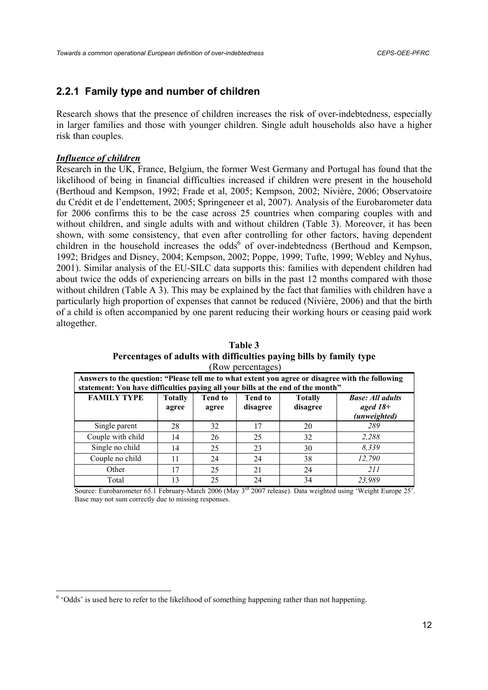## **2.2.1 Family type and number of children**

Research shows that the presence of children increases the risk of over-indebtedness, especially in larger families and those with younger children. Single adult households also have a higher risk than couples.

#### *Influence of children*

Research in the UK, France, Belgium, the former West Germany and Portugal has found that the likelihood of being in financial difficulties increased if children were present in the household (Berthoud and Kempson, 1992; Frade et al, 2005; Kempson, 2002; Nivière, 2006; Observatoire du Crédit et de l'endettement, 2005; Springeneer et al, 2007). Analysis of the Eurobarometer data for 2006 confirms this to be the case across 25 countries when comparing couples with and without children, and single adults with and without children (Table 3). Moreover, it has been shown, with some consistency, that even after controlling for other factors, having dependent children in the household increases the odds<sup>6</sup> of over-indebtedness (Berthoud and Kempson, 1992; Bridges and Disney, 2004; Kempson, 2002; Poppe, 1999; Tufte, 1999; Webley and Nyhus, 2001). Similar analysis of the EU-SILC data supports this: families with dependent children had about twice the odds of experiencing arrears on bills in the past 12 months compared with those without children (Table A 3). This may be explained by the fact that families with children have a particularly high proportion of expenses that cannot be reduced (Nivière, 2006) and that the birth of a child is often accompanied by one parent reducing their working hours or ceasing paid work altogether.

| (Row percentages)                                                                                                                                                                   |                                                                                                                                                                         |    |    |    |        |  |  |  |
|-------------------------------------------------------------------------------------------------------------------------------------------------------------------------------------|-------------------------------------------------------------------------------------------------------------------------------------------------------------------------|----|----|----|--------|--|--|--|
| Answers to the question: "Please tell me to what extent you agree or disagree with the following<br>statement: You have difficulties paying all your bills at the end of the month" |                                                                                                                                                                         |    |    |    |        |  |  |  |
| <b>FAMILY TYPE</b>                                                                                                                                                                  | <b>Tend to</b><br><b>Base: All adults</b><br><b>Totally</b><br><b>Tend to</b><br><b>Totally</b><br>disagree<br>aged $18+$<br>disagree<br>agree<br>agree<br>(unweighted) |    |    |    |        |  |  |  |
| Single parent                                                                                                                                                                       | 28                                                                                                                                                                      | 32 | 17 | 20 | 289    |  |  |  |
| Couple with child                                                                                                                                                                   | 14                                                                                                                                                                      | 26 | 25 | 32 | 2,288  |  |  |  |
| Single no child                                                                                                                                                                     | 14                                                                                                                                                                      | 25 | 23 | 30 | 8.339  |  |  |  |
| Couple no child                                                                                                                                                                     | 11                                                                                                                                                                      | 24 | 24 | 38 | 12,790 |  |  |  |
| Other                                                                                                                                                                               | 17                                                                                                                                                                      | 25 | 21 | 24 | 211    |  |  |  |
| Total                                                                                                                                                                               | 13                                                                                                                                                                      | 25 | 24 | 34 | 23,989 |  |  |  |

**Table 3 Percentages of adults with difficulties paying bills by family type** 

Source: Eurobarometer 65.1 February-March 2006 (May 3rd 2007 release). Data weighted using 'Weight Europe 25'. Base may not sum correctly due to missing responses.

<sup>&</sup>lt;sup>6</sup> 'Odds' is used here to refer to the likelihood of something happening rather than not happening.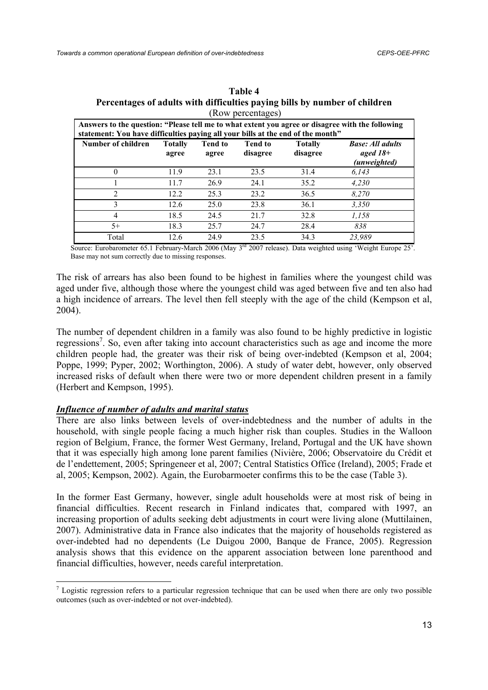| $(1000 \text{ pc}1001 \text{ erg})$<br>Answers to the question: "Please tell me to what extent you agree or disagree with the following<br>statement: You have difficulties paying all your bills at the end of the month" |                         |                         |                            |                            |                                                       |  |  |
|----------------------------------------------------------------------------------------------------------------------------------------------------------------------------------------------------------------------------|-------------------------|-------------------------|----------------------------|----------------------------|-------------------------------------------------------|--|--|
| Number of children                                                                                                                                                                                                         | <b>Totally</b><br>agree | <b>Tend to</b><br>agree | <b>Tend to</b><br>disagree | <b>Totally</b><br>disagree | <b>Base: All adults</b><br>aged $18+$<br>(unweighted) |  |  |
| $\theta$                                                                                                                                                                                                                   | 11.9                    | 23.1                    | 23.5                       | 31.4                       | 6,143                                                 |  |  |
|                                                                                                                                                                                                                            | 11.7                    | 26.9                    | 24.1                       | 35.2                       | 4.230                                                 |  |  |
| 2                                                                                                                                                                                                                          | 12.2                    | 25.3                    | 23.2                       | 36.5                       | 8,270                                                 |  |  |
| 3                                                                                                                                                                                                                          | 12.6                    | 25.0                    | 23.8                       | 36.1                       | 3,350                                                 |  |  |
| $\overline{4}$                                                                                                                                                                                                             | 18.5                    | 24.5                    | 21.7                       | 32.8                       | 1,158                                                 |  |  |
| $5+$                                                                                                                                                                                                                       | 18.3                    | 25.7                    | 24.7                       | 28.4                       | 838                                                   |  |  |
| Total                                                                                                                                                                                                                      | 12.6                    | 24.9                    | 23.5                       | 34.3                       | 23,989                                                |  |  |

| Table 4                                                                    |  |  |  |  |  |  |  |
|----------------------------------------------------------------------------|--|--|--|--|--|--|--|
| Percentages of adults with difficulties paying bills by number of children |  |  |  |  |  |  |  |
| (Row percentages)                                                          |  |  |  |  |  |  |  |

Source: Eurobarometer 65.1 February-March 2006 (May 3rd 2007 release). Data weighted using 'Weight Europe 25'. Base may not sum correctly due to missing responses.

The risk of arrears has also been found to be highest in families where the youngest child was aged under five, although those where the youngest child was aged between five and ten also had a high incidence of arrears. The level then fell steeply with the age of the child (Kempson et al, 2004).

The number of dependent children in a family was also found to be highly predictive in logistic regressions<sup>7</sup>. So, even after taking into account characteristics such as age and income the more children people had, the greater was their risk of being over-indebted (Kempson et al, 2004; Poppe, 1999; Pyper, 2002; Worthington, 2006). A study of water debt, however, only observed increased risks of default when there were two or more dependent children present in a family (Herbert and Kempson, 1995).

## *Influence of number of adults and marital status*

There are also links between levels of over-indebtedness and the number of adults in the household, with single people facing a much higher risk than couples. Studies in the Walloon region of Belgium, France, the former West Germany, Ireland, Portugal and the UK have shown that it was especially high among lone parent families (Nivière, 2006; Observatoire du Crédit et de l'endettement, 2005; Springeneer et al, 2007; Central Statistics Office (Ireland), 2005; Frade et al, 2005; Kempson, 2002). Again, the Eurobarmoeter confirms this to be the case (Table 3).

In the former East Germany, however, single adult households were at most risk of being in financial difficulties. Recent research in Finland indicates that, compared with 1997, an increasing proportion of adults seeking debt adjustments in court were living alone (Muttilainen, 2007). Administrative data in France also indicates that the majority of households registered as over-indebted had no dependents (Le Duigou 2000, Banque de France, 2005). Regression analysis shows that this evidence on the apparent association between lone parenthood and financial difficulties, however, needs careful interpretation.

 $<sup>7</sup>$  Logistic regression refers to a particular regression technique that can be used when there are only two possible</sup> outcomes (such as over-indebted or not over-indebted).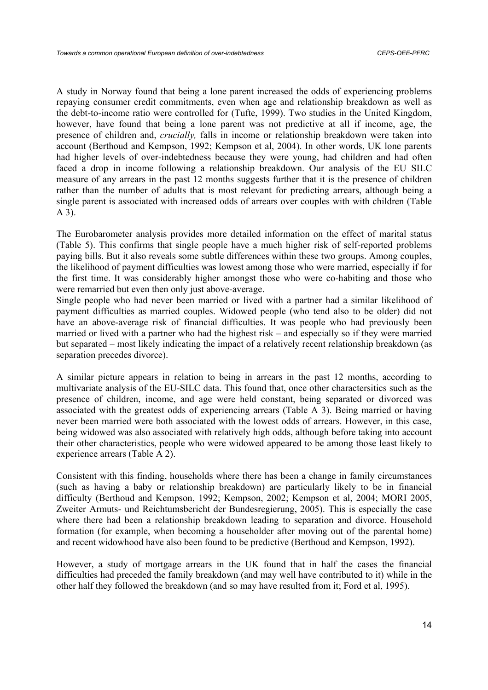A study in Norway found that being a lone parent increased the odds of experiencing problems repaying consumer credit commitments, even when age and relationship breakdown as well as the debt-to-income ratio were controlled for (Tufte, 1999). Two studies in the United Kingdom, however, have found that being a lone parent was not predictive at all if income, age, the presence of children and, *crucially,* falls in income or relationship breakdown were taken into account (Berthoud and Kempson, 1992; Kempson et al, 2004). In other words, UK lone parents had higher levels of over-indebtedness because they were young, had children and had often faced a drop in income following a relationship breakdown. Our analysis of the EU SILC measure of any arrears in the past 12 months suggests further that it is the presence of children rather than the number of adults that is most relevant for predicting arrears, although being a single parent is associated with increased odds of arrears over couples with with children (Table A 3).

The Eurobarometer analysis provides more detailed information on the effect of marital status (Table 5). This confirms that single people have a much higher risk of self-reported problems paying bills. But it also reveals some subtle differences within these two groups. Among couples, the likelihood of payment difficulties was lowest among those who were married, especially if for the first time. It was considerably higher amongst those who were co-habiting and those who were remarried but even then only just above-average.

Single people who had never been married or lived with a partner had a similar likelihood of payment difficulties as married couples. Widowed people (who tend also to be older) did not have an above-average risk of financial difficulties. It was people who had previously been married or lived with a partner who had the highest risk – and especially so if they were married but separated – most likely indicating the impact of a relatively recent relationship breakdown (as separation precedes divorce).

A similar picture appears in relation to being in arrears in the past 12 months, according to multivariate analysis of the EU-SILC data. This found that, once other charactersitics such as the presence of children, income, and age were held constant, being separated or divorced was associated with the greatest odds of experiencing arrears (Table A 3). Being married or having never been married were both associated with the lowest odds of arrears. However, in this case, being widowed was also associated with relatively high odds, although before taking into account their other characteristics, people who were widowed appeared to be among those least likely to experience arrears (Table A 2).

Consistent with this finding, households where there has been a change in family circumstances (such as having a baby or relationship breakdown) are particularly likely to be in financial difficulty (Berthoud and Kempson, 1992; Kempson, 2002; Kempson et al, 2004; MORI 2005, Zweiter Armuts- und Reichtumsbericht der Bundesregierung, 2005). This is especially the case where there had been a relationship breakdown leading to separation and divorce. Household formation (for example, when becoming a householder after moving out of the parental home) and recent widowhood have also been found to be predictive (Berthoud and Kempson, 1992).

However, a study of mortgage arrears in the UK found that in half the cases the financial difficulties had preceded the family breakdown (and may well have contributed to it) while in the other half they followed the breakdown (and so may have resulted from it; Ford et al, 1995).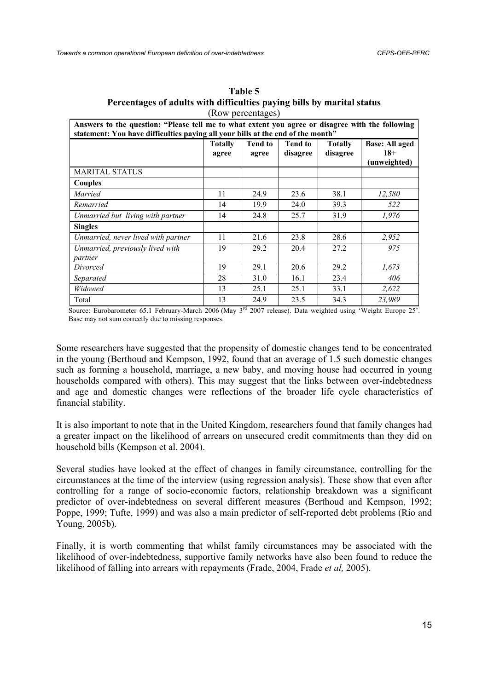|                                                                                                                                                                                     |                         | $(100 \text{ m})$       |                            |                            |                                                |  |  |
|-------------------------------------------------------------------------------------------------------------------------------------------------------------------------------------|-------------------------|-------------------------|----------------------------|----------------------------|------------------------------------------------|--|--|
| Answers to the question: "Please tell me to what extent you agree or disagree with the following<br>statement: You have difficulties paying all your bills at the end of the month" |                         |                         |                            |                            |                                                |  |  |
|                                                                                                                                                                                     | <b>Totally</b><br>agree | <b>Tend to</b><br>agree | <b>Tend to</b><br>disagree | <b>Totally</b><br>disagree | <b>Base: All aged</b><br>$18+$<br>(unweighted) |  |  |
| <b>MARITAL STATUS</b>                                                                                                                                                               |                         |                         |                            |                            |                                                |  |  |
| Couples                                                                                                                                                                             |                         |                         |                            |                            |                                                |  |  |
| Married                                                                                                                                                                             | 11                      | 24.9                    | 23.6                       | 38.1                       | 12,580                                         |  |  |
| Remarried                                                                                                                                                                           | 14                      | 19.9                    | 24.0                       | 39.3                       | 522                                            |  |  |
| Unmarried but living with partner                                                                                                                                                   | 14                      | 24.8                    | 25.7                       | 31.9                       | 1,976                                          |  |  |
| <b>Singles</b>                                                                                                                                                                      |                         |                         |                            |                            |                                                |  |  |
| Unmarried, never lived with partner                                                                                                                                                 | 11                      | 21.6                    | 23.8                       | 28.6                       | 2,952                                          |  |  |
| Unmarried, previously lived with                                                                                                                                                    | 19                      | 29.2                    | 20.4                       | 27.2                       | 975                                            |  |  |
| partner                                                                                                                                                                             |                         |                         |                            |                            |                                                |  |  |
| Divorced                                                                                                                                                                            | 19                      | 29.1                    | 20.6                       | 29.2                       | 1,673                                          |  |  |
| Separated                                                                                                                                                                           | 28                      | 31.0                    | 16.1                       | 23.4                       | 406                                            |  |  |
| Widowed                                                                                                                                                                             | 13                      | 25.1                    | 25.1                       | 33.1                       | 2,622                                          |  |  |
| Total                                                                                                                                                                               | 13                      | 24.9                    | 23.5                       | 34.3                       | 23,989                                         |  |  |

**Table 5 Percentages of adults with difficulties paying bills by marital status**  (Row percentages)

Source: Eurobarometer 65.1 February-March 2006 (May 3<sup>rd</sup> 2007 release). Data weighted using 'Weight Europe 25'. Base may not sum correctly due to missing responses.

Some researchers have suggested that the propensity of domestic changes tend to be concentrated in the young (Berthoud and Kempson, 1992, found that an average of 1.5 such domestic changes such as forming a household, marriage, a new baby, and moving house had occurred in young households compared with others). This may suggest that the links between over-indebtedness and age and domestic changes were reflections of the broader life cycle characteristics of financial stability.

It is also important to note that in the United Kingdom, researchers found that family changes had a greater impact on the likelihood of arrears on unsecured credit commitments than they did on household bills (Kempson et al, 2004).

Several studies have looked at the effect of changes in family circumstance, controlling for the circumstances at the time of the interview (using regression analysis). These show that even after controlling for a range of socio-economic factors, relationship breakdown was a significant predictor of over-indebtedness on several different measures (Berthoud and Kempson, 1992; Poppe, 1999; Tufte, 1999) and was also a main predictor of self-reported debt problems (Rio and Young, 2005b).

Finally, it is worth commenting that whilst family circumstances may be associated with the likelihood of over-indebtedness, supportive family networks have also been found to reduce the likelihood of falling into arrears with repayments (Frade, 2004, Frade *et al,* 2005).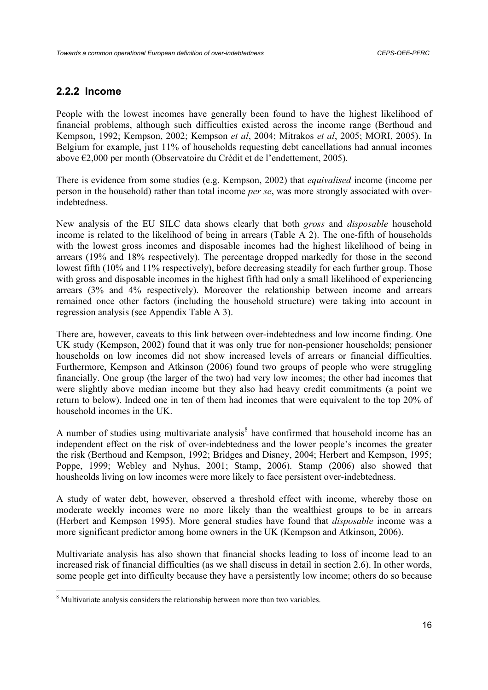# **2.2.2 Income**

People with the lowest incomes have generally been found to have the highest likelihood of financial problems, although such difficulties existed across the income range (Berthoud and Kempson, 1992; Kempson, 2002; Kempson *et al*, 2004; Mitrakos *et al*, 2005; MORI, 2005). In Belgium for example, just 11% of households requesting debt cancellations had annual incomes above €2,000 per month (Observatoire du Crédit et de l'endettement, 2005).

There is evidence from some studies (e.g. Kempson, 2002) that *equivalised* income (income per person in the household) rather than total income *per se*, was more strongly associated with overindebtedness.

New analysis of the EU SILC data shows clearly that both *gross* and *disposable* household income is related to the likelihood of being in arrears (Table A 2). The one-fifth of households with the lowest gross incomes and disposable incomes had the highest likelihood of being in arrears (19% and 18% respectively). The percentage dropped markedly for those in the second lowest fifth (10% and 11% respectively), before decreasing steadily for each further group. Those with gross and disposable incomes in the highest fifth had only a small likelihood of experiencing arrears (3% and 4% respectively). Moreover the relationship between income and arrears remained once other factors (including the household structure) were taking into account in regression analysis (see Appendix Table A 3).

There are, however, caveats to this link between over-indebtedness and low income finding. One UK study (Kempson, 2002) found that it was only true for non-pensioner households; pensioner households on low incomes did not show increased levels of arrears or financial difficulties. Furthermore, Kempson and Atkinson (2006) found two groups of people who were struggling financially. One group (the larger of the two) had very low incomes; the other had incomes that were slightly above median income but they also had heavy credit commitments (a point we return to below). Indeed one in ten of them had incomes that were equivalent to the top 20% of household incomes in the UK.

A number of studies using multivariate analysis $<sup>8</sup>$  have confirmed that household income has an</sup> independent effect on the risk of over-indebtedness and the lower people's incomes the greater the risk (Berthoud and Kempson, 1992; Bridges and Disney, 2004; Herbert and Kempson, 1995; Poppe, 1999; Webley and Nyhus, 2001; Stamp, 2006). Stamp (2006) also showed that housheolds living on low incomes were more likely to face persistent over-indebtedness.

A study of water debt, however, observed a threshold effect with income, whereby those on moderate weekly incomes were no more likely than the wealthiest groups to be in arrears (Herbert and Kempson 1995). More general studies have found that *disposable* income was a more significant predictor among home owners in the UK (Kempson and Atkinson, 2006).

Multivariate analysis has also shown that financial shocks leading to loss of income lead to an increased risk of financial difficulties (as we shall discuss in detail in section 2.6). In other words, some people get into difficulty because they have a persistently low income; others do so because

<sup>&</sup>lt;sup>8</sup> Multivariate analysis considers the relationship between more than two variables.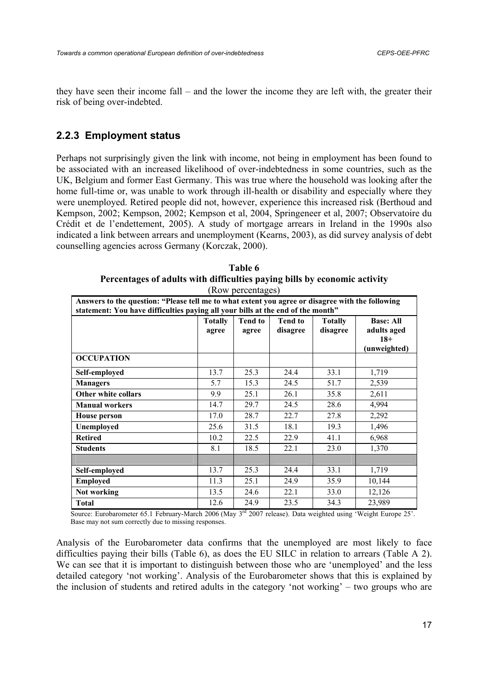they have seen their income fall – and the lower the income they are left with, the greater their risk of being over-indebted.

## **2.2.3 Employment status**

Perhaps not surprisingly given the link with income, not being in employment has been found to be associated with an increased likelihood of over-indebtedness in some countries, such as the UK, Belgium and former East Germany. This was true where the household was looking after the home full-time or, was unable to work through ill-health or disability and especially where they were unemployed. Retired people did not, however, experience this increased risk (Berthoud and Kempson, 2002; Kempson, 2002; Kempson et al, 2004, Springeneer et al, 2007; Observatoire du Crédit et de l'endettement, 2005). A study of mortgage arrears in Ireland in the 1990s also indicated a link between arrears and unemployment (Kearns, 2003), as did survey analysis of debt counselling agencies across Germany (Korczak, 2000).

|                                                                                                                                                                                     | $110W$ W poloching Co   |                         |                            |                            |                                                          |  |  |  |  |
|-------------------------------------------------------------------------------------------------------------------------------------------------------------------------------------|-------------------------|-------------------------|----------------------------|----------------------------|----------------------------------------------------------|--|--|--|--|
| Answers to the question: "Please tell me to what extent you agree or disagree with the following<br>statement: You have difficulties paying all your bills at the end of the month" |                         |                         |                            |                            |                                                          |  |  |  |  |
|                                                                                                                                                                                     | <b>Totally</b><br>agree | <b>Tend to</b><br>agree | <b>Tend to</b><br>disagree | <b>Totally</b><br>disagree | <b>Base: All</b><br>adults aged<br>$18+$<br>(unweighted) |  |  |  |  |
| <b>OCCUPATION</b>                                                                                                                                                                   |                         |                         |                            |                            |                                                          |  |  |  |  |
| Self-employed                                                                                                                                                                       | 13.7                    | 25.3                    | 24.4                       | 33.1                       | 1,719                                                    |  |  |  |  |
| <b>Managers</b>                                                                                                                                                                     | 5.7                     | 15.3                    | 24.5                       | 51.7                       | 2,539                                                    |  |  |  |  |
| Other white collars                                                                                                                                                                 | 9.9                     | 25.1                    | 26.1                       | 35.8                       | 2,611                                                    |  |  |  |  |
| <b>Manual workers</b>                                                                                                                                                               | 14.7                    | 29.7                    | 24.5                       | 28.6                       | 4,994                                                    |  |  |  |  |
| <b>House person</b>                                                                                                                                                                 | 17.0                    | 28.7                    | 22.7                       | 27.8                       | 2,292                                                    |  |  |  |  |
| Unemployed                                                                                                                                                                          | 25.6                    | 31.5                    | 18.1                       | 19.3                       | 1,496                                                    |  |  |  |  |
| <b>Retired</b>                                                                                                                                                                      | 10.2                    | 22.5                    | 22.9                       | 41.1                       | 6,968                                                    |  |  |  |  |
| <b>Students</b>                                                                                                                                                                     | 8.1                     | 18.5                    | 22.1                       | 23.0                       | 1,370                                                    |  |  |  |  |
|                                                                                                                                                                                     |                         |                         |                            |                            |                                                          |  |  |  |  |
| Self-employed                                                                                                                                                                       | 13.7                    | 25.3                    | 24.4                       | 33.1                       | 1,719                                                    |  |  |  |  |
| <b>Employed</b>                                                                                                                                                                     | 11.3                    | 25.1                    | 24.9                       | 35.9                       | 10,144                                                   |  |  |  |  |
| Not working                                                                                                                                                                         | 13.5                    | 24.6                    | 22.1                       | 33.0                       | 12,126                                                   |  |  |  |  |
| <b>Total</b>                                                                                                                                                                        | 12.6                    | 24.9                    | 23.5                       | 34.3                       | 23,989                                                   |  |  |  |  |

**Table 6 Percentages of adults with difficulties paying bills by economic activity**  (Row percentages)

Source: Eurobarometer 65.1 February-March 2006 (May 3rd 2007 release). Data weighted using 'Weight Europe 25'. Base may not sum correctly due to missing responses.

Analysis of the Eurobarometer data confirms that the unemployed are most likely to face difficulties paying their bills (Table 6), as does the EU SILC in relation to arrears (Table A 2). We can see that it is important to distinguish between those who are 'unemployed' and the less detailed category 'not working'. Analysis of the Eurobarometer shows that this is explained by the inclusion of students and retired adults in the category 'not working' – two groups who are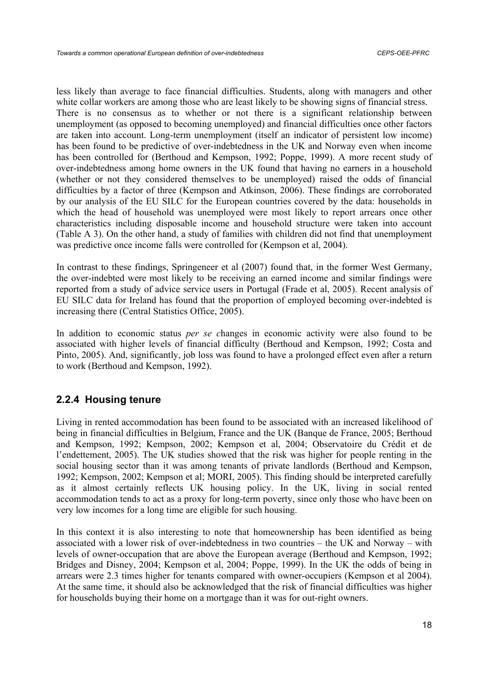less likely than average to face financial difficulties. Students, along with managers and other white collar workers are among those who are least likely to be showing signs of financial stress. There is no consensus as to whether or not there is a significant relationship between unemployment (as opposed to becoming unemployed) and financial difficulties once other factors are taken into account. Long-term unemployment (itself an indicator of persistent low income) has been found to be predictive of over-indebtedness in the UK and Norway even when income has been controlled for (Berthoud and Kempson, 1992; Poppe, 1999). A more recent study of over-indebtedness among home owners in the UK found that having no earners in a household (whether or not they considered themselves to be unemployed) raised the odds of financial difficulties by a factor of three (Kempson and Atkinson, 2006). These findings are corroborated by our analysis of the EU SILC for the European countries covered by the data: households in which the head of household was unemployed were most likely to report arrears once other characteristics including disposable income and household structure were taken into account (Table A 3). On the other hand, a study of families with children did not find that unemployment was predictive once income falls were controlled for (Kempson et al, 2004).

In contrast to these findings, Springeneer et al (2007) found that, in the former West Germany, the over-indebted were most likely to be receiving an earned income and similar findings were reported from a study of advice service users in Portugal (Frade et al, 2005). Recent analysis of EU SILC data for Ireland has found that the proportion of employed becoming over-indebted is increasing there (Central Statistics Office, 2005).

In addition to economic status *per se c*hanges in economic activity were also found to be associated with higher levels of financial difficulty (Berthoud and Kempson, 1992; Costa and Pinto, 2005). And, significantly, job loss was found to have a prolonged effect even after a return to work (Berthoud and Kempson, 1992).

# **2.2.4 Housing tenure**

Living in rented accommodation has been found to be associated with an increased likelihood of being in financial difficulties in Belgium, France and the UK (Banque de France, 2005; Berthoud and Kempson, 1992; Kempson, 2002; Kempson et al, 2004; Observatoire du Crédit et de l'endettement, 2005). The UK studies showed that the risk was higher for people renting in the social housing sector than it was among tenants of private landlords (Berthoud and Kempson, 1992; Kempson, 2002; Kempson et al; MORI, 2005). This finding should be interpreted carefully as it almost certainly reflects UK housing policy. In the UK, living in social rented accommodation tends to act as a proxy for long-term poverty, since only those who have been on very low incomes for a long time are eligible for such housing.

In this context it is also interesting to note that homeownership has been identified as being associated with a lower risk of over-indebtedness in two countries – the UK and Norway – with levels of owner-occupation that are above the European average (Berthoud and Kempson, 1992; Bridges and Disney, 2004; Kempson et al, 2004; Poppe, 1999). In the UK the odds of being in arrears were 2.3 times higher for tenants compared with owner-occupiers (Kempson et al 2004). At the same time, it should also be acknowledged that the risk of financial difficulties was higher for households buying their home on a mortgage than it was for out-right owners.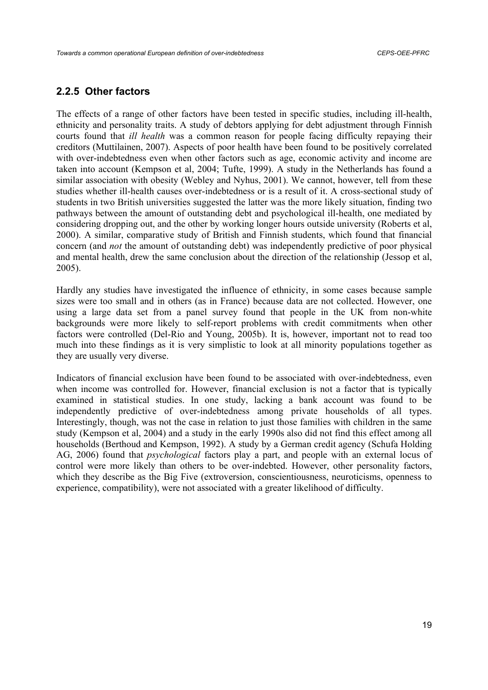#### **2.2.5 Other factors**

The effects of a range of other factors have been tested in specific studies, including ill-health, ethnicity and personality traits. A study of debtors applying for debt adjustment through Finnish courts found that *ill health* was a common reason for people facing difficulty repaying their creditors (Muttilainen, 2007). Aspects of poor health have been found to be positively correlated with over-indebtedness even when other factors such as age, economic activity and income are taken into account (Kempson et al, 2004; Tufte, 1999). A study in the Netherlands has found a similar association with obesity (Webley and Nyhus, 2001). We cannot, however, tell from these studies whether ill-health causes over-indebtedness or is a result of it. A cross-sectional study of students in two British universities suggested the latter was the more likely situation, finding two pathways between the amount of outstanding debt and psychological ill-health, one mediated by considering dropping out, and the other by working longer hours outside university (Roberts et al, 2000). A similar, comparative study of British and Finnish students, which found that financial concern (and *not* the amount of outstanding debt) was independently predictive of poor physical and mental health, drew the same conclusion about the direction of the relationship (Jessop et al, 2005).

Hardly any studies have investigated the influence of ethnicity, in some cases because sample sizes were too small and in others (as in France) because data are not collected. However, one using a large data set from a panel survey found that people in the UK from non-white backgrounds were more likely to self-report problems with credit commitments when other factors were controlled (Del-Rio and Young, 2005b). It is, however, important not to read too much into these findings as it is very simplistic to look at all minority populations together as they are usually very diverse.

Indicators of financial exclusion have been found to be associated with over-indebtedness, even when income was controlled for. However, financial exclusion is not a factor that is typically examined in statistical studies. In one study, lacking a bank account was found to be independently predictive of over-indebtedness among private households of all types. Interestingly, though, was not the case in relation to just those families with children in the same study (Kempson et al, 2004) and a study in the early 1990s also did not find this effect among all households (Berthoud and Kempson, 1992). A study by a German credit agency (Schufa Holding AG, 2006) found that *psychological* factors play a part, and people with an external locus of control were more likely than others to be over-indebted. However, other personality factors, which they describe as the Big Five (extroversion, conscientiousness, neuroticisms, openness to experience, compatibility), were not associated with a greater likelihood of difficulty.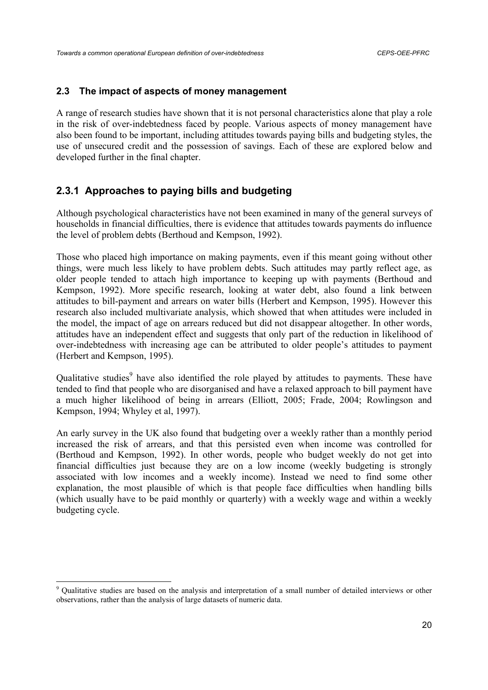#### **2.3 The impact of aspects of money management**

A range of research studies have shown that it is not personal characteristics alone that play a role in the risk of over-indebtedness faced by people. Various aspects of money management have also been found to be important, including attitudes towards paying bills and budgeting styles, the use of unsecured credit and the possession of savings. Each of these are explored below and developed further in the final chapter.

# **2.3.1 Approaches to paying bills and budgeting**

Although psychological characteristics have not been examined in many of the general surveys of households in financial difficulties, there is evidence that attitudes towards payments do influence the level of problem debts (Berthoud and Kempson, 1992).

Those who placed high importance on making payments, even if this meant going without other things, were much less likely to have problem debts. Such attitudes may partly reflect age, as older people tended to attach high importance to keeping up with payments (Berthoud and Kempson, 1992). More specific research, looking at water debt, also found a link between attitudes to bill-payment and arrears on water bills (Herbert and Kempson, 1995). However this research also included multivariate analysis, which showed that when attitudes were included in the model, the impact of age on arrears reduced but did not disappear altogether. In other words, attitudes have an independent effect and suggests that only part of the reduction in likelihood of over-indebtedness with increasing age can be attributed to older people's attitudes to payment (Herbert and Kempson, 1995).

Qualitative studies<sup>9</sup> have also identified the role played by attitudes to payments. These have tended to find that people who are disorganised and have a relaxed approach to bill payment have a much higher likelihood of being in arrears (Elliott, 2005; Frade, 2004; Rowlingson and Kempson, 1994; Whyley et al, 1997).

An early survey in the UK also found that budgeting over a weekly rather than a monthly period increased the risk of arrears, and that this persisted even when income was controlled for (Berthoud and Kempson, 1992). In other words, people who budget weekly do not get into financial difficulties just because they are on a low income (weekly budgeting is strongly associated with low incomes and a weekly income). Instead we need to find some other explanation, the most plausible of which is that people face difficulties when handling bills (which usually have to be paid monthly or quarterly) with a weekly wage and within a weekly budgeting cycle.

<sup>&</sup>lt;sup>9</sup> Qualitative studies are based on the analysis and interpretation of a small number of detailed interviews or other observations, rather than the analysis of large datasets of numeric data.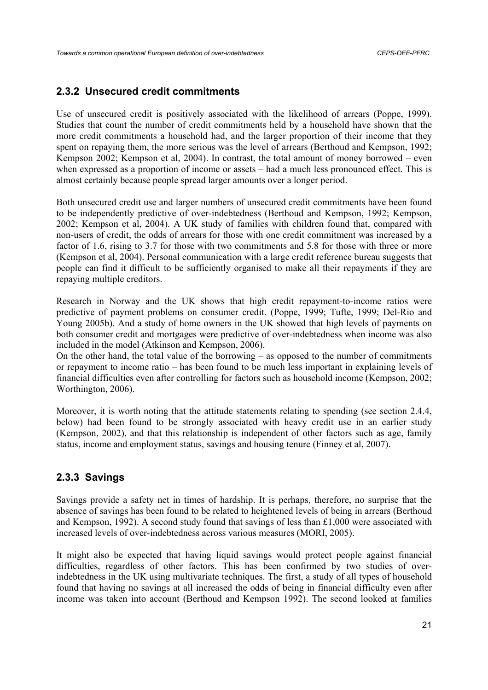# **2.3.2 Unsecured credit commitments**

Use of unsecured credit is positively associated with the likelihood of arrears (Poppe, 1999). Studies that count the number of credit commitments held by a household have shown that the more credit commitments a household had, and the larger proportion of their income that they spent on repaying them, the more serious was the level of arrears (Berthoud and Kempson, 1992; Kempson 2002; Kempson et al, 2004). In contrast, the total amount of money borrowed – even when expressed as a proportion of income or assets – had a much less pronounced effect. This is almost certainly because people spread larger amounts over a longer period.

Both unsecured credit use and larger numbers of unsecured credit commitments have been found to be independently predictive of over-indebtedness (Berthoud and Kempson, 1992; Kempson, 2002; Kempson et al, 2004). A UK study of families with children found that, compared with non-users of credit, the odds of arrears for those with one credit commitment was increased by a factor of 1.6, rising to 3.7 for those with two commitments and 5.8 for those with three or more (Kempson et al, 2004). Personal communication with a large credit reference bureau suggests that people can find it difficult to be sufficiently organised to make all their repayments if they are repaying multiple creditors.

Research in Norway and the UK shows that high credit repayment-to-income ratios were predictive of payment problems on consumer credit. (Poppe, 1999; Tufte, 1999; Del-Rio and Young 2005b). And a study of home owners in the UK showed that high levels of payments on both consumer credit and mortgages were predictive of over-indebtedness when income was also included in the model (Atkinson and Kempson, 2006).

On the other hand, the total value of the borrowing – as opposed to the number of commitments or repayment to income ratio – has been found to be much less important in explaining levels of financial difficulties even after controlling for factors such as household income (Kempson, 2002; Worthington, 2006).

Moreover, it is worth noting that the attitude statements relating to spending (see section 2.4.4, below) had been found to be strongly associated with heavy credit use in an earlier study (Kempson, 2002), and that this relationship is independent of other factors such as age, family status, income and employment status, savings and housing tenure (Finney et al, 2007).

# **2.3.3 Savings**

Savings provide a safety net in times of hardship. It is perhaps, therefore, no surprise that the absence of savings has been found to be related to heightened levels of being in arrears (Berthoud and Kempson, 1992). A second study found that savings of less than £1,000 were associated with increased levels of over-indebtedness across various measures (MORI, 2005).

It might also be expected that having liquid savings would protect people against financial difficulties, regardless of other factors. This has been confirmed by two studies of overindebtedness in the UK using multivariate techniques. The first, a study of all types of household found that having no savings at all increased the odds of being in financial difficulty even after income was taken into account (Berthoud and Kempson 1992). The second looked at families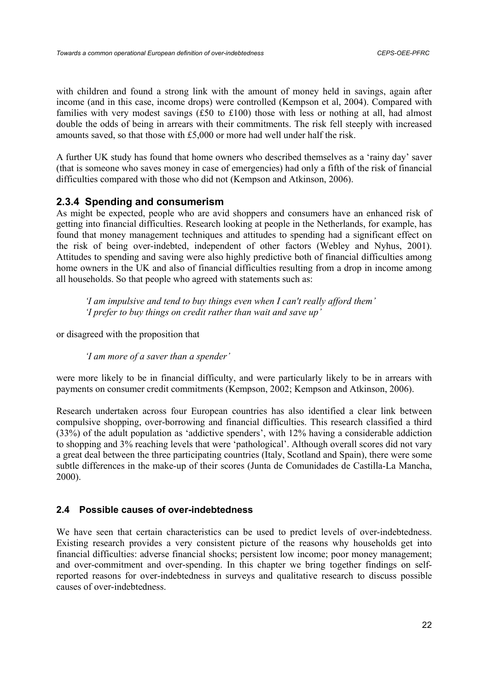with children and found a strong link with the amount of money held in savings, again after income (and in this case, income drops) were controlled (Kempson et al, 2004). Compared with families with very modest savings (£50 to £100) those with less or nothing at all, had almost double the odds of being in arrears with their commitments. The risk fell steeply with increased amounts saved, so that those with £5,000 or more had well under half the risk.

A further UK study has found that home owners who described themselves as a 'rainy day' saver (that is someone who saves money in case of emergencies) had only a fifth of the risk of financial difficulties compared with those who did not (Kempson and Atkinson, 2006).

## **2.3.4 Spending and consumerism**

As might be expected, people who are avid shoppers and consumers have an enhanced risk of getting into financial difficulties. Research looking at people in the Netherlands, for example, has found that money management techniques and attitudes to spending had a significant effect on the risk of being over-indebted, independent of other factors (Webley and Nyhus, 2001). Attitudes to spending and saving were also highly predictive both of financial difficulties among home owners in the UK and also of financial difficulties resulting from a drop in income among all households. So that people who agreed with statements such as:

*'I am impulsive and tend to buy things even when I can't really afford them' 'I prefer to buy things on credit rather than wait and save up'* 

or disagreed with the proposition that

*'I am more of a saver than a spender'* 

were more likely to be in financial difficulty, and were particularly likely to be in arrears with payments on consumer credit commitments (Kempson, 2002; Kempson and Atkinson, 2006).

Research undertaken across four European countries has also identified a clear link between compulsive shopping, over-borrowing and financial difficulties. This research classified a third (33%) of the adult population as 'addictive spenders', with 12% having a considerable addiction to shopping and 3% reaching levels that were 'pathological'. Although overall scores did not vary a great deal between the three participating countries (Italy, Scotland and Spain), there were some subtle differences in the make-up of their scores (Junta de Comunidades de Castilla-La Mancha, 2000).

## **2.4 Possible causes of over-indebtedness**

We have seen that certain characteristics can be used to predict levels of over-indebtedness. Existing research provides a very consistent picture of the reasons why households get into financial difficulties: adverse financial shocks; persistent low income; poor money management; and over-commitment and over-spending. In this chapter we bring together findings on selfreported reasons for over-indebtedness in surveys and qualitative research to discuss possible causes of over-indebtedness.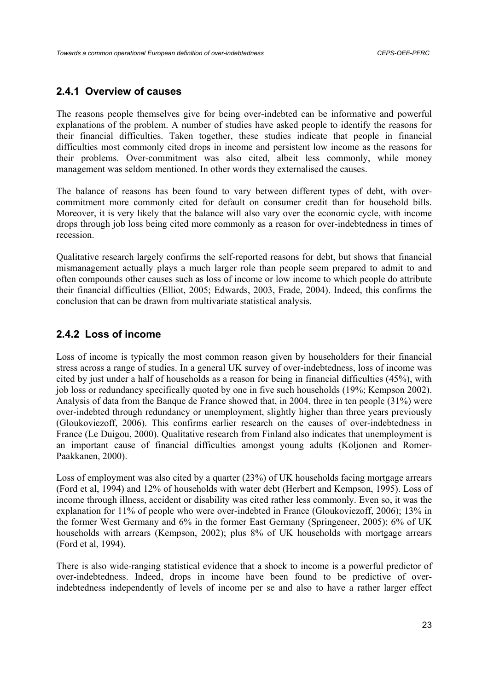## **2.4.1 Overview of causes**

The reasons people themselves give for being over-indebted can be informative and powerful explanations of the problem. A number of studies have asked people to identify the reasons for their financial difficulties. Taken together, these studies indicate that people in financial difficulties most commonly cited drops in income and persistent low income as the reasons for their problems. Over-commitment was also cited, albeit less commonly, while money management was seldom mentioned. In other words they externalised the causes.

The balance of reasons has been found to vary between different types of debt, with overcommitment more commonly cited for default on consumer credit than for household bills. Moreover, it is very likely that the balance will also vary over the economic cycle, with income drops through job loss being cited more commonly as a reason for over-indebtedness in times of recession.

Qualitative research largely confirms the self-reported reasons for debt, but shows that financial mismanagement actually plays a much larger role than people seem prepared to admit to and often compounds other causes such as loss of income or low income to which people do attribute their financial difficulties (Elliot, 2005; Edwards, 2003, Frade, 2004). Indeed, this confirms the conclusion that can be drawn from multivariate statistical analysis.

# **2.4.2 Loss of income**

Loss of income is typically the most common reason given by householders for their financial stress across a range of studies. In a general UK survey of over-indebtedness, loss of income was cited by just under a half of households as a reason for being in financial difficulties (45%), with job loss or redundancy specifically quoted by one in five such households (19%; Kempson 2002). Analysis of data from the Banque de France showed that, in 2004, three in ten people (31%) were over-indebted through redundancy or unemployment, slightly higher than three years previously (Gloukoviezoff, 2006). This confirms earlier research on the causes of over-indebtedness in France (Le Duigou, 2000). Qualitative research from Finland also indicates that unemployment is an important cause of financial difficulties amongst young adults (Koljonen and Romer-Paakkanen, 2000).

Loss of employment was also cited by a quarter (23%) of UK households facing mortgage arrears (Ford et al, 1994) and 12% of households with water debt (Herbert and Kempson, 1995). Loss of income through illness, accident or disability was cited rather less commonly. Even so, it was the explanation for 11% of people who were over-indebted in France (Gloukoviezoff, 2006); 13% in the former West Germany and 6% in the former East Germany (Springeneer, 2005); 6% of UK households with arrears (Kempson, 2002); plus 8% of UK households with mortgage arrears (Ford et al, 1994).

There is also wide-ranging statistical evidence that a shock to income is a powerful predictor of over-indebtedness. Indeed, drops in income have been found to be predictive of overindebtedness independently of levels of income per se and also to have a rather larger effect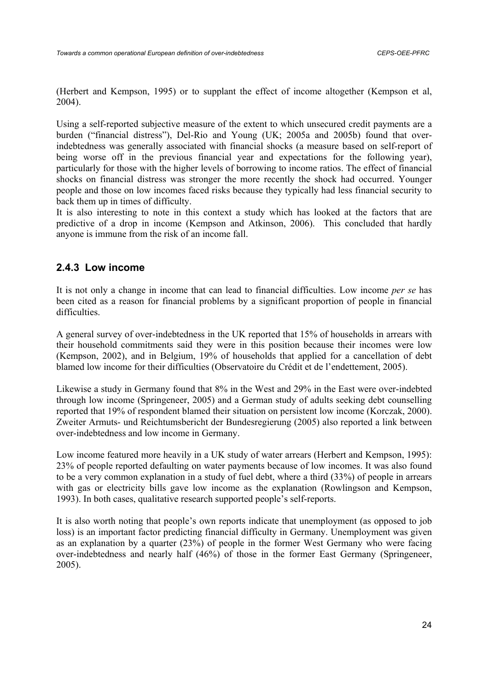(Herbert and Kempson, 1995) or to supplant the effect of income altogether (Kempson et al, 2004).

Using a self-reported subjective measure of the extent to which unsecured credit payments are a burden ("financial distress"), Del-Rio and Young (UK; 2005a and 2005b) found that overindebtedness was generally associated with financial shocks (a measure based on self-report of being worse off in the previous financial year and expectations for the following year), particularly for those with the higher levels of borrowing to income ratios. The effect of financial shocks on financial distress was stronger the more recently the shock had occurred. Younger people and those on low incomes faced risks because they typically had less financial security to back them up in times of difficulty.

It is also interesting to note in this context a study which has looked at the factors that are predictive of a drop in income (Kempson and Atkinson, 2006). This concluded that hardly anyone is immune from the risk of an income fall.

# **2.4.3 Low income**

It is not only a change in income that can lead to financial difficulties. Low income *per se* has been cited as a reason for financial problems by a significant proportion of people in financial difficulties.

A general survey of over-indebtedness in the UK reported that 15% of households in arrears with their household commitments said they were in this position because their incomes were low (Kempson, 2002), and in Belgium, 19% of households that applied for a cancellation of debt blamed low income for their difficulties (Observatoire du Crédit et de l'endettement, 2005).

Likewise a study in Germany found that 8% in the West and 29% in the East were over-indebted through low income (Springeneer, 2005) and a German study of adults seeking debt counselling reported that 19% of respondent blamed their situation on persistent low income (Korczak, 2000). Zweiter Armuts- und Reichtumsbericht der Bundesregierung (2005) also reported a link between over-indebtedness and low income in Germany.

Low income featured more heavily in a UK study of water arrears (Herbert and Kempson, 1995): 23% of people reported defaulting on water payments because of low incomes. It was also found to be a very common explanation in a study of fuel debt, where a third (33%) of people in arrears with gas or electricity bills gave low income as the explanation (Rowlingson and Kempson, 1993). In both cases, qualitative research supported people's self-reports.

It is also worth noting that people's own reports indicate that unemployment (as opposed to job loss) is an important factor predicting financial difficulty in Germany. Unemployment was given as an explanation by a quarter (23%) of people in the former West Germany who were facing over-indebtedness and nearly half (46%) of those in the former East Germany (Springeneer, 2005).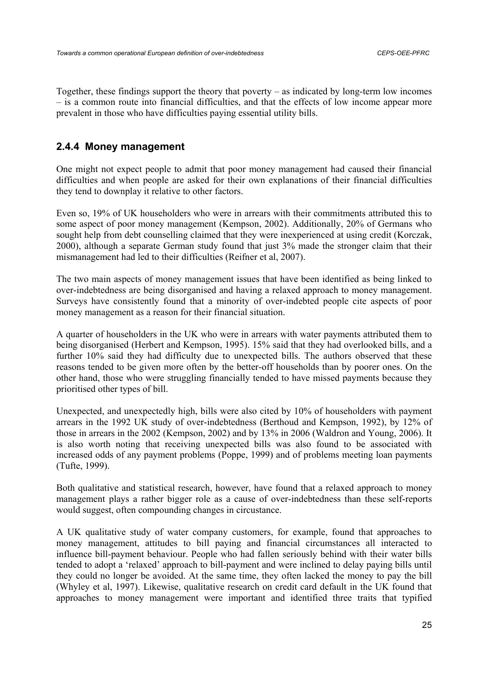Together, these findings support the theory that poverty – as indicated by long-term low incomes – is a common route into financial difficulties, and that the effects of low income appear more prevalent in those who have difficulties paying essential utility bills.

# **2.4.4 Money management**

One might not expect people to admit that poor money management had caused their financial difficulties and when people are asked for their own explanations of their financial difficulties they tend to downplay it relative to other factors.

Even so, 19% of UK householders who were in arrears with their commitments attributed this to some aspect of poor money management (Kempson, 2002). Additionally, 20% of Germans who sought help from debt counselling claimed that they were inexperienced at using credit (Korczak, 2000), although a separate German study found that just 3% made the stronger claim that their mismanagement had led to their difficulties (Reifner et al, 2007).

The two main aspects of money management issues that have been identified as being linked to over-indebtedness are being disorganised and having a relaxed approach to money management. Surveys have consistently found that a minority of over-indebted people cite aspects of poor money management as a reason for their financial situation.

A quarter of householders in the UK who were in arrears with water payments attributed them to being disorganised (Herbert and Kempson, 1995). 15% said that they had overlooked bills, and a further 10% said they had difficulty due to unexpected bills. The authors observed that these reasons tended to be given more often by the better-off households than by poorer ones. On the other hand, those who were struggling financially tended to have missed payments because they prioritised other types of bill.

Unexpected, and unexpectedly high, bills were also cited by 10% of householders with payment arrears in the 1992 UK study of over-indebtedness (Berthoud and Kempson, 1992), by 12% of those in arrears in the 2002 (Kempson, 2002) and by 13% in 2006 (Waldron and Young, 2006). It is also worth noting that receiving unexpected bills was also found to be associated with increased odds of any payment problems (Poppe, 1999) and of problems meeting loan payments (Tufte, 1999).

Both qualitative and statistical research, however, have found that a relaxed approach to money management plays a rather bigger role as a cause of over-indebtedness than these self-reports would suggest, often compounding changes in circustance.

A UK qualitative study of water company customers, for example, found that approaches to money management, attitudes to bill paying and financial circumstances all interacted to influence bill-payment behaviour. People who had fallen seriously behind with their water bills tended to adopt a 'relaxed' approach to bill-payment and were inclined to delay paying bills until they could no longer be avoided. At the same time, they often lacked the money to pay the bill (Whyley et al, 1997). Likewise, qualitative research on credit card default in the UK found that approaches to money management were important and identified three traits that typified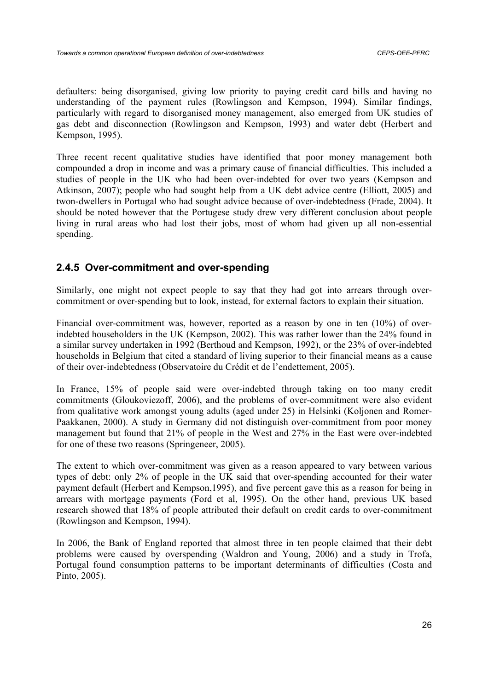defaulters: being disorganised, giving low priority to paying credit card bills and having no understanding of the payment rules (Rowlingson and Kempson, 1994). Similar findings, particularly with regard to disorganised money management, also emerged from UK studies of gas debt and disconnection (Rowlingson and Kempson, 1993) and water debt (Herbert and Kempson, 1995).

Three recent recent qualitative studies have identified that poor money management both compounded a drop in income and was a primary cause of financial difficulties. This included a studies of people in the UK who had been over-indebted for over two years (Kempson and Atkinson, 2007); people who had sought help from a UK debt advice centre (Elliott, 2005) and twon-dwellers in Portugal who had sought advice because of over-indebtedness (Frade, 2004). It should be noted however that the Portugese study drew very different conclusion about people living in rural areas who had lost their jobs, most of whom had given up all non-essential spending.

## **2.4.5 Over-commitment and over-spending**

Similarly, one might not expect people to say that they had got into arrears through overcommitment or over-spending but to look, instead, for external factors to explain their situation.

Financial over-commitment was, however, reported as a reason by one in ten (10%) of overindebted householders in the UK (Kempson, 2002). This was rather lower than the 24% found in a similar survey undertaken in 1992 (Berthoud and Kempson, 1992), or the 23% of over-indebted households in Belgium that cited a standard of living superior to their financial means as a cause of their over-indebtedness (Observatoire du Crédit et de l'endettement, 2005).

In France, 15% of people said were over-indebted through taking on too many credit commitments (Gloukoviezoff, 2006), and the problems of over-commitment were also evident from qualitative work amongst young adults (aged under 25) in Helsinki (Koljonen and Romer-Paakkanen, 2000). A study in Germany did not distinguish over-commitment from poor money management but found that 21% of people in the West and 27% in the East were over-indebted for one of these two reasons (Springeneer, 2005).

The extent to which over-commitment was given as a reason appeared to vary between various types of debt: only 2% of people in the UK said that over-spending accounted for their water payment default (Herbert and Kempson,1995), and five percent gave this as a reason for being in arrears with mortgage payments (Ford et al, 1995). On the other hand, previous UK based research showed that 18% of people attributed their default on credit cards to over-commitment (Rowlingson and Kempson, 1994).

In 2006, the Bank of England reported that almost three in ten people claimed that their debt problems were caused by overspending (Waldron and Young, 2006) and a study in Trofa, Portugal found consumption patterns to be important determinants of difficulties (Costa and Pinto, 2005).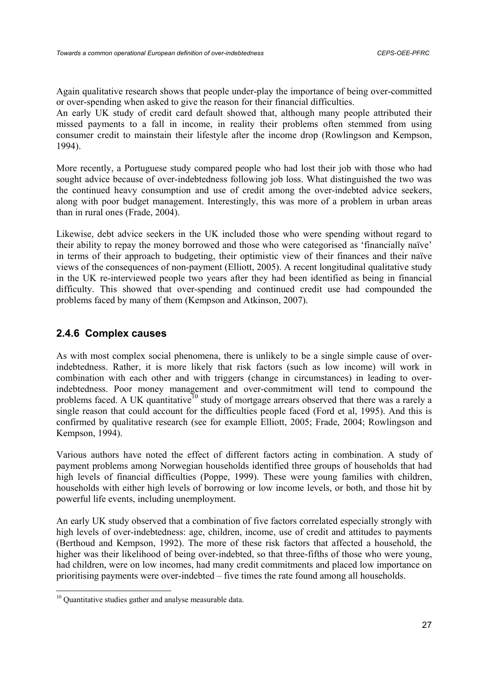Again qualitative research shows that people under-play the importance of being over-committed or over-spending when asked to give the reason for their financial difficulties.

An early UK study of credit card default showed that, although many people attributed their missed payments to a fall in income, in reality their problems often stemmed from using consumer credit to mainstain their lifestyle after the income drop (Rowlingson and Kempson, 1994).

More recently, a Portuguese study compared people who had lost their job with those who had sought advice because of over-indebtedness following job loss. What distinguished the two was the continued heavy consumption and use of credit among the over-indebted advice seekers, along with poor budget management. Interestingly, this was more of a problem in urban areas than in rural ones (Frade, 2004).

Likewise, debt advice seekers in the UK included those who were spending without regard to their ability to repay the money borrowed and those who were categorised as 'financially naïve' in terms of their approach to budgeting, their optimistic view of their finances and their naïve views of the consequences of non-payment (Elliott, 2005). A recent longitudinal qualitative study in the UK re-interviewed people two years after they had been identified as being in financial difficulty. This showed that over-spending and continued credit use had compounded the problems faced by many of them (Kempson and Atkinson, 2007).

# **2.4.6 Complex causes**

As with most complex social phenomena, there is unlikely to be a single simple cause of overindebtedness. Rather, it is more likely that risk factors (such as low income) will work in combination with each other and with triggers (change in circumstances) in leading to overindebtedness. Poor money management and over-commitment will tend to compound the problems faced. A UK quantitative<sup>10</sup> study of mortgage arrears observed that there was a rarely a single reason that could account for the difficulties people faced (Ford et al, 1995). And this is confirmed by qualitative research (see for example Elliott, 2005; Frade, 2004; Rowlingson and Kempson, 1994).

Various authors have noted the effect of different factors acting in combination. A study of payment problems among Norwegian households identified three groups of households that had high levels of financial difficulties (Poppe, 1999). These were young families with children, households with either high levels of borrowing or low income levels, or both, and those hit by powerful life events, including unemployment.

An early UK study observed that a combination of five factors correlated especially strongly with high levels of over-indebtedness: age, children, income, use of credit and attitudes to payments (Berthoud and Kempson, 1992). The more of these risk factors that affected a household, the higher was their likelihood of being over-indebted, so that three-fifths of those who were young, had children, were on low incomes, had many credit commitments and placed low importance on prioritising payments were over-indebted – five times the rate found among all households.

<sup>&</sup>lt;sup>10</sup> Quantitative studies gather and analyse measurable data.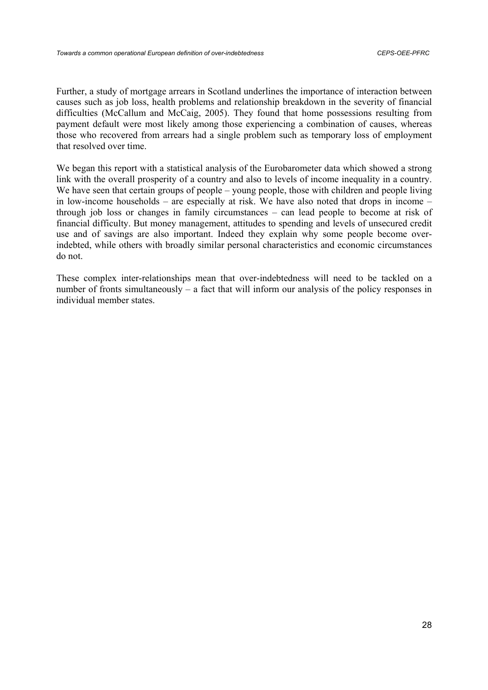Further, a study of mortgage arrears in Scotland underlines the importance of interaction between causes such as job loss, health problems and relationship breakdown in the severity of financial difficulties (McCallum and McCaig, 2005). They found that home possessions resulting from payment default were most likely among those experiencing a combination of causes, whereas those who recovered from arrears had a single problem such as temporary loss of employment that resolved over time.

We began this report with a statistical analysis of the Eurobarometer data which showed a strong link with the overall prosperity of a country and also to levels of income inequality in a country. We have seen that certain groups of people – young people, those with children and people living in low-income households – are especially at risk. We have also noted that drops in income – through job loss or changes in family circumstances – can lead people to become at risk of financial difficulty. But money management, attitudes to spending and levels of unsecured credit use and of savings are also important. Indeed they explain why some people become overindebted, while others with broadly similar personal characteristics and economic circumstances do not.

These complex inter-relationships mean that over-indebtedness will need to be tackled on a number of fronts simultaneously – a fact that will inform our analysis of the policy responses in individual member states.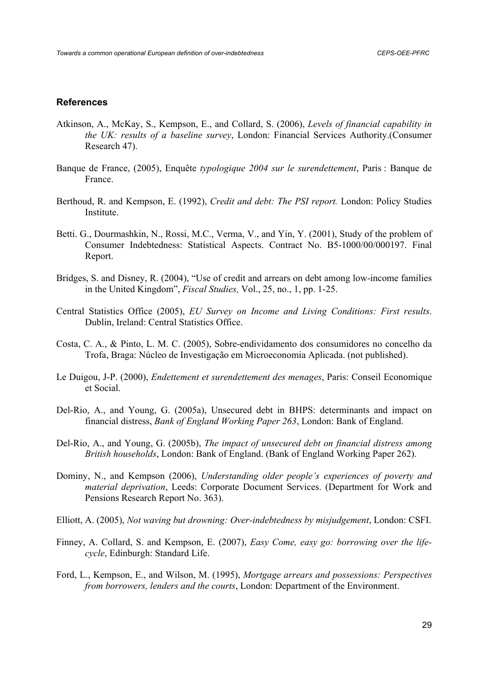#### **References**

- Atkinson, A., McKay, S., Kempson, E., and Collard, S. (2006), *Levels of financial capability in the UK: results of a baseline survey*, London: Financial Services Authority.(Consumer Research 47).
- Banque de France, (2005), Enquête *typologique 2004 sur le surendettement*, Paris : Banque de France.
- Berthoud, R. and Kempson, E. (1992), *Credit and debt: The PSI report.* London: Policy Studies **Institute**
- Betti. G., Dourmashkin, N., Rossi, M.C., Verma, V., and Yin, Y. (2001), Study of the problem of Consumer Indebtedness: Statistical Aspects. Contract No. B5-1000/00/000197. Final Report.
- Bridges, S. and Disney, R. (2004), "Use of credit and arrears on debt among low-income families in the United Kingdom", *Fiscal Studies,* Vol., 25, no., 1, pp. 1-25.
- Central Statistics Office (2005), *EU Survey on Income and Living Conditions: First results*. Dublin, Ireland: Central Statistics Office.
- Costa, C. A., & Pinto, L. M. C. (2005), Sobre-endividamento dos consumidores no concelho da Trofa, Braga: Núcleo de Investigação em Microeconomia Aplicada. (not published).
- Le Duigou, J-P. (2000), *Endettement et surendettement des menages*, Paris: Conseil Economique et Social.
- Del-Rio, A., and Young, G. (2005a), Unsecured debt in BHPS: determinants and impact on financial distress, *Bank of England Working Paper 263*, London: Bank of England.
- Del-Rio, A., and Young, G. (2005b), *The impact of unsecured debt on financial distress among British households*, London: Bank of England. (Bank of England Working Paper 262).
- Dominy, N., and Kempson (2006), *Understanding older people's experiences of poverty and material deprivation*, Leeds: Corporate Document Services. (Department for Work and Pensions Research Report No. 363).
- Elliott, A. (2005), *Not waving but drowning: Over-indebtedness by misjudgement*, London: CSFI.
- Finney, A. Collard, S. and Kempson, E. (2007), *Easy Come, easy go: borrowing over the lifecycle*, Edinburgh: Standard Life.
- Ford, L., Kempson, E., and Wilson, M. (1995), *Mortgage arrears and possessions: Perspectives from borrowers, lenders and the courts*, London: Department of the Environment.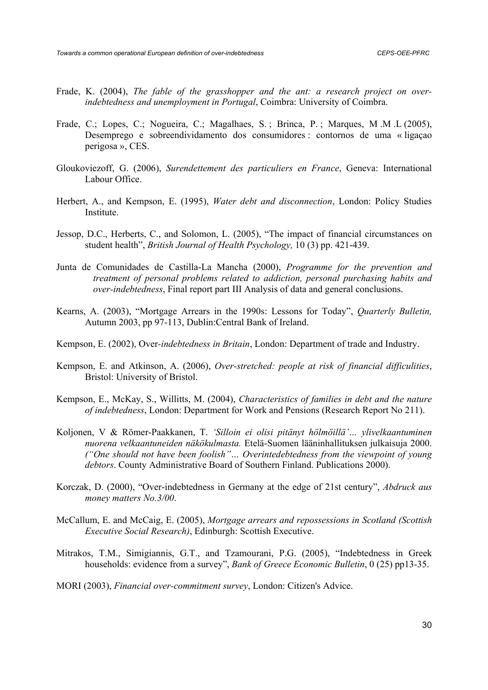- Frade, K. (2004), *The fable of the grasshopper and the ant: a research project on overindebtedness and unemployment in Portugal*, Coimbra: University of Coimbra.
- Frade, C.; Lopes, C.; Nogueira, C.; Magalhaes, S.; Brinca, P.; Marques, M.M.L (2005), Desemprego e sobreendividamento dos consumidores : contornos de uma « ligaçao perigosa », CES.
- Gloukoviezoff, G. (2006), *Surendettement des particuliers en France*, Geneva: International Labour Office.
- Herbert, A., and Kempson, E. (1995), *Water debt and disconnection*, London: Policy Studies **Institute**
- Jessop, D.C., Herberts, C., and Solomon, L. (2005), "The impact of financial circumstances on student health", *British Journal of Health Psychology,* 10 (3) pp. 421-439.
- Junta de Comunidades de Castilla-La Mancha (2000), *Programme for the prevention and treatment of personal problems related to addiction, personal purchasing habits and over-indebtedness*, Final report part III Analysis of data and general conclusions.
- Kearns, A. (2003), "Mortgage Arrears in the 1990s: Lessons for Today", *Quarterly Bulletin,*  Autumn 2003, pp 97-113, Dublin:Central Bank of Ireland.
- Kempson, E. (2002), Over*-indebtedness in Britain*, London: Department of trade and Industry.
- Kempson, E. and Atkinson, A. (2006), *Over-stretched: people at risk of financial difficulities*, Bristol: University of Bristol.
- Kempson, E., McKay, S., Willitts, M. (2004), *Characteristics of families in debt and the nature of indebtedness*, London: Department for Work and Pensions (Research Report No 211).
- Koljonen, V & Römer-Paakkanen, T. *'Silloin ei olisi pitänyt hölmöillä'… ylivelkaantuminen nuorena velkaantuneiden näkökulmasta.* Etelä-Suomen lääninhallituksen julkaisuja 2000. *("One should not have been foolish"… Overintedebtedness from the viewpoint of young debtors*. County Administrative Board of Southern Finland. Publications 2000).
- Korczak, D. (2000), "Over-indebtedness in Germany at the edge of 21st century", *Abdruck aus money matters No.3/00*.
- McCallum, E. and McCaig, E. (2005), *Mortgage arrears and repossessions in Scotland (Scottish Executive Social Research)*, Edinburgh: Scottish Executive.
- Mitrakos, T.M., Simigiannis, G.T., and Tzamourani, P.G. (2005), "Indebtedness in Greek households: evidence from a survey", *Bank of Greece Economic Bulletin*, 0 (25) pp13-35.
- MORI (2003), *Financial over-commitment survey*, London: Citizen's Advice.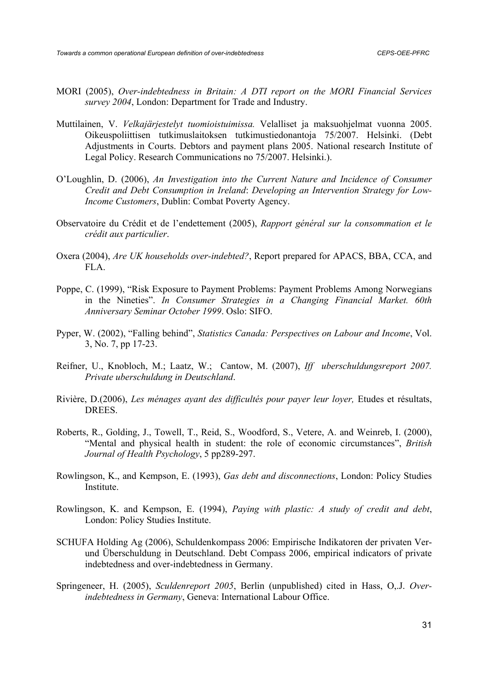- MORI (2005), *Over-indebtedness in Britain: A DTI report on the MORI Financial Services survey 2004*, London: Department for Trade and Industry.
- Muttilainen, V. *Velkajärjestelyt tuomioistuimissa.* Velalliset ja maksuohjelmat vuonna 2005. Oikeuspoliittisen tutkimuslaitoksen tutkimustiedonantoja 75/2007. Helsinki. (Debt Adjustments in Courts. Debtors and payment plans 2005. National research Institute of Legal Policy. Research Communications no 75/2007. Helsinki.).
- O'Loughlin, D. (2006), *An Investigation into the Current Nature and Incidence of Consumer Credit and Debt Consumption in Ireland*: *Developing an Intervention Strategy for Low-Income Customers*, Dublin: Combat Poverty Agency.
- Observatoire du Crédit et de l'endettement (2005), *Rapport général sur la consommation et le crédit aux particulier*.
- Oxera (2004), *Are UK households over-indebted?*, Report prepared for APACS, BBA, CCA, and FLA.
- Poppe, C. (1999), "Risk Exposure to Payment Problems: Payment Problems Among Norwegians in the Nineties". *In Consumer Strategies in a Changing Financial Market. 60th Anniversary Seminar October 1999*. Oslo: SIFO.
- Pyper, W. (2002), "Falling behind", *Statistics Canada: Perspectives on Labour and Income*, Vol. 3, No. 7, pp 17-23.
- Reifner, U., Knobloch, M.; Laatz, W.; Cantow, M. (2007), *Iff uberschuldungsreport 2007. Private uberschuldung in Deutschland*.
- Rivière, D.(2006), *Les ménages ayant des difficultés pour payer leur loyer,* Etudes et résultats, DREES.
- Roberts, R., Golding, J., Towell, T., Reid, S., Woodford, S., Vetere, A. and Weinreb, I. (2000), "Mental and physical health in student: the role of economic circumstances", *British Journal of Health Psychology*, 5 pp289-297.
- Rowlingson, K., and Kempson, E. (1993), *Gas debt and disconnections*, London: Policy Studies Institute.
- Rowlingson, K. and Kempson, E. (1994), *Paying with plastic: A study of credit and debt*, London: Policy Studies Institute.
- SCHUFA Holding Ag (2006), Schuldenkompass 2006: Empirische Indikatoren der privaten Verund Überschuldung in Deutschland. Debt Compass 2006, empirical indicators of private indebtedness and over-indebtedness in Germany.
- Springeneer, H. (2005), *Sculdenreport 2005*, Berlin (unpublished) cited in Hass, O,.J. *Overindebtedness in Germany*, Geneva: International Labour Office.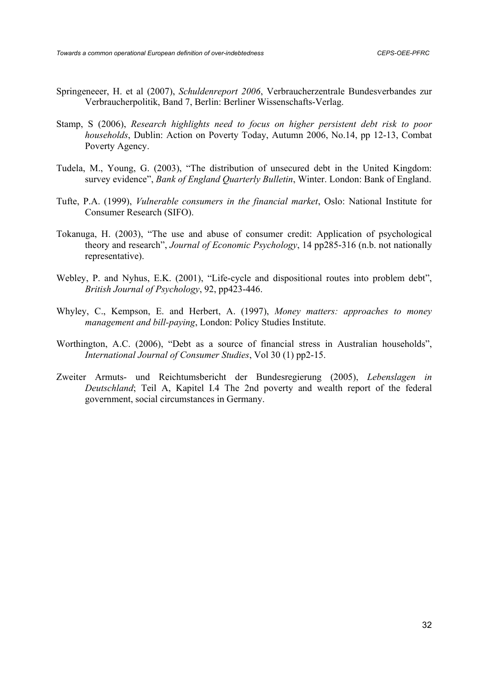- Springeneeer, H. et al (2007), *Schuldenreport 2006*, Verbraucherzentrale Bundesverbandes zur Verbraucherpolitik, Band 7, Berlin: Berliner Wissenschafts-Verlag.
- Stamp, S (2006), *Research highlights need to focus on higher persistent debt risk to poor households*, Dublin: Action on Poverty Today, Autumn 2006, No.14, pp 12-13, Combat Poverty Agency.
- Tudela, M., Young, G. (2003), "The distribution of unsecured debt in the United Kingdom: survey evidence", *Bank of England Quarterly Bulletin*, Winter. London: Bank of England.
- Tufte, P.A. (1999), *Vulnerable consumers in the financial market*, Oslo: National Institute for Consumer Research (SIFO).
- Tokanuga, H. (2003), "The use and abuse of consumer credit: Application of psychological theory and research", *Journal of Economic Psychology*, 14 pp285-316 (n.b. not nationally representative).
- Webley, P. and Nyhus, E.K. (2001), "Life-cycle and dispositional routes into problem debt", *British Journal of Psychology*, 92, pp423-446.
- Whyley, C., Kempson, E. and Herbert, A. (1997), *Money matters: approaches to money management and bill-paying*, London: Policy Studies Institute.
- Worthington, A.C. (2006), "Debt as a source of financial stress in Australian households", *International Journal of Consumer Studies*, Vol 30 (1) pp2-15.
- Zweiter Armuts- und Reichtumsbericht der Bundesregierung (2005), *Lebenslagen in Deutschland*; Teil A, Kapitel I.4 The 2nd poverty and wealth report of the federal government, social circumstances in Germany.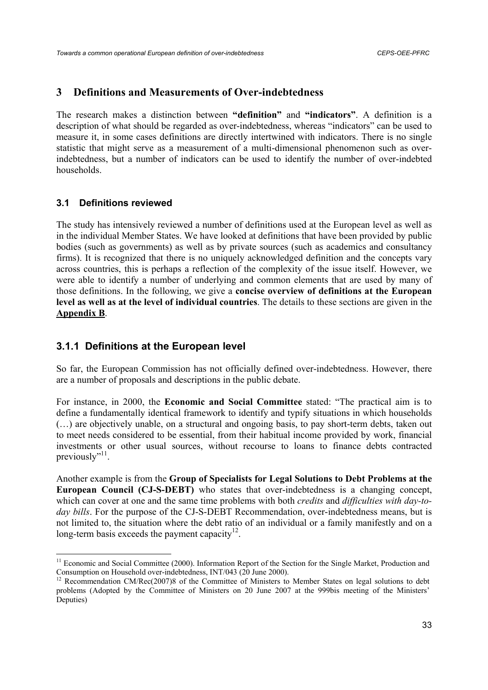# **3 Definitions and Measurements of Over-indebtedness**

The research makes a distinction between **"definition"** and **"indicators"**. A definition is a description of what should be regarded as over-indebtedness, whereas "indicators" can be used to measure it, in some cases definitions are directly intertwined with indicators. There is no single statistic that might serve as a measurement of a multi-dimensional phenomenon such as overindebtedness, but a number of indicators can be used to identify the number of over-indebted households.

## **3.1 Definitions reviewed**

 $\overline{a}$ 

The study has intensively reviewed a number of definitions used at the European level as well as in the individual Member States. We have looked at definitions that have been provided by public bodies (such as governments) as well as by private sources (such as academics and consultancy firms). It is recognized that there is no uniquely acknowledged definition and the concepts vary across countries, this is perhaps a reflection of the complexity of the issue itself. However, we were able to identify a number of underlying and common elements that are used by many of those definitions. In the following, we give a **concise overview of definitions at the European level as well as at the level of individual countries**. The details to these sections are given in the **Appendix B**.

# **3.1.1 Definitions at the European level**

So far, the European Commission has not officially defined over-indebtedness. However, there are a number of proposals and descriptions in the public debate.

For instance, in 2000, the **Economic and Social Committee** stated: "The practical aim is to define a fundamentally identical framework to identify and typify situations in which households (…) are objectively unable, on a structural and ongoing basis, to pay short-term debts, taken out to meet needs considered to be essential, from their habitual income provided by work, financial investments or other usual sources, without recourse to loans to finance debts contracted previously"<sup>11</sup>.

Another example is from the **Group of Specialists for Legal Solutions to Debt Problems at the European Council (CJ-S-DEBT)** who states that over-indebtedness is a changing concept, which can cover at one and the same time problems with both *credits* and *difficulties with day-today bills*. For the purpose of the CJ-S-DEBT Recommendation, over-indebtedness means, but is not limited to, the situation where the debt ratio of an individual or a family manifestly and on a long-term basis exceeds the payment capacity $12$ .

<sup>&</sup>lt;sup>11</sup> Economic and Social Committee (2000). Information Report of the Section for the Single Market, Production and Consumption on Household over-indebtedness, INT/043 (20 June 2000).

<sup>12</sup> Recommendation CM/Rec(2007)8 of the Committee of Ministers to Member States on legal solutions to debt problems (Adopted by the Committee of Ministers on 20 June 2007 at the 999bis meeting of the Ministers' Deputies)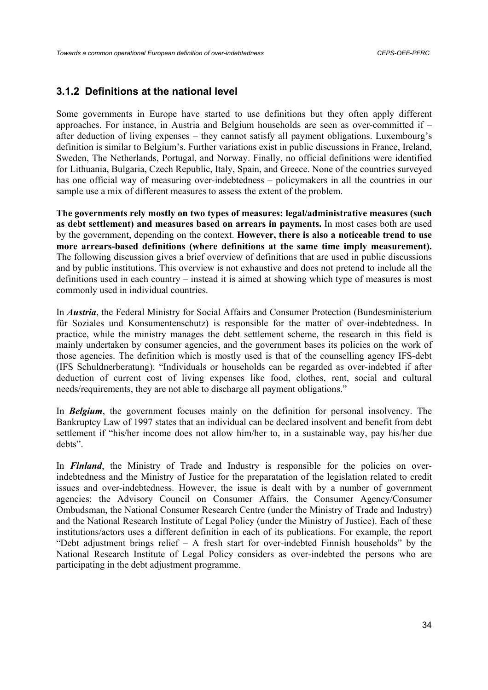#### **3.1.2 Definitions at the national level**

Some governments in Europe have started to use definitions but they often apply different approaches. For instance, in Austria and Belgium households are seen as over-committed if – after deduction of living expenses – they cannot satisfy all payment obligations. Luxembourg's definition is similar to Belgium's. Further variations exist in public discussions in France, Ireland, Sweden, The Netherlands, Portugal, and Norway. Finally, no official definitions were identified for Lithuania, Bulgaria, Czech Republic, Italy, Spain, and Greece. None of the countries surveyed has one official way of measuring over-indebtedness – policymakers in all the countries in our sample use a mix of different measures to assess the extent of the problem.

**The governments rely mostly on two types of measures: legal/administrative measures (such as debt settlement) and measures based on arrears in payments.** In most cases both are used by the government, depending on the context. **However, there is also a noticeable trend to use more arrears-based definitions (where definitions at the same time imply measurement).** The following discussion gives a brief overview of definitions that are used in public discussions and by public institutions. This overview is not exhaustive and does not pretend to include all the definitions used in each country – instead it is aimed at showing which type of measures is most commonly used in individual countries.

In *Austria*, the Federal Ministry for Social Affairs and Consumer Protection (Bundesministerium für Soziales und Konsumentenschutz) is responsible for the matter of over-indebtedness. In practice, while the ministry manages the debt settlement scheme, the research in this field is mainly undertaken by consumer agencies, and the government bases its policies on the work of those agencies. The definition which is mostly used is that of the counselling agency IFS-debt (IFS Schuldnerberatung): "Individuals or households can be regarded as over-indebted if after deduction of current cost of living expenses like food, clothes, rent, social and cultural needs/requirements, they are not able to discharge all payment obligations."

In *Belgium*, the government focuses mainly on the definition for personal insolvency. The Bankruptcy Law of 1997 states that an individual can be declared insolvent and benefit from debt settlement if "his/her income does not allow him/her to, in a sustainable way, pay his/her due debts".

In **Finland**, the Ministry of Trade and Industry is responsible for the policies on overindebtedness and the Ministry of Justice for the preparatation of the legislation related to credit issues and over-indebtedness. However, the issue is dealt with by a number of government agencies: the Advisory Council on Consumer Affairs, the Consumer Agency/Consumer Ombudsman, the National Consumer Research Centre (under the Ministry of Trade and Industry) and the National Research Institute of Legal Policy (under the Ministry of Justice). Each of these institutions/actors uses a different definition in each of its publications. For example, the report "Debt adjustment brings relief – A fresh start for over-indebted Finnish households" by the National Research Institute of Legal Policy considers as over-indebted the persons who are participating in the debt adjustment programme.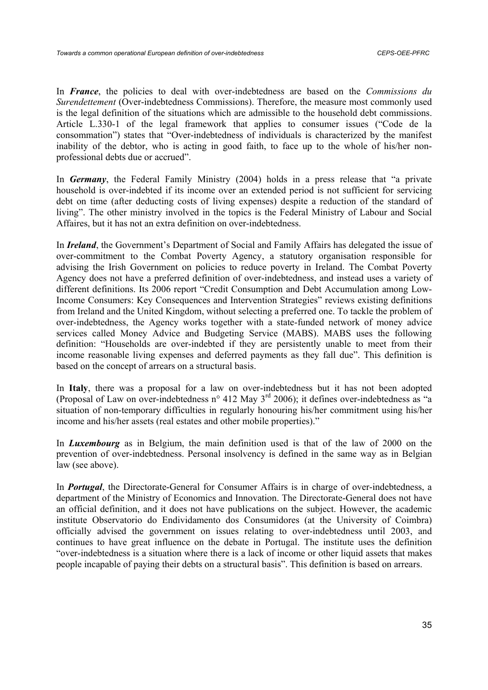In *France*, the policies to deal with over-indebtedness are based on the *Commissions du Surendettement* (Over-indebtedness Commissions). Therefore, the measure most commonly used is the legal definition of the situations which are admissible to the household debt commissions. Article L.330-1 of the legal framework that applies to consumer issues ("Code de la consommation") states that "Over-indebtedness of individuals is characterized by the manifest inability of the debtor, who is acting in good faith, to face up to the whole of his/her nonprofessional debts due or accrued".

In *Germany*, the Federal Family Ministry (2004) holds in a press release that "a private household is over-indebted if its income over an extended period is not sufficient for servicing debt on time (after deducting costs of living expenses) despite a reduction of the standard of living". The other ministry involved in the topics is the Federal Ministry of Labour and Social Affaires, but it has not an extra definition on over-indebtedness.

In *Ireland*, the Government's Department of Social and Family Affairs has delegated the issue of over-commitment to the Combat Poverty Agency, a statutory organisation responsible for advising the Irish Government on policies to reduce poverty in Ireland. The Combat Poverty Agency does not have a preferred definition of over-indebtedness, and instead uses a variety of different definitions. Its 2006 report "Credit Consumption and Debt Accumulation among Low-Income Consumers: Key Consequences and Intervention Strategies" reviews existing definitions from Ireland and the United Kingdom, without selecting a preferred one. To tackle the problem of over-indebtedness, the Agency works together with a state-funded network of money advice services called Money Advice and Budgeting Service (MABS). MABS uses the following definition: "Households are over-indebted if they are persistently unable to meet from their income reasonable living expenses and deferred payments as they fall due". This definition is based on the concept of arrears on a structural basis.

In **Italy**, there was a proposal for a law on over-indebtedness but it has not been adopted (Proposal of Law on over-indebtedness n° 412 May  $3<sup>rd</sup>$  2006); it defines over-indebtedness as "a situation of non-temporary difficulties in regularly honouring his/her commitment using his/her income and his/her assets (real estates and other mobile properties)."

In *Luxembourg* as in Belgium, the main definition used is that of the law of 2000 on the prevention of over-indebtedness. Personal insolvency is defined in the same way as in Belgian law (see above).

In *Portugal*, the Directorate-General for Consumer Affairs is in charge of over-indebtedness, a department of the Ministry of Economics and Innovation. The Directorate-General does not have an official definition, and it does not have publications on the subject. However, the academic institute Observatorio do Endividamento dos Consumidores (at the University of Coimbra) officially advised the government on issues relating to over-indebtedness until 2003, and continues to have great influence on the debate in Portugal. The institute uses the definition "over-indebtedness is a situation where there is a lack of income or other liquid assets that makes people incapable of paying their debts on a structural basis". This definition is based on arrears.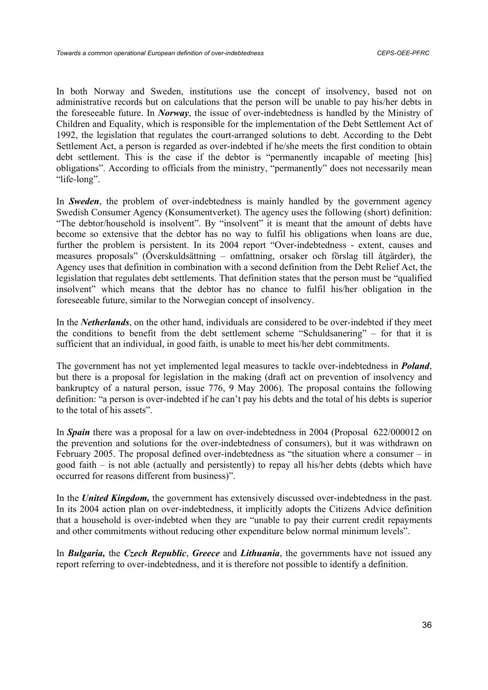In both Norway and Sweden, institutions use the concept of insolvency, based not on administrative records but on calculations that the person will be unable to pay his/her debts in the foreseeable future. In *Norway*, the issue of over-indebtedness is handled by the Ministry of Children and Equality, which is responsible for the implementation of the Debt Settlement Act of 1992, the legislation that regulates the court-arranged solutions to debt. According to the Debt Settlement Act, a person is regarded as over-indebted if he/she meets the first condition to obtain debt settlement. This is the case if the debtor is "permanently incapable of meeting [his] obligations". According to officials from the ministry, "permanently" does not necessarily mean "life-long".

In *Sweden*, the problem of over-indebtedness is mainly handled by the government agency Swedish Consumer Agency (Konsumentverket). The agency uses the following (short) definition: "The debtor/household is insolvent". By "insolvent" it is meant that the amount of debts have become so extensive that the debtor has no way to fulfil his obligations when loans are due, further the problem is persistent. In its 2004 report "Over-indebtedness - extent, causes and measures proposals" (Överskuldsättning – omfattning, orsaker och förslag till åtgärder), the Agency uses that definition in combination with a second definition from the Debt Relief Act, the legislation that regulates debt settlements. That definition states that the person must be "qualified insolvent" which means that the debtor has no chance to fulfil his/her obligation in the foreseeable future, similar to the Norwegian concept of insolvency.

In the *Netherlands*, on the other hand, individuals are considered to be over-indebted if they meet the conditions to benefit from the debt settlement scheme "Schuldsanering" – for that it is sufficient that an individual, in good faith, is unable to meet his/her debt commitments.

The government has not yet implemented legal measures to tackle over-indebtedness in *Poland*, but there is a proposal for legislation in the making (draft act on prevention of insolvency and bankruptcy of a natural person, issue 776, 9 May 2006). The proposal contains the following definition: "a person is over-indebted if he can't pay his debts and the total of his debts is superior to the total of his assets".

In *Spain* there was a proposal for a law on over-indebtedness in 2004 (Proposal 622/000012 on the prevention and solutions for the over-indebtedness of consumers), but it was withdrawn on February 2005. The proposal defined over-indebtedness as "the situation where a consumer – in good faith – is not able (actually and persistently) to repay all his/her debts (debts which have occurred for reasons different from business)".

In the *United Kingdom,* the government has extensively discussed over-indebtedness in the past. In its 2004 action plan on over-indebtedness, it implicitly adopts the Citizens Advice definition that a household is over-indebted when they are "unable to pay their current credit repayments and other commitments without reducing other expenditure below normal minimum levels".

In *Bulgaria,* the *Czech Republic*, *Greece* and *Lithuania*, the governments have not issued any report referring to over-indebtedness, and it is therefore not possible to identify a definition.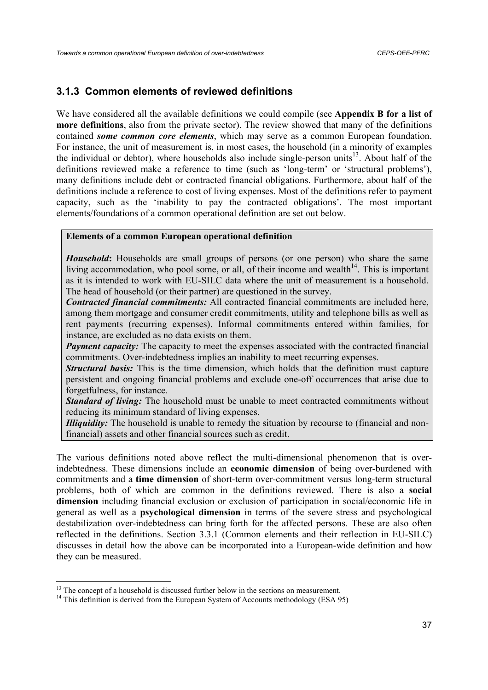# **3.1.3 Common elements of reviewed definitions**

We have considered all the available definitions we could compile (see **Appendix B for a list of more definitions**, also from the private sector). The review showed that many of the definitions contained *some common core elements*, which may serve as a common European foundation. For instance, the unit of measurement is, in most cases, the household (in a minority of examples the individual or debtor), where households also include single-person units<sup>13</sup>. About half of the definitions reviewed make a reference to time (such as 'long-term' or 'structural problems'), many definitions include debt or contracted financial obligations. Furthermore, about half of the definitions include a reference to cost of living expenses. Most of the definitions refer to payment capacity, such as the 'inability to pay the contracted obligations'. The most important elements/foundations of a common operational definition are set out below.

#### **Elements of a common European operational definition**

*Household*: Households are small groups of persons (or one person) who share the same living accommodation, who pool some, or all, of their income and wealth $14$ . This is important as it is intended to work with EU-SILC data where the unit of measurement is a household. The head of household (or their partner) are questioned in the survey.

*Contracted financial commitments:* All contracted financial commitments are included here, among them mortgage and consumer credit commitments, utility and telephone bills as well as rent payments (recurring expenses). Informal commitments entered within families, for instance, are excluded as no data exists on them.

*Payment capacity:* The capacity to meet the expenses associated with the contracted financial commitments. Over-indebtedness implies an inability to meet recurring expenses.

*Structural basis:* This is the time dimension, which holds that the definition must capture persistent and ongoing financial problems and exclude one-off occurrences that arise due to forgetfulness, for instance.

*Standard of living:* The household must be unable to meet contracted commitments without reducing its minimum standard of living expenses.

*Illiquidity:* The household is unable to remedy the situation by recourse to (financial and nonfinancial) assets and other financial sources such as credit.

The various definitions noted above reflect the multi-dimensional phenomenon that is overindebtedness. These dimensions include an **economic dimension** of being over-burdened with commitments and a **time dimension** of short-term over-commitment versus long-term structural problems, both of which are common in the definitions reviewed. There is also a **social dimension** including financial exclusion or exclusion of participation in social/economic life in general as well as a **psychological dimension** in terms of the severe stress and psychological destabilization over-indebtedness can bring forth for the affected persons. These are also often reflected in the definitions. Section 3.3.1 (Common elements and their reflection in EU-SILC) discusses in detail how the above can be incorporated into a European-wide definition and how they can be measured.

<sup>&</sup>lt;sup>13</sup> The concept of a household is discussed further below in the sections on measurement.

<sup>&</sup>lt;sup>14</sup> This definition is derived from the European System of Accounts methodology (ESA 95)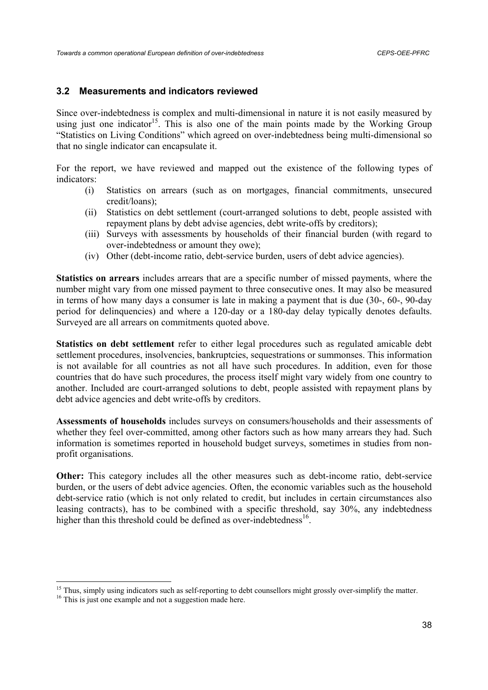## **3.2 Measurements and indicators reviewed**

Since over-indebtedness is complex and multi-dimensional in nature it is not easily measured by using just one indicator<sup>15</sup>. This is also one of the main points made by the Working Group "Statistics on Living Conditions" which agreed on over-indebtedness being multi-dimensional so that no single indicator can encapsulate it.

For the report, we have reviewed and mapped out the existence of the following types of indicators:

- (i) Statistics on arrears (such as on mortgages, financial commitments, unsecured credit/loans);
- (ii) Statistics on debt settlement (court-arranged solutions to debt, people assisted with repayment plans by debt advise agencies, debt write-offs by creditors);
- (iii) Surveys with assessments by households of their financial burden (with regard to over-indebtedness or amount they owe);
- (iv) Other (debt-income ratio, debt-service burden, users of debt advice agencies).

**Statistics on arrears** includes arrears that are a specific number of missed payments, where the number might vary from one missed payment to three consecutive ones. It may also be measured in terms of how many days a consumer is late in making a payment that is due (30-, 60-, 90-day period for delinquencies) and where a 120-day or a 180-day delay typically denotes defaults. Surveyed are all arrears on commitments quoted above.

**Statistics on debt settlement** refer to either legal procedures such as regulated amicable debt settlement procedures, insolvencies, bankruptcies, sequestrations or summonses. This information is not available for all countries as not all have such procedures. In addition, even for those countries that do have such procedures, the process itself might vary widely from one country to another. Included are court-arranged solutions to debt, people assisted with repayment plans by debt advice agencies and debt write-offs by creditors.

**Assessments of households** includes surveys on consumers/households and their assessments of whether they feel over-committed, among other factors such as how many arrears they had. Such information is sometimes reported in household budget surveys, sometimes in studies from nonprofit organisations.

**Other:** This category includes all the other measures such as debt-income ratio, debt-service burden, or the users of debt advice agencies. Often, the economic variables such as the household debt-service ratio (which is not only related to credit, but includes in certain circumstances also leasing contracts), has to be combined with a specific threshold, say 30%, any indebtedness higher than this threshold could be defined as over-indebtedness $^{16}$ .

<sup>&</sup>lt;sup>15</sup> Thus, simply using indicators such as self-reporting to debt counsellors might grossly over-simplify the matter.

<sup>&</sup>lt;sup>16</sup> This is just one example and not a suggestion made here.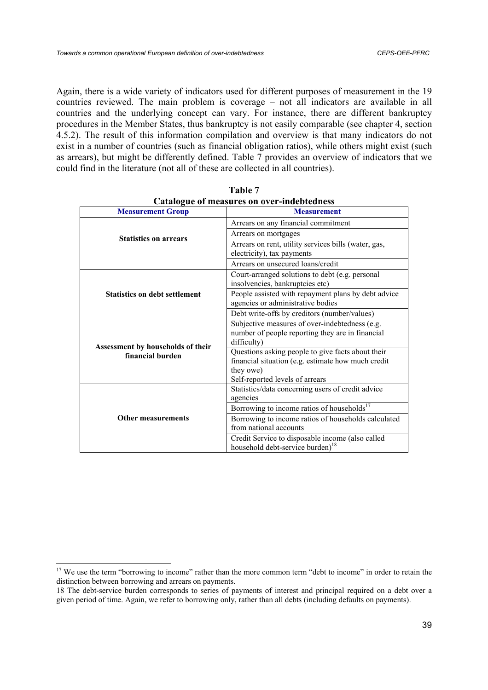Again, there is a wide variety of indicators used for different purposes of measurement in the 19 countries reviewed. The main problem is coverage – not all indicators are available in all countries and the underlying concept can vary. For instance, there are different bankruptcy procedures in the Member States, thus bankruptcy is not easily comparable (see chapter 4, section 4.5.2). The result of this information compilation and overview is that many indicators do not exist in a number of countries (such as financial obligation ratios), while others might exist (such as arrears), but might be differently defined. Table 7 provides an overview of indicators that we could find in the literature (not all of these are collected in all countries).

| Catalogue of incasures on over-indebtedness           |                                                                                                                                                         |  |  |
|-------------------------------------------------------|---------------------------------------------------------------------------------------------------------------------------------------------------------|--|--|
| <b>Measurement Group</b>                              | <b>Measurement</b>                                                                                                                                      |  |  |
|                                                       | Arrears on any financial commitment                                                                                                                     |  |  |
| <b>Statistics on arrears</b>                          | Arrears on mortgages                                                                                                                                    |  |  |
|                                                       | Arrears on rent, utility services bills (water, gas,<br>electricity), tax payments                                                                      |  |  |
|                                                       | Arrears on unsecured loans/credit                                                                                                                       |  |  |
| <b>Statistics on debt settlement</b>                  | Court-arranged solutions to debt (e.g. personal<br>insolvencies, bankruptcies etc)                                                                      |  |  |
|                                                       | People assisted with repayment plans by debt advice<br>agencies or administrative bodies                                                                |  |  |
|                                                       | Debt write-offs by creditors (number/values)                                                                                                            |  |  |
|                                                       | Subjective measures of over-indebtedness (e.g.<br>number of people reporting they are in financial<br>difficulty)                                       |  |  |
| Assessment by households of their<br>financial burden | Questions asking people to give facts about their<br>financial situation (e.g. estimate how much credit<br>they owe)<br>Self-reported levels of arrears |  |  |
| <b>Other measurements</b>                             | Statistics/data concerning users of credit advice<br>agencies                                                                                           |  |  |
|                                                       | Borrowing to income ratios of households <sup>17</sup>                                                                                                  |  |  |
|                                                       | Borrowing to income ratios of households calculated<br>from national accounts                                                                           |  |  |
|                                                       | Credit Service to disposable income (also called<br>household debt-service burden) <sup>18</sup>                                                        |  |  |

**Table 7 Catalogue of measures on over-indebtedness** 

<sup>&</sup>lt;sup>17</sup> We use the term "borrowing to income" rather than the more common term "debt to income" in order to retain the distinction between borrowing and arrears on payments.

<sup>18</sup> The debt-service burden corresponds to series of payments of interest and principal required on a debt over a given period of time. Again, we refer to borrowing only, rather than all debts (including defaults on payments).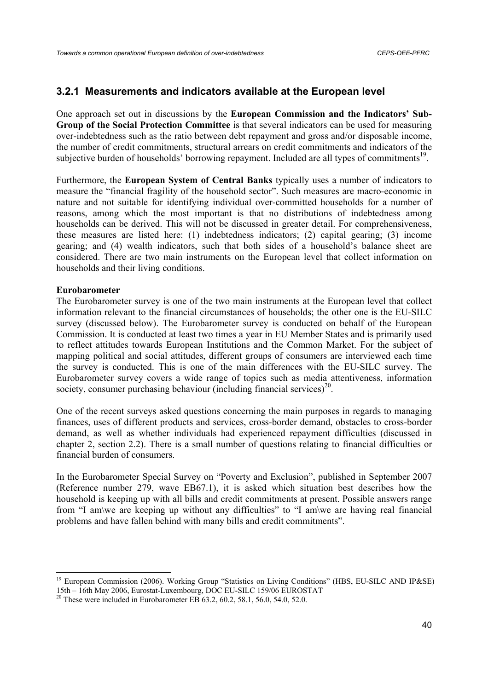## **3.2.1 Measurements and indicators available at the European level**

One approach set out in discussions by the **European Commission and the Indicators' Sub-Group of the Social Protection Committee** is that several indicators can be used for measuring over-indebtedness such as the ratio between debt repayment and gross and/or disposable income, the number of credit commitments, structural arrears on credit commitments and indicators of the subjective burden of households' borrowing repayment. Included are all types of commitments<sup>19</sup>.

Furthermore, the **European System of Central Banks** typically uses a number of indicators to measure the "financial fragility of the household sector". Such measures are macro-economic in nature and not suitable for identifying individual over-committed households for a number of reasons, among which the most important is that no distributions of indebtedness among households can be derived. This will not be discussed in greater detail. For comprehensiveness, these measures are listed here: (1) indebtedness indicators; (2) capital gearing; (3) income gearing; and (4) wealth indicators, such that both sides of a household's balance sheet are considered. There are two main instruments on the European level that collect information on households and their living conditions.

#### **Eurobarometer**

The Eurobarometer survey is one of the two main instruments at the European level that collect information relevant to the financial circumstances of households; the other one is the EU-SILC survey (discussed below). The Eurobarometer survey is conducted on behalf of the European Commission. It is conducted at least two times a year in EU Member States and is primarily used to reflect attitudes towards European Institutions and the Common Market. For the subject of mapping political and social attitudes, different groups of consumers are interviewed each time the survey is conducted. This is one of the main differences with the EU-SILC survey. The Eurobarometer survey covers a wide range of topics such as media attentiveness, information society, consumer purchasing behaviour (including financial services)<sup>20</sup>.

One of the recent surveys asked questions concerning the main purposes in regards to managing finances, uses of different products and services, cross-border demand, obstacles to cross-border demand, as well as whether individuals had experienced repayment difficulties (discussed in chapter 2, section 2.2). There is a small number of questions relating to financial difficulties or financial burden of consumers.

In the Eurobarometer Special Survey on "Poverty and Exclusion", published in September 2007 (Reference number 279, wave EB67.1), it is asked which situation best describes how the household is keeping up with all bills and credit commitments at present. Possible answers range from "I am\we are keeping up without any difficulties" to "I am\we are having real financial problems and have fallen behind with many bills and credit commitments".

<sup>&</sup>lt;sup>19</sup> European Commission (2006). Working Group "Statistics on Living Conditions" (HBS, EU-SILC AND IP&SE) 15th – 16th May 2006, Eurostat-Luxembourg, DOC EU-SILC 159/06 EUROSTAT

<sup>&</sup>lt;sup>20</sup> These were included in Eurobarometer EB 63.2, 60.2, 58.1, 56.0, 54.0, 52.0.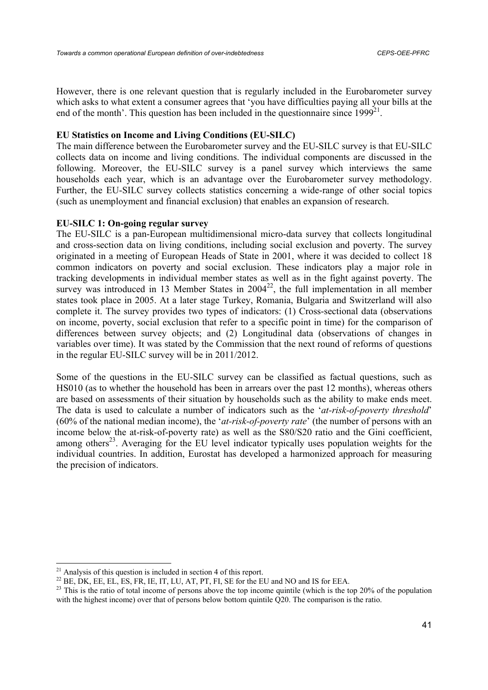However, there is one relevant question that is regularly included in the Eurobarometer survey which asks to what extent a consumer agrees that 'you have difficulties paying all your bills at the end of the month'. This question has been included in the questionnaire since  $1999^{21}$ .

### **EU Statistics on Income and Living Conditions (EU-SILC)**

The main difference between the Eurobarometer survey and the EU-SILC survey is that EU-SILC collects data on income and living conditions. The individual components are discussed in the following. Moreover, the EU-SILC survey is a panel survey which interviews the same households each year, which is an advantage over the Eurobarometer survey methodology. Further, the EU-SILC survey collects statistics concerning a wide-range of other social topics (such as unemployment and financial exclusion) that enables an expansion of research.

### **EU-SILC 1: On-going regular survey**

The EU-SILC is a pan-European multidimensional micro-data survey that collects longitudinal and cross-section data on living conditions, including social exclusion and poverty. The survey originated in a meeting of European Heads of State in 2001, where it was decided to collect 18 common indicators on poverty and social exclusion. These indicators play a major role in tracking developments in individual member states as well as in the fight against poverty. The survey was introduced in 13 Member States in  $2004^{22}$ , the full implementation in all member states took place in 2005. At a later stage Turkey, Romania, Bulgaria and Switzerland will also complete it. The survey provides two types of indicators: (1) Cross-sectional data (observations on income, poverty, social exclusion that refer to a specific point in time) for the comparison of differences between survey objects; and (2) Longitudinal data (observations of changes in variables over time). It was stated by the Commission that the next round of reforms of questions in the regular EU-SILC survey will be in 2011/2012.

Some of the questions in the EU-SILC survey can be classified as factual questions, such as HS010 (as to whether the household has been in arrears over the past 12 months), whereas others are based on assessments of their situation by households such as the ability to make ends meet. The data is used to calculate a number of indicators such as the '*at-risk-of-poverty threshold*' (60% of the national median income), the '*at-risk-of-poverty rate*' (the number of persons with an income below the at-risk-of-poverty rate) as well as the S80/S20 ratio and the Gini coefficient, among others<sup>23</sup>. Averaging for the EU level indicator typically uses population weights for the individual countries. In addition, Eurostat has developed a harmonized approach for measuring the precision of indicators.

 $21$  Analysis of this question is included in section 4 of this report.

 $^{22}$  BE, DK, EE, EL, ES, FR, IE, IT, LU, AT, PT, FI, SE for the EU and NO and IS for EEA.

<sup>&</sup>lt;sup>23</sup> This is the ratio of total income of persons above the top income quintile (which is the top 20% of the population with the highest income) over that of persons below bottom quintile Q20. The comparison is the ratio.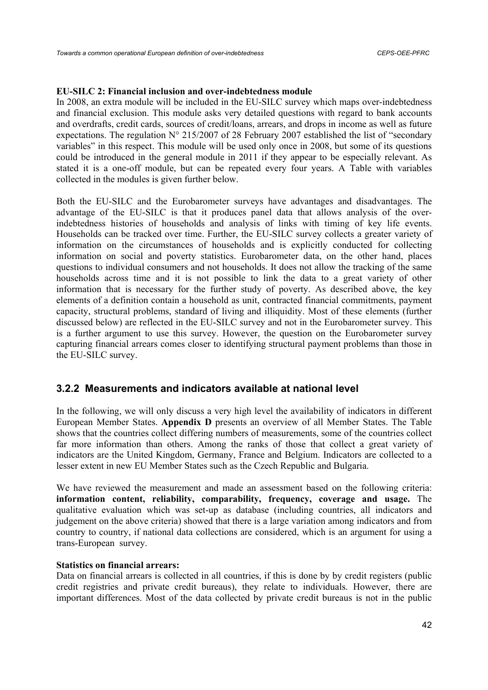### **EU-SILC 2: Financial inclusion and over-indebtedness module**

In 2008, an extra module will be included in the EU-SILC survey which maps over-indebtedness and financial exclusion. This module asks very detailed questions with regard to bank accounts and overdrafts, credit cards, sources of credit/loans, arrears, and drops in income as well as future expectations. The regulation N° 215/2007 of 28 February 2007 established the list of "secondary variables" in this respect. This module will be used only once in 2008, but some of its questions could be introduced in the general module in 2011 if they appear to be especially relevant. As stated it is a one-off module, but can be repeated every four years. A Table with variables collected in the modules is given further below.

Both the EU-SILC and the Eurobarometer surveys have advantages and disadvantages. The advantage of the EU-SILC is that it produces panel data that allows analysis of the overindebtedness histories of households and analysis of links with timing of key life events. Households can be tracked over time. Further, the EU-SILC survey collects a greater variety of information on the circumstances of households and is explicitly conducted for collecting information on social and poverty statistics. Eurobarometer data, on the other hand, places questions to individual consumers and not households. It does not allow the tracking of the same households across time and it is not possible to link the data to a great variety of other information that is necessary for the further study of poverty. As described above, the key elements of a definition contain a household as unit, contracted financial commitments, payment capacity, structural problems, standard of living and illiquidity. Most of these elements (further discussed below) are reflected in the EU-SILC survey and not in the Eurobarometer survey. This is a further argument to use this survey. However, the question on the Eurobarometer survey capturing financial arrears comes closer to identifying structural payment problems than those in the EU-SILC survey.

## **3.2.2 Measurements and indicators available at national level**

In the following, we will only discuss a very high level the availability of indicators in different European Member States. **Appendix D** presents an overview of all Member States. The Table shows that the countries collect differing numbers of measurements, some of the countries collect far more information than others. Among the ranks of those that collect a great variety of indicators are the United Kingdom, Germany, France and Belgium. Indicators are collected to a lesser extent in new EU Member States such as the Czech Republic and Bulgaria.

We have reviewed the measurement and made an assessment based on the following criteria: **information content, reliability, comparability, frequency, coverage and usage.** The qualitative evaluation which was set-up as database (including countries, all indicators and judgement on the above criteria) showed that there is a large variation among indicators and from country to country, if national data collections are considered, which is an argument for using a trans-European survey.

### **Statistics on financial arrears:**

Data on financial arrears is collected in all countries, if this is done by by credit registers (public credit registries and private credit bureaus), they relate to individuals. However, there are important differences. Most of the data collected by private credit bureaus is not in the public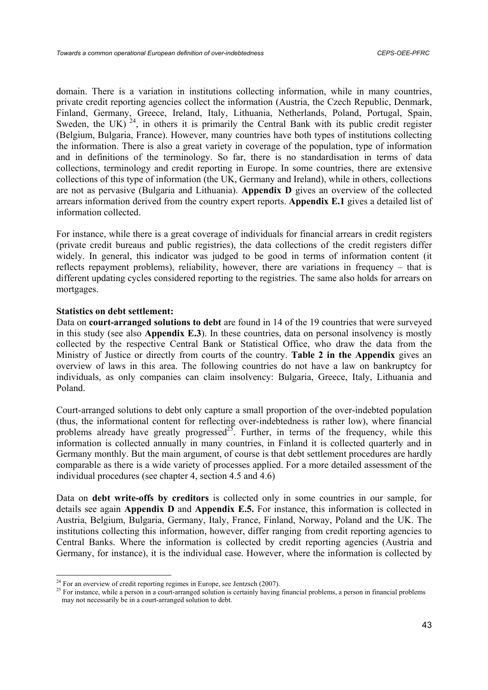domain. There is a variation in institutions collecting information, while in many countries, private credit reporting agencies collect the information (Austria, the Czech Republic, Denmark, Finland, Germany, Greece, Ireland, Italy, Lithuania, Netherlands, Poland, Portugal, Spain, Sweden, the UK)  $^{24}$ , in others it is primarily the Central Bank with its public credit register (Belgium, Bulgaria, France). However, many countries have both types of institutions collecting the information. There is also a great variety in coverage of the population, type of information and in definitions of the terminology. So far, there is no standardisation in terms of data collections, terminology and credit reporting in Europe. In some countries, there are extensive collections of this type of information (the UK, Germany and Ireland), while in others, collections are not as pervasive (Bulgaria and Lithuania). **Appendix D** gives an overview of the collected arrears information derived from the country expert reports. **Appendix E.1** gives a detailed list of information collected.

For instance, while there is a great coverage of individuals for financial arrears in credit registers (private credit bureaus and public registries), the data collections of the credit registers differ widely. In general, this indicator was judged to be good in terms of information content (it reflects repayment problems), reliability, however, there are variations in frequency – that is different updating cycles considered reporting to the registries. The same also holds for arrears on mortgages.

#### **Statistics on debt settlement:**

Data on **court-arranged solutions to debt** are found in 14 of the 19 countries that were surveyed in this study (see also **Appendix E.3**). In these countries, data on personal insolvency is mostly collected by the respective Central Bank or Statistical Office, who draw the data from the Ministry of Justice or directly from courts of the country. **Table 2 in the Appendix** gives an overview of laws in this area. The following countries do not have a law on bankruptcy for individuals, as only companies can claim insolvency: Bulgaria, Greece, Italy, Lithuania and Poland.

Court-arranged solutions to debt only capture a small proportion of the over-indebted population (thus, the informational content for reflecting over-indebtedness is rather low), where financial problems already have greatly progressed<sup>25</sup>. Further, in terms of the frequency, while this information is collected annually in many countries, in Finland it is collected quarterly and in Germany monthly. But the main argument, of course is that debt settlement procedures are hardly comparable as there is a wide variety of processes applied. For a more detailed assessment of the individual procedures (see chapter 4, section 4.5 and 4.6)

Data on **debt write-offs by creditors** is collected only in some countries in our sample, for details see again **Appendix D** and **Appendix E.5.** For instance, this information is collected in Austria, Belgium, Bulgaria, Germany, Italy, France, Finland, Norway, Poland and the UK. The institutions collecting this information, however, differ ranging from credit reporting agencies to Central Banks. Where the information is collected by credit reporting agencies (Austria and Germany, for instance), it is the individual case. However, where the information is collected by

 $^{24}$  For an overview of credit reporting regimes in Europe, see Jentzsch (2007).

<sup>&</sup>lt;sup>25</sup> For instance, while a person in a court-arranged solution is certainly having financial problems, a person in financial problems may not necessarily be in a court-arranged solution to debt.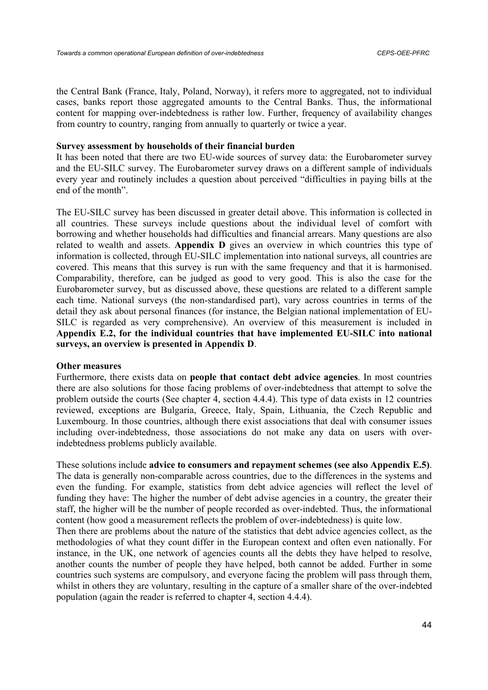the Central Bank (France, Italy, Poland, Norway), it refers more to aggregated, not to individual cases, banks report those aggregated amounts to the Central Banks. Thus, the informational content for mapping over-indebtedness is rather low. Further, frequency of availability changes from country to country, ranging from annually to quarterly or twice a year.

#### **Survey assessment by households of their financial burden**

It has been noted that there are two EU-wide sources of survey data: the Eurobarometer survey and the EU-SILC survey. The Eurobarometer survey draws on a different sample of individuals every year and routinely includes a question about perceived "difficulties in paying bills at the end of the month".

The EU-SILC survey has been discussed in greater detail above. This information is collected in all countries. These surveys include questions about the individual level of comfort with borrowing and whether households had difficulties and financial arrears. Many questions are also related to wealth and assets. **Appendix D** gives an overview in which countries this type of information is collected, through EU-SILC implementation into national surveys, all countries are covered. This means that this survey is run with the same frequency and that it is harmonised. Comparability, therefore, can be judged as good to very good. This is also the case for the Eurobarometer survey, but as discussed above, these questions are related to a different sample each time. National surveys (the non-standardised part), vary across countries in terms of the detail they ask about personal finances (for instance, the Belgian national implementation of EU-SILC is regarded as very comprehensive). An overview of this measurement is included in **Appendix E.2, for the individual countries that have implemented EU-SILC into national surveys, an overview is presented in Appendix D**.

#### **Other measures**

Furthermore, there exists data on **people that contact debt advice agencies**. In most countries there are also solutions for those facing problems of over-indebtedness that attempt to solve the problem outside the courts (See chapter 4, section 4.4.4). This type of data exists in 12 countries reviewed, exceptions are Bulgaria, Greece, Italy, Spain, Lithuania, the Czech Republic and Luxembourg. In those countries, although there exist associations that deal with consumer issues including over-indebtedness, those associations do not make any data on users with overindebtedness problems publicly available.

These solutions include **advice to consumers and repayment schemes (see also Appendix E.5)**. The data is generally non-comparable across countries, due to the differences in the systems and even the funding. For example, statistics from debt advice agencies will reflect the level of funding they have: The higher the number of debt advise agencies in a country, the greater their staff, the higher will be the number of people recorded as over-indebted. Thus, the informational content (how good a measurement reflects the problem of over-indebtedness) is quite low.

Then there are problems about the nature of the statistics that debt advice agencies collect, as the methodologies of what they count differ in the European context and often even nationally. For instance, in the UK, one network of agencies counts all the debts they have helped to resolve, another counts the number of people they have helped, both cannot be added. Further in some countries such systems are compulsory, and everyone facing the problem will pass through them, whilst in others they are voluntary, resulting in the capture of a smaller share of the over-indebted population (again the reader is referred to chapter 4, section 4.4.4).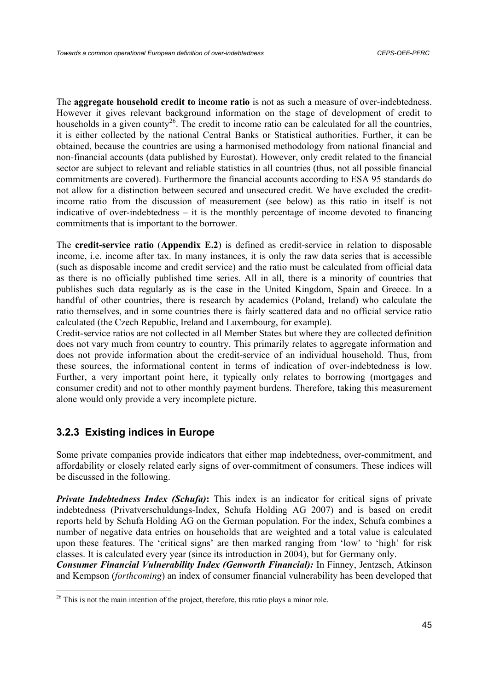The **aggregate household credit to income ratio** is not as such a measure of over-indebtedness. However it gives relevant background information on the stage of development of credit to households in a given county<sup>26</sup>. The credit to income ratio can be calculated for all the countries, it is either collected by the national Central Banks or Statistical authorities. Further, it can be obtained, because the countries are using a harmonised methodology from national financial and non-financial accounts (data published by Eurostat). However, only credit related to the financial sector are subject to relevant and reliable statistics in all countries (thus, not all possible financial commitments are covered). Furthermore the financial accounts according to ESA 95 standards do not allow for a distinction between secured and unsecured credit. We have excluded the creditincome ratio from the discussion of measurement (see below) as this ratio in itself is not indicative of over-indebtedness – it is the monthly percentage of income devoted to financing commitments that is important to the borrower.

The **credit-service ratio** (**Appendix E.2**) is defined as credit-service in relation to disposable income, i.e. income after tax. In many instances, it is only the raw data series that is accessible (such as disposable income and credit service) and the ratio must be calculated from official data as there is no officially published time series. All in all, there is a minority of countries that publishes such data regularly as is the case in the United Kingdom, Spain and Greece. In a handful of other countries, there is research by academics (Poland, Ireland) who calculate the ratio themselves, and in some countries there is fairly scattered data and no official service ratio calculated (the Czech Republic, Ireland and Luxembourg, for example).

Credit-service ratios are not collected in all Member States but where they are collected definition does not vary much from country to country. This primarily relates to aggregate information and does not provide information about the credit-service of an individual household. Thus, from these sources, the informational content in terms of indication of over-indebtedness is low. Further, a very important point here, it typically only relates to borrowing (mortgages and consumer credit) and not to other monthly payment burdens. Therefore, taking this measurement alone would only provide a very incomplete picture.

# **3.2.3 Existing indices in Europe**

Some private companies provide indicators that either map indebtedness, over-commitment, and affordability or closely related early signs of over-commitment of consumers. These indices will be discussed in the following.

*Private Indebtedness Index (Schufa)***:** This index is an indicator for critical signs of private indebtedness (Privatverschuldungs-Index, Schufa Holding AG 2007) and is based on credit reports held by Schufa Holding AG on the German population. For the index, Schufa combines a number of negative data entries on households that are weighted and a total value is calculated upon these features. The 'critical signs' are then marked ranging from 'low' to 'high' for risk classes. It is calculated every year (since its introduction in 2004), but for Germany only.

*Consumer Financial Vulnerability Index (Genworth Financial):* In Finney, Jentzsch, Atkinson and Kempson (*forthcoming*) an index of consumer financial vulnerability has been developed that

 $26$  This is not the main intention of the project, therefore, this ratio plays a minor role.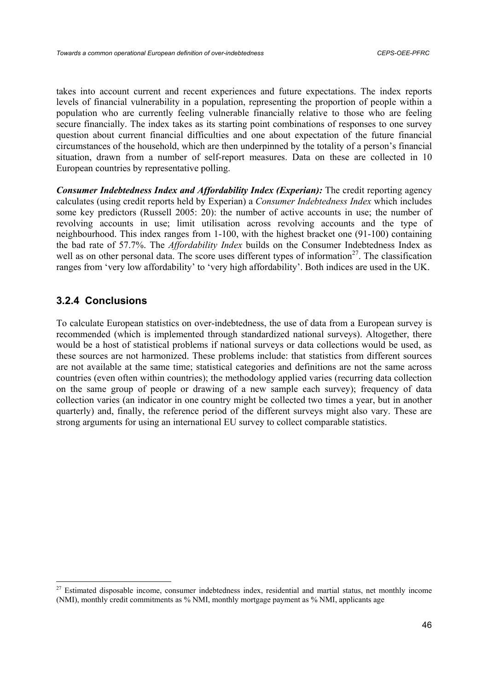takes into account current and recent experiences and future expectations. The index reports levels of financial vulnerability in a population, representing the proportion of people within a population who are currently feeling vulnerable financially relative to those who are feeling secure financially. The index takes as its starting point combinations of responses to one survey question about current financial difficulties and one about expectation of the future financial circumstances of the household, which are then underpinned by the totality of a person's financial situation, drawn from a number of self-report measures. Data on these are collected in 10 European countries by representative polling.

*Consumer Indebtedness Index and Affordability Index (Experian):* The credit reporting agency calculates (using credit reports held by Experian) a *Consumer Indebtedness Index* which includes some key predictors (Russell 2005: 20): the number of active accounts in use; the number of revolving accounts in use; limit utilisation across revolving accounts and the type of neighbourhood. This index ranges from 1-100, with the highest bracket one (91-100) containing the bad rate of 57.7%. The *Affordability Index* builds on the Consumer Indebtedness Index as well as on other personal data. The score uses different types of information<sup>27</sup>. The classification ranges from 'very low affordability' to 'very high affordability'. Both indices are used in the UK.

# **3.2.4 Conclusions**

To calculate European statistics on over-indebtedness, the use of data from a European survey is recommended (which is implemented through standardized national surveys). Altogether, there would be a host of statistical problems if national surveys or data collections would be used, as these sources are not harmonized. These problems include: that statistics from different sources are not available at the same time; statistical categories and definitions are not the same across countries (even often within countries); the methodology applied varies (recurring data collection on the same group of people or drawing of a new sample each survey); frequency of data collection varies (an indicator in one country might be collected two times a year, but in another quarterly) and, finally, the reference period of the different surveys might also vary. These are strong arguments for using an international EU survey to collect comparable statistics.

<sup>&</sup>lt;sup>27</sup> Estimated disposable income, consumer indebtedness index, residential and martial status, net monthly income (NMI), monthly credit commitments as % NMI, monthly mortgage payment as % NMI, applicants age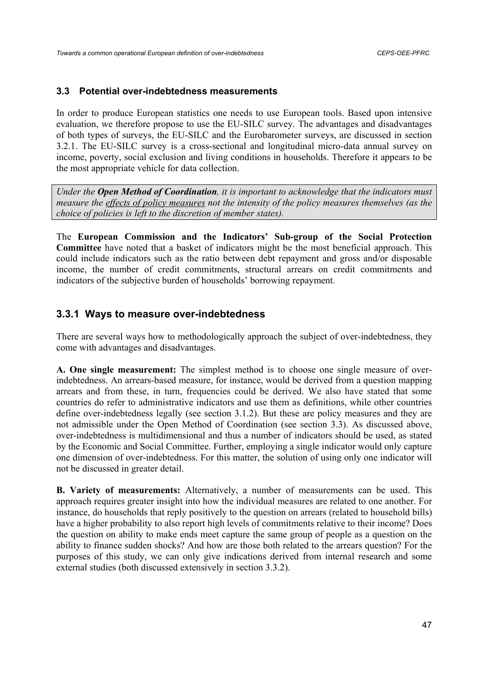### **3.3 Potential over-indebtedness measurements**

In order to produce European statistics one needs to use European tools. Based upon intensive evaluation, we therefore propose to use the EU-SILC survey. The advantages and disadvantages of both types of surveys, the EU-SILC and the Eurobarometer surveys, are discussed in section 3.2.1. The EU-SILC survey is a cross-sectional and longitudinal micro-data annual survey on income, poverty, social exclusion and living conditions in households. Therefore it appears to be the most appropriate vehicle for data collection.

*Under the Open Method of Coordination, it is important to acknowledge that the indicators must measure the effects of policy measures not the intensity of the policy measures themselves (as the choice of policies is left to the discretion of member states).* 

The **European Commission and the Indicators' Sub-group of the Social Protection Committee** have noted that a basket of indicators might be the most beneficial approach. This could include indicators such as the ratio between debt repayment and gross and/or disposable income, the number of credit commitments, structural arrears on credit commitments and indicators of the subjective burden of households' borrowing repayment.

# **3.3.1 Ways to measure over-indebtedness**

There are several ways how to methodologically approach the subject of over-indebtedness, they come with advantages and disadvantages.

**A. One single measurement:** The simplest method is to choose one single measure of overindebtedness. An arrears-based measure, for instance, would be derived from a question mapping arrears and from these, in turn, frequencies could be derived. We also have stated that some countries do refer to administrative indicators and use them as definitions, while other countries define over-indebtedness legally (see section 3.1.2). But these are policy measures and they are not admissible under the Open Method of Coordination (see section 3.3). As discussed above, over-indebtedness is multidimensional and thus a number of indicators should be used, as stated by the Economic and Social Committee. Further, employing a single indicator would only capture one dimension of over-indebtedness. For this matter, the solution of using only one indicator will not be discussed in greater detail.

**B. Variety of measurements:** Alternatively, a number of measurements can be used. This approach requires greater insight into how the individual measures are related to one another. For instance, do households that reply positively to the question on arrears (related to household bills) have a higher probability to also report high levels of commitments relative to their income? Does the question on ability to make ends meet capture the same group of people as a question on the ability to finance sudden shocks? And how are those both related to the arrears question? For the purposes of this study, we can only give indications derived from internal research and some external studies (both discussed extensively in section 3.3.2).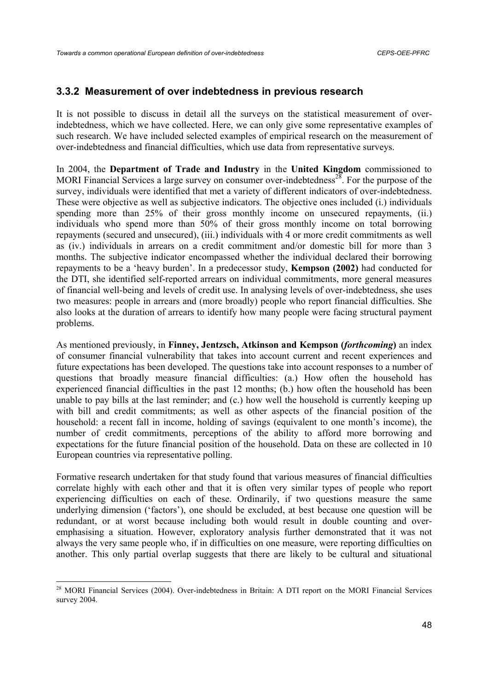# **3.3.2 Measurement of over indebtedness in previous research**

It is not possible to discuss in detail all the surveys on the statistical measurement of overindebtedness, which we have collected. Here, we can only give some representative examples of such research. We have included selected examples of empirical research on the measurement of over-indebtedness and financial difficulties, which use data from representative surveys.

In 2004, the **Department of Trade and Industry** in the **United Kingdom** commissioned to MORI Financial Services a large survey on consumer over-indebtedness<sup>28</sup>. For the purpose of the survey, individuals were identified that met a variety of different indicators of over-indebtedness. These were objective as well as subjective indicators. The objective ones included (i.) individuals spending more than 25% of their gross monthly income on unsecured repayments, (ii.) individuals who spend more than 50% of their gross monthly income on total borrowing repayments (secured and unsecured), (iii.) individuals with 4 or more credit commitments as well as (iv.) individuals in arrears on a credit commitment and/or domestic bill for more than 3 months. The subjective indicator encompassed whether the individual declared their borrowing repayments to be a 'heavy burden'. In a predecessor study, **Kempson (2002)** had conducted for the DTI, she identified self-reported arrears on individual commitments, more general measures of financial well-being and levels of credit use. In analysing levels of over-indebtedness, she uses two measures: people in arrears and (more broadly) people who report financial difficulties. She also looks at the duration of arrears to identify how many people were facing structural payment problems.

As mentioned previously, in **Finney, Jentzsch, Atkinson and Kempson (***forthcoming***)** an index of consumer financial vulnerability that takes into account current and recent experiences and future expectations has been developed. The questions take into account responses to a number of questions that broadly measure financial difficulties: (a.) How often the household has experienced financial difficulties in the past 12 months; (b.) how often the household has been unable to pay bills at the last reminder; and (c.) how well the household is currently keeping up with bill and credit commitments; as well as other aspects of the financial position of the household: a recent fall in income, holding of savings (equivalent to one month's income), the number of credit commitments, perceptions of the ability to afford more borrowing and expectations for the future financial position of the household. Data on these are collected in 10 European countries via representative polling.

Formative research undertaken for that study found that various measures of financial difficulties correlate highly with each other and that it is often very similar types of people who report experiencing difficulties on each of these. Ordinarily, if two questions measure the same underlying dimension ('factors'), one should be excluded, at best because one question will be redundant, or at worst because including both would result in double counting and overemphasising a situation. However, exploratory analysis further demonstrated that it was not always the very same people who, if in difficulties on one measure, were reporting difficulties on another. This only partial overlap suggests that there are likely to be cultural and situational

<sup>&</sup>lt;sup>28</sup> MORI Financial Services (2004). Over-indebtedness in Britain: A DTI report on the MORI Financial Services survey 2004.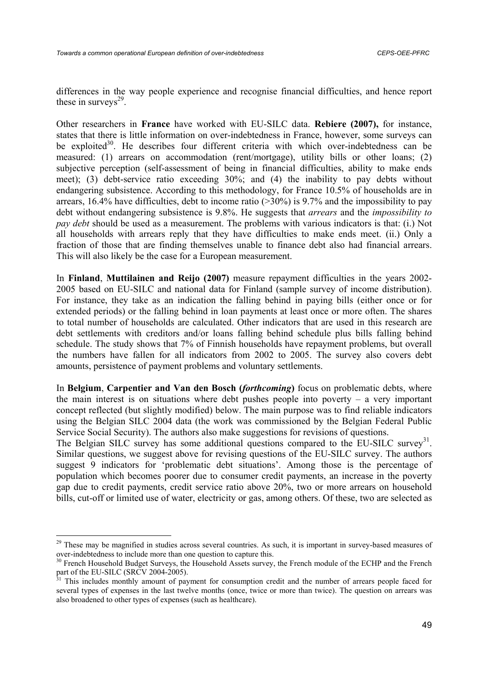differences in the way people experience and recognise financial difficulties, and hence report these in surveys $2<sup>9</sup>$ .

Other researchers in **France** have worked with EU-SILC data. **Rebiere (2007),** for instance, states that there is little information on over-indebtedness in France, however, some surveys can be exploited $30$ . He describes four different criteria with which over-indebtedness can be measured: (1) arrears on accommodation (rent/mortgage), utility bills or other loans; (2) subjective perception (self-assessment of being in financial difficulties, ability to make ends meet); (3) debt-service ratio exceeding 30%; and (4) the inability to pay debts without endangering subsistence. According to this methodology, for France 10.5% of households are in arrears, 16.4% have difficulties, debt to income ratio (>30%) is 9.7% and the impossibility to pay debt without endangering subsistence is 9.8%. He suggests that *arrears* and the *impossibility to pay debt* should be used as a measurement. The problems with various indicators is that: (i.) Not all households with arrears reply that they have difficulties to make ends meet. (ii.) Only a fraction of those that are finding themselves unable to finance debt also had financial arrears. This will also likely be the case for a European measurement.

In **Finland**, **Muttilainen and Reijo (2007)** measure repayment difficulties in the years 2002- 2005 based on EU-SILC and national data for Finland (sample survey of income distribution). For instance, they take as an indication the falling behind in paying bills (either once or for extended periods) or the falling behind in loan payments at least once or more often. The shares to total number of households are calculated. Other indicators that are used in this research are debt settlements with creditors and/or loans falling behind schedule plus bills falling behind schedule. The study shows that 7% of Finnish households have repayment problems, but overall the numbers have fallen for all indicators from 2002 to 2005. The survey also covers debt amounts, persistence of payment problems and voluntary settlements.

In **Belgium**, **Carpentier and Van den Bosch (***forthcoming***)** focus on problematic debts, where the main interest is on situations where debt pushes people into poverty – a very important concept reflected (but slightly modified) below. The main purpose was to find reliable indicators using the Belgian SILC 2004 data (the work was commissioned by the Belgian Federal Public Service Social Security). The authors also make suggestions for revisions of questions.

The Belgian SILC survey has some additional questions compared to the EU-SILC survey<sup>31</sup>. Similar questions, we suggest above for revising questions of the EU-SILC survey. The authors suggest 9 indicators for 'problematic debt situations'. Among those is the percentage of population which becomes poorer due to consumer credit payments, an increase in the poverty gap due to credit payments, credit service ratio above 20%, two or more arrears on household bills, cut-off or limited use of water, electricity or gas, among others. Of these, two are selected as

<sup>&</sup>lt;sup>29</sup> These may be magnified in studies across several countries. As such, it is important in survey-based measures of over-indebtedness to include more than one question to capture this.

<sup>&</sup>lt;sup>30</sup> French Household Budget Surveys, the Household Assets survey, the French module of the ECHP and the French part of the EU-SILC (SRCV 2004-2005).

<sup>31</sup> This includes monthly amount of payment for consumption credit and the number of arrears people faced for several types of expenses in the last twelve months (once, twice or more than twice). The question on arrears was also broadened to other types of expenses (such as healthcare).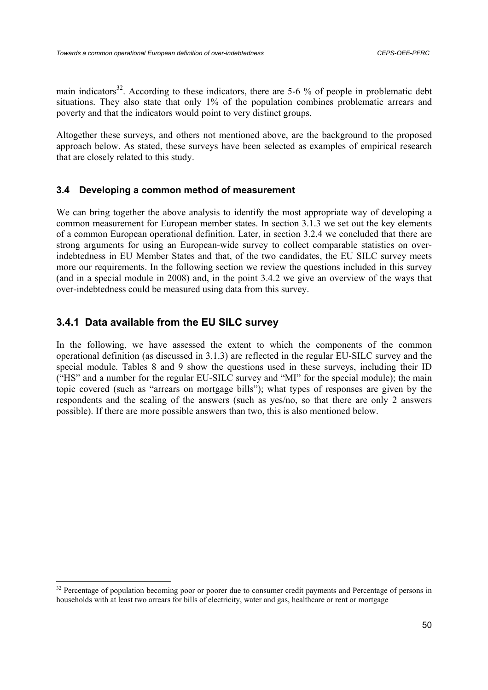main indicators<sup>32</sup>. According to these indicators, there are 5-6 % of people in problematic debt situations. They also state that only 1% of the population combines problematic arrears and poverty and that the indicators would point to very distinct groups.

Altogether these surveys, and others not mentioned above, are the background to the proposed approach below. As stated, these surveys have been selected as examples of empirical research that are closely related to this study.

## **3.4 Developing a common method of measurement**

We can bring together the above analysis to identify the most appropriate way of developing a common measurement for European member states. In section 3.1.3 we set out the key elements of a common European operational definition. Later, in section 3.2.4 we concluded that there are strong arguments for using an European-wide survey to collect comparable statistics on overindebtedness in EU Member States and that, of the two candidates, the EU SILC survey meets more our requirements. In the following section we review the questions included in this survey (and in a special module in 2008) and, in the point 3.4.2 we give an overview of the ways that over-indebtedness could be measured using data from this survey.

# **3.4.1 Data available from the EU SILC survey**

In the following, we have assessed the extent to which the components of the common operational definition (as discussed in 3.1.3) are reflected in the regular EU-SILC survey and the special module. Tables 8 and 9 show the questions used in these surveys, including their ID ("HS" and a number for the regular EU-SILC survey and "MI" for the special module); the main topic covered (such as "arrears on mortgage bills"); what types of responses are given by the respondents and the scaling of the answers (such as yes/no, so that there are only 2 answers possible). If there are more possible answers than two, this is also mentioned below.

<sup>&</sup>lt;sup>32</sup> Percentage of population becoming poor or poorer due to consumer credit payments and Percentage of persons in households with at least two arrears for bills of electricity, water and gas, healthcare or rent or mortgage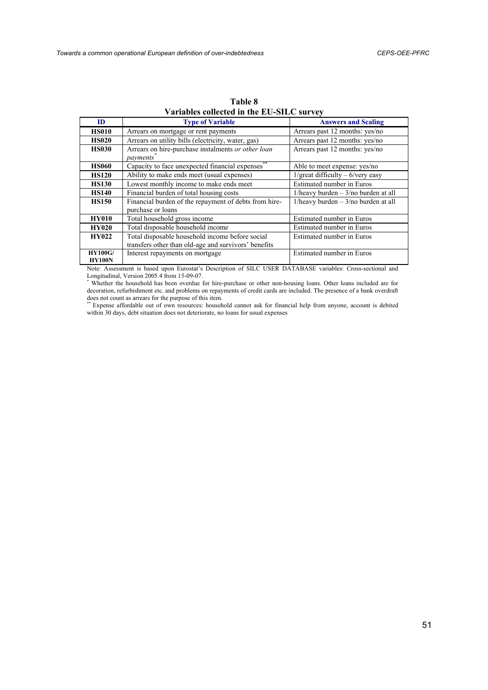| ID                              | <b>Type of Variable</b>                                                                                 | <b>Answers and Scaling</b>                       |
|---------------------------------|---------------------------------------------------------------------------------------------------------|--------------------------------------------------|
| <b>HS010</b>                    | Arrears on mortgage or rent payments                                                                    | Arrears past 12 months: yes/no                   |
| <b>HS020</b>                    | Arrears on utility bills (electricity, water, gas)                                                      | Arrears past 12 months: yes/no                   |
| <b>HS030</b>                    | Arrears on hire-purchase instalments or other loan<br><i>payments</i>                                   | Arrears past 12 months: yes/no                   |
| <b>HS060</b>                    | **<br>Capacity to face unexpected financial expenses                                                    | Able to meet expense: yes/no                     |
| <b>HS120</b>                    | Ability to make ends meet (usual expenses)                                                              | $1/\text{great difficulty} - 6/\text{very easy}$ |
| <b>HS130</b>                    | Lowest monthly income to make ends meet                                                                 | Estimated number in Euros                        |
| <b>HS140</b>                    | Financial burden of total housing costs                                                                 | 1/heavy burden $-3$ /no burden at all            |
| <b>HS150</b>                    | Financial burden of the repayment of debts from hire-<br>purchase or loans                              | $1/$ heavy burden $-3/$ no burden at all         |
| <b>HY010</b>                    | Total household gross income                                                                            | Estimated number in Euros                        |
| <b>HY020</b>                    | Total disposable household income                                                                       | Estimated number in Euros                        |
| <b>HY022</b>                    | Total disposable household income before social<br>transfers other than old-age and survivors' benefits | Estimated number in Euros                        |
| <b>HY100G/</b><br><b>HY100N</b> | Interest repayments on mortgage                                                                         | Estimated number in Euros                        |

**Table 8 Variables collected in the EU-SILC survey** 

Note: Assessment is based upon Eurostat's Description of SILC USER DATABASE variables: Cross-sectional and Longitudinal, Version 2005.4 from 15-09-07. \* Whether the household has been overdue for hire-purchase or other non-housing loans. Other loans included are for

decoration, refurbishment etc. and problems on repayments of credit cards are included. The presence of a bank overdraft does not count as arrears for the purpose of this item.<br>\*\* Expense affordable out of own resources: household cannot ask for financial help from anyone, account is debited

within 30 days, debt situation does not deteriorate, no loans for usual expenses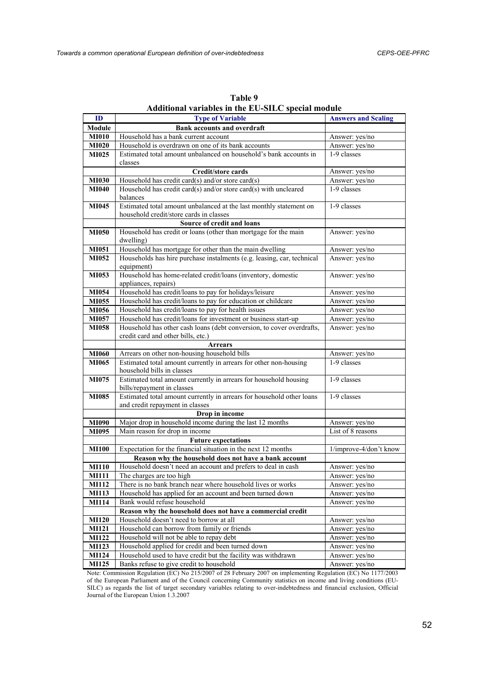| ID           | $\frac{1}{2}$<br><b>Type of Variable</b>                                             | <b>Answers and Scaling</b> |  |
|--------------|--------------------------------------------------------------------------------------|----------------------------|--|
| Module       | <b>Bank accounts and overdraft</b>                                                   |                            |  |
| <b>MI010</b> | Household has a bank current account                                                 | Answer: yes/no             |  |
| <b>MI020</b> | Household is overdrawn on one of its bank accounts                                   | Answer: yes/no             |  |
| MI025        | Estimated total amount unbalanced on household's bank accounts in                    | 1-9 classes                |  |
|              | classes                                                                              |                            |  |
|              | Credit/store cards                                                                   | Answer: yes/no             |  |
| <b>MI030</b> | Household has credit card(s) and/or store card(s)                                    | Answer: yes/no             |  |
| <b>MI040</b> | Household has credit card(s) and/or store card(s) with uncleared                     | 1-9 classes                |  |
|              | balances                                                                             |                            |  |
| <b>MI045</b> | Estimated total amount unbalanced at the last monthly statement on                   | 1-9 classes                |  |
|              | household credit/store cards in classes                                              |                            |  |
|              | Source of credit and loans                                                           |                            |  |
| <b>MI050</b> | Household has credit or loans (other than mortgage for the main                      | Answer: yes/no             |  |
|              | dwelling)                                                                            |                            |  |
| <b>MI051</b> | Household has mortgage for other than the main dwelling                              | Answer: yes/no             |  |
| MI052        | Households has hire purchase instalments (e.g. leasing, car, technical<br>equipment) | Answer: yes/no             |  |
| <b>MI053</b> | Household has home-related credit/loans (inventory, domestic                         | Answer: yes/no             |  |
|              | appliances, repairs)                                                                 |                            |  |
| MI054        | Household has credit/loans to pay for holidays/leisure                               | Answer: yes/no             |  |
| <b>MI055</b> | Household has credit/loans to pay for education or childcare                         | Answer: yes/no             |  |
| MI056        | Household has credit/loans to pay for health issues                                  | Answer: yes/no             |  |
| MI057        | Household has credit/loans for investment or business start-up                       | Answer: yes/no             |  |
| <b>MI058</b> | Household has other cash loans (debt conversion, to cover overdrafts,                | Answer: yes/no             |  |
|              | credit card and other bills, etc.)                                                   |                            |  |
|              | <b>Arrears</b>                                                                       |                            |  |
| <b>MI060</b> | Arrears on other non-housing household bills                                         | Answer: yes/no             |  |
| <b>MI065</b> | Estimated total amount currently in arrears for other non-housing                    | 1-9 classes                |  |
|              | household bills in classes                                                           |                            |  |
| <b>MI075</b> | Estimated total amount currently in arrears for household housing                    | 1-9 classes                |  |
|              | bills/repayment in classes                                                           |                            |  |
| <b>MI085</b> | Estimated total amount currently in arrears for household other loans                | 1-9 classes                |  |
|              | and credit repayment in classes<br>Drop in income                                    |                            |  |
| <b>MI090</b> | Major drop in household income during the last 12 months                             | Answer: yes/no             |  |
| <b>MI095</b> | Main reason for drop in income                                                       | List of 8 reasons          |  |
|              | <b>Future expectations</b>                                                           |                            |  |
| <b>MI100</b> | Expectation for the financial situation in the next 12 months                        | 1/improve-4/don't know     |  |
|              | Reason why the household does not have a bank account                                |                            |  |
| <b>MI110</b> | Household doesn't need an account and prefers to deal in cash                        | Answer: yes/no             |  |
| <b>MI111</b> | The charges are too high                                                             | Answer: yes/no             |  |
| <b>MI112</b> | There is no bank branch near where household lives or works                          | Answer: yes/no             |  |
| <b>MI113</b> | Household has applied for an account and been turned down                            | Answer: yes/no             |  |
| <b>MI114</b> | Bank would refuse household                                                          | Answer: yes/no             |  |
|              | Reason why the household does not have a commercial credit                           |                            |  |
| <b>MI120</b> | Household doesn't need to borrow at all                                              | Answer: yes/no             |  |
| <b>MI121</b> | Household can borrow from family or friends                                          | Answer: yes/no             |  |
| <b>MI122</b> | Household will not be able to repay debt                                             | Answer: yes/no             |  |
| <b>MI123</b> | Household applied for credit and been turned down                                    | Answer: yes/no             |  |
|              |                                                                                      |                            |  |
| <b>MI124</b> | Household used to have credit but the facility was withdrawn                         | Answer: yes/no             |  |

**Table 9 Additional variables in the EU-SILC special module** 

Note: Commission Regulation (EC) No 215/2007 of 28 February 2007 on implementing Regulation (EC) No 1177/2003 of the European Parliament and of the Council concerning Community statistics on income and living conditions (EU-SILC) as regards the list of target secondary variables relating to over-indebtedness and financial exclusion, Official Journal of the European Union 1.3.2007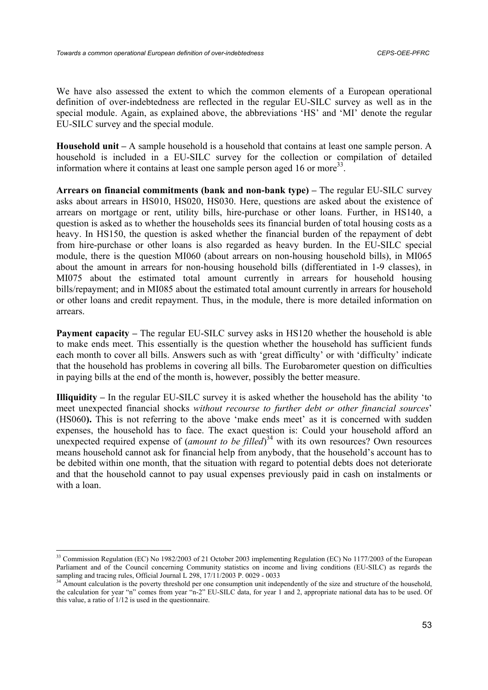We have also assessed the extent to which the common elements of a European operational definition of over-indebtedness are reflected in the regular EU-SILC survey as well as in the special module. Again, as explained above, the abbreviations 'HS' and 'MI' denote the regular EU-SILC survey and the special module.

**Household unit –** A sample household is a household that contains at least one sample person. A household is included in a EU-SILC survey for the collection or compilation of detailed information where it contains at least one sample person aged 16 or more<sup>33</sup>.

**Arrears on financial commitments (bank and non-bank type) –** The regular EU-SILC survey asks about arrears in HS010, HS020, HS030. Here, questions are asked about the existence of arrears on mortgage or rent, utility bills, hire-purchase or other loans. Further, in HS140, a question is asked as to whether the households sees its financial burden of total housing costs as a heavy. In HS150, the question is asked whether the financial burden of the repayment of debt from hire-purchase or other loans is also regarded as heavy burden. In the EU-SILC special module, there is the question MI060 (about arrears on non-housing household bills), in MI065 about the amount in arrears for non-housing household bills (differentiated in 1-9 classes), in MI075 about the estimated total amount currently in arrears for household housing bills/repayment; and in MI085 about the estimated total amount currently in arrears for household or other loans and credit repayment. Thus, in the module, there is more detailed information on arrears.

**Payment capacity – The regular EU-SILC survey asks in HS120 whether the household is able** to make ends meet. This essentially is the question whether the household has sufficient funds each month to cover all bills. Answers such as with 'great difficulty' or with 'difficulty' indicate that the household has problems in covering all bills. The Eurobarometer question on difficulties in paying bills at the end of the month is, however, possibly the better measure.

**Illiquidity –** In the regular EU-SILC survey it is asked whether the household has the ability 'to meet unexpected financial shocks *without recourse to further debt or other financial sources*' (HS060**).** This is not referring to the above 'make ends meet' as it is concerned with sudden expenses, the household has to face. The exact question is: Could your household afford an unexpected required expense of *(amount to be filled*)<sup>34</sup> with its own resources? Own resources means household cannot ask for financial help from anybody, that the household's account has to be debited within one month, that the situation with regard to potential debts does not deteriorate and that the household cannot to pay usual expenses previously paid in cash on instalments or with a loan.

 $\overline{\phantom{a}}$ 

<sup>&</sup>lt;sup>33</sup> Commission Regulation (EC) No 1982/2003 of 21 October 2003 implementing Regulation (EC) No 1177/2003 of the European Parliament and of the Council concerning Community statistics on income and living conditions (EU-SILC) as regards the sampling and tracing rules, Official Journal L 298, 17/11/2003 P. 0029 - 0033<br><sup>34</sup> Amount calculation is the poverty threshold per one consumption unit independently of the size and structure of the household,

the calculation for year "n" comes from year "n-2" EU-SILC data, for year 1 and 2, appropriate national data has to be used. Of this value, a ratio of 1/12 is used in the questionnaire.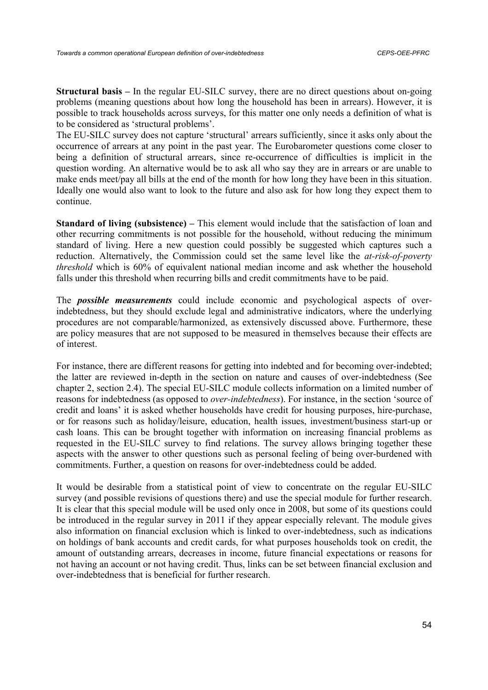**Structural basis –** In the regular EU-SILC survey, there are no direct questions about on-going problems (meaning questions about how long the household has been in arrears). However, it is possible to track households across surveys, for this matter one only needs a definition of what is to be considered as 'structural problems'.

The EU-SILC survey does not capture 'structural' arrears sufficiently, since it asks only about the occurrence of arrears at any point in the past year. The Eurobarometer questions come closer to being a definition of structural arrears, since re-occurrence of difficulties is implicit in the question wording. An alternative would be to ask all who say they are in arrears or are unable to make ends meet/pay all bills at the end of the month for how long they have been in this situation. Ideally one would also want to look to the future and also ask for how long they expect them to continue.

**Standard of living (subsistence) – This element would include that the satisfaction of loan and** other recurring commitments is not possible for the household, without reducing the minimum standard of living. Here a new question could possibly be suggested which captures such a reduction. Alternatively, the Commission could set the same level like the *at-risk-of-poverty threshold* which is 60% of equivalent national median income and ask whether the household falls under this threshold when recurring bills and credit commitments have to be paid.

The *possible measurements* could include economic and psychological aspects of overindebtedness, but they should exclude legal and administrative indicators, where the underlying procedures are not comparable/harmonized, as extensively discussed above. Furthermore, these are policy measures that are not supposed to be measured in themselves because their effects are of interest.

For instance, there are different reasons for getting into indebted and for becoming over-indebted; the latter are reviewed in-depth in the section on nature and causes of over-indebtedness (See chapter 2, section 2.4). The special EU-SILC module collects information on a limited number of reasons for indebtedness (as opposed to *over-indebtedness*). For instance, in the section 'source of credit and loans' it is asked whether households have credit for housing purposes, hire-purchase, or for reasons such as holiday/leisure, education, health issues, investment/business start-up or cash loans. This can be brought together with information on increasing financial problems as requested in the EU-SILC survey to find relations. The survey allows bringing together these aspects with the answer to other questions such as personal feeling of being over-burdened with commitments. Further, a question on reasons for over-indebtedness could be added.

It would be desirable from a statistical point of view to concentrate on the regular EU-SILC survey (and possible revisions of questions there) and use the special module for further research. It is clear that this special module will be used only once in 2008, but some of its questions could be introduced in the regular survey in 2011 if they appear especially relevant. The module gives also information on financial exclusion which is linked to over-indebtedness, such as indications on holdings of bank accounts and credit cards, for what purposes households took on credit, the amount of outstanding arrears, decreases in income, future financial expectations or reasons for not having an account or not having credit. Thus, links can be set between financial exclusion and over-indebtedness that is beneficial for further research.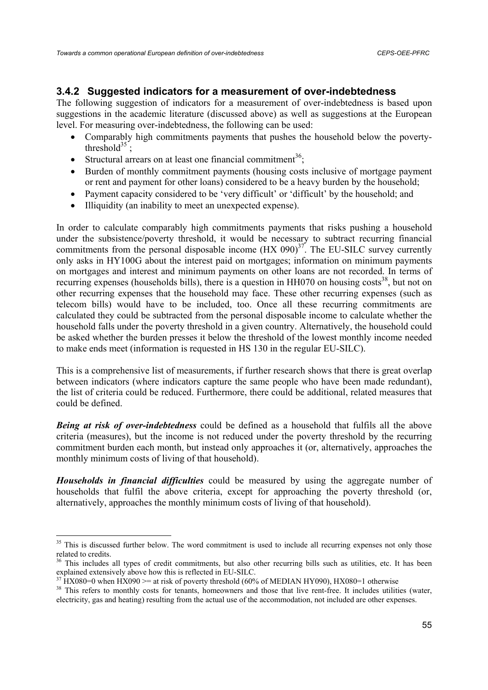## **3.4.2 Suggested indicators for a measurement of over-indebtedness**

The following suggestion of indicators for a measurement of over-indebtedness is based upon suggestions in the academic literature (discussed above) as well as suggestions at the European level. For measuring over-indebtedness, the following can be used:

- Comparably high commitments payments that pushes the household below the povertythreshold<sup>35</sup>;
- Structural arrears on at least one financial commitment<sup>36</sup>;
- Burden of monthly commitment payments (housing costs inclusive of mortgage payment or rent and payment for other loans) considered to be a heavy burden by the household;
- Payment capacity considered to be 'very difficult' or 'difficult' by the household; and
- Illiquidity (an inability to meet an unexpected expense).

In order to calculate comparably high commitments payments that risks pushing a household under the subsistence/poverty threshold, it would be necessary to subtract recurring financial commitments from the personal disposable income  $(HX 090)^{37}$ . The EU-SILC survey currently only asks in HY100G about the interest paid on mortgages; information on minimum payments on mortgages and interest and minimum payments on other loans are not recorded. In terms of recurring expenses (households bills), there is a question in  $HH070$  on housing costs<sup>38</sup>, but not on other recurring expenses that the household may face. These other recurring expenses (such as telecom bills) would have to be included, too. Once all these recurring commitments are calculated they could be subtracted from the personal disposable income to calculate whether the household falls under the poverty threshold in a given country. Alternatively, the household could be asked whether the burden presses it below the threshold of the lowest monthly income needed to make ends meet (information is requested in HS 130 in the regular EU-SILC).

This is a comprehensive list of measurements, if further research shows that there is great overlap between indicators (where indicators capture the same people who have been made redundant), the list of criteria could be reduced. Furthermore, there could be additional, related measures that could be defined.

*Being at risk of over-indebtedness* could be defined as a household that fulfils all the above criteria (measures), but the income is not reduced under the poverty threshold by the recurring commitment burden each month, but instead only approaches it (or, alternatively, approaches the monthly minimum costs of living of that household).

*Households in financial difficulties* could be measured by using the aggregate number of households that fulfil the above criteria, except for approaching the poverty threshold (or, alternatively, approaches the monthly minimum costs of living of that household).

<sup>&</sup>lt;sup>35</sup> This is discussed further below. The word commitment is used to include all recurring expenses not only those related to credits.

 $36$  This includes all types of credit commitments, but also other recurring bills such as utilities, etc. It has been explained extensively above how this is reflected in EU-SILC.

<sup>&</sup>lt;sup>7</sup> HX080=0 when HX090 >= at risk of poverty threshold (60% of MEDIAN HY090), HX080=1 otherwise

<sup>&</sup>lt;sup>38</sup> This refers to monthly costs for tenants, homeowners and those that live rent-free. It includes utilities (water, electricity, gas and heating) resulting from the actual use of the accommodation, not included are other expenses.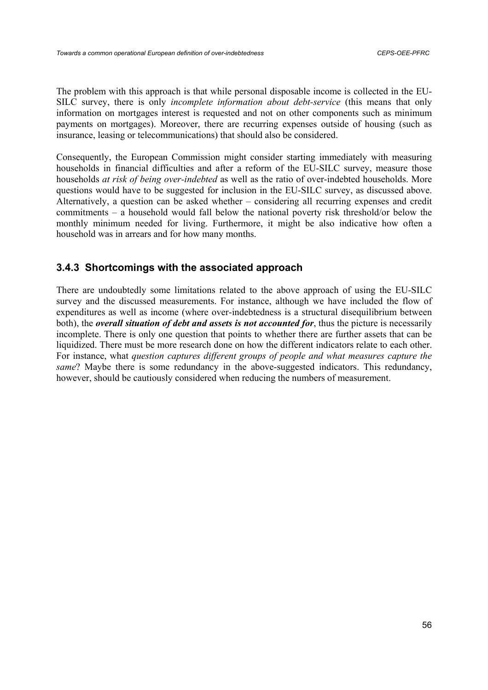The problem with this approach is that while personal disposable income is collected in the EU-SILC survey, there is only *incomplete information about debt-service* (this means that only information on mortgages interest is requested and not on other components such as minimum payments on mortgages). Moreover, there are recurring expenses outside of housing (such as insurance, leasing or telecommunications) that should also be considered.

Consequently, the European Commission might consider starting immediately with measuring households in financial difficulties and after a reform of the EU-SILC survey, measure those households *at risk of being over-indebted* as well as the ratio of over-indebted households. More questions would have to be suggested for inclusion in the EU-SILC survey, as discussed above. Alternatively, a question can be asked whether – considering all recurring expenses and credit commitments – a household would fall below the national poverty risk threshold/or below the monthly minimum needed for living. Furthermore, it might be also indicative how often a household was in arrears and for how many months.

# **3.4.3 Shortcomings with the associated approach**

There are undoubtedly some limitations related to the above approach of using the EU-SILC survey and the discussed measurements. For instance, although we have included the flow of expenditures as well as income (where over-indebtedness is a structural disequilibrium between both), the *overall situation of debt and assets is not accounted for*, thus the picture is necessarily incomplete. There is only one question that points to whether there are further assets that can be liquidized. There must be more research done on how the different indicators relate to each other. For instance, what *question captures different groups of people and what measures capture the same*? Maybe there is some redundancy in the above-suggested indicators. This redundancy, however, should be cautiously considered when reducing the numbers of measurement.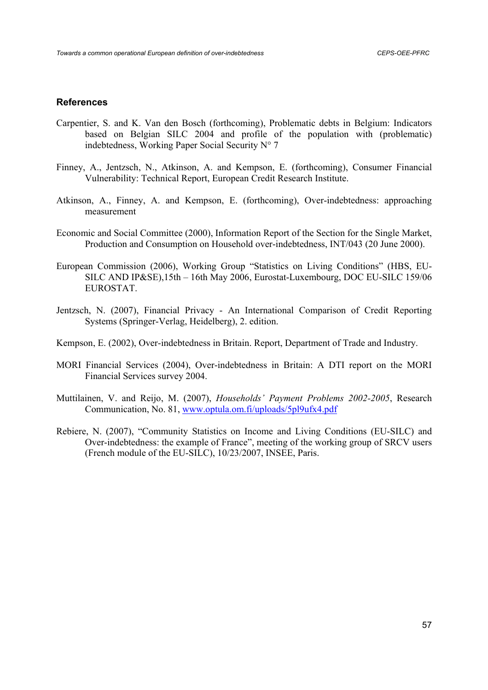### **References**

- Carpentier, S. and K. Van den Bosch (forthcoming), Problematic debts in Belgium: Indicators based on Belgian SILC 2004 and profile of the population with (problematic) indebtedness, Working Paper Social Security N° 7
- Finney, A., Jentzsch, N., Atkinson, A. and Kempson, E. (forthcoming), Consumer Financial Vulnerability: Technical Report, European Credit Research Institute.
- Atkinson, A., Finney, A. and Kempson, E. (forthcoming), Over-indebtedness: approaching measurement
- Economic and Social Committee (2000), Information Report of the Section for the Single Market, Production and Consumption on Household over-indebtedness, INT/043 (20 June 2000).
- European Commission (2006), Working Group "Statistics on Living Conditions" (HBS, EU-SILC AND IP&SE),15th – 16th May 2006, Eurostat-Luxembourg, DOC EU-SILC 159/06 EUROSTAT.
- Jentzsch, N. (2007), Financial Privacy An International Comparison of Credit Reporting Systems (Springer-Verlag, Heidelberg), 2. edition.
- Kempson, E. (2002), Over-indebtedness in Britain. Report, Department of Trade and Industry.
- MORI Financial Services (2004), Over-indebtedness in Britain: A DTI report on the MORI Financial Services survey 2004.
- Muttilainen, V. and Reijo, M. (2007), *Households' Payment Problems 2002-2005*, Research Communication, No. 81, www.optula.om.fi/uploads/5pl9ufx4.pdf
- Rebiere, N. (2007), "Community Statistics on Income and Living Conditions (EU-SILC) and Over-indebtedness: the example of France", meeting of the working group of SRCV users (French module of the EU-SILC), 10/23/2007, INSEE, Paris.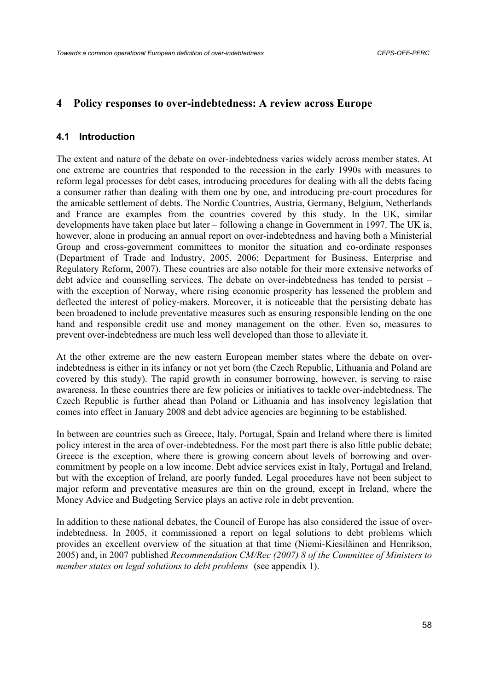## **4 Policy responses to over-indebtedness: A review across Europe**

### **4.1 Introduction**

The extent and nature of the debate on over-indebtedness varies widely across member states. At one extreme are countries that responded to the recession in the early 1990s with measures to reform legal processes for debt cases, introducing procedures for dealing with all the debts facing a consumer rather than dealing with them one by one, and introducing pre-court procedures for the amicable settlement of debts. The Nordic Countries, Austria, Germany, Belgium, Netherlands and France are examples from the countries covered by this study. In the UK, similar developments have taken place but later – following a change in Government in 1997. The UK is, however, alone in producing an annual report on over-indebtedness and having both a Ministerial Group and cross-government committees to monitor the situation and co-ordinate responses (Department of Trade and Industry, 2005, 2006; Department for Business, Enterprise and Regulatory Reform, 2007). These countries are also notable for their more extensive networks of debt advice and counselling services. The debate on over-indebtedness has tended to persist – with the exception of Norway, where rising economic prosperity has lessened the problem and deflected the interest of policy-makers. Moreover, it is noticeable that the persisting debate has been broadened to include preventative measures such as ensuring responsible lending on the one hand and responsible credit use and money management on the other. Even so, measures to prevent over-indebtedness are much less well developed than those to alleviate it.

At the other extreme are the new eastern European member states where the debate on overindebtedness is either in its infancy or not yet born (the Czech Republic, Lithuania and Poland are covered by this study). The rapid growth in consumer borrowing, however, is serving to raise awareness. In these countries there are few policies or initiatives to tackle over-indebtedness. The Czech Republic is further ahead than Poland or Lithuania and has insolvency legislation that comes into effect in January 2008 and debt advice agencies are beginning to be established.

In between are countries such as Greece, Italy, Portugal, Spain and Ireland where there is limited policy interest in the area of over-indebtedness. For the most part there is also little public debate; Greece is the exception, where there is growing concern about levels of borrowing and overcommitment by people on a low income. Debt advice services exist in Italy, Portugal and Ireland, but with the exception of Ireland, are poorly funded. Legal procedures have not been subject to major reform and preventative measures are thin on the ground, except in Ireland, where the Money Advice and Budgeting Service plays an active role in debt prevention.

In addition to these national debates, the Council of Europe has also considered the issue of overindebtedness. In 2005, it commissioned a report on legal solutions to debt problems which provides an excellent overview of the situation at that time (Niemi-Kiesiläinen and Henrikson, 2005) and, in 2007 published *Recommendation CM/Rec (2007) 8 of the Committee of Ministers to member states on legal solutions to debt problems* (see appendix 1).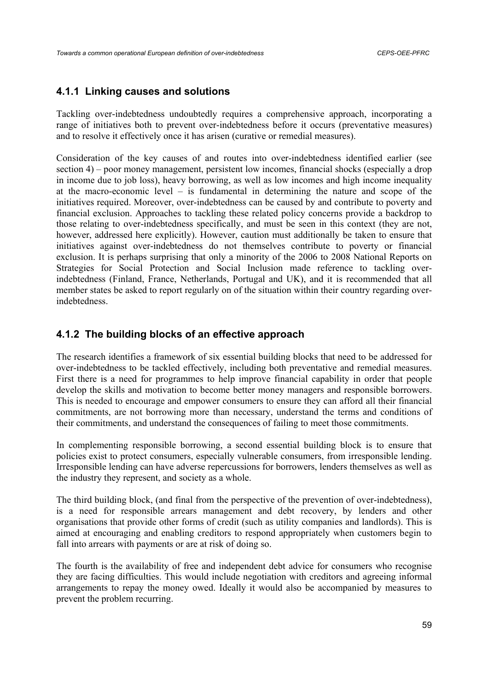# **4.1.1 Linking causes and solutions**

Tackling over-indebtedness undoubtedly requires a comprehensive approach, incorporating a range of initiatives both to prevent over-indebtedness before it occurs (preventative measures) and to resolve it effectively once it has arisen (curative or remedial measures).

Consideration of the key causes of and routes into over-indebtedness identified earlier (see section 4) – poor money management, persistent low incomes, financial shocks (especially a drop in income due to job loss), heavy borrowing, as well as low incomes and high income inequality at the macro-economic level – is fundamental in determining the nature and scope of the initiatives required. Moreover, over-indebtedness can be caused by and contribute to poverty and financial exclusion. Approaches to tackling these related policy concerns provide a backdrop to those relating to over-indebtedness specifically, and must be seen in this context (they are not, however, addressed here explicitly). However, caution must additionally be taken to ensure that initiatives against over-indebtedness do not themselves contribute to poverty or financial exclusion. It is perhaps surprising that only a minority of the 2006 to 2008 National Reports on Strategies for Social Protection and Social Inclusion made reference to tackling overindebtedness (Finland, France, Netherlands, Portugal and UK), and it is recommended that all member states be asked to report regularly on of the situation within their country regarding overindebtedness.

# **4.1.2 The building blocks of an effective approach**

The research identifies a framework of six essential building blocks that need to be addressed for over-indebtedness to be tackled effectively, including both preventative and remedial measures. First there is a need for programmes to help improve financial capability in order that people develop the skills and motivation to become better money managers and responsible borrowers. This is needed to encourage and empower consumers to ensure they can afford all their financial commitments, are not borrowing more than necessary, understand the terms and conditions of their commitments, and understand the consequences of failing to meet those commitments.

In complementing responsible borrowing, a second essential building block is to ensure that policies exist to protect consumers, especially vulnerable consumers, from irresponsible lending. Irresponsible lending can have adverse repercussions for borrowers, lenders themselves as well as the industry they represent, and society as a whole.

The third building block, (and final from the perspective of the prevention of over-indebtedness), is a need for responsible arrears management and debt recovery, by lenders and other organisations that provide other forms of credit (such as utility companies and landlords). This is aimed at encouraging and enabling creditors to respond appropriately when customers begin to fall into arrears with payments or are at risk of doing so.

The fourth is the availability of free and independent debt advice for consumers who recognise they are facing difficulties. This would include negotiation with creditors and agreeing informal arrangements to repay the money owed. Ideally it would also be accompanied by measures to prevent the problem recurring.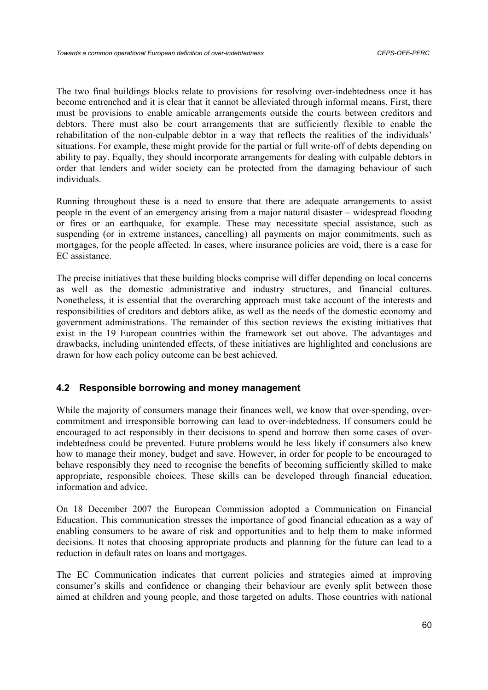The two final buildings blocks relate to provisions for resolving over-indebtedness once it has become entrenched and it is clear that it cannot be alleviated through informal means. First, there must be provisions to enable amicable arrangements outside the courts between creditors and debtors. There must also be court arrangements that are sufficiently flexible to enable the rehabilitation of the non-culpable debtor in a way that reflects the realities of the individuals' situations. For example, these might provide for the partial or full write-off of debts depending on ability to pay. Equally, they should incorporate arrangements for dealing with culpable debtors in order that lenders and wider society can be protected from the damaging behaviour of such individuals.

Running throughout these is a need to ensure that there are adequate arrangements to assist people in the event of an emergency arising from a major natural disaster – widespread flooding or fires or an earthquake, for example. These may necessitate special assistance, such as suspending (or in extreme instances, cancelling) all payments on major commitments, such as mortgages, for the people affected. In cases, where insurance policies are void, there is a case for EC assistance.

The precise initiatives that these building blocks comprise will differ depending on local concerns as well as the domestic administrative and industry structures, and financial cultures. Nonetheless, it is essential that the overarching approach must take account of the interests and responsibilities of creditors and debtors alike, as well as the needs of the domestic economy and government administrations. The remainder of this section reviews the existing initiatives that exist in the 19 European countries within the framework set out above. The advantages and drawbacks, including unintended effects, of these initiatives are highlighted and conclusions are drawn for how each policy outcome can be best achieved.

## **4.2 Responsible borrowing and money management**

While the majority of consumers manage their finances well, we know that over-spending, overcommitment and irresponsible borrowing can lead to over-indebtedness. If consumers could be encouraged to act responsibly in their decisions to spend and borrow then some cases of overindebtedness could be prevented. Future problems would be less likely if consumers also knew how to manage their money, budget and save. However, in order for people to be encouraged to behave responsibly they need to recognise the benefits of becoming sufficiently skilled to make appropriate, responsible choices. These skills can be developed through financial education, information and advice.

On 18 December 2007 the European Commission adopted a Communication on Financial Education. This communication stresses the importance of good financial education as a way of enabling consumers to be aware of risk and opportunities and to help them to make informed decisions. It notes that choosing appropriate products and planning for the future can lead to a reduction in default rates on loans and mortgages.

The EC Communication indicates that current policies and strategies aimed at improving consumer's skills and confidence or changing their behaviour are evenly split between those aimed at children and young people, and those targeted on adults. Those countries with national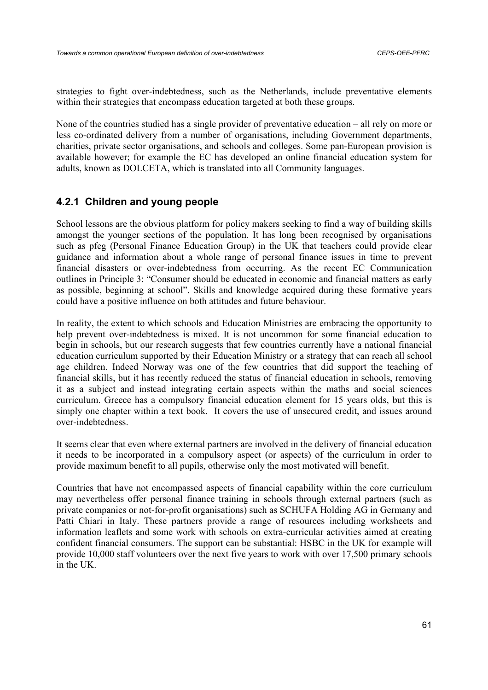strategies to fight over-indebtedness, such as the Netherlands, include preventative elements within their strategies that encompass education targeted at both these groups.

None of the countries studied has a single provider of preventative education – all rely on more or less co-ordinated delivery from a number of organisations, including Government departments, charities, private sector organisations, and schools and colleges. Some pan-European provision is available however; for example the EC has developed an online financial education system for adults, known as DOLCETA, which is translated into all Community languages.

# **4.2.1 Children and young people**

School lessons are the obvious platform for policy makers seeking to find a way of building skills amongst the younger sections of the population. It has long been recognised by organisations such as pfeg (Personal Finance Education Group) in the UK that teachers could provide clear guidance and information about a whole range of personal finance issues in time to prevent financial disasters or over-indebtedness from occurring. As the recent EC Communication outlines in Principle 3: "Consumer should be educated in economic and financial matters as early as possible, beginning at school". Skills and knowledge acquired during these formative years could have a positive influence on both attitudes and future behaviour.

In reality, the extent to which schools and Education Ministries are embracing the opportunity to help prevent over-indebtedness is mixed. It is not uncommon for some financial education to begin in schools, but our research suggests that few countries currently have a national financial education curriculum supported by their Education Ministry or a strategy that can reach all school age children. Indeed Norway was one of the few countries that did support the teaching of financial skills, but it has recently reduced the status of financial education in schools, removing it as a subject and instead integrating certain aspects within the maths and social sciences curriculum. Greece has a compulsory financial education element for 15 years olds, but this is simply one chapter within a text book. It covers the use of unsecured credit, and issues around over-indebtedness.

It seems clear that even where external partners are involved in the delivery of financial education it needs to be incorporated in a compulsory aspect (or aspects) of the curriculum in order to provide maximum benefit to all pupils, otherwise only the most motivated will benefit.

Countries that have not encompassed aspects of financial capability within the core curriculum may nevertheless offer personal finance training in schools through external partners (such as private companies or not-for-profit organisations) such as SCHUFA Holding AG in Germany and Patti Chiari in Italy. These partners provide a range of resources including worksheets and information leaflets and some work with schools on extra-curricular activities aimed at creating confident financial consumers. The support can be substantial: HSBC in the UK for example will provide 10,000 staff volunteers over the next five years to work with over 17,500 primary schools in the UK.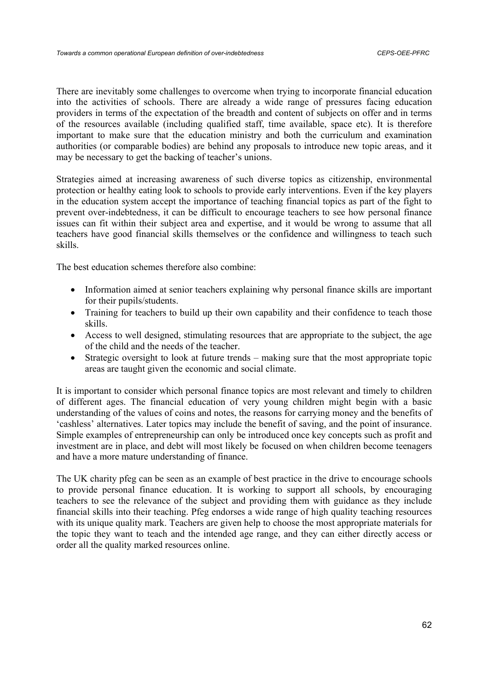There are inevitably some challenges to overcome when trying to incorporate financial education into the activities of schools. There are already a wide range of pressures facing education providers in terms of the expectation of the breadth and content of subjects on offer and in terms of the resources available (including qualified staff, time available, space etc). It is therefore important to make sure that the education ministry and both the curriculum and examination authorities (or comparable bodies) are behind any proposals to introduce new topic areas, and it may be necessary to get the backing of teacher's unions.

Strategies aimed at increasing awareness of such diverse topics as citizenship, environmental protection or healthy eating look to schools to provide early interventions. Even if the key players in the education system accept the importance of teaching financial topics as part of the fight to prevent over-indebtedness, it can be difficult to encourage teachers to see how personal finance issues can fit within their subject area and expertise, and it would be wrong to assume that all teachers have good financial skills themselves or the confidence and willingness to teach such skills.

The best education schemes therefore also combine:

- Information aimed at senior teachers explaining why personal finance skills are important for their pupils/students.
- Training for teachers to build up their own capability and their confidence to teach those skills.
- Access to well designed, stimulating resources that are appropriate to the subject, the age of the child and the needs of the teacher.
- Strategic oversight to look at future trends making sure that the most appropriate topic areas are taught given the economic and social climate.

It is important to consider which personal finance topics are most relevant and timely to children of different ages. The financial education of very young children might begin with a basic understanding of the values of coins and notes, the reasons for carrying money and the benefits of 'cashless' alternatives. Later topics may include the benefit of saving, and the point of insurance. Simple examples of entrepreneurship can only be introduced once key concepts such as profit and investment are in place, and debt will most likely be focused on when children become teenagers and have a more mature understanding of finance.

The UK charity pfeg can be seen as an example of best practice in the drive to encourage schools to provide personal finance education. It is working to support all schools, by encouraging teachers to see the relevance of the subject and providing them with guidance as they include financial skills into their teaching. Pfeg endorses a wide range of high quality teaching resources with its unique quality mark. Teachers are given help to choose the most appropriate materials for the topic they want to teach and the intended age range, and they can either directly access or order all the quality marked resources online.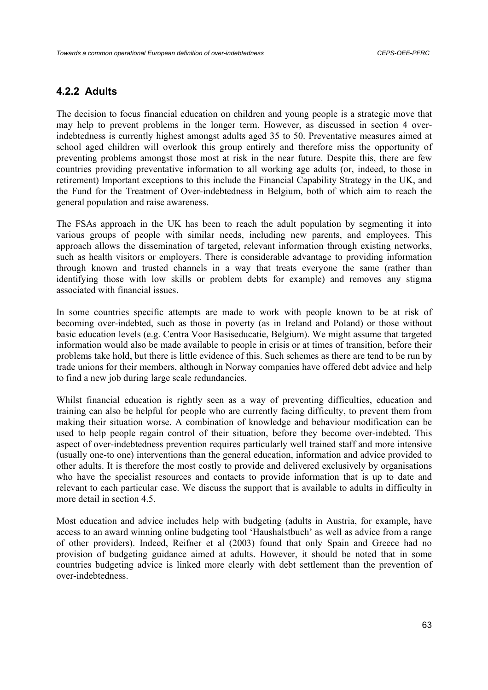## **4.2.2 Adults**

The decision to focus financial education on children and young people is a strategic move that may help to prevent problems in the longer term. However, as discussed in section 4 overindebtedness is currently highest amongst adults aged 35 to 50. Preventative measures aimed at school aged children will overlook this group entirely and therefore miss the opportunity of preventing problems amongst those most at risk in the near future. Despite this, there are few countries providing preventative information to all working age adults (or, indeed, to those in retirement) Important exceptions to this include the Financial Capability Strategy in the UK, and the Fund for the Treatment of Over-indebtedness in Belgium, both of which aim to reach the general population and raise awareness.

The FSAs approach in the UK has been to reach the adult population by segmenting it into various groups of people with similar needs, including new parents, and employees. This approach allows the dissemination of targeted, relevant information through existing networks, such as health visitors or employers. There is considerable advantage to providing information through known and trusted channels in a way that treats everyone the same (rather than identifying those with low skills or problem debts for example) and removes any stigma associated with financial issues.

In some countries specific attempts are made to work with people known to be at risk of becoming over-indebted, such as those in poverty (as in Ireland and Poland) or those without basic education levels (e.g. Centra Voor Basiseducatie, Belgium). We might assume that targeted information would also be made available to people in crisis or at times of transition, before their problems take hold, but there is little evidence of this. Such schemes as there are tend to be run by trade unions for their members, although in Norway companies have offered debt advice and help to find a new job during large scale redundancies.

Whilst financial education is rightly seen as a way of preventing difficulties, education and training can also be helpful for people who are currently facing difficulty, to prevent them from making their situation worse. A combination of knowledge and behaviour modification can be used to help people regain control of their situation, before they become over-indebted. This aspect of over-indebtedness prevention requires particularly well trained staff and more intensive (usually one-to one) interventions than the general education, information and advice provided to other adults. It is therefore the most costly to provide and delivered exclusively by organisations who have the specialist resources and contacts to provide information that is up to date and relevant to each particular case. We discuss the support that is available to adults in difficulty in more detail in section 4.5.

Most education and advice includes help with budgeting (adults in Austria, for example, have access to an award winning online budgeting tool 'Haushalstbuch' as well as advice from a range of other providers). Indeed, Reifner et al (2003) found that only Spain and Greece had no provision of budgeting guidance aimed at adults. However, it should be noted that in some countries budgeting advice is linked more clearly with debt settlement than the prevention of over-indebtedness.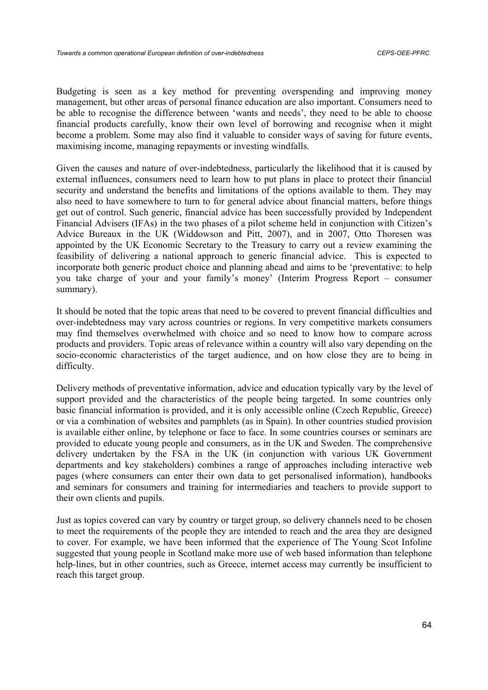Budgeting is seen as a key method for preventing overspending and improving money management, but other areas of personal finance education are also important. Consumers need to be able to recognise the difference between 'wants and needs', they need to be able to choose financial products carefully, know their own level of borrowing and recognise when it might become a problem. Some may also find it valuable to consider ways of saving for future events, maximising income, managing repayments or investing windfalls.

Given the causes and nature of over-indebtedness, particularly the likelihood that it is caused by external influences, consumers need to learn how to put plans in place to protect their financial security and understand the benefits and limitations of the options available to them. They may also need to have somewhere to turn to for general advice about financial matters, before things get out of control. Such generic, financial advice has been successfully provided by Independent Financial Advisers (IFAs) in the two phases of a pilot scheme held in conjunction with Citizen's Advice Bureaux in the UK (Widdowson and Pitt, 2007), and in 2007, Otto Thoresen was appointed by the UK Economic Secretary to the Treasury to carry out a review examining the feasibility of delivering a national approach to generic financial advice. This is expected to incorporate both generic product choice and planning ahead and aims to be 'preventative: to help you take charge of your and your family's money' (Interim Progress Report – consumer summary).

It should be noted that the topic areas that need to be covered to prevent financial difficulties and over-indebtedness may vary across countries or regions. In very competitive markets consumers may find themselves overwhelmed with choice and so need to know how to compare across products and providers. Topic areas of relevance within a country will also vary depending on the socio-economic characteristics of the target audience, and on how close they are to being in difficulty.

Delivery methods of preventative information, advice and education typically vary by the level of support provided and the characteristics of the people being targeted. In some countries only basic financial information is provided, and it is only accessible online (Czech Republic, Greece) or via a combination of websites and pamphlets (as in Spain). In other countries studied provision is available either online, by telephone or face to face. In some countries courses or seminars are provided to educate young people and consumers, as in the UK and Sweden. The comprehensive delivery undertaken by the FSA in the UK (in conjunction with various UK Government departments and key stakeholders) combines a range of approaches including interactive web pages (where consumers can enter their own data to get personalised information), handbooks and seminars for consumers and training for intermediaries and teachers to provide support to their own clients and pupils.

Just as topics covered can vary by country or target group, so delivery channels need to be chosen to meet the requirements of the people they are intended to reach and the area they are designed to cover. For example, we have been informed that the experience of The Young Scot Infoline suggested that young people in Scotland make more use of web based information than telephone help-lines, but in other countries, such as Greece, internet access may currently be insufficient to reach this target group.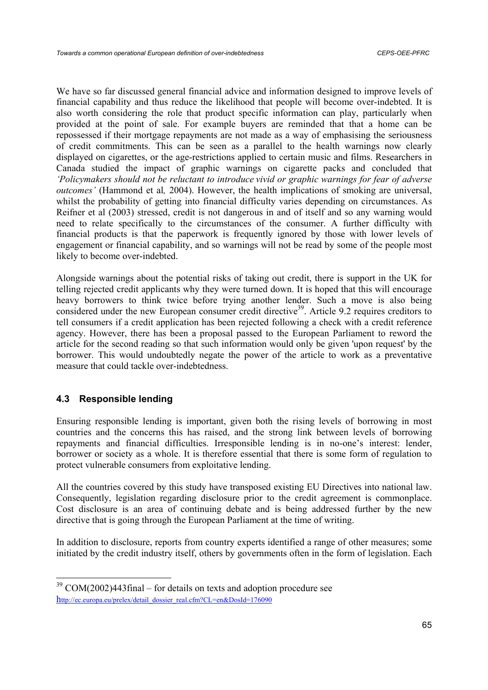We have so far discussed general financial advice and information designed to improve levels of financial capability and thus reduce the likelihood that people will become over-indebted. It is also worth considering the role that product specific information can play, particularly when provided at the point of sale. For example buyers are reminded that that a home can be repossessed if their mortgage repayments are not made as a way of emphasising the seriousness of credit commitments. This can be seen as a parallel to the health warnings now clearly displayed on cigarettes, or the age-restrictions applied to certain music and films. Researchers in Canada studied the impact of graphic warnings on cigarette packs and concluded that *'Policymakers should not be reluctant to introduce vivid or graphic warnings for fear of adverse outcomes'* (Hammond et al*,* 2004). However, the health implications of smoking are universal, whilst the probability of getting into financial difficulty varies depending on circumstances. As Reifner et al (2003) stressed, credit is not dangerous in and of itself and so any warning would need to relate specifically to the circumstances of the consumer. A further difficulty with financial products is that the paperwork is frequently ignored by those with lower levels of engagement or financial capability, and so warnings will not be read by some of the people most likely to become over-indebted.

Alongside warnings about the potential risks of taking out credit, there is support in the UK for telling rejected credit applicants why they were turned down. It is hoped that this will encourage heavy borrowers to think twice before trying another lender. Such a move is also being considered under the new European consumer credit directive<sup>39</sup>. Article 9.2 requires creditors to tell consumers if a credit application has been rejected following a check with a credit reference agency. However, there has been a proposal passed to the European Parliament to reword the article for the second reading so that such information would only be given 'upon request' by the borrower. This would undoubtedly negate the power of the article to work as a preventative measure that could tackle over-indebtedness.

## **4.3 Responsible lending**

Ensuring responsible lending is important, given both the rising levels of borrowing in most countries and the concerns this has raised, and the strong link between levels of borrowing repayments and financial difficulties. Irresponsible lending is in no-one's interest: lender, borrower or society as a whole. It is therefore essential that there is some form of regulation to protect vulnerable consumers from exploitative lending.

All the countries covered by this study have transposed existing EU Directives into national law. Consequently, legislation regarding disclosure prior to the credit agreement is commonplace. Cost disclosure is an area of continuing debate and is being addressed further by the new directive that is going through the European Parliament at the time of writing.

In addition to disclosure, reports from country experts identified a range of other measures; some initiated by the credit industry itself, others by governments often in the form of legislation. Each

 $39$  COM(2002)443final – for details on texts and adoption procedure see http://ec.europa.eu/prelex/detail\_dossier\_real.cfm?CL=en&DosId=176090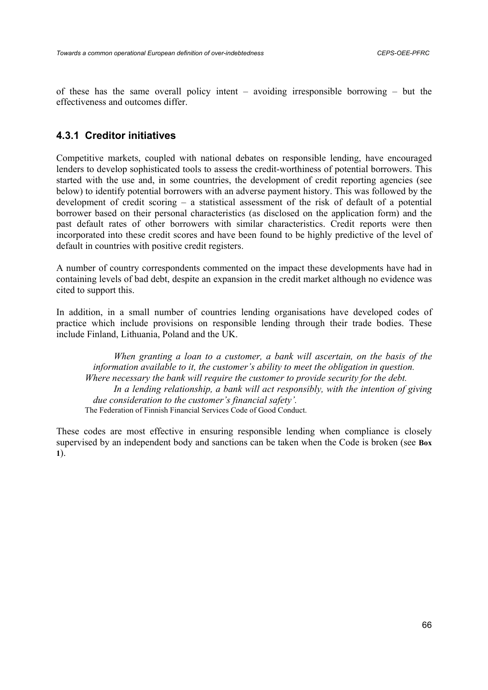of these has the same overall policy intent – avoiding irresponsible borrowing – but the effectiveness and outcomes differ.

# **4.3.1 Creditor initiatives**

Competitive markets, coupled with national debates on responsible lending, have encouraged lenders to develop sophisticated tools to assess the credit-worthiness of potential borrowers. This started with the use and, in some countries, the development of credit reporting agencies (see below) to identify potential borrowers with an adverse payment history. This was followed by the development of credit scoring – a statistical assessment of the risk of default of a potential borrower based on their personal characteristics (as disclosed on the application form) and the past default rates of other borrowers with similar characteristics. Credit reports were then incorporated into these credit scores and have been found to be highly predictive of the level of default in countries with positive credit registers.

A number of country correspondents commented on the impact these developments have had in containing levels of bad debt, despite an expansion in the credit market although no evidence was cited to support this.

In addition, in a small number of countries lending organisations have developed codes of practice which include provisions on responsible lending through their trade bodies. These include Finland, Lithuania, Poland and the UK.

*When granting a loan to a customer, a bank will ascertain, on the basis of the information available to it, the customer's ability to meet the obligation in question. Where necessary the bank will require the customer to provide security for the debt. In a lending relationship, a bank will act responsibly, with the intention of giving due consideration to the customer's financial safety'.* The Federation of Finnish Financial Services Code of Good Conduct.

These codes are most effective in ensuring responsible lending when compliance is closely supervised by an independent body and sanctions can be taken when the Code is broken (see **Box 1**).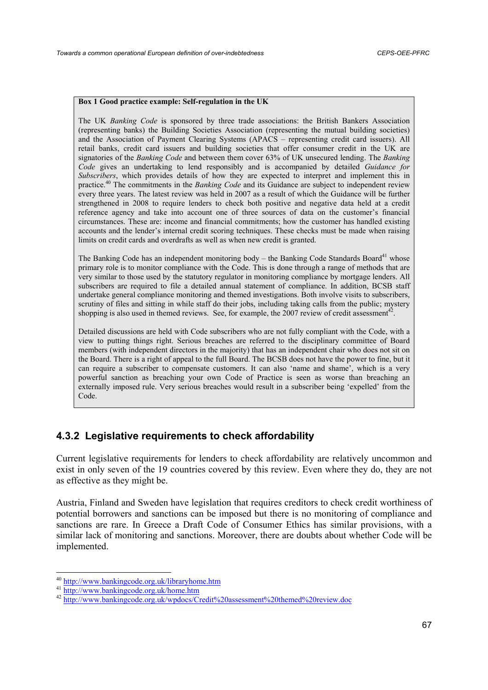#### **Box 1 Good practice example: Self-regulation in the UK**

The UK *Banking Code* is sponsored by three trade associations: the British Bankers Association (representing banks) the Building Societies Association (representing the mutual building societies) and the Association of Payment Clearing Systems (APACS – representing credit card issuers). All retail banks, credit card issuers and building societies that offer consumer credit in the UK are signatories of the *Banking Code* and between them cover 63% of UK unsecured lending. The *Banking Code* gives an undertaking to lend responsibly and is accompanied by detailed *Guidance for Subscribers*, which provides details of how they are expected to interpret and implement this in practice.40 The commitments in the *Banking Code* and its Guidance are subject to independent review every three years. The latest review was held in 2007 as a result of which the Guidance will be further strengthened in 2008 to require lenders to check both positive and negative data held at a credit reference agency and take into account one of three sources of data on the customer's financial circumstances. These are: income and financial commitments; how the customer has handled existing accounts and the lender's internal credit scoring techniques. These checks must be made when raising limits on credit cards and overdrafts as well as when new credit is granted.

The Banking Code has an independent monitoring body – the Banking Code Standards Board<sup>41</sup> whose primary role is to monitor compliance with the Code. This is done through a range of methods that are very similar to those used by the statutory regulator in monitoring compliance by mortgage lenders. All subscribers are required to file a detailed annual statement of compliance. In addition, BCSB staff undertake general compliance monitoring and themed investigations. Both involve visits to subscribers, scrutiny of files and sitting in while staff do their jobs, including taking calls from the public; mystery shopping is also used in themed reviews. See, for example, the 2007 review of credit assessment<sup>42</sup>.

Detailed discussions are held with Code subscribers who are not fully compliant with the Code, with a view to putting things right. Serious breaches are referred to the disciplinary committee of Board members (with independent directors in the majority) that has an independent chair who does not sit on the Board. There is a right of appeal to the full Board. The BCSB does not have the power to fine, but it can require a subscriber to compensate customers. It can also 'name and shame', which is a very powerful sanction as breaching your own Code of Practice is seen as worse than breaching an externally imposed rule. Very serious breaches would result in a subscriber being 'expelled' from the Code.

# **4.3.2 Legislative requirements to check affordability**

Current legislative requirements for lenders to check affordability are relatively uncommon and exist in only seven of the 19 countries covered by this review. Even where they do, they are not as effective as they might be.

Austria, Finland and Sweden have legislation that requires creditors to check credit worthiness of potential borrowers and sanctions can be imposed but there is no monitoring of compliance and sanctions are rare. In Greece a Draft Code of Consumer Ethics has similar provisions, with a similar lack of monitoring and sanctions. Moreover, there are doubts about whether Code will be implemented.

 $^{40}$  http://www.bankingcode.org.uk/libraryhome.htm<br>  $^{41}$  http://www.bankingcode.org.uk/home.htm<br>  $^{42}$  http://www.bankingcode.org.uk/wpdocs/Credit%20assessment%20themed%20review.doc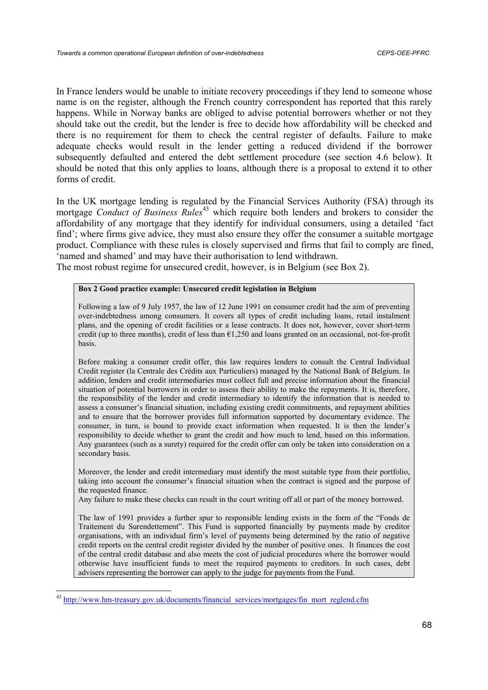In France lenders would be unable to initiate recovery proceedings if they lend to someone whose name is on the register, although the French country correspondent has reported that this rarely happens. While in Norway banks are obliged to advise potential borrowers whether or not they should take out the credit, but the lender is free to decide how affordability will be checked and there is no requirement for them to check the central register of defaults. Failure to make adequate checks would result in the lender getting a reduced dividend if the borrower subsequently defaulted and entered the debt settlement procedure (see section 4.6 below). It should be noted that this only applies to loans, although there is a proposal to extend it to other forms of credit.

In the UK mortgage lending is regulated by the Financial Services Authority (FSA) through its mortgage *Conduct of Business Rules*<sup>43</sup> which require both lenders and brokers to consider the affordability of any mortgage that they identify for individual consumers, using a detailed 'fact find'; where firms give advice, they must also ensure they offer the consumer a suitable mortgage product. Compliance with these rules is closely supervised and firms that fail to comply are fined, 'named and shamed' and may have their authorisation to lend withdrawn.

The most robust regime for unsecured credit, however, is in Belgium (see Box 2).

#### **Box 2 Good practice example: Unsecured credit legislation in Belgium**

Following a law of 9 July 1957, the law of 12 June 1991 on consumer credit had the aim of preventing over-indebtedness among consumers. It covers all types of credit including loans, retail instalment plans, and the opening of credit facilities or a lease contracts. It does not, however, cover short-term credit (up to three months), credit of less than €1,250 and loans granted on an occasional, not-for-profit basis.

Before making a consumer credit offer, this law requires lenders to consult the Central Individual Credit register (la Centrale des Crédits aux Particuliers) managed by the National Bank of Belgium. In addition, lenders and credit intermediaries must collect full and precise information about the financial situation of potential borrowers in order to assess their ability to make the repayments. It is, therefore, the responsibility of the lender and credit intermediary to identify the information that is needed to assess a consumer's financial situation, including existing credit commitments, and repayment abilities and to ensure that the borrower provides full information supported by documentary evidence. The consumer, in turn, is bound to provide exact information when requested. It is then the lender's responsibility to decide whether to grant the credit and how much to lend, based on this information. Any guarantees (such as a surety) required for the credit offer can only be taken into consideration on a secondary basis.

Moreover, the lender and credit intermediary must identify the most suitable type from their portfolio, taking into account the consumer's financial situation when the contract is signed and the purpose of the requested finance.

Any failure to make these checks can result in the court writing off all or part of the money borrowed.

The law of 1991 provides a further spur to responsible lending exists in the form of the "Fonds de Traitement du Surendettement". This Fund is supported financially by payments made by creditor organisations, with an individual firm's level of payments being determined by the ratio of negative credit reports on the central credit register divided by the number of positive ones. It finances the cost of the central credit database and also meets the cost of judicial procedures where the borrower would otherwise have insufficient funds to meet the required payments to creditors. In such cases, debt advisers representing the borrower can apply to the judge for payments from the Fund.

<sup>&</sup>lt;sup>43</sup> http://www.hm-treasury.gov.uk/documents/financial\_services/mortgages/fin\_mort\_reglend.cfm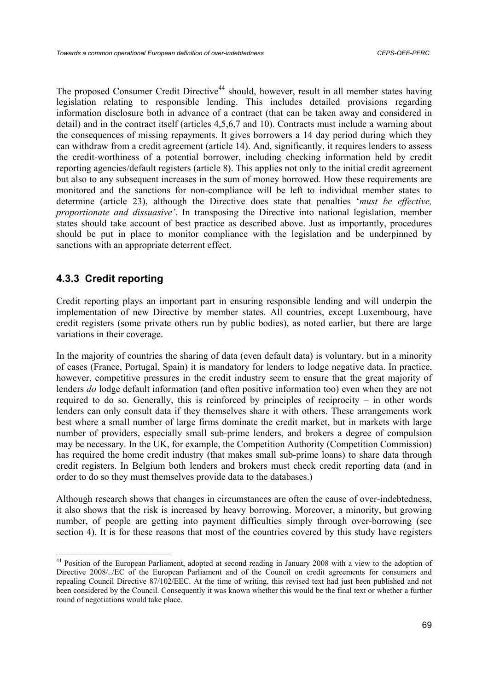The proposed Consumer Credit Directive<sup>44</sup> should, however, result in all member states having legislation relating to responsible lending. This includes detailed provisions regarding information disclosure both in advance of a contract (that can be taken away and considered in detail) and in the contract itself (articles 4,5,6,7 and 10). Contracts must include a warning about the consequences of missing repayments. It gives borrowers a 14 day period during which they can withdraw from a credit agreement (article 14). And, significantly, it requires lenders to assess the credit-worthiness of a potential borrower, including checking information held by credit reporting agencies/default registers (article 8). This applies not only to the initial credit agreement but also to any subsequent increases in the sum of money borrowed. How these requirements are monitored and the sanctions for non-compliance will be left to individual member states to determine (article 23), although the Directive does state that penalties '*must be effective, proportionate and dissuasive'*. In transposing the Directive into national legislation, member states should take account of best practice as described above. Just as importantly, procedures should be put in place to monitor compliance with the legislation and be underpinned by sanctions with an appropriate deterrent effect.

# **4.3.3 Credit reporting**

 $\overline{\phantom{a}}$ 

Credit reporting plays an important part in ensuring responsible lending and will underpin the implementation of new Directive by member states. All countries, except Luxembourg, have credit registers (some private others run by public bodies), as noted earlier, but there are large variations in their coverage.

In the majority of countries the sharing of data (even default data) is voluntary, but in a minority of cases (France, Portugal, Spain) it is mandatory for lenders to lodge negative data. In practice, however, competitive pressures in the credit industry seem to ensure that the great majority of lenders *do* lodge default information (and often positive information too) even when they are not required to do so. Generally, this is reinforced by principles of reciprocity – in other words lenders can only consult data if they themselves share it with others. These arrangements work best where a small number of large firms dominate the credit market, but in markets with large number of providers, especially small sub-prime lenders, and brokers a degree of compulsion may be necessary. In the UK, for example, the Competition Authority (Competition Commission) has required the home credit industry (that makes small sub-prime loans) to share data through credit registers. In Belgium both lenders and brokers must check credit reporting data (and in order to do so they must themselves provide data to the databases.)

Although research shows that changes in circumstances are often the cause of over-indebtedness, it also shows that the risk is increased by heavy borrowing. Moreover, a minority, but growing number, of people are getting into payment difficulties simply through over-borrowing (see section 4). It is for these reasons that most of the countries covered by this study have registers

<sup>&</sup>lt;sup>44</sup> Position of the European Parliament, adopted at second reading in January 2008 with a view to the adoption of Directive 2008/../EC of the European Parliament and of the Council on credit agreements for consumers and repealing Council Directive 87/102/EEC. At the time of writing, this revised text had just been published and not been considered by the Council. Consequently it was known whether this would be the final text or whether a further round of negotiations would take place.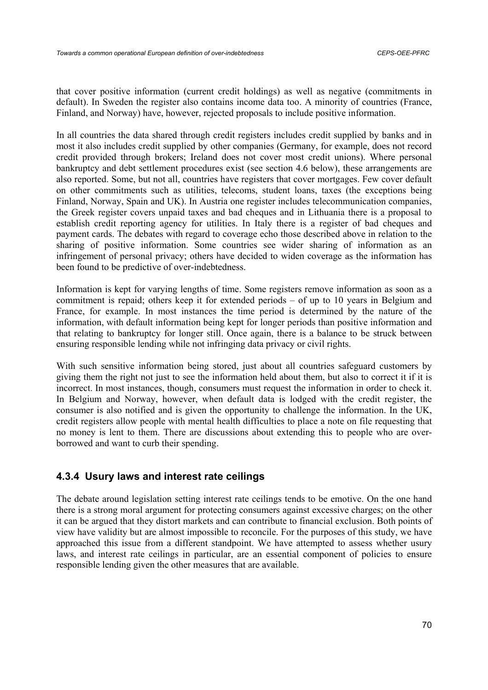that cover positive information (current credit holdings) as well as negative (commitments in default). In Sweden the register also contains income data too. A minority of countries (France, Finland, and Norway) have, however, rejected proposals to include positive information.

In all countries the data shared through credit registers includes credit supplied by banks and in most it also includes credit supplied by other companies (Germany, for example, does not record credit provided through brokers; Ireland does not cover most credit unions). Where personal bankruptcy and debt settlement procedures exist (see section 4.6 below), these arrangements are also reported. Some, but not all, countries have registers that cover mortgages. Few cover default on other commitments such as utilities, telecoms, student loans, taxes (the exceptions being Finland, Norway, Spain and UK). In Austria one register includes telecommunication companies, the Greek register covers unpaid taxes and bad cheques and in Lithuania there is a proposal to establish credit reporting agency for utilities. In Italy there is a register of bad cheques and payment cards. The debates with regard to coverage echo those described above in relation to the sharing of positive information. Some countries see wider sharing of information as an infringement of personal privacy; others have decided to widen coverage as the information has been found to be predictive of over-indebtedness.

Information is kept for varying lengths of time. Some registers remove information as soon as a commitment is repaid; others keep it for extended periods – of up to 10 years in Belgium and France, for example. In most instances the time period is determined by the nature of the information, with default information being kept for longer periods than positive information and that relating to bankruptcy for longer still. Once again, there is a balance to be struck between ensuring responsible lending while not infringing data privacy or civil rights.

With such sensitive information being stored, just about all countries safeguard customers by giving them the right not just to see the information held about them, but also to correct it if it is incorrect. In most instances, though, consumers must request the information in order to check it. In Belgium and Norway, however, when default data is lodged with the credit register, the consumer is also notified and is given the opportunity to challenge the information. In the UK, credit registers allow people with mental health difficulties to place a note on file requesting that no money is lent to them. There are discussions about extending this to people who are overborrowed and want to curb their spending.

# **4.3.4 Usury laws and interest rate ceilings**

The debate around legislation setting interest rate ceilings tends to be emotive. On the one hand there is a strong moral argument for protecting consumers against excessive charges; on the other it can be argued that they distort markets and can contribute to financial exclusion. Both points of view have validity but are almost impossible to reconcile. For the purposes of this study, we have approached this issue from a different standpoint. We have attempted to assess whether usury laws, and interest rate ceilings in particular, are an essential component of policies to ensure responsible lending given the other measures that are available.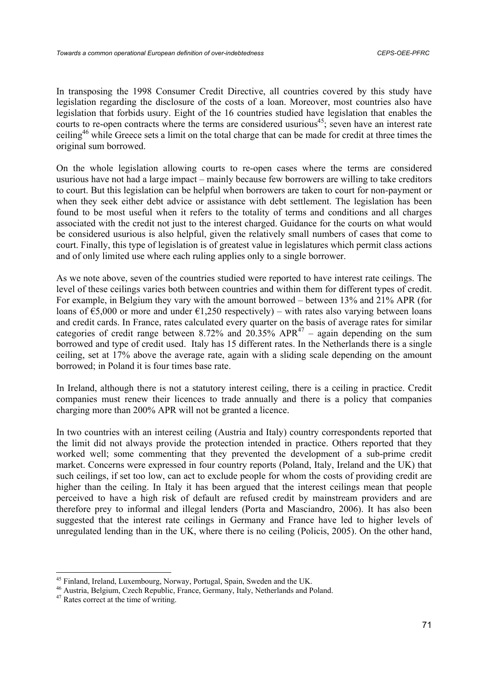In transposing the 1998 Consumer Credit Directive, all countries covered by this study have legislation regarding the disclosure of the costs of a loan. Moreover, most countries also have legislation that forbids usury. Eight of the 16 countries studied have legislation that enables the courts to re-open contracts where the terms are considered usurious<sup>45</sup>; seven have an interest rate ceiling46 while Greece sets a limit on the total charge that can be made for credit at three times the original sum borrowed.

On the whole legislation allowing courts to re-open cases where the terms are considered usurious have not had a large impact – mainly because few borrowers are willing to take creditors to court. But this legislation can be helpful when borrowers are taken to court for non-payment or when they seek either debt advice or assistance with debt settlement. The legislation has been found to be most useful when it refers to the totality of terms and conditions and all charges associated with the credit not just to the interest charged. Guidance for the courts on what would be considered usurious is also helpful, given the relatively small numbers of cases that come to court. Finally, this type of legislation is of greatest value in legislatures which permit class actions and of only limited use where each ruling applies only to a single borrower.

As we note above, seven of the countries studied were reported to have interest rate ceilings. The level of these ceilings varies both between countries and within them for different types of credit. For example, in Belgium they vary with the amount borrowed – between 13% and 21% APR (for loans of  $\epsilon$ 5,000 or more and under  $\epsilon$ 1,250 respectively) – with rates also varying between loans and credit cards. In France, rates calculated every quarter on the basis of average rates for similar categories of credit range between 8.72% and  $20.35\%$  APR<sup>47</sup> – again depending on the sum borrowed and type of credit used. Italy has 15 different rates. In the Netherlands there is a single ceiling, set at 17% above the average rate, again with a sliding scale depending on the amount borrowed; in Poland it is four times base rate.

In Ireland, although there is not a statutory interest ceiling, there is a ceiling in practice. Credit companies must renew their licences to trade annually and there is a policy that companies charging more than 200% APR will not be granted a licence.

In two countries with an interest ceiling (Austria and Italy) country correspondents reported that the limit did not always provide the protection intended in practice. Others reported that they worked well; some commenting that they prevented the development of a sub-prime credit market. Concerns were expressed in four country reports (Poland, Italy, Ireland and the UK) that such ceilings, if set too low, can act to exclude people for whom the costs of providing credit are higher than the ceiling. In Italy it has been argued that the interest ceilings mean that people perceived to have a high risk of default are refused credit by mainstream providers and are therefore prey to informal and illegal lenders (Porta and Masciandro, 2006). It has also been suggested that the interest rate ceilings in Germany and France have led to higher levels of unregulated lending than in the UK, where there is no ceiling (Policis, 2005). On the other hand,

<sup>&</sup>lt;sup>45</sup> Finland, Ireland, Luxembourg, Norway, Portugal, Spain, Sweden and the UK.

<sup>46</sup> Austria, Belgium, Czech Republic, France, Germany, Italy, Netherlands and Poland.

<sup>47</sup> Rates correct at the time of writing.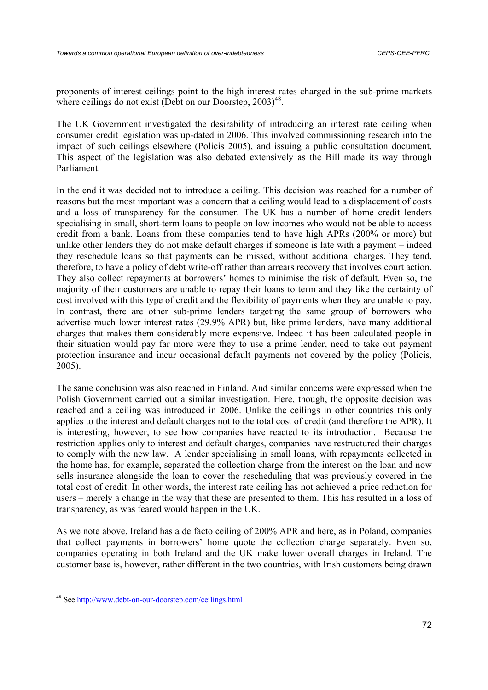proponents of interest ceilings point to the high interest rates charged in the sub-prime markets where ceilings do not exist (Debt on our Doorstep,  $2003<sup>48</sup>$ .

The UK Government investigated the desirability of introducing an interest rate ceiling when consumer credit legislation was up-dated in 2006. This involved commissioning research into the impact of such ceilings elsewhere (Policis 2005), and issuing a public consultation document. This aspect of the legislation was also debated extensively as the Bill made its way through Parliament.

In the end it was decided not to introduce a ceiling. This decision was reached for a number of reasons but the most important was a concern that a ceiling would lead to a displacement of costs and a loss of transparency for the consumer. The UK has a number of home credit lenders specialising in small, short-term loans to people on low incomes who would not be able to access credit from a bank. Loans from these companies tend to have high APRs (200% or more) but unlike other lenders they do not make default charges if someone is late with a payment – indeed they reschedule loans so that payments can be missed, without additional charges. They tend, therefore, to have a policy of debt write-off rather than arrears recovery that involves court action. They also collect repayments at borrowers' homes to minimise the risk of default. Even so, the majority of their customers are unable to repay their loans to term and they like the certainty of cost involved with this type of credit and the flexibility of payments when they are unable to pay. In contrast, there are other sub-prime lenders targeting the same group of borrowers who advertise much lower interest rates (29.9% APR) but, like prime lenders, have many additional charges that makes them considerably more expensive. Indeed it has been calculated people in their situation would pay far more were they to use a prime lender, need to take out payment protection insurance and incur occasional default payments not covered by the policy (Policis, 2005).

The same conclusion was also reached in Finland. And similar concerns were expressed when the Polish Government carried out a similar investigation. Here, though, the opposite decision was reached and a ceiling was introduced in 2006. Unlike the ceilings in other countries this only applies to the interest and default charges not to the total cost of credit (and therefore the APR). It is interesting, however, to see how companies have reacted to its introduction. Because the restriction applies only to interest and default charges, companies have restructured their charges to comply with the new law. A lender specialising in small loans, with repayments collected in the home has, for example, separated the collection charge from the interest on the loan and now sells insurance alongside the loan to cover the rescheduling that was previously covered in the total cost of credit. In other words, the interest rate ceiling has not achieved a price reduction for users – merely a change in the way that these are presented to them. This has resulted in a loss of transparency, as was feared would happen in the UK.

As we note above, Ireland has a de facto ceiling of 200% APR and here, as in Poland, companies that collect payments in borrowers' home quote the collection charge separately. Even so, companies operating in both Ireland and the UK make lower overall charges in Ireland. The customer base is, however, rather different in the two countries, with Irish customers being drawn

<sup>48</sup> See http://www.debt-on-our-doorstep.com/ceilings.html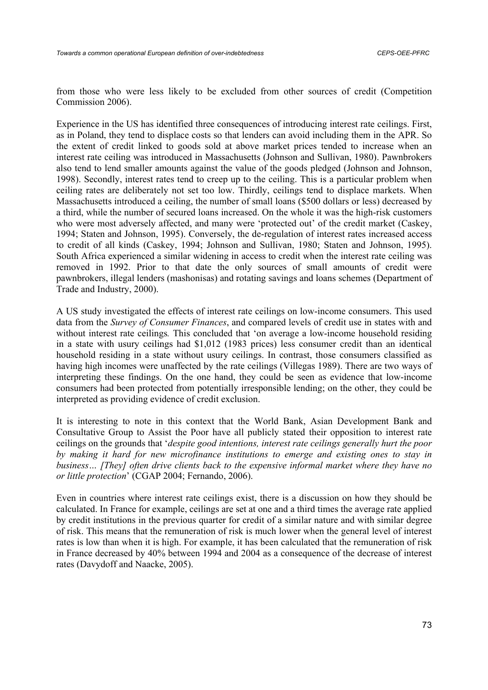from those who were less likely to be excluded from other sources of credit (Competition Commission 2006).

Experience in the US has identified three consequences of introducing interest rate ceilings. First, as in Poland, they tend to displace costs so that lenders can avoid including them in the APR. So the extent of credit linked to goods sold at above market prices tended to increase when an interest rate ceiling was introduced in Massachusetts (Johnson and Sullivan, 1980). Pawnbrokers also tend to lend smaller amounts against the value of the goods pledged (Johnson and Johnson, 1998). Secondly, interest rates tend to creep up to the ceiling. This is a particular problem when ceiling rates are deliberately not set too low. Thirdly, ceilings tend to displace markets. When Massachusetts introduced a ceiling, the number of small loans (\$500 dollars or less) decreased by a third, while the number of secured loans increased. On the whole it was the high-risk customers who were most adversely affected, and many were 'protected out' of the credit market (Caskey, 1994; Staten and Johnson, 1995). Conversely, the de-regulation of interest rates increased access to credit of all kinds (Caskey, 1994; Johnson and Sullivan, 1980; Staten and Johnson, 1995). South Africa experienced a similar widening in access to credit when the interest rate ceiling was removed in 1992. Prior to that date the only sources of small amounts of credit were pawnbrokers, illegal lenders (mashonisas) and rotating savings and loans schemes (Department of Trade and Industry, 2000).

A US study investigated the effects of interest rate ceilings on low-income consumers. This used data from the *Survey of Consumer Finances*, and compared levels of credit use in states with and without interest rate ceilings*.* This concluded that 'on average a low-income household residing in a state with usury ceilings had \$1,012 (1983 prices) less consumer credit than an identical household residing in a state without usury ceilings. In contrast, those consumers classified as having high incomes were unaffected by the rate ceilings (Villegas 1989). There are two ways of interpreting these findings. On the one hand, they could be seen as evidence that low-income consumers had been protected from potentially irresponsible lending; on the other, they could be interpreted as providing evidence of credit exclusion.

It is interesting to note in this context that the World Bank, Asian Development Bank and Consultative Group to Assist the Poor have all publicly stated their opposition to interest rate ceilings on the grounds that '*despite good intentions, interest rate ceilings generally hurt the poor by making it hard for new microfinance institutions to emerge and existing ones to stay in business… [They] often drive clients back to the expensive informal market where they have no or little protection*' (CGAP 2004; Fernando, 2006).

Even in countries where interest rate ceilings exist, there is a discussion on how they should be calculated. In France for example, ceilings are set at one and a third times the average rate applied by credit institutions in the previous quarter for credit of a similar nature and with similar degree of risk. This means that the remuneration of risk is much lower when the general level of interest rates is low than when it is high. For example, it has been calculated that the remuneration of risk in France decreased by 40% between 1994 and 2004 as a consequence of the decrease of interest rates (Davydoff and Naacke, 2005).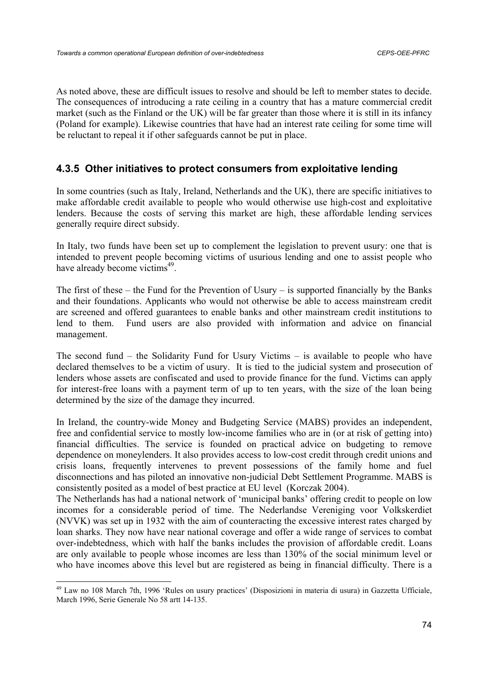As noted above, these are difficult issues to resolve and should be left to member states to decide. The consequences of introducing a rate ceiling in a country that has a mature commercial credit market (such as the Finland or the UK) will be far greater than those where it is still in its infancy (Poland for example). Likewise countries that have had an interest rate ceiling for some time will be reluctant to repeal it if other safeguards cannot be put in place.

# **4.3.5 Other initiatives to protect consumers from exploitative lending**

In some countries (such as Italy, Ireland, Netherlands and the UK), there are specific initiatives to make affordable credit available to people who would otherwise use high-cost and exploitative lenders. Because the costs of serving this market are high, these affordable lending services generally require direct subsidy.

In Italy, two funds have been set up to complement the legislation to prevent usury: one that is intended to prevent people becoming victims of usurious lending and one to assist people who have already become victims<sup>49</sup>.

The first of these – the Fund for the Prevention of Usury – is supported financially by the Banks and their foundations. Applicants who would not otherwise be able to access mainstream credit are screened and offered guarantees to enable banks and other mainstream credit institutions to lend to them. Fund users are also provided with information and advice on financial management.

The second fund – the Solidarity Fund for Usury Victims – is available to people who have declared themselves to be a victim of usury. It is tied to the judicial system and prosecution of lenders whose assets are confiscated and used to provide finance for the fund. Victims can apply for interest-free loans with a payment term of up to ten years, with the size of the loan being determined by the size of the damage they incurred.

In Ireland, the country-wide Money and Budgeting Service (MABS) provides an independent, free and confidential service to mostly low-income families who are in (or at risk of getting into) financial difficulties. The service is founded on practical advice on budgeting to remove dependence on moneylenders. It also provides access to low-cost credit through credit unions and crisis loans, frequently intervenes to prevent possessions of the family home and fuel disconnections and has piloted an innovative non-judicial Debt Settlement Programme. MABS is consistently posited as a model of best practice at EU level (Korczak 2004).

The Netherlands has had a national network of 'municipal banks' offering credit to people on low incomes for a considerable period of time. The Nederlandse Vereniging voor Volkskerdiet (NVVK) was set up in 1932 with the aim of counteracting the excessive interest rates charged by loan sharks. They now have near national coverage and offer a wide range of services to combat over-indebtedness, which with half the banks includes the provision of affordable credit. Loans are only available to people whose incomes are less than 130% of the social minimum level or who have incomes above this level but are registered as being in financial difficulty. There is a

<sup>49</sup> Law no 108 March 7th, 1996 'Rules on usury practices' (Disposizioni in materia di usura) in Gazzetta Ufficiale, March 1996, Serie Generale No 58 artt 14-135.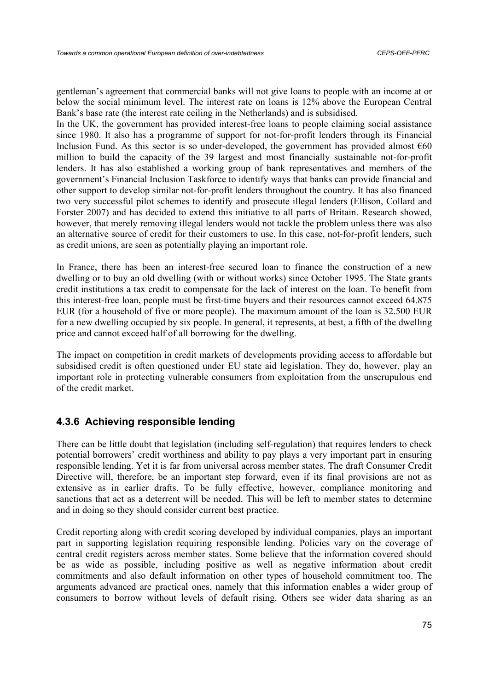gentleman's agreement that commercial banks will not give loans to people with an income at or below the social minimum level. The interest rate on loans is 12% above the European Central Bank's base rate (the interest rate ceiling in the Netherlands) and is subsidised.

In the UK, the government has provided interest-free loans to people claiming social assistance since 1980. It also has a programme of support for not-for-profit lenders through its Financial Inclusion Fund. As this sector is so under-developed, the government has provided almost  $\epsilon$ 60 million to build the capacity of the 39 largest and most financially sustainable not-for-profit lenders. It has also established a working group of bank representatives and members of the government's Financial Inclusion Taskforce to identify ways that banks can provide financial and other support to develop similar not-for-profit lenders throughout the country. It has also financed two very successful pilot schemes to identify and prosecute illegal lenders (Ellison, Collard and Forster 2007) and has decided to extend this initiative to all parts of Britain. Research showed, however, that merely removing illegal lenders would not tackle the problem unless there was also an alternative source of credit for their customers to use. In this case, not-for-profit lenders, such as credit unions, are seen as potentially playing an important role.

In France, there has been an interest-free secured loan to finance the construction of a new dwelling or to buy an old dwelling (with or without works) since October 1995. The State grants credit institutions a tax credit to compensate for the lack of interest on the loan. To benefit from this interest-free loan, people must be first-time buyers and their resources cannot exceed 64.875 EUR (for a household of five or more people). The maximum amount of the loan is 32.500 EUR for a new dwelling occupied by six people. In general, it represents, at best, a fifth of the dwelling price and cannot exceed half of all borrowing for the dwelling.

The impact on competition in credit markets of developments providing access to affordable but subsidised credit is often questioned under EU state aid legislation. They do, however, play an important role in protecting vulnerable consumers from exploitation from the unscrupulous end of the credit market.

# **4.3.6 Achieving responsible lending**

There can be little doubt that legislation (including self-regulation) that requires lenders to check potential borrowers' credit worthiness and ability to pay plays a very important part in ensuring responsible lending. Yet it is far from universal across member states. The draft Consumer Credit Directive will, therefore, be an important step forward, even if its final provisions are not as extensive as in earlier drafts. To be fully effective, however, compliance monitoring and sanctions that act as a deterrent will be needed. This will be left to member states to determine and in doing so they should consider current best practice.

Credit reporting along with credit scoring developed by individual companies, plays an important part in supporting legislation requiring responsible lending. Policies vary on the coverage of central credit registers across member states. Some believe that the information covered should be as wide as possible, including positive as well as negative information about credit commitments and also default information on other types of household commitment too. The arguments advanced are practical ones, namely that this information enables a wider group of consumers to borrow without levels of default rising. Others see wider data sharing as an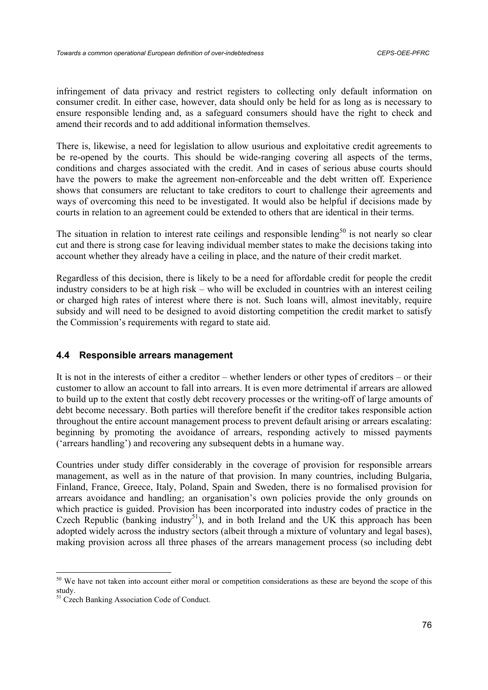infringement of data privacy and restrict registers to collecting only default information on consumer credit. In either case, however, data should only be held for as long as is necessary to ensure responsible lending and, as a safeguard consumers should have the right to check and amend their records and to add additional information themselves.

There is, likewise, a need for legislation to allow usurious and exploitative credit agreements to be re-opened by the courts. This should be wide-ranging covering all aspects of the terms, conditions and charges associated with the credit. And in cases of serious abuse courts should have the powers to make the agreement non-enforceable and the debt written off. Experience shows that consumers are reluctant to take creditors to court to challenge their agreements and ways of overcoming this need to be investigated. It would also be helpful if decisions made by courts in relation to an agreement could be extended to others that are identical in their terms.

The situation in relation to interest rate ceilings and responsible lending<sup>50</sup> is not nearly so clear cut and there is strong case for leaving individual member states to make the decisions taking into account whether they already have a ceiling in place, and the nature of their credit market.

Regardless of this decision, there is likely to be a need for affordable credit for people the credit industry considers to be at high risk – who will be excluded in countries with an interest ceiling or charged high rates of interest where there is not. Such loans will, almost inevitably, require subsidy and will need to be designed to avoid distorting competition the credit market to satisfy the Commission's requirements with regard to state aid.

## **4.4 Responsible arrears management**

It is not in the interests of either a creditor – whether lenders or other types of creditors – or their customer to allow an account to fall into arrears. It is even more detrimental if arrears are allowed to build up to the extent that costly debt recovery processes or the writing-off of large amounts of debt become necessary. Both parties will therefore benefit if the creditor takes responsible action throughout the entire account management process to prevent default arising or arrears escalating: beginning by promoting the avoidance of arrears, responding actively to missed payments ('arrears handling') and recovering any subsequent debts in a humane way.

Countries under study differ considerably in the coverage of provision for responsible arrears management, as well as in the nature of that provision. In many countries, including Bulgaria, Finland, France, Greece, Italy, Poland, Spain and Sweden, there is no formalised provision for arrears avoidance and handling; an organisation's own policies provide the only grounds on which practice is guided. Provision has been incorporated into industry codes of practice in the Czech Republic (banking industry<sup>51</sup>), and in both Ireland and the UK this approach has been adopted widely across the industry sectors (albeit through a mixture of voluntary and legal bases), making provision across all three phases of the arrears management process (so including debt

<sup>&</sup>lt;sup>50</sup> We have not taken into account either moral or competition considerations as these are beyond the scope of this study.

<sup>&</sup>lt;sup>51</sup> Czech Banking Association Code of Conduct.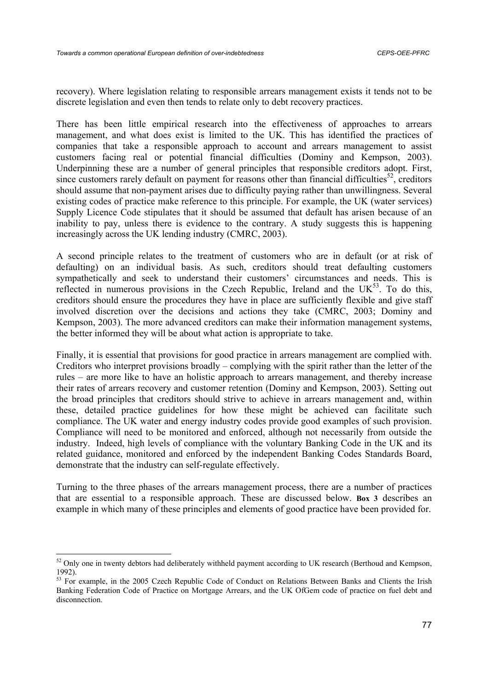recovery). Where legislation relating to responsible arrears management exists it tends not to be discrete legislation and even then tends to relate only to debt recovery practices.

There has been little empirical research into the effectiveness of approaches to arrears management, and what does exist is limited to the UK. This has identified the practices of companies that take a responsible approach to account and arrears management to assist customers facing real or potential financial difficulties (Dominy and Kempson, 2003). Underpinning these are a number of general principles that responsible creditors adopt. First, since customers rarely default on payment for reasons other than financial difficulties<sup>52</sup>, creditors should assume that non-payment arises due to difficulty paying rather than unwillingness. Several existing codes of practice make reference to this principle. For example, the UK (water services) Supply Licence Code stipulates that it should be assumed that default has arisen because of an inability to pay, unless there is evidence to the contrary. A study suggests this is happening increasingly across the UK lending industry (CMRC, 2003).

A second principle relates to the treatment of customers who are in default (or at risk of defaulting) on an individual basis. As such, creditors should treat defaulting customers sympathetically and seek to understand their customers' circumstances and needs. This is reflected in numerous provisions in the Czech Republic, Ireland and the  $UK^{53}$ . To do this, creditors should ensure the procedures they have in place are sufficiently flexible and give staff involved discretion over the decisions and actions they take (CMRC, 2003; Dominy and Kempson, 2003). The more advanced creditors can make their information management systems, the better informed they will be about what action is appropriate to take.

Finally, it is essential that provisions for good practice in arrears management are complied with. Creditors who interpret provisions broadly – complying with the spirit rather than the letter of the rules – are more like to have an holistic approach to arrears management, and thereby increase their rates of arrears recovery and customer retention (Dominy and Kempson, 2003). Setting out the broad principles that creditors should strive to achieve in arrears management and, within these, detailed practice guidelines for how these might be achieved can facilitate such compliance. The UK water and energy industry codes provide good examples of such provision. Compliance will need to be monitored and enforced, although not necessarily from outside the industry. Indeed, high levels of compliance with the voluntary Banking Code in the UK and its related guidance, monitored and enforced by the independent Banking Codes Standards Board, demonstrate that the industry can self-regulate effectively.

Turning to the three phases of the arrears management process, there are a number of practices that are essential to a responsible approach. These are discussed below. **Box 3** describes an example in which many of these principles and elements of good practice have been provided for.

 $\overline{a}$ 

<sup>&</sup>lt;sup>52</sup> Only one in twenty debtors had deliberately withheld payment according to UK research (Berthoud and Kempson, 1992).

<sup>&</sup>lt;sup>53</sup> For example, in the 2005 Czech Republic Code of Conduct on Relations Between Banks and Clients the Irish Banking Federation Code of Practice on Mortgage Arrears, and the UK OfGem code of practice on fuel debt and disconnection.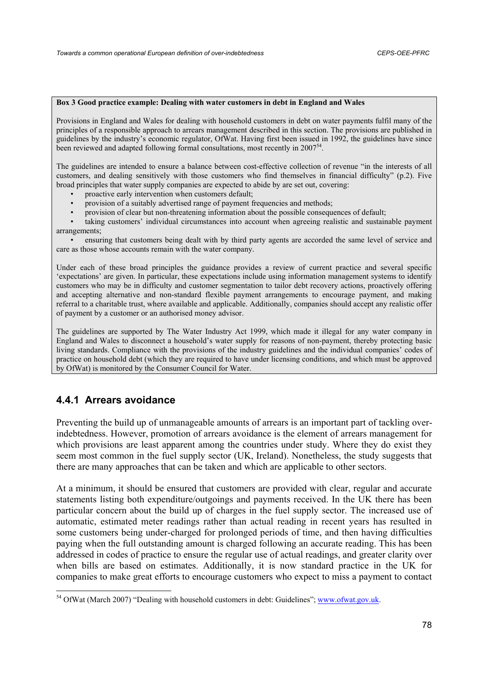### **Box 3 Good practice example: Dealing with water customers in debt in England and Wales**

Provisions in England and Wales for dealing with household customers in debt on water payments fulfil many of the principles of a responsible approach to arrears management described in this section. The provisions are published in guidelines by the industry's economic regulator, OfWat. Having first been issued in 1992, the guidelines have since been reviewed and adapted following formal consultations, most recently in  $2007<sup>54</sup>$ .

The guidelines are intended to ensure a balance between cost-effective collection of revenue "in the interests of all customers, and dealing sensitively with those customers who find themselves in financial difficulty" (p.2). Five broad principles that water supply companies are expected to abide by are set out, covering:

- proactive early intervention when customers default;
- provision of a suitably advertised range of payment frequencies and methods;
- provision of clear but non-threatening information about the possible consequences of default;

taking customers' individual circumstances into account when agreeing realistic and sustainable payment arrangements;

• ensuring that customers being dealt with by third party agents are accorded the same level of service and care as those whose accounts remain with the water company.

Under each of these broad principles the guidance provides a review of current practice and several specific 'expectations' are given. In particular, these expectations include using information management systems to identify customers who may be in difficulty and customer segmentation to tailor debt recovery actions, proactively offering and accepting alternative and non-standard flexible payment arrangements to encourage payment, and making referral to a charitable trust, where available and applicable. Additionally, companies should accept any realistic offer of payment by a customer or an authorised money advisor.

The guidelines are supported by The Water Industry Act 1999, which made it illegal for any water company in England and Wales to disconnect a household's water supply for reasons of non-payment, thereby protecting basic living standards. Compliance with the provisions of the industry guidelines and the individual companies' codes of practice on household debt (which they are required to have under licensing conditions, and which must be approved by OfWat) is monitored by the Consumer Council for Water.

# **4.4.1 Arrears avoidance**

Preventing the build up of unmanageable amounts of arrears is an important part of tackling overindebtedness. However, promotion of arrears avoidance is the element of arrears management for which provisions are least apparent among the countries under study. Where they do exist they seem most common in the fuel supply sector (UK, Ireland). Nonetheless, the study suggests that there are many approaches that can be taken and which are applicable to other sectors.

At a minimum, it should be ensured that customers are provided with clear, regular and accurate statements listing both expenditure/outgoings and payments received. In the UK there has been particular concern about the build up of charges in the fuel supply sector. The increased use of automatic, estimated meter readings rather than actual reading in recent years has resulted in some customers being under-charged for prolonged periods of time, and then having difficulties paying when the full outstanding amount is charged following an accurate reading. This has been addressed in codes of practice to ensure the regular use of actual readings, and greater clarity over when bills are based on estimates. Additionally, it is now standard practice in the UK for companies to make great efforts to encourage customers who expect to miss a payment to contact

<sup>&</sup>lt;sup>54</sup> OfWat (March 2007) "Dealing with household customers in debt: Guidelines"; www.ofwat.gov.uk.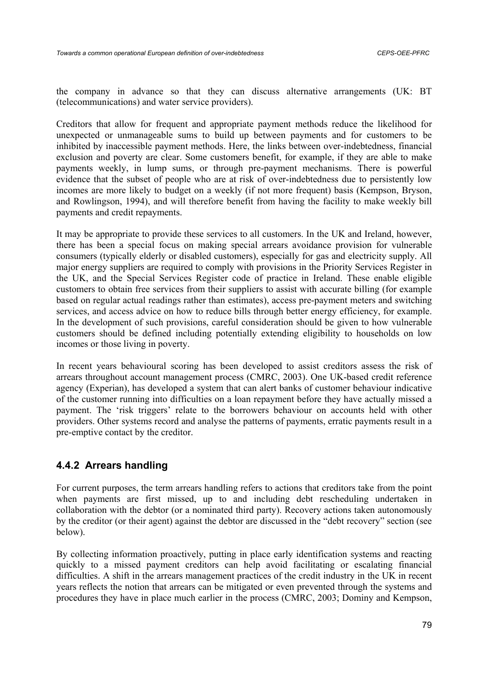the company in advance so that they can discuss alternative arrangements (UK: BT (telecommunications) and water service providers).

Creditors that allow for frequent and appropriate payment methods reduce the likelihood for unexpected or unmanageable sums to build up between payments and for customers to be inhibited by inaccessible payment methods. Here, the links between over-indebtedness, financial exclusion and poverty are clear. Some customers benefit, for example, if they are able to make payments weekly, in lump sums, or through pre-payment mechanisms. There is powerful evidence that the subset of people who are at risk of over-indebtedness due to persistently low incomes are more likely to budget on a weekly (if not more frequent) basis (Kempson, Bryson, and Rowlingson, 1994), and will therefore benefit from having the facility to make weekly bill payments and credit repayments.

It may be appropriate to provide these services to all customers. In the UK and Ireland, however, there has been a special focus on making special arrears avoidance provision for vulnerable consumers (typically elderly or disabled customers), especially for gas and electricity supply. All major energy suppliers are required to comply with provisions in the Priority Services Register in the UK, and the Special Services Register code of practice in Ireland. These enable eligible customers to obtain free services from their suppliers to assist with accurate billing (for example based on regular actual readings rather than estimates), access pre-payment meters and switching services, and access advice on how to reduce bills through better energy efficiency, for example. In the development of such provisions, careful consideration should be given to how vulnerable customers should be defined including potentially extending eligibility to households on low incomes or those living in poverty.

In recent years behavioural scoring has been developed to assist creditors assess the risk of arrears throughout account management process (CMRC, 2003). One UK-based credit reference agency (Experian), has developed a system that can alert banks of customer behaviour indicative of the customer running into difficulties on a loan repayment before they have actually missed a payment. The 'risk triggers' relate to the borrowers behaviour on accounts held with other providers. Other systems record and analyse the patterns of payments, erratic payments result in a pre-emptive contact by the creditor.

# **4.4.2 Arrears handling**

For current purposes, the term arrears handling refers to actions that creditors take from the point when payments are first missed, up to and including debt rescheduling undertaken in collaboration with the debtor (or a nominated third party). Recovery actions taken autonomously by the creditor (or their agent) against the debtor are discussed in the "debt recovery" section (see below).

By collecting information proactively, putting in place early identification systems and reacting quickly to a missed payment creditors can help avoid facilitating or escalating financial difficulties. A shift in the arrears management practices of the credit industry in the UK in recent years reflects the notion that arrears can be mitigated or even prevented through the systems and procedures they have in place much earlier in the process (CMRC, 2003; Dominy and Kempson,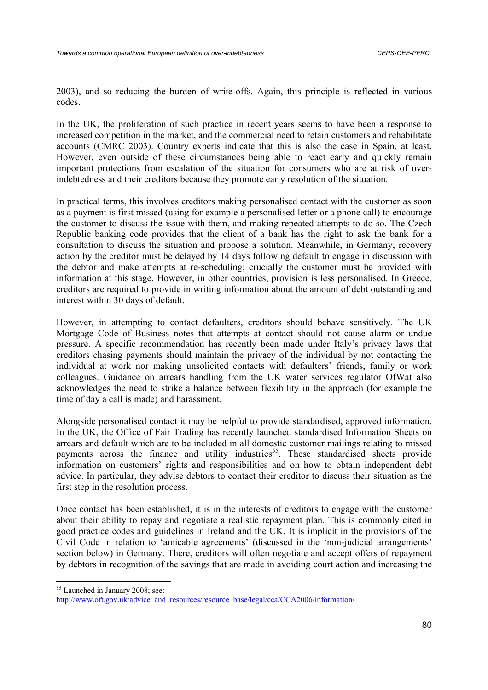2003), and so reducing the burden of write-offs. Again, this principle is reflected in various codes.

In the UK, the proliferation of such practice in recent years seems to have been a response to increased competition in the market, and the commercial need to retain customers and rehabilitate accounts (CMRC 2003). Country experts indicate that this is also the case in Spain, at least. However, even outside of these circumstances being able to react early and quickly remain important protections from escalation of the situation for consumers who are at risk of overindebtedness and their creditors because they promote early resolution of the situation.

In practical terms, this involves creditors making personalised contact with the customer as soon as a payment is first missed (using for example a personalised letter or a phone call) to encourage the customer to discuss the issue with them, and making repeated attempts to do so. The Czech Republic banking code provides that the client of a bank has the right to ask the bank for a consultation to discuss the situation and propose a solution. Meanwhile, in Germany, recovery action by the creditor must be delayed by 14 days following default to engage in discussion with the debtor and make attempts at re-scheduling; crucially the customer must be provided with information at this stage. However, in other countries, provision is less personalised. In Greece, creditors are required to provide in writing information about the amount of debt outstanding and interest within 30 days of default.

However, in attempting to contact defaulters, creditors should behave sensitively. The UK Mortgage Code of Business notes that attempts at contact should not cause alarm or undue pressure. A specific recommendation has recently been made under Italy's privacy laws that creditors chasing payments should maintain the privacy of the individual by not contacting the individual at work nor making unsolicited contacts with defaulters' friends, family or work colleagues. Guidance on arrears handling from the UK water services regulator OfWat also acknowledges the need to strike a balance between flexibility in the approach (for example the time of day a call is made) and harassment.

Alongside personalised contact it may be helpful to provide standardised, approved information. In the UK, the Office of Fair Trading has recently launched standardised Information Sheets on arrears and default which are to be included in all domestic customer mailings relating to missed payments across the finance and utility industries<sup>55</sup>. These standardised sheets provide information on customers' rights and responsibilities and on how to obtain independent debt advice. In particular, they advise debtors to contact their creditor to discuss their situation as the first step in the resolution process.

Once contact has been established, it is in the interests of creditors to engage with the customer about their ability to repay and negotiate a realistic repayment plan. This is commonly cited in good practice codes and guidelines in Ireland and the UK. It is implicit in the provisions of the Civil Code in relation to 'amicable agreements' (discussed in the 'non-judicial arrangements' section below) in Germany. There, creditors will often negotiate and accept offers of repayment by debtors in recognition of the savings that are made in avoiding court action and increasing the

<sup>&</sup>lt;sup>55</sup> Launched in January 2008; see:

http://www.oft.gov.uk/advice\_and\_resources/resource\_base/legal/cca/CCA2006/information/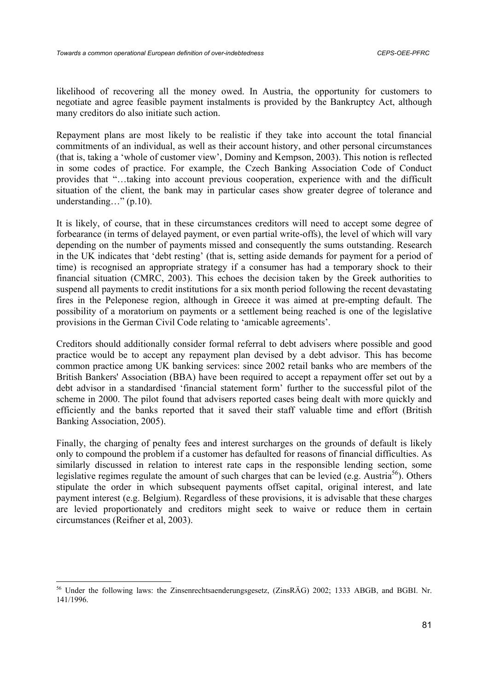likelihood of recovering all the money owed. In Austria, the opportunity for customers to negotiate and agree feasible payment instalments is provided by the Bankruptcy Act, although many creditors do also initiate such action.

Repayment plans are most likely to be realistic if they take into account the total financial commitments of an individual, as well as their account history, and other personal circumstances (that is, taking a 'whole of customer view', Dominy and Kempson, 2003). This notion is reflected in some codes of practice. For example, the Czech Banking Association Code of Conduct provides that "…taking into account previous cooperation, experience with and the difficult situation of the client, the bank may in particular cases show greater degree of tolerance and understanding..." (p.10).

It is likely, of course, that in these circumstances creditors will need to accept some degree of forbearance (in terms of delayed payment, or even partial write-offs), the level of which will vary depending on the number of payments missed and consequently the sums outstanding. Research in the UK indicates that 'debt resting' (that is, setting aside demands for payment for a period of time) is recognised an appropriate strategy if a consumer has had a temporary shock to their financial situation (CMRC, 2003). This echoes the decision taken by the Greek authorities to suspend all payments to credit institutions for a six month period following the recent devastating fires in the Peleponese region, although in Greece it was aimed at pre-empting default. The possibility of a moratorium on payments or a settlement being reached is one of the legislative provisions in the German Civil Code relating to 'amicable agreements'.

Creditors should additionally consider formal referral to debt advisers where possible and good practice would be to accept any repayment plan devised by a debt advisor. This has become common practice among UK banking services: since 2002 retail banks who are members of the British Bankers' Association (BBA) have been required to accept a repayment offer set out by a debt advisor in a standardised 'financial statement form' further to the successful pilot of the scheme in 2000. The pilot found that advisers reported cases being dealt with more quickly and efficiently and the banks reported that it saved their staff valuable time and effort (British Banking Association, 2005).

Finally, the charging of penalty fees and interest surcharges on the grounds of default is likely only to compound the problem if a customer has defaulted for reasons of financial difficulties. As similarly discussed in relation to interest rate caps in the responsible lending section, some legislative regimes regulate the amount of such charges that can be levied (e.g. Austria<sup>56</sup>). Others stipulate the order in which subsequent payments offset capital, original interest, and late payment interest (e.g. Belgium). Regardless of these provisions, it is advisable that these charges are levied proportionately and creditors might seek to waive or reduce them in certain circumstances (Reifner et al, 2003).

<sup>56</sup> Under the following laws: the Zinsenrechtsaenderungsgesetz, (ZinsRÄG) 2002; 1333 ABGB, and BGBI. Nr. 141/1996.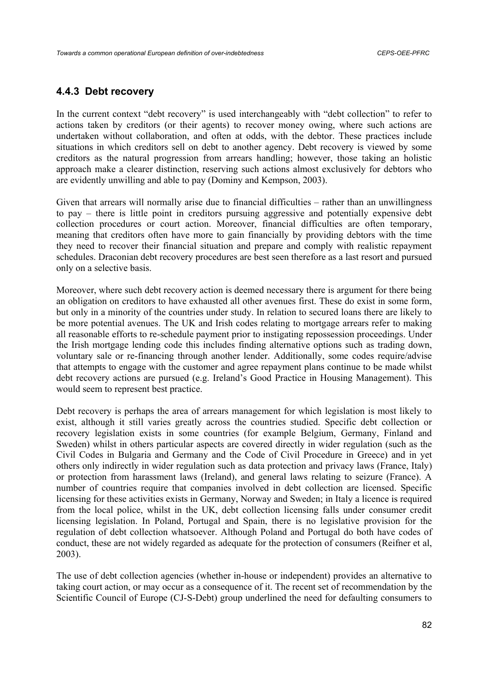## **4.4.3 Debt recovery**

In the current context "debt recovery" is used interchangeably with "debt collection" to refer to actions taken by creditors (or their agents) to recover money owing, where such actions are undertaken without collaboration, and often at odds, with the debtor. These practices include situations in which creditors sell on debt to another agency. Debt recovery is viewed by some creditors as the natural progression from arrears handling; however, those taking an holistic approach make a clearer distinction, reserving such actions almost exclusively for debtors who are evidently unwilling and able to pay (Dominy and Kempson, 2003).

Given that arrears will normally arise due to financial difficulties – rather than an unwillingness to pay – there is little point in creditors pursuing aggressive and potentially expensive debt collection procedures or court action. Moreover, financial difficulties are often temporary, meaning that creditors often have more to gain financially by providing debtors with the time they need to recover their financial situation and prepare and comply with realistic repayment schedules. Draconian debt recovery procedures are best seen therefore as a last resort and pursued only on a selective basis.

Moreover, where such debt recovery action is deemed necessary there is argument for there being an obligation on creditors to have exhausted all other avenues first. These do exist in some form, but only in a minority of the countries under study. In relation to secured loans there are likely to be more potential avenues. The UK and Irish codes relating to mortgage arrears refer to making all reasonable efforts to re-schedule payment prior to instigating repossession proceedings. Under the Irish mortgage lending code this includes finding alternative options such as trading down, voluntary sale or re-financing through another lender. Additionally, some codes require/advise that attempts to engage with the customer and agree repayment plans continue to be made whilst debt recovery actions are pursued (e.g. Ireland's Good Practice in Housing Management). This would seem to represent best practice.

Debt recovery is perhaps the area of arrears management for which legislation is most likely to exist, although it still varies greatly across the countries studied. Specific debt collection or recovery legislation exists in some countries (for example Belgium, Germany, Finland and Sweden) whilst in others particular aspects are covered directly in wider regulation (such as the Civil Codes in Bulgaria and Germany and the Code of Civil Procedure in Greece) and in yet others only indirectly in wider regulation such as data protection and privacy laws (France, Italy) or protection from harassment laws (Ireland), and general laws relating to seizure (France). A number of countries require that companies involved in debt collection are licensed. Specific licensing for these activities exists in Germany, Norway and Sweden; in Italy a licence is required from the local police, whilst in the UK, debt collection licensing falls under consumer credit licensing legislation. In Poland, Portugal and Spain, there is no legislative provision for the regulation of debt collection whatsoever. Although Poland and Portugal do both have codes of conduct, these are not widely regarded as adequate for the protection of consumers (Reifner et al, 2003).

The use of debt collection agencies (whether in-house or independent) provides an alternative to taking court action, or may occur as a consequence of it. The recent set of recommendation by the Scientific Council of Europe (CJ-S-Debt) group underlined the need for defaulting consumers to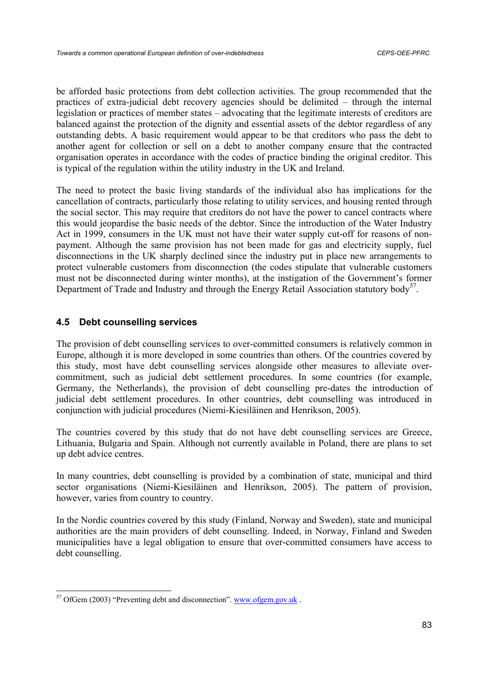be afforded basic protections from debt collection activities. The group recommended that the practices of extra-judicial debt recovery agencies should be delimited – through the internal legislation or practices of member states – advocating that the legitimate interests of creditors are balanced against the protection of the dignity and essential assets of the debtor regardless of any outstanding debts. A basic requirement would appear to be that creditors who pass the debt to another agent for collection or sell on a debt to another company ensure that the contracted organisation operates in accordance with the codes of practice binding the original creditor. This is typical of the regulation within the utility industry in the UK and Ireland.

The need to protect the basic living standards of the individual also has implications for the cancellation of contracts, particularly those relating to utility services, and housing rented through the social sector. This may require that creditors do not have the power to cancel contracts where this would jeopardise the basic needs of the debtor. Since the introduction of the Water Industry Act in 1999, consumers in the UK must not have their water supply cut-off for reasons of nonpayment. Although the same provision has not been made for gas and electricity supply, fuel disconnections in the UK sharply declined since the industry put in place new arrangements to protect vulnerable customers from disconnection (the codes stipulate that vulnerable customers must not be disconnected during winter months), at the instigation of the Government's former Department of Trade and Industry and through the Energy Retail Association statutory body<sup>57</sup>.

## **4.5 Debt counselling services**

The provision of debt counselling services to over-committed consumers is relatively common in Europe, although it is more developed in some countries than others. Of the countries covered by this study, most have debt counselling services alongside other measures to alleviate overcommitment, such as judicial debt settlement procedures. In some countries (for example, Germany, the Netherlands), the provision of debt counselling pre-dates the introduction of judicial debt settlement procedures. In other countries, debt counselling was introduced in conjunction with judicial procedures (Niemi-Kiesiläinen and Henrikson, 2005).

The countries covered by this study that do not have debt counselling services are Greece, Lithuania, Bulgaria and Spain. Although not currently available in Poland, there are plans to set up debt advice centres.

In many countries, debt counselling is provided by a combination of state, municipal and third sector organisations (Niemi-Kiesiläinen and Henrikson, 2005). The pattern of provision, however, varies from country to country.

In the Nordic countries covered by this study (Finland, Norway and Sweden), state and municipal authorities are the main providers of debt counselling. Indeed, in Norway, Finland and Sweden municipalities have a legal obligation to ensure that over-committed consumers have access to debt counselling.

 $57$  OfGem (2003) "Preventing debt and disconnection". www.ofgem.gov.uk.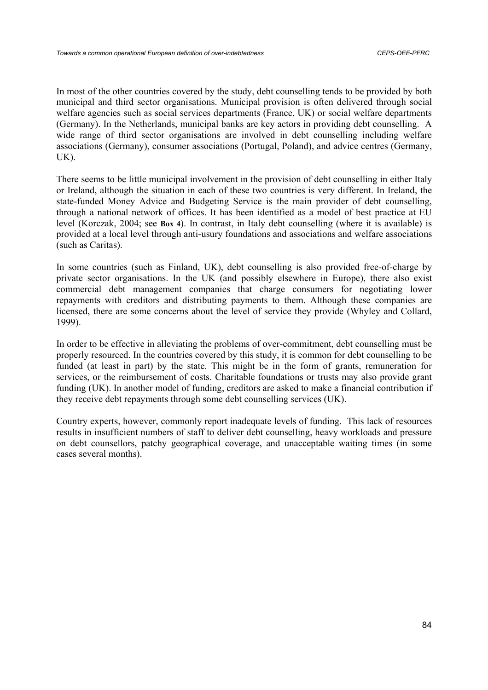In most of the other countries covered by the study, debt counselling tends to be provided by both municipal and third sector organisations. Municipal provision is often delivered through social welfare agencies such as social services departments (France, UK) or social welfare departments (Germany). In the Netherlands, municipal banks are key actors in providing debt counselling. A wide range of third sector organisations are involved in debt counselling including welfare associations (Germany), consumer associations (Portugal, Poland), and advice centres (Germany, UK).

There seems to be little municipal involvement in the provision of debt counselling in either Italy or Ireland, although the situation in each of these two countries is very different. In Ireland, the state-funded Money Advice and Budgeting Service is the main provider of debt counselling, through a national network of offices. It has been identified as a model of best practice at EU level (Korczak, 2004; see **Box 4**). In contrast, in Italy debt counselling (where it is available) is provided at a local level through anti-usury foundations and associations and welfare associations (such as Caritas).

In some countries (such as Finland, UK), debt counselling is also provided free-of-charge by private sector organisations. In the UK (and possibly elsewhere in Europe), there also exist commercial debt management companies that charge consumers for negotiating lower repayments with creditors and distributing payments to them. Although these companies are licensed, there are some concerns about the level of service they provide (Whyley and Collard, 1999).

In order to be effective in alleviating the problems of over-commitment, debt counselling must be properly resourced. In the countries covered by this study, it is common for debt counselling to be funded (at least in part) by the state. This might be in the form of grants, remuneration for services, or the reimbursement of costs. Charitable foundations or trusts may also provide grant funding (UK). In another model of funding, creditors are asked to make a financial contribution if they receive debt repayments through some debt counselling services (UK).

Country experts, however, commonly report inadequate levels of funding. This lack of resources results in insufficient numbers of staff to deliver debt counselling, heavy workloads and pressure on debt counsellors, patchy geographical coverage, and unacceptable waiting times (in some cases several months).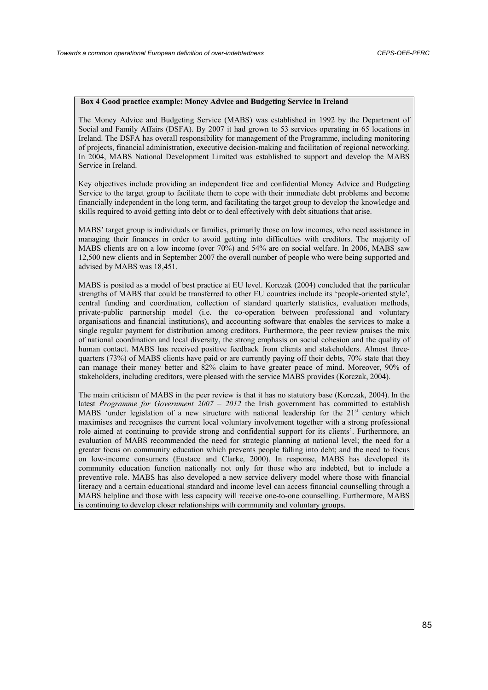#### **Box 4 Good practice example: Money Advice and Budgeting Service in Ireland**

The Money Advice and Budgeting Service (MABS) was established in 1992 by the Department of Social and Family Affairs (DSFA). By 2007 it had grown to 53 services operating in 65 locations in Ireland. The DSFA has overall responsibility for management of the Programme, including monitoring of projects, financial administration, executive decision-making and facilitation of regional networking. In 2004, MABS National Development Limited was established to support and develop the MABS Service in Ireland.

Key objectives include providing an independent free and confidential Money Advice and Budgeting Service to the target group to facilitate them to cope with their immediate debt problems and become financially independent in the long term, and facilitating the target group to develop the knowledge and skills required to avoid getting into debt or to deal effectively with debt situations that arise.

MABS' target group is individuals or families, primarily those on low incomes, who need assistance in managing their finances in order to avoid getting into difficulties with creditors. The majority of MABS clients are on a low income (over 70%) and 54% are on social welfare. In 2006, MABS saw 12,500 new clients and in September 2007 the overall number of people who were being supported and advised by MABS was 18,451.

MABS is posited as a model of best practice at EU level. Korczak (2004) concluded that the particular strengths of MABS that could be transferred to other EU countries include its 'people-oriented style', central funding and coordination, collection of standard quarterly statistics, evaluation methods, private-public partnership model (i.e. the co-operation between professional and voluntary organisations and financial institutions), and accounting software that enables the services to make a single regular payment for distribution among creditors. Furthermore, the peer review praises the mix of national coordination and local diversity, the strong emphasis on social cohesion and the quality of human contact. MABS has received positive feedback from clients and stakeholders. Almost threequarters (73%) of MABS clients have paid or are currently paying off their debts, 70% state that they can manage their money better and 82% claim to have greater peace of mind. Moreover, 90% of stakeholders, including creditors, were pleased with the service MABS provides (Korczak, 2004).

The main criticism of MABS in the peer review is that it has no statutory base (Korczak, 2004). In the latest *Programme for Government 2007 – 2012* the Irish government has committed to establish MABS 'under legislation of a new structure with national leadership for the 21<sup>st</sup> century which maximises and recognises the current local voluntary involvement together with a strong professional role aimed at continuing to provide strong and confidential support for its clients'. Furthermore, an evaluation of MABS recommended the need for strategic planning at national level; the need for a greater focus on community education which prevents people falling into debt; and the need to focus on low-income consumers (Eustace and Clarke, 2000). In response, MABS has developed its community education function nationally not only for those who are indebted, but to include a preventive role. MABS has also developed a new service delivery model where those with financial literacy and a certain educational standard and income level can access financial counselling through a MABS helpline and those with less capacity will receive one-to-one counselling. Furthermore, MABS is continuing to develop closer relationships with community and voluntary groups.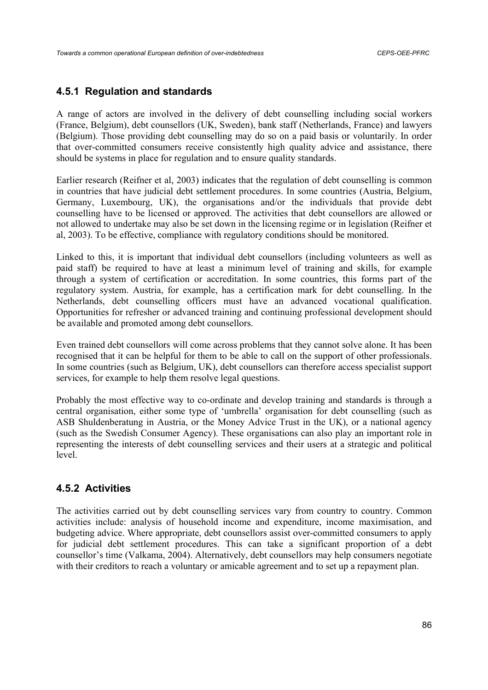# **4.5.1 Regulation and standards**

A range of actors are involved in the delivery of debt counselling including social workers (France, Belgium), debt counsellors (UK, Sweden), bank staff (Netherlands, France) and lawyers (Belgium). Those providing debt counselling may do so on a paid basis or voluntarily. In order that over-committed consumers receive consistently high quality advice and assistance, there should be systems in place for regulation and to ensure quality standards.

Earlier research (Reifner et al, 2003) indicates that the regulation of debt counselling is common in countries that have judicial debt settlement procedures. In some countries (Austria, Belgium, Germany, Luxembourg, UK), the organisations and/or the individuals that provide debt counselling have to be licensed or approved. The activities that debt counsellors are allowed or not allowed to undertake may also be set down in the licensing regime or in legislation (Reifner et al, 2003). To be effective, compliance with regulatory conditions should be monitored.

Linked to this, it is important that individual debt counsellors (including volunteers as well as paid staff) be required to have at least a minimum level of training and skills, for example through a system of certification or accreditation. In some countries, this forms part of the regulatory system. Austria, for example, has a certification mark for debt counselling. In the Netherlands, debt counselling officers must have an advanced vocational qualification. Opportunities for refresher or advanced training and continuing professional development should be available and promoted among debt counsellors.

Even trained debt counsellors will come across problems that they cannot solve alone. It has been recognised that it can be helpful for them to be able to call on the support of other professionals. In some countries (such as Belgium, UK), debt counsellors can therefore access specialist support services, for example to help them resolve legal questions.

Probably the most effective way to co-ordinate and develop training and standards is through a central organisation, either some type of 'umbrella' organisation for debt counselling (such as ASB Shuldenberatung in Austria, or the Money Advice Trust in the UK), or a national agency (such as the Swedish Consumer Agency). These organisations can also play an important role in representing the interests of debt counselling services and their users at a strategic and political level.

# **4.5.2 Activities**

The activities carried out by debt counselling services vary from country to country. Common activities include: analysis of household income and expenditure, income maximisation, and budgeting advice. Where appropriate, debt counsellors assist over-committed consumers to apply for judicial debt settlement procedures. This can take a significant proportion of a debt counsellor's time (Valkama, 2004). Alternatively, debt counsellors may help consumers negotiate with their creditors to reach a voluntary or amicable agreement and to set up a repayment plan.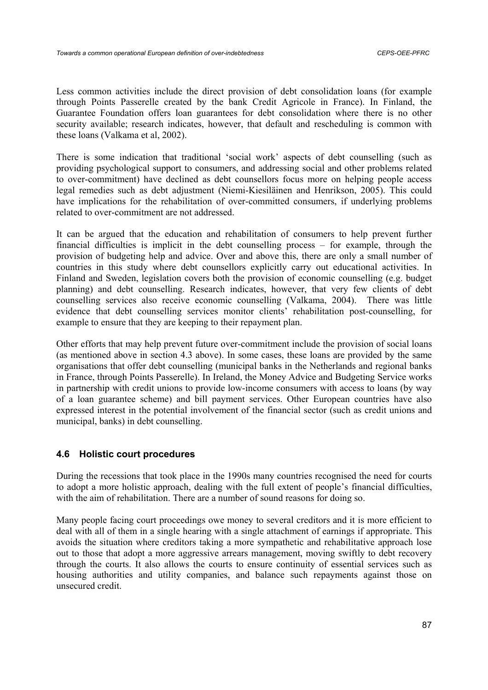Less common activities include the direct provision of debt consolidation loans (for example through Points Passerelle created by the bank Credit Agricole in France). In Finland, the Guarantee Foundation offers loan guarantees for debt consolidation where there is no other security available; research indicates, however, that default and rescheduling is common with these loans (Valkama et al, 2002).

There is some indication that traditional 'social work' aspects of debt counselling (such as providing psychological support to consumers, and addressing social and other problems related to over-commitment) have declined as debt counsellors focus more on helping people access legal remedies such as debt adjustment (Niemi-Kiesiläinen and Henrikson, 2005). This could have implications for the rehabilitation of over-committed consumers, if underlying problems related to over-commitment are not addressed.

It can be argued that the education and rehabilitation of consumers to help prevent further financial difficulties is implicit in the debt counselling process – for example, through the provision of budgeting help and advice. Over and above this, there are only a small number of countries in this study where debt counsellors explicitly carry out educational activities. In Finland and Sweden, legislation covers both the provision of economic counselling (e.g. budget planning) and debt counselling. Research indicates, however, that very few clients of debt counselling services also receive economic counselling (Valkama, 2004). There was little evidence that debt counselling services monitor clients' rehabilitation post-counselling, for example to ensure that they are keeping to their repayment plan.

Other efforts that may help prevent future over-commitment include the provision of social loans (as mentioned above in section 4.3 above). In some cases, these loans are provided by the same organisations that offer debt counselling (municipal banks in the Netherlands and regional banks in France, through Points Passerelle). In Ireland, the Money Advice and Budgeting Service works in partnership with credit unions to provide low-income consumers with access to loans (by way of a loan guarantee scheme) and bill payment services. Other European countries have also expressed interest in the potential involvement of the financial sector (such as credit unions and municipal, banks) in debt counselling.

## **4.6 Holistic court procedures**

During the recessions that took place in the 1990s many countries recognised the need for courts to adopt a more holistic approach, dealing with the full extent of people's financial difficulties, with the aim of rehabilitation. There are a number of sound reasons for doing so.

Many people facing court proceedings owe money to several creditors and it is more efficient to deal with all of them in a single hearing with a single attachment of earnings if appropriate. This avoids the situation where creditors taking a more sympathetic and rehabilitative approach lose out to those that adopt a more aggressive arrears management, moving swiftly to debt recovery through the courts. It also allows the courts to ensure continuity of essential services such as housing authorities and utility companies, and balance such repayments against those on unsecured credit.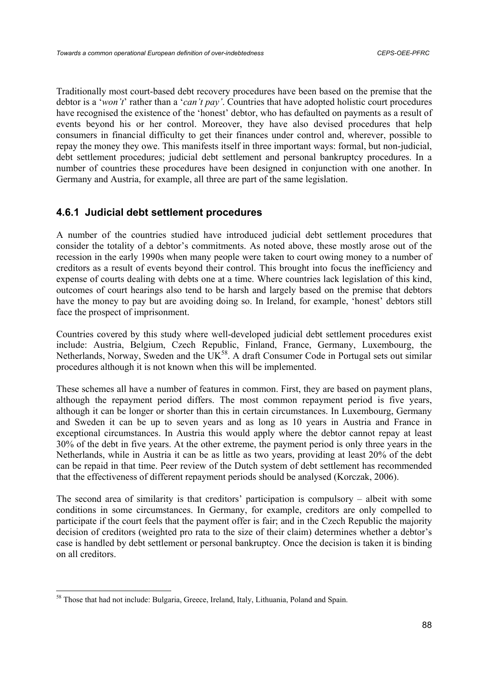Traditionally most court-based debt recovery procedures have been based on the premise that the debtor is a '*won't*' rather than a '*can't pay'*. Countries that have adopted holistic court procedures have recognised the existence of the 'honest' debtor, who has defaulted on payments as a result of events beyond his or her control. Moreover, they have also devised procedures that help consumers in financial difficulty to get their finances under control and, wherever, possible to repay the money they owe. This manifests itself in three important ways: formal, but non-judicial, debt settlement procedures; judicial debt settlement and personal bankruptcy procedures. In a number of countries these procedures have been designed in conjunction with one another. In Germany and Austria, for example, all three are part of the same legislation.

# **4.6.1 Judicial debt settlement procedures**

A number of the countries studied have introduced judicial debt settlement procedures that consider the totality of a debtor's commitments. As noted above, these mostly arose out of the recession in the early 1990s when many people were taken to court owing money to a number of creditors as a result of events beyond their control. This brought into focus the inefficiency and expense of courts dealing with debts one at a time. Where countries lack legislation of this kind, outcomes of court hearings also tend to be harsh and largely based on the premise that debtors have the money to pay but are avoiding doing so. In Ireland, for example, 'honest' debtors still face the prospect of imprisonment.

Countries covered by this study where well-developed judicial debt settlement procedures exist include: Austria, Belgium, Czech Republic, Finland, France, Germany, Luxembourg, the Netherlands, Norway, Sweden and the  $\overline{UK}^{58}$ . A draft Consumer Code in Portugal sets out similar procedures although it is not known when this will be implemented.

These schemes all have a number of features in common. First, they are based on payment plans, although the repayment period differs. The most common repayment period is five years, although it can be longer or shorter than this in certain circumstances. In Luxembourg, Germany and Sweden it can be up to seven years and as long as 10 years in Austria and France in exceptional circumstances. In Austria this would apply where the debtor cannot repay at least 30% of the debt in five years. At the other extreme, the payment period is only three years in the Netherlands, while in Austria it can be as little as two years, providing at least 20% of the debt can be repaid in that time. Peer review of the Dutch system of debt settlement has recommended that the effectiveness of different repayment periods should be analysed (Korczak, 2006).

The second area of similarity is that creditors' participation is compulsory – albeit with some conditions in some circumstances. In Germany, for example, creditors are only compelled to participate if the court feels that the payment offer is fair; and in the Czech Republic the majority decision of creditors (weighted pro rata to the size of their claim) determines whether a debtor's case is handled by debt settlement or personal bankruptcy. Once the decision is taken it is binding on all creditors.

<sup>&</sup>lt;sup>58</sup> Those that had not include: Bulgaria, Greece, Ireland, Italy, Lithuania, Poland and Spain.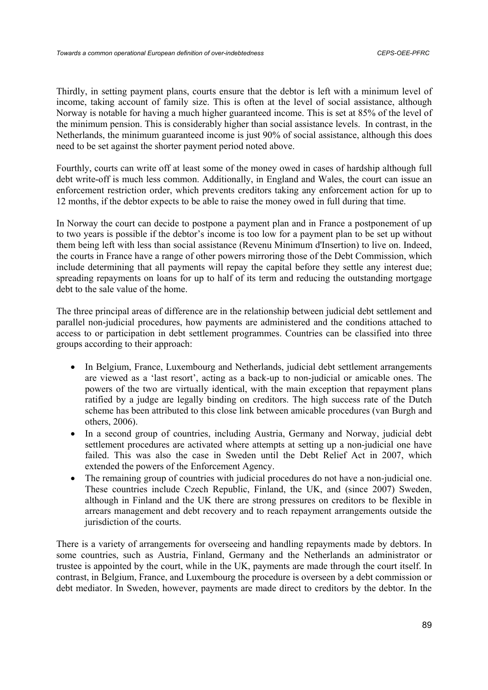Thirdly, in setting payment plans, courts ensure that the debtor is left with a minimum level of income, taking account of family size. This is often at the level of social assistance, although Norway is notable for having a much higher guaranteed income. This is set at 85% of the level of the minimum pension. This is considerably higher than social assistance levels. In contrast, in the Netherlands, the minimum guaranteed income is just 90% of social assistance, although this does need to be set against the shorter payment period noted above.

Fourthly, courts can write off at least some of the money owed in cases of hardship although full debt write-off is much less common. Additionally, in England and Wales, the court can issue an enforcement restriction order, which prevents creditors taking any enforcement action for up to 12 months, if the debtor expects to be able to raise the money owed in full during that time.

In Norway the court can decide to postpone a payment plan and in France a postponement of up to two years is possible if the debtor's income is too low for a payment plan to be set up without them being left with less than social assistance (Revenu Minimum d'Insertion) to live on. Indeed, the courts in France have a range of other powers mirroring those of the Debt Commission, which include determining that all payments will repay the capital before they settle any interest due; spreading repayments on loans for up to half of its term and reducing the outstanding mortgage debt to the sale value of the home.

The three principal areas of difference are in the relationship between judicial debt settlement and parallel non-judicial procedures, how payments are administered and the conditions attached to access to or participation in debt settlement programmes. Countries can be classified into three groups according to their approach:

- In Belgium, France, Luxembourg and Netherlands, judicial debt settlement arrangements are viewed as a 'last resort', acting as a back-up to non-judicial or amicable ones. The powers of the two are virtually identical, with the main exception that repayment plans ratified by a judge are legally binding on creditors. The high success rate of the Dutch scheme has been attributed to this close link between amicable procedures (van Burgh and others, 2006).
- In a second group of countries, including Austria, Germany and Norway, judicial debt settlement procedures are activated where attempts at setting up a non-judicial one have failed. This was also the case in Sweden until the Debt Relief Act in 2007, which extended the powers of the Enforcement Agency.
- The remaining group of countries with judicial procedures do not have a non-judicial one. These countries include Czech Republic, Finland, the UK, and (since 2007) Sweden, although in Finland and the UK there are strong pressures on creditors to be flexible in arrears management and debt recovery and to reach repayment arrangements outside the jurisdiction of the courts.

There is a variety of arrangements for overseeing and handling repayments made by debtors. In some countries, such as Austria, Finland, Germany and the Netherlands an administrator or trustee is appointed by the court, while in the UK, payments are made through the court itself. In contrast, in Belgium, France, and Luxembourg the procedure is overseen by a debt commission or debt mediator. In Sweden, however, payments are made direct to creditors by the debtor. In the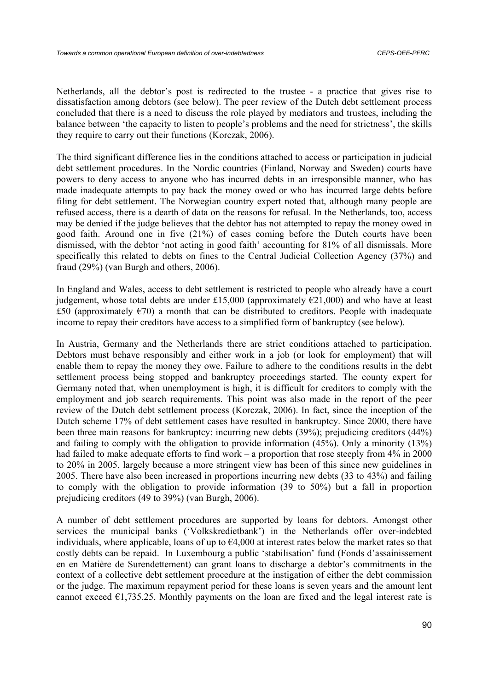Netherlands, all the debtor's post is redirected to the trustee - a practice that gives rise to dissatisfaction among debtors (see below). The peer review of the Dutch debt settlement process concluded that there is a need to discuss the role played by mediators and trustees, including the balance between 'the capacity to listen to people's problems and the need for strictness', the skills they require to carry out their functions (Korczak, 2006).

The third significant difference lies in the conditions attached to access or participation in judicial debt settlement procedures. In the Nordic countries (Finland, Norway and Sweden) courts have powers to deny access to anyone who has incurred debts in an irresponsible manner, who has made inadequate attempts to pay back the money owed or who has incurred large debts before filing for debt settlement. The Norwegian country expert noted that, although many people are refused access, there is a dearth of data on the reasons for refusal. In the Netherlands, too, access may be denied if the judge believes that the debtor has not attempted to repay the money owed in good faith. Around one in five (21%) of cases coming before the Dutch courts have been dismissed, with the debtor 'not acting in good faith' accounting for 81% of all dismissals. More specifically this related to debts on fines to the Central Judicial Collection Agency (37%) and fraud (29%) (van Burgh and others, 2006).

In England and Wales, access to debt settlement is restricted to people who already have a court judgement, whose total debts are under £15,000 (approximately  $E21,000$ ) and who have at least £50 (approximately  $\epsilon$ 70) a month that can be distributed to creditors. People with inadequate income to repay their creditors have access to a simplified form of bankruptcy (see below).

In Austria, Germany and the Netherlands there are strict conditions attached to participation. Debtors must behave responsibly and either work in a job (or look for employment) that will enable them to repay the money they owe. Failure to adhere to the conditions results in the debt settlement process being stopped and bankruptcy proceedings started. The county expert for Germany noted that, when unemployment is high, it is difficult for creditors to comply with the employment and job search requirements. This point was also made in the report of the peer review of the Dutch debt settlement process (Korczak, 2006). In fact, since the inception of the Dutch scheme 17% of debt settlement cases have resulted in bankruptcy. Since 2000, there have been three main reasons for bankruptcy: incurring new debts (39%); prejudicing creditors (44%) and failing to comply with the obligation to provide information (45%). Only a minority (13%) had failed to make adequate efforts to find work – a proportion that rose steeply from 4% in 2000 to 20% in 2005, largely because a more stringent view has been of this since new guidelines in 2005. There have also been increased in proportions incurring new debts (33 to 43%) and failing to comply with the obligation to provide information (39 to 50%) but a fall in proportion prejudicing creditors (49 to 39%) (van Burgh, 2006).

A number of debt settlement procedures are supported by loans for debtors. Amongst other services the municipal banks ('Volkskredietbank') in the Netherlands offer over-indebted individuals, where applicable, loans of up to  $\epsilon$ 4,000 at interest rates below the market rates so that costly debts can be repaid. In Luxembourg a public 'stabilisation' fund (Fonds d'assainissement en en Matière de Surendettement) can grant loans to discharge a debtor's commitments in the context of a collective debt settlement procedure at the instigation of either the debt commission or the judge. The maximum repayment period for these loans is seven years and the amount lent cannot exceed  $\epsilon$ 1,735.25. Monthly payments on the loan are fixed and the legal interest rate is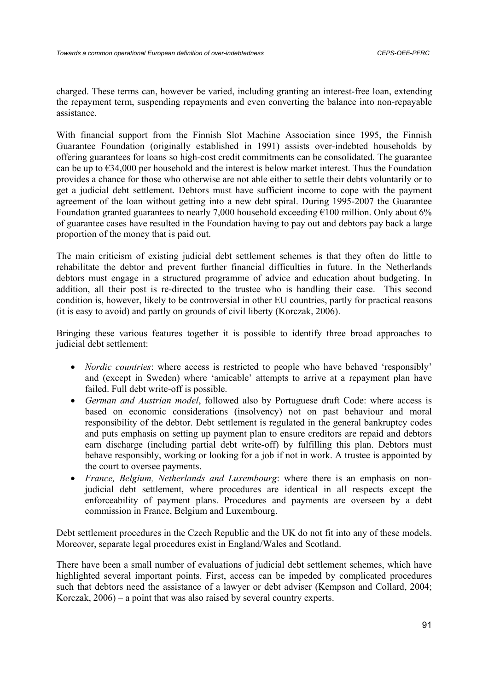charged. These terms can, however be varied, including granting an interest-free loan, extending the repayment term, suspending repayments and even converting the balance into non-repayable assistance.

With financial support from the Finnish Slot Machine Association since 1995, the Finnish Guarantee Foundation (originally established in 1991) assists over-indebted households by offering guarantees for loans so high-cost credit commitments can be consolidated. The guarantee can be up to  $\epsilon$ 34,000 per household and the interest is below market interest. Thus the Foundation provides a chance for those who otherwise are not able either to settle their debts voluntarily or to get a judicial debt settlement. Debtors must have sufficient income to cope with the payment agreement of the loan without getting into a new debt spiral. During 1995-2007 the Guarantee Foundation granted guarantees to nearly 7,000 household exceeding  $\epsilon$ 100 million. Only about 6% of guarantee cases have resulted in the Foundation having to pay out and debtors pay back a large proportion of the money that is paid out.

The main criticism of existing judicial debt settlement schemes is that they often do little to rehabilitate the debtor and prevent further financial difficulties in future. In the Netherlands debtors must engage in a structured programme of advice and education about budgeting. In addition, all their post is re-directed to the trustee who is handling their case. This second condition is, however, likely to be controversial in other EU countries, partly for practical reasons (it is easy to avoid) and partly on grounds of civil liberty (Korczak, 2006).

Bringing these various features together it is possible to identify three broad approaches to judicial debt settlement:

- *Nordic countries*: where access is restricted to people who have behaved 'responsibly' and (except in Sweden) where 'amicable' attempts to arrive at a repayment plan have failed. Full debt write-off is possible.
- *German and Austrian model*, followed also by Portuguese draft Code: where access is based on economic considerations (insolvency) not on past behaviour and moral responsibility of the debtor. Debt settlement is regulated in the general bankruptcy codes and puts emphasis on setting up payment plan to ensure creditors are repaid and debtors earn discharge (including partial debt write-off) by fulfilling this plan. Debtors must behave responsibly, working or looking for a job if not in work. A trustee is appointed by the court to oversee payments.
- *France, Belgium, Netherlands and Luxembourg*: where there is an emphasis on nonjudicial debt settlement, where procedures are identical in all respects except the enforceability of payment plans. Procedures and payments are overseen by a debt commission in France, Belgium and Luxembourg.

Debt settlement procedures in the Czech Republic and the UK do not fit into any of these models. Moreover, separate legal procedures exist in England/Wales and Scotland.

There have been a small number of evaluations of judicial debt settlement schemes, which have highlighted several important points. First, access can be impeded by complicated procedures such that debtors need the assistance of a lawyer or debt adviser (Kempson and Collard, 2004; Korczak, 2006) – a point that was also raised by several country experts.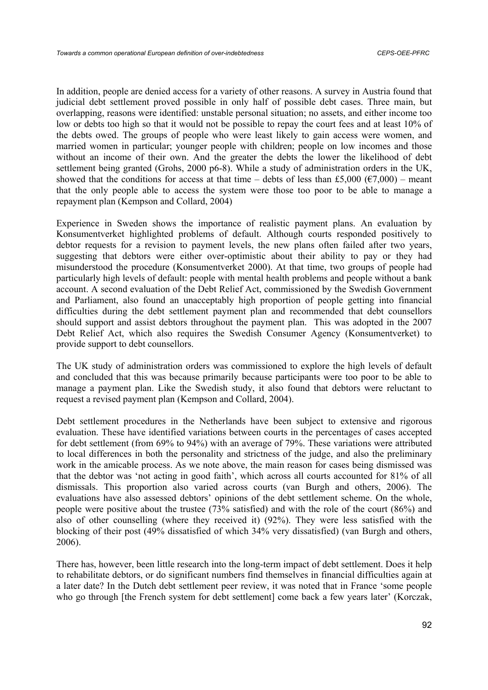In addition, people are denied access for a variety of other reasons. A survey in Austria found that judicial debt settlement proved possible in only half of possible debt cases. Three main, but overlapping, reasons were identified: unstable personal situation; no assets, and either income too low or debts too high so that it would not be possible to repay the court fees and at least 10% of the debts owed. The groups of people who were least likely to gain access were women, and married women in particular; younger people with children; people on low incomes and those without an income of their own. And the greater the debts the lower the likelihood of debt settlement being granted (Grohs, 2000 p6-8). While a study of administration orders in the UK, showed that the conditions for access at that time – debts of less than £5,000 ( $\epsilon$ 7,000) – meant that the only people able to access the system were those too poor to be able to manage a repayment plan (Kempson and Collard, 2004)

Experience in Sweden shows the importance of realistic payment plans. An evaluation by Konsumentverket highlighted problems of default. Although courts responded positively to debtor requests for a revision to payment levels, the new plans often failed after two years, suggesting that debtors were either over-optimistic about their ability to pay or they had misunderstood the procedure (Konsumentverket 2000). At that time, two groups of people had particularly high levels of default: people with mental health problems and people without a bank account. A second evaluation of the Debt Relief Act, commissioned by the Swedish Government and Parliament, also found an unacceptably high proportion of people getting into financial difficulties during the debt settlement payment plan and recommended that debt counsellors should support and assist debtors throughout the payment plan. This was adopted in the 2007 Debt Relief Act, which also requires the Swedish Consumer Agency (Konsumentverket) to provide support to debt counsellors.

The UK study of administration orders was commissioned to explore the high levels of default and concluded that this was because primarily because participants were too poor to be able to manage a payment plan. Like the Swedish study, it also found that debtors were reluctant to request a revised payment plan (Kempson and Collard, 2004).

Debt settlement procedures in the Netherlands have been subject to extensive and rigorous evaluation. These have identified variations between courts in the percentages of cases accepted for debt settlement (from 69% to 94%) with an average of 79%. These variations were attributed to local differences in both the personality and strictness of the judge, and also the preliminary work in the amicable process. As we note above, the main reason for cases being dismissed was that the debtor was 'not acting in good faith', which across all courts accounted for 81% of all dismissals. This proportion also varied across courts (van Burgh and others, 2006). The evaluations have also assessed debtors' opinions of the debt settlement scheme. On the whole, people were positive about the trustee (73% satisfied) and with the role of the court (86%) and also of other counselling (where they received it) (92%). They were less satisfied with the blocking of their post (49% dissatisfied of which 34% very dissatisfied) (van Burgh and others, 2006).

There has, however, been little research into the long-term impact of debt settlement. Does it help to rehabilitate debtors, or do significant numbers find themselves in financial difficulties again at a later date? In the Dutch debt settlement peer review, it was noted that in France 'some people who go through [the French system for debt settlement] come back a few years later' (Korczak,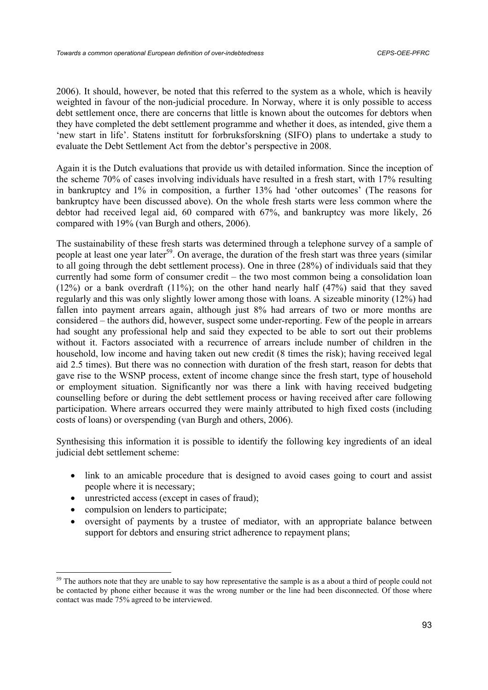2006). It should, however, be noted that this referred to the system as a whole, which is heavily weighted in favour of the non-judicial procedure. In Norway, where it is only possible to access debt settlement once, there are concerns that little is known about the outcomes for debtors when they have completed the debt settlement programme and whether it does, as intended, give them a 'new start in life'. Statens institutt for forbruksforskning (SIFO) plans to undertake a study to evaluate the Debt Settlement Act from the debtor's perspective in 2008.

Again it is the Dutch evaluations that provide us with detailed information. Since the inception of the scheme 70% of cases involving individuals have resulted in a fresh start, with 17% resulting in bankruptcy and 1% in composition, a further 13% had 'other outcomes' (The reasons for bankruptcy have been discussed above). On the whole fresh starts were less common where the debtor had received legal aid, 60 compared with 67%, and bankruptcy was more likely, 26 compared with 19% (van Burgh and others, 2006).

The sustainability of these fresh starts was determined through a telephone survey of a sample of people at least one year later<sup>59</sup>. On average, the duration of the fresh start was three years (similar to all going through the debt settlement process). One in three (28%) of individuals said that they currently had some form of consumer credit – the two most common being a consolidation loan  $(12%)$  or a bank overdraft  $(11%)$ ; on the other hand nearly half  $(47%)$  said that they saved regularly and this was only slightly lower among those with loans. A sizeable minority (12%) had fallen into payment arrears again, although just 8% had arrears of two or more months are considered – the authors did, however, suspect some under-reporting. Few of the people in arrears had sought any professional help and said they expected to be able to sort out their problems without it. Factors associated with a recurrence of arrears include number of children in the household, low income and having taken out new credit (8 times the risk); having received legal aid 2.5 times). But there was no connection with duration of the fresh start, reason for debts that gave rise to the WSNP process, extent of income change since the fresh start, type of household or employment situation. Significantly nor was there a link with having received budgeting counselling before or during the debt settlement process or having received after care following participation. Where arrears occurred they were mainly attributed to high fixed costs (including costs of loans) or overspending (van Burgh and others, 2006).

Synthesising this information it is possible to identify the following key ingredients of an ideal judicial debt settlement scheme:

- link to an amicable procedure that is designed to avoid cases going to court and assist people where it is necessary;
- unrestricted access (except in cases of fraud);
- compulsion on lenders to participate;

• oversight of payments by a trustee of mediator, with an appropriate balance between support for debtors and ensuring strict adherence to repayment plans;

<sup>&</sup>lt;sup>59</sup> The authors note that they are unable to say how representative the sample is as a about a third of people could not be contacted by phone either because it was the wrong number or the line had been disconnected. Of those where contact was made 75% agreed to be interviewed.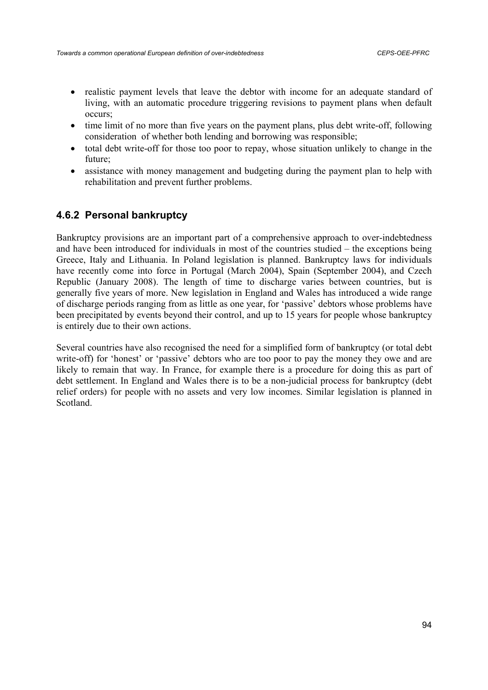- realistic payment levels that leave the debtor with income for an adequate standard of living, with an automatic procedure triggering revisions to payment plans when default occurs;
- time limit of no more than five years on the payment plans, plus debt write-off, following consideration of whether both lending and borrowing was responsible;
- total debt write-off for those too poor to repay, whose situation unlikely to change in the future;
- assistance with money management and budgeting during the payment plan to help with rehabilitation and prevent further problems.

# **4.6.2 Personal bankruptcy**

Bankruptcy provisions are an important part of a comprehensive approach to over-indebtedness and have been introduced for individuals in most of the countries studied – the exceptions being Greece, Italy and Lithuania. In Poland legislation is planned. Bankruptcy laws for individuals have recently come into force in Portugal (March 2004), Spain (September 2004), and Czech Republic (January 2008). The length of time to discharge varies between countries, but is generally five years of more. New legislation in England and Wales has introduced a wide range of discharge periods ranging from as little as one year, for 'passive' debtors whose problems have been precipitated by events beyond their control, and up to 15 years for people whose bankruptcy is entirely due to their own actions.

Several countries have also recognised the need for a simplified form of bankruptcy (or total debt write-off) for 'honest' or 'passive' debtors who are too poor to pay the money they owe and are likely to remain that way. In France, for example there is a procedure for doing this as part of debt settlement. In England and Wales there is to be a non-judicial process for bankruptcy (debt relief orders) for people with no assets and very low incomes. Similar legislation is planned in Scotland.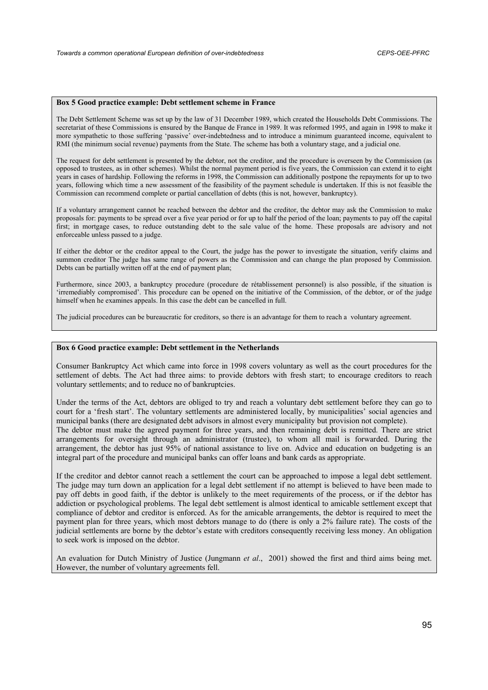#### **Box 5 Good practice example: Debt settlement scheme in France**

The Debt Settlement Scheme was set up by the law of 31 December 1989, which created the Households Debt Commissions. The secretariat of these Commissions is ensured by the Banque de France in 1989. It was reformed 1995, and again in 1998 to make it more sympathetic to those suffering 'passive' over-indebtedness and to introduce a minimum guaranteed income, equivalent to RMI (the minimum social revenue) payments from the State. The scheme has both a voluntary stage, and a judicial one.

The request for debt settlement is presented by the debtor, not the creditor, and the procedure is overseen by the Commission (as opposed to trustees, as in other schemes). Whilst the normal payment period is five years, the Commission can extend it to eight years in cases of hardship. Following the reforms in 1998, the Commission can additionally postpone the repayments for up to two years, following which time a new assessment of the feasibility of the payment schedule is undertaken. If this is not feasible the Commission can recommend complete or partial cancellation of debts (this is not, however, bankruptcy).

If a voluntary arrangement cannot be reached between the debtor and the creditor, the debtor may ask the Commission to make proposals for: payments to be spread over a five year period or for up to half the period of the loan; payments to pay off the capital first; in mortgage cases, to reduce outstanding debt to the sale value of the home. These proposals are advisory and not enforceable unless passed to a judge.

If either the debtor or the creditor appeal to the Court, the judge has the power to investigate the situation, verify claims and summon creditor The judge has same range of powers as the Commission and can change the plan proposed by Commission. Debts can be partially written off at the end of payment plan;

Furthermore, since 2003, a bankruptcy procedure (procedure de rétablissement personnel) is also possible, if the situation is 'irremediably compromised'. This procedure can be opened on the initiative of the Commission, of the debtor, or of the judge himself when he examines appeals. In this case the debt can be cancelled in full.

The judicial procedures can be bureaucratic for creditors, so there is an advantage for them to reach a voluntary agreement.

### **Box 6 Good practice example: Debt settlement in the Netherlands**

Consumer Bankruptcy Act which came into force in 1998 covers voluntary as well as the court procedures for the settlement of debts. The Act had three aims: to provide debtors with fresh start; to encourage creditors to reach voluntary settlements; and to reduce no of bankruptcies.

Under the terms of the Act, debtors are obliged to try and reach a voluntary debt settlement before they can go to court for a 'fresh start'. The voluntary settlements are administered locally, by municipalities' social agencies and municipal banks (there are designated debt advisors in almost every municipality but provision not complete). The debtor must make the agreed payment for three years, and then remaining debt is remitted. There are strict arrangements for oversight through an administrator (trustee), to whom all mail is forwarded. During the arrangement, the debtor has just 95% of national assistance to live on. Advice and education on budgeting is an integral part of the procedure and municipal banks can offer loans and bank cards as appropriate.

If the creditor and debtor cannot reach a settlement the court can be approached to impose a legal debt settlement. The judge may turn down an application for a legal debt settlement if no attempt is believed to have been made to pay off debts in good faith, if the debtor is unlikely to the meet requirements of the process, or if the debtor has addiction or psychological problems. The legal debt settlement is almost identical to amicable settlement except that compliance of debtor and creditor is enforced. As for the amicable arrangements, the debtor is required to meet the payment plan for three years, which most debtors manage to do (there is only a 2% failure rate). The costs of the judicial settlements are borne by the debtor's estate with creditors consequently receiving less money. An obligation to seek work is imposed on the debtor.

An evaluation for Dutch Ministry of Justice (Jungmann *et al*., 2001) showed the first and third aims being met. However, the number of voluntary agreements fell.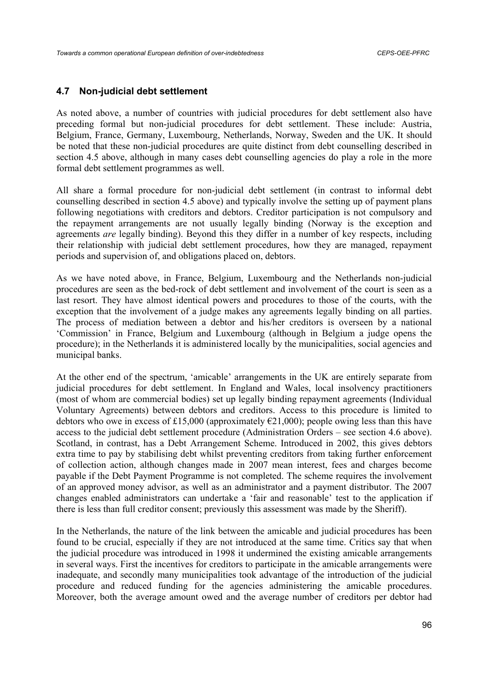### **4.7 Non-judicial debt settlement**

As noted above, a number of countries with judicial procedures for debt settlement also have preceding formal but non-judicial procedures for debt settlement. These include: Austria, Belgium, France, Germany, Luxembourg, Netherlands, Norway, Sweden and the UK. It should be noted that these non-judicial procedures are quite distinct from debt counselling described in section 4.5 above, although in many cases debt counselling agencies do play a role in the more formal debt settlement programmes as well.

All share a formal procedure for non-judicial debt settlement (in contrast to informal debt counselling described in section 4.5 above) and typically involve the setting up of payment plans following negotiations with creditors and debtors. Creditor participation is not compulsory and the repayment arrangements are not usually legally binding (Norway is the exception and agreements *are* legally binding). Beyond this they differ in a number of key respects, including their relationship with judicial debt settlement procedures, how they are managed, repayment periods and supervision of, and obligations placed on, debtors.

As we have noted above, in France, Belgium, Luxembourg and the Netherlands non-judicial procedures are seen as the bed-rock of debt settlement and involvement of the court is seen as a last resort. They have almost identical powers and procedures to those of the courts, with the exception that the involvement of a judge makes any agreements legally binding on all parties. The process of mediation between a debtor and his/her creditors is overseen by a national 'Commission' in France, Belgium and Luxembourg (although in Belgium a judge opens the procedure); in the Netherlands it is administered locally by the municipalities, social agencies and municipal banks.

At the other end of the spectrum, 'amicable' arrangements in the UK are entirely separate from judicial procedures for debt settlement. In England and Wales, local insolvency practitioners (most of whom are commercial bodies) set up legally binding repayment agreements (Individual Voluntary Agreements) between debtors and creditors. Access to this procedure is limited to debtors who owe in excess of £15,000 (approximately  $E$ 21,000); people owing less than this have access to the judicial debt settlement procedure (Administration Orders – see section 4.6 above). Scotland, in contrast, has a Debt Arrangement Scheme. Introduced in 2002, this gives debtors extra time to pay by stabilising debt whilst preventing creditors from taking further enforcement of collection action, although changes made in 2007 mean interest, fees and charges become payable if the Debt Payment Programme is not completed. The scheme requires the involvement of an approved money advisor, as well as an administrator and a payment distributor. The 2007 changes enabled administrators can undertake a 'fair and reasonable' test to the application if there is less than full creditor consent; previously this assessment was made by the Sheriff).

In the Netherlands, the nature of the link between the amicable and judicial procedures has been found to be crucial, especially if they are not introduced at the same time. Critics say that when the judicial procedure was introduced in 1998 it undermined the existing amicable arrangements in several ways. First the incentives for creditors to participate in the amicable arrangements were inadequate, and secondly many municipalities took advantage of the introduction of the judicial procedure and reduced funding for the agencies administering the amicable procedures. Moreover, both the average amount owed and the average number of creditors per debtor had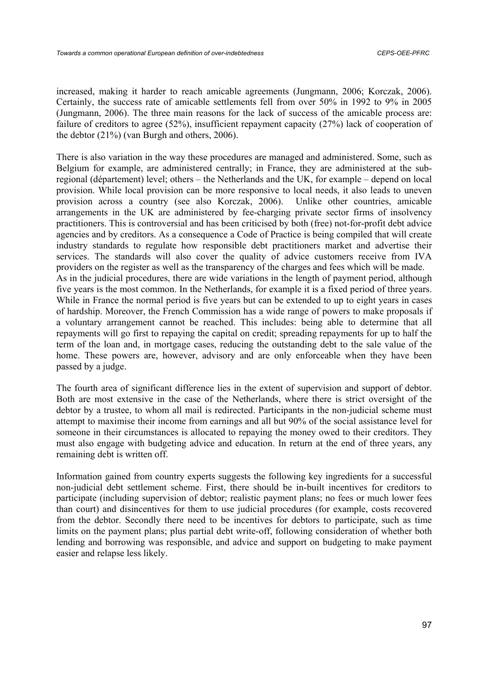increased, making it harder to reach amicable agreements (Jungmann, 2006; Korczak, 2006). Certainly, the success rate of amicable settlements fell from over 50% in 1992 to 9% in 2005 (Jungmann, 2006). The three main reasons for the lack of success of the amicable process are: failure of creditors to agree (52%), insufficient repayment capacity (27%) lack of cooperation of the debtor (21%) (van Burgh and others, 2006).

There is also variation in the way these procedures are managed and administered. Some, such as Belgium for example, are administered centrally; in France, they are administered at the subregional (département) level; others – the Netherlands and the UK, for example – depend on local provision. While local provision can be more responsive to local needs, it also leads to uneven provision across a country (see also Korczak, 2006). Unlike other countries, amicable arrangements in the UK are administered by fee-charging private sector firms of insolvency practitioners. This is controversial and has been criticised by both (free) not-for-profit debt advice agencies and by creditors. As a consequence a Code of Practice is being compiled that will create industry standards to regulate how responsible debt practitioners market and advertise their services. The standards will also cover the quality of advice customers receive from IVA providers on the register as well as the transparency of the charges and fees which will be made. As in the judicial procedures, there are wide variations in the length of payment period, although five years is the most common. In the Netherlands, for example it is a fixed period of three years. While in France the normal period is five years but can be extended to up to eight years in cases of hardship. Moreover, the French Commission has a wide range of powers to make proposals if a voluntary arrangement cannot be reached. This includes: being able to determine that all repayments will go first to repaying the capital on credit; spreading repayments for up to half the term of the loan and, in mortgage cases, reducing the outstanding debt to the sale value of the home. These powers are, however, advisory and are only enforceable when they have been passed by a judge.

The fourth area of significant difference lies in the extent of supervision and support of debtor. Both are most extensive in the case of the Netherlands, where there is strict oversight of the debtor by a trustee, to whom all mail is redirected. Participants in the non-judicial scheme must attempt to maximise their income from earnings and all but 90% of the social assistance level for someone in their circumstances is allocated to repaying the money owed to their creditors. They must also engage with budgeting advice and education. In return at the end of three years, any remaining debt is written off.

Information gained from country experts suggests the following key ingredients for a successful non-judicial debt settlement scheme. First, there should be in-built incentives for creditors to participate (including supervision of debtor; realistic payment plans; no fees or much lower fees than court) and disincentives for them to use judicial procedures (for example, costs recovered from the debtor. Secondly there need to be incentives for debtors to participate, such as time limits on the payment plans; plus partial debt write-off, following consideration of whether both lending and borrowing was responsible, and advice and support on budgeting to make payment easier and relapse less likely.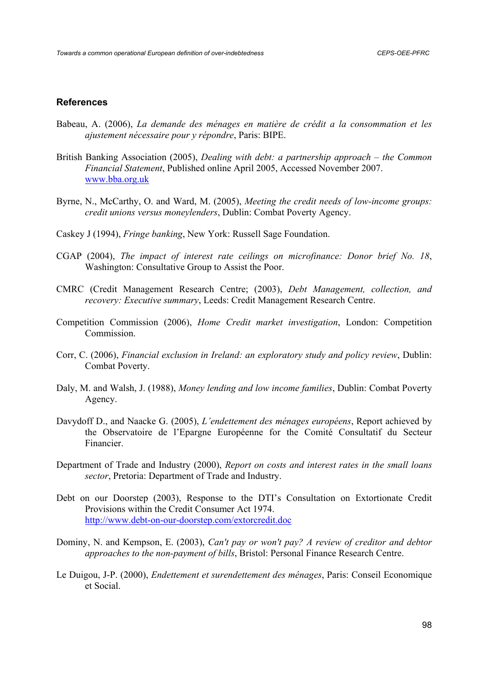### **References**

- Babeau, A. (2006), *La demande des ménages en matière de crédit a la consommation et les ajustement nécessaire pour y répondre*, Paris: BIPE.
- British Banking Association (2005), *Dealing with debt: a partnership approach the Common Financial Statement*, Published online April 2005, Accessed November 2007. www.bba.org.uk
- Byrne, N., McCarthy, O. and Ward, M. (2005), *Meeting the credit needs of low-income groups: credit unions versus moneylenders*, Dublin: Combat Poverty Agency.
- Caskey J (1994), *Fringe banking*, New York: Russell Sage Foundation.
- CGAP (2004), *The impact of interest rate ceilings on microfinance: Donor brief No. 18*, Washington: Consultative Group to Assist the Poor.
- CMRC (Credit Management Research Centre; (2003), *Debt Management, collection, and recovery: Executive summary*, Leeds: Credit Management Research Centre.
- Competition Commission (2006), *Home Credit market investigation*, London: Competition Commission.
- Corr, C. (2006), *Financial exclusion in Ireland: an exploratory study and policy review*, Dublin: Combat Poverty.
- Daly, M. and Walsh, J. (1988), *Money lending and low income families*, Dublin: Combat Poverty Agency.
- Davydoff D., and Naacke G. (2005), *L'endettement des ménages européens*, Report achieved by the Observatoire de l'Epargne Européenne for the Comité Consultatif du Secteur Financier.
- Department of Trade and Industry (2000), *Report on costs and interest rates in the small loans sector*, Pretoria: Department of Trade and Industry.
- Debt on our Doorstep (2003), Response to the DTI's Consultation on Extortionate Credit Provisions within the Credit Consumer Act 1974. http://www.debt-on-our-doorstep.com/extorcredit.doc
- Dominy, N. and Kempson, E. (2003), *Can't pay or won't pay? A review of creditor and debtor approaches to the non-payment of bills*, Bristol: Personal Finance Research Centre.
- Le Duigou, J-P. (2000), *Endettement et surendettement des ménages*, Paris: Conseil Economique et Social.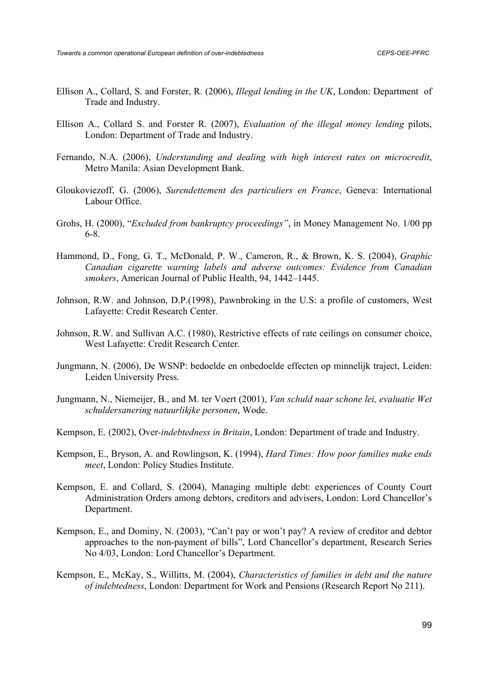- Ellison A., Collard, S. and Forster, R. (2006), *Illegal lending in the UK*, London: Department of Trade and Industry.
- Ellison A., Collard S. and Forster R. (2007), *Evaluation of the illegal money lending* pilots, London: Department of Trade and Industry.
- Fernando, N.A. (2006), *Understanding and dealing with high interest rates on microcredit*, Metro Manila: Asian Development Bank.
- Gloukoviezoff, G. (2006), *Surendettement des particuliers en France*, Geneva: International Labour Office.
- Grohs, H. (2000), "*Excluded from bankruptcy proceedings"*, in Money Management No. 1/00 pp 6-8.
- Hammond, D., Fong, G. T., McDonald, P. W., Cameron, R., & Brown, K. S. (2004), *Graphic Canadian cigarette warning labels and adverse outcomes: Evidence from Canadian smokers*, American Journal of Public Health, 94, 1442–1445.
- Johnson, R.W. and Johnson, D.P.(1998), Pawnbroking in the U.S: a profile of customers, West Lafayette: Credit Research Center.
- Johnson, R.W. and Sullivan A.C. (1980), Restrictive effects of rate ceilings on consumer choice, West Lafayette: Credit Research Center.
- Jungmann, N. (2006), De WSNP: bedoelde en onbedoelde effecten op minnelijk traject, Leiden: Leiden University Press.
- Jungmann, N., Niemeijer, B., and M. ter Voert (2001), *Van schuld naar schone lei, evaluatie Wet schuldersanering natuurlikjke personen*, Wode.
- Kempson, E. (2002), Over*-indebtedness in Britain*, London: Department of trade and Industry.
- Kempson, E., Bryson, A. and Rowlingson, K. (1994), *Hard Times: How poor families make ends meet*, London: Policy Studies Institute.
- Kempson, E. and Collard, S. (2004), Managing multiple debt: experiences of County Court Administration Orders among debtors, creditors and advisers, London: Lord Chancellor's Department.
- Kempson, E., and Dominy, N. (2003), "Can't pay or won't pay? A review of creditor and debtor approaches to the non-payment of bills", Lord Chancellor's department, Research Series No 4/03, London: Lord Chancellor's Department.
- Kempson, E., McKay, S., Willitts, M. (2004), *Characteristics of families in debt and the nature of indebtedness*, London: Department for Work and Pensions (Research Report No 211).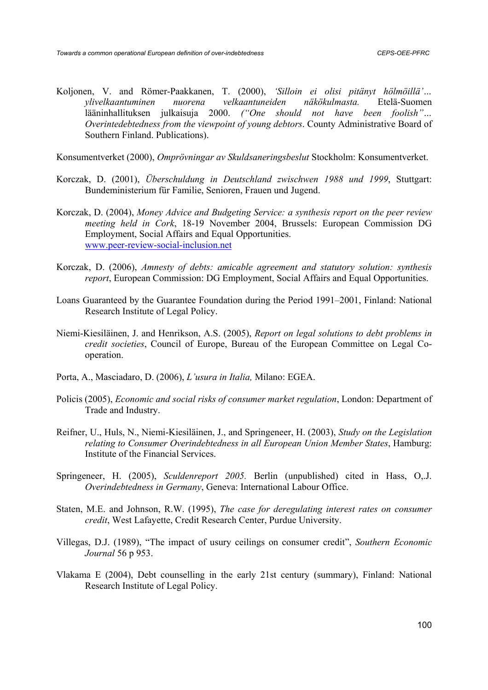Koljonen, V. and Römer-Paakkanen, T. (2000), *'Silloin ei olisi pitänyt hölmöillä'… ylivelkaantuminen nuorena velkaantuneiden näkökulmasta.* Etelä-Suomen lääninhallituksen julkaisuja 2000. *("One should not have been foolish"… Overintedebtedness from the viewpoint of young debtors*. County Administrative Board of Southern Finland. Publications).

Konsumentverket (2000), *Omprövningar av Skuldsaneringsbeslut* Stockholm: Konsumentverket.

- Korczak, D. (2001), *Überschuldung in Deutschland zwischwen 1988 und 1999*, Stuttgart: Bundeministerium für Familie, Senioren, Frauen und Jugend.
- Korczak, D. (2004), *Money Advice and Budgeting Service: a synthesis report on the peer review meeting held in Cork*, 18-19 November 2004, Brussels: European Commission DG Employment, Social Affairs and Equal Opportunities. www.peer-review-social-inclusion.net
- Korczak, D. (2006), *Amnesty of debts: amicable agreement and statutory solution: synthesis report*, European Commission: DG Employment, Social Affairs and Equal Opportunities.
- Loans Guaranteed by the Guarantee Foundation during the Period 1991–2001, Finland: National Research Institute of Legal Policy.
- Niemi-Kiesiläinen, J. and Henrikson, A.S. (2005), *Report on legal solutions to debt problems in credit societies*, Council of Europe, Bureau of the European Committee on Legal Cooperation.
- Porta, A., Masciadaro, D. (2006), *L'usura in Italia,* Milano: EGEA.
- Policis (2005), *Economic and social risks of consumer market regulation*, London: Department of Trade and Industry.
- Reifner, U., Huls, N., Niemi-Kiesiläinen, J., and Springeneer, H. (2003), *Study on the Legislation relating to Consumer Overindebtedness in all European Union Member States*, Hamburg: Institute of the Financial Services.
- Springeneer, H. (2005), *Sculdenreport 2005.* Berlin (unpublished) cited in Hass, O,.J. *Overindebtedness in Germany*, Geneva: International Labour Office.
- Staten, M.E. and Johnson, R.W. (1995), *The case for deregulating interest rates on consumer credit*, West Lafayette, Credit Research Center, Purdue University.
- Villegas, D.J. (1989), "The impact of usury ceilings on consumer credit", *Southern Economic Journal* 56 p 953.
- Vlakama E (2004), Debt counselling in the early 21st century (summary), Finland: National Research Institute of Legal Policy.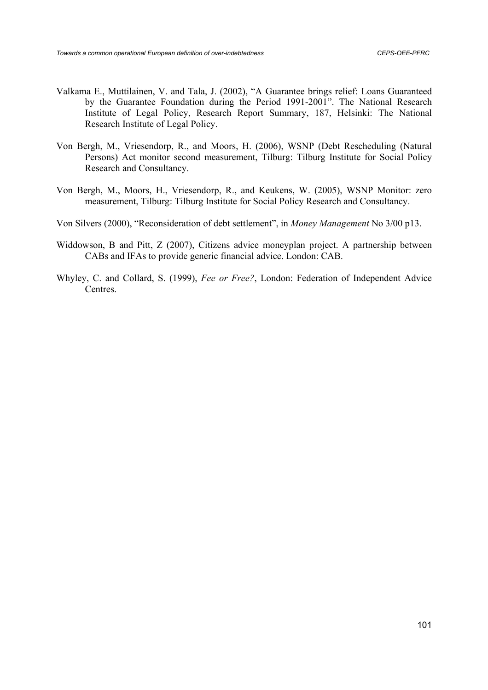- Valkama E., Muttilainen, V. and Tala, J. (2002), "A Guarantee brings relief: Loans Guaranteed by the Guarantee Foundation during the Period 1991-2001". The National Research Institute of Legal Policy, Research Report Summary, 187, Helsinki: The National Research Institute of Legal Policy.
- Von Bergh, M., Vriesendorp, R., and Moors, H. (2006), WSNP (Debt Rescheduling (Natural Persons) Act monitor second measurement, Tilburg: Tilburg Institute for Social Policy Research and Consultancy.
- Von Bergh, M., Moors, H., Vriesendorp, R., and Keukens, W. (2005), WSNP Monitor: zero measurement, Tilburg: Tilburg Institute for Social Policy Research and Consultancy.
- Von Silvers (2000), "Reconsideration of debt settlement", in *Money Management* No 3/00 p13.
- Widdowson, B and Pitt, Z (2007), Citizens advice moneyplan project. A partnership between CABs and IFAs to provide generic financial advice. London: CAB.
- Whyley, C. and Collard, S. (1999), *Fee or Free?*, London: Federation of Independent Advice Centres.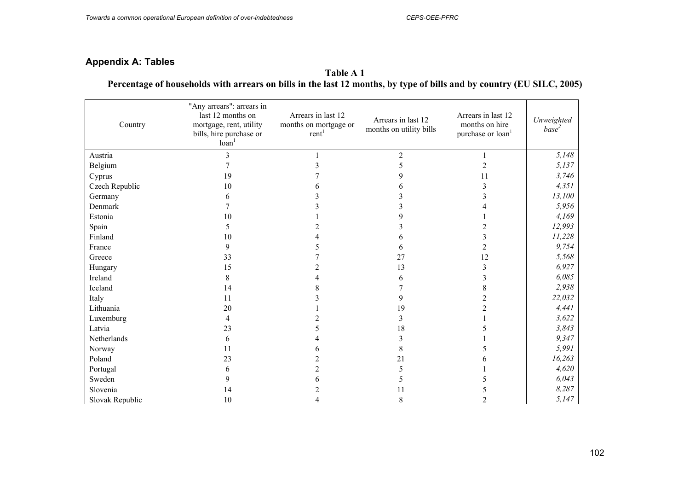# **Appendix A: Tables**

### **Table A 1 Percentage of households with arrears on bills in the last 12 months, by type of bills and by country (EU SILC, 2005)**

| Country         | "Any arrears": arrears in<br>last 12 months on<br>mortgage, rent, utility<br>bills, hire purchase or<br>$\alpha$ loan | Arrears in last 12<br>months on mortgage or<br>rent <sup>1</sup> | Arrears in last 12<br>months on utility bills | Arrears in last 12<br>months on hire<br>purchase or loan <sup>1</sup> | Unweighted<br>base <sup>2</sup> |
|-----------------|-----------------------------------------------------------------------------------------------------------------------|------------------------------------------------------------------|-----------------------------------------------|-----------------------------------------------------------------------|---------------------------------|
| Austria         | 3                                                                                                                     |                                                                  | $\overline{2}$                                |                                                                       | 5,148                           |
| Belgium         |                                                                                                                       |                                                                  |                                               | 2                                                                     | 5,137                           |
| Cyprus          | 19                                                                                                                    |                                                                  |                                               | 11                                                                    | 3,746                           |
| Czech Republic  | 10                                                                                                                    |                                                                  |                                               | 3                                                                     | 4,351                           |
| Germany         | 6                                                                                                                     |                                                                  |                                               |                                                                       | 13,100                          |
| Denmark         |                                                                                                                       |                                                                  |                                               |                                                                       | 5,956                           |
| Estonia         | 10                                                                                                                    |                                                                  | 9                                             |                                                                       | 4,169                           |
| Spain           | 5                                                                                                                     |                                                                  |                                               |                                                                       | 12,993                          |
| Finland         | 10                                                                                                                    |                                                                  |                                               | 3                                                                     | 11,228                          |
| France          | 9                                                                                                                     |                                                                  |                                               | $\overline{c}$                                                        | 9,754                           |
| Greece          | 33                                                                                                                    |                                                                  | 27                                            | 12                                                                    | 5,568                           |
| Hungary         | 15                                                                                                                    |                                                                  | 13                                            | 3                                                                     | 6,927                           |
| Ireland         | 8                                                                                                                     |                                                                  | 6                                             | 3                                                                     | 6,085                           |
| Iceland         | 14                                                                                                                    |                                                                  |                                               | 8                                                                     | 2,938                           |
| Italy           | 11                                                                                                                    |                                                                  | 9                                             | $\mathfrak{D}$                                                        | 22,032                          |
| Lithuania       | 20                                                                                                                    |                                                                  | 19                                            |                                                                       | 4,441                           |
| Luxemburg       | 4                                                                                                                     |                                                                  | 3                                             |                                                                       | 3,622                           |
| Latvia          | 23                                                                                                                    |                                                                  | 18                                            |                                                                       | 3,843                           |
| Netherlands     | 6                                                                                                                     |                                                                  |                                               |                                                                       | 9,347                           |
| Norway          | 11                                                                                                                    | h                                                                | 8                                             |                                                                       | 5,991                           |
| Poland          | 23                                                                                                                    |                                                                  | 21                                            |                                                                       | 16,263                          |
| Portugal        | 6                                                                                                                     | $\overline{2}$                                                   | 5                                             |                                                                       | 4,620                           |
| Sweden          | 9                                                                                                                     | 6                                                                |                                               |                                                                       | 6,043                           |
| Slovenia        | 14                                                                                                                    |                                                                  | 11                                            |                                                                       | 8,287                           |
| Slovak Republic | 10                                                                                                                    |                                                                  | 8                                             | $\overline{2}$                                                        | 5,147                           |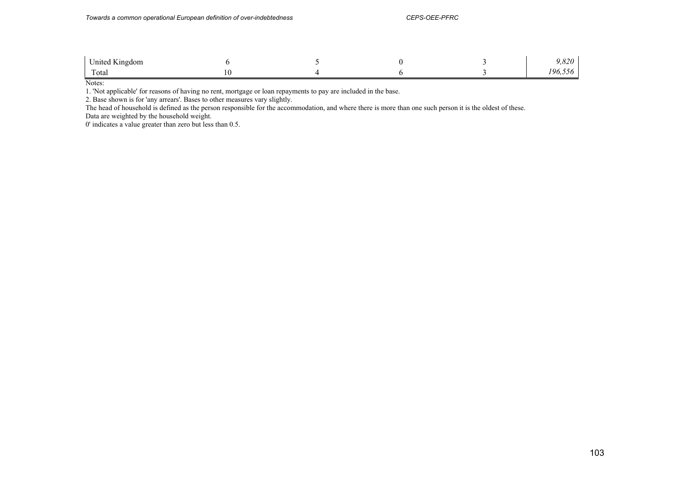| United Kingdom |  |  | 0.20<br>7,040     |
|----------------|--|--|-------------------|
| Total          |  |  | -06<br>. <i>.</i> |

Notes:

1. 'Not applicable' for reasons of having no rent, mortgage or loan repayments to pay are included in the base.

2. Base shown is for 'any arrears'. Bases to other measures vary slightly.

The head of household is defined as the person responsible for the accommodation, and where there is more than one such person it is the oldest of these. Data are weighted by the household weight.

0' indicates a value greater than zero but less than 0.5.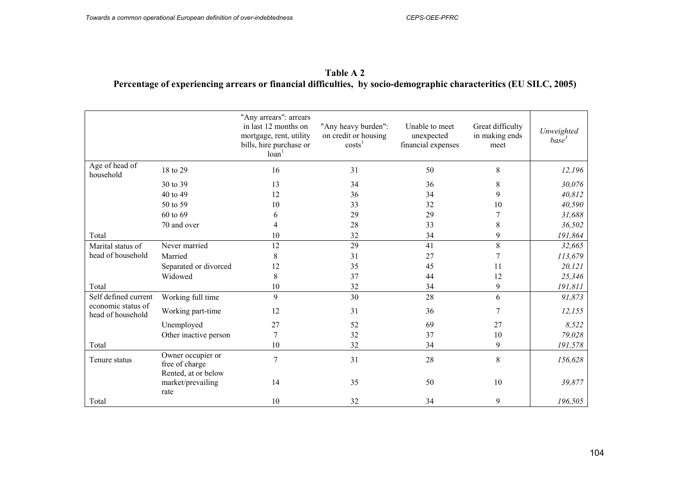| Table A 2                                                                                                         |  |
|-------------------------------------------------------------------------------------------------------------------|--|
| Percentage of experiencing arrears or financial difficulties, by socio-demographic characteritics (EU SILC, 2005) |  |

|                                         |                                                  | "Any arrears": arrears<br>in last 12 months on<br>mortgage, rent, utility<br>bills, hire purchase or<br>loan <sup>1</sup> | "Any heavy burden":<br>on credit or housing<br>costs <sup>1</sup> | Unable to meet<br>unexpected<br>financial expenses | Great difficulty<br>in making ends<br>meet | Unweighted<br>base <sup>3</sup> |
|-----------------------------------------|--------------------------------------------------|---------------------------------------------------------------------------------------------------------------------------|-------------------------------------------------------------------|----------------------------------------------------|--------------------------------------------|---------------------------------|
| Age of head of<br>household             | 18 to 29                                         | 16                                                                                                                        | 31                                                                | 50                                                 | 8                                          | 12,196                          |
|                                         | 30 to 39                                         | 13                                                                                                                        | 34                                                                | 36                                                 | 8                                          | 30,076                          |
|                                         | 40 to 49                                         | 12                                                                                                                        | 36                                                                | 34                                                 | 9                                          | 40,812                          |
|                                         | 50 to 59                                         | 10                                                                                                                        | 33                                                                | 32                                                 | 10                                         | 40,590                          |
|                                         | 60 to 69                                         | 6                                                                                                                         | 29                                                                | 29                                                 |                                            | 31,688                          |
|                                         | 70 and over                                      | 4                                                                                                                         | 28                                                                | 33                                                 | 8                                          | 36,502                          |
| Total                                   |                                                  | 10                                                                                                                        | 32                                                                | 34                                                 | 9                                          | 191,864                         |
| Marital status of                       | Never married                                    | 12                                                                                                                        | 29                                                                | 41                                                 | 8                                          | 32,665                          |
| head of household                       | Married                                          | 8                                                                                                                         | 31                                                                | 27                                                 |                                            | 113,679                         |
|                                         | Separated or divorced                            | 12                                                                                                                        | 35                                                                | 45                                                 | 11                                         | 20,121                          |
|                                         | Widowed                                          | 8                                                                                                                         | 37                                                                | 44                                                 | 12                                         | 25,346                          |
| Total                                   |                                                  | $10\,$                                                                                                                    | 32                                                                | 34                                                 | 9                                          | 191,811                         |
| Self defined current                    | Working full time                                | 9                                                                                                                         | 30                                                                | 28                                                 | 6                                          | 91,873                          |
| economic status of<br>head of household | Working part-time                                | 12                                                                                                                        | 31                                                                | 36                                                 | 7                                          | 12,155                          |
|                                         | Unemployed                                       | 27                                                                                                                        | 52                                                                | 69                                                 | 27                                         | 8,522                           |
|                                         | Other inactive person                            | $\tau$                                                                                                                    | 32                                                                | 37                                                 | 10                                         | 79,028                          |
| Total                                   |                                                  | 10                                                                                                                        | 32                                                                | 34                                                 | 9                                          | 191,578                         |
| Tenure status                           | Owner occupier or<br>free of charge              | $\overline{7}$                                                                                                            | 31                                                                | 28                                                 | 8                                          | 156,628                         |
|                                         | Rented, at or below<br>market/prevailing<br>rate | 14                                                                                                                        | 35                                                                | 50                                                 | 10                                         | 39,877                          |
| Total                                   |                                                  | 10                                                                                                                        | 32                                                                | 34                                                 | 9                                          | 196,505                         |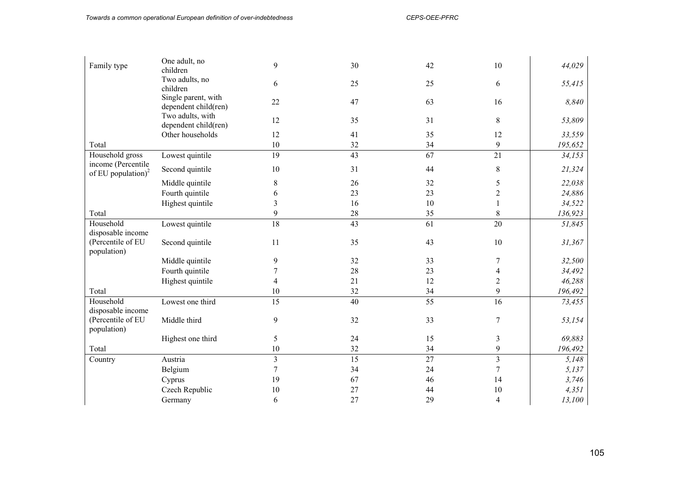| Family type                      | One adult, no<br>children                   | 9               | 30     | 42 | 10               | 44,029  |
|----------------------------------|---------------------------------------------|-----------------|--------|----|------------------|---------|
|                                  | Two adults, no                              | 6               | 25     | 25 | 6                | 55,415  |
|                                  | children                                    |                 |        |    |                  |         |
|                                  | Single parent, with<br>dependent child(ren) | 22              | 47     | 63 | 16               | 8,840   |
|                                  | Two adults, with<br>dependent child(ren)    | 12              | 35     | 31 | 8                | 53,809  |
|                                  | Other households                            | 12              | 41     | 35 | 12               | 33,559  |
| Total                            |                                             | 10              | 32     | 34 | 9                | 195,652 |
| Household gross                  | Lowest quintile                             | 19              | 43     | 67 | $\overline{21}$  | 34,153  |
| income (Percentile               |                                             |                 |        |    |                  |         |
| of EU population) $^{2}$         | Second quintile                             | 10              | 31     | 44 | $\,8\,$          | 21,324  |
|                                  | Middle quintile                             | 8               | 26     | 32 | 5                | 22,038  |
|                                  | Fourth quintile                             | 6               | 23     | 23 | $\boldsymbol{2}$ | 24,886  |
|                                  | Highest quintile                            | $\mathfrak{Z}$  | 16     | 10 |                  | 34,522  |
| Total                            |                                             | 9               | $28\,$ | 35 | $\,8\,$          | 136,923 |
| Household                        | Lowest quintile                             | 18              | 43     | 61 | 20               | 51,845  |
| disposable income                |                                             |                 |        |    |                  |         |
| (Percentile of EU<br>population) | Second quintile                             | 11              | 35     | 43 | 10               | 31,367  |
|                                  | Middle quintile                             | 9               | 32     | 33 | 7                | 32,500  |
|                                  | Fourth quintile                             | $\overline{7}$  | 28     | 23 | 4                | 34,492  |
|                                  | Highest quintile                            | 4               | 21     | 12 | $\overline{2}$   | 46,288  |
| Total                            |                                             | 10              | 32     | 34 | 9                | 196,492 |
| Household                        | Lowest one third                            | $\overline{15}$ | 40     | 55 | 16               | 73,455  |
| disposable income                |                                             |                 |        |    |                  |         |
| (Percentile of EU<br>population) | Middle third                                | 9               | 32     | 33 | $\overline{7}$   | 53,154  |
|                                  | Highest one third                           | 5               | 24     | 15 | 3                | 69,883  |
| Total                            |                                             | 10              | 32     | 34 | 9                | 196,492 |
| Country                          | Austria                                     | $\overline{3}$  | 15     | 27 | $\overline{3}$   | 5,148   |
|                                  | Belgium                                     | 7               | 34     | 24 | $\overline{7}$   | 5,137   |
|                                  | Cyprus                                      | 19              | 67     | 46 | 14               | 3,746   |
|                                  | Czech Republic                              | 10              | 27     | 44 | 10               | 4,351   |
|                                  | Germany                                     | 6               | 27     | 29 | $\overline{4}$   | 13,100  |
|                                  |                                             |                 |        |    |                  |         |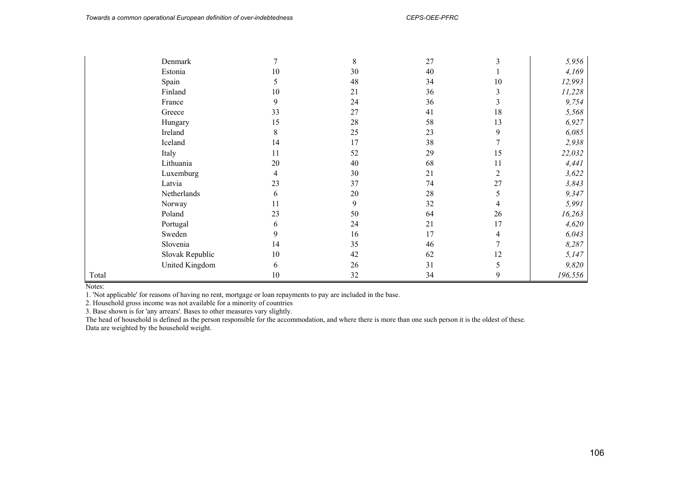|       | Denmark         |    | 8  | 27 |    | 5,956   |
|-------|-----------------|----|----|----|----|---------|
|       | Estonia         | 10 | 30 | 40 |    | 4,169   |
|       | Spain           | 5  | 48 | 34 | 10 | 12,993  |
|       | Finland         | 10 | 21 | 36 | 3  | 11,228  |
|       | France          | 9  | 24 | 36 | 3  | 9,754   |
|       | Greece          | 33 | 27 | 41 | 18 | 5,568   |
|       | Hungary         | 15 | 28 | 58 | 13 | 6,927   |
|       | Ireland         | 8  | 25 | 23 | 9  | 6,085   |
|       | Iceland         | 14 | 17 | 38 |    | 2,938   |
|       | Italy           | 11 | 52 | 29 | 15 | 22,032  |
|       | Lithuania       | 20 | 40 | 68 | 11 | 4,441   |
|       | Luxemburg       | 4  | 30 | 21 | 2  | 3,622   |
|       | Latvia          | 23 | 37 | 74 | 27 | 3,843   |
|       | Netherlands     | 6  | 20 | 28 | 5  | 9,347   |
|       | Norway          | 11 | 9  | 32 | 4  | 5,991   |
|       | Poland          | 23 | 50 | 64 | 26 | 16,263  |
|       | Portugal        | 6  | 24 | 21 | 17 | 4,620   |
|       | Sweden          | 9  | 16 | 17 |    | 6,043   |
|       | Slovenia        | 14 | 35 | 46 |    | 8,287   |
|       | Slovak Republic | 10 | 42 | 62 | 12 | 5,147   |
|       | United Kingdom  | 6  | 26 | 31 |    | 9,820   |
| Total |                 | 10 | 32 | 34 | 9  | 196,556 |

Notes:

1. 'Not applicable' for reasons of having no rent, mortgage or loan repayments to pay are included in the base.

2. Household gross income was not available for a minority of countries

3. Base shown is for 'any arrears'. Bases to other measures vary slightly.

The head of household is defined as the person responsible for the accommodation, and where there is more than one such person it is the oldest of these. Data are weighted by the household weight.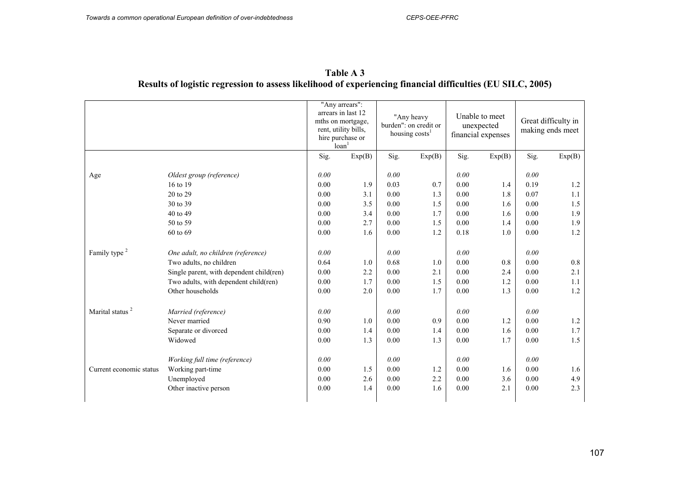| Age<br>16 to 19             | Oldest group (reference)                 | Sig. | Exp(B) |      |        |      |        | Great difficulty in<br>making ends meet |        |  |
|-----------------------------|------------------------------------------|------|--------|------|--------|------|--------|-----------------------------------------|--------|--|
|                             |                                          |      |        | Sig. | Exp(B) | Sig. | Exp(B) | Sig.                                    | Exp(B) |  |
|                             |                                          | 0.00 |        | 0.00 |        | 0.00 |        | 0.00                                    |        |  |
|                             |                                          | 0.00 | 1.9    | 0.03 | 0.7    | 0.00 | 1.4    | 0.19                                    | 1.2    |  |
|                             | 20 to 29                                 | 0.00 | 3.1    | 0.00 | 1.3    | 0.00 | 1.8    | 0.07                                    | 1.1    |  |
|                             | 30 to 39                                 | 0.00 | 3.5    | 0.00 | 1.5    | 0.00 | 1.6    | 0.00                                    | 1.5    |  |
|                             | 40 to 49                                 | 0.00 | 3.4    | 0.00 | 1.7    | 0.00 | 1.6    | 0.00                                    | 1.9    |  |
|                             | 50 to 59                                 | 0.00 | 2.7    | 0.00 | 1.5    | 0.00 | 1.4    | 0.00                                    | 1.9    |  |
|                             | 60 to 69                                 | 0.00 | 1.6    | 0.00 | 1.2    | 0.18 | 1.0    | 0.00                                    | 1.2    |  |
| Family type <sup>2</sup>    | One adult, no children (reference)       | 0.00 |        | 0.00 |        | 0.00 |        | 0.00                                    |        |  |
|                             | Two adults, no children                  | 0.64 | 1.0    | 0.68 | 1.0    | 0.00 | 0.8    | 0.00                                    | 0.8    |  |
|                             | Single parent, with dependent child(ren) | 0.00 | 2.2    | 0.00 | 2.1    | 0.00 | 2.4    | 0.00                                    | 2.1    |  |
|                             | Two adults, with dependent child(ren)    | 0.00 | 1.7    | 0.00 | 1.5    | 0.00 | 1.2    | 0.00                                    | 1.1    |  |
|                             | Other households                         | 0.00 | 2.0    | 0.00 | 1.7    | 0.00 | 1.3    | 0.00                                    | 1.2    |  |
| Marital status <sup>2</sup> | Married (reference)                      | 0.00 |        | 0.00 |        | 0.00 |        | 0.00                                    |        |  |
|                             | Never married                            | 0.90 | 1.0    | 0.00 | 0.9    | 0.00 | 1.2    | 0.00                                    | 1.2    |  |
|                             | Separate or divorced                     | 0.00 | 1.4    | 0.00 | 1.4    | 0.00 | 1.6    | 0.00                                    | 1.7    |  |
|                             | Widowed                                  | 0.00 | 1.3    | 0.00 | 1.3    | 0.00 | 1.7    | 0.00                                    | 1.5    |  |
|                             | Working full time (reference)            | 0.00 |        | 0.00 |        | 0.00 |        | 0.00                                    |        |  |
| Current economic status     | Working part-time                        | 0.00 | 1.5    | 0.00 | 1.2    | 0.00 | 1.6    | 0.00                                    | 1.6    |  |
|                             | Unemployed                               | 0.00 | 2.6    | 0.00 | 2.2    | 0.00 | 3.6    | 0.00                                    | 4.9    |  |
|                             | Other inactive person                    | 0.00 | 1.4    | 0.00 | 1.6    | 0.00 | 2.1    | 0.00                                    | 2.3    |  |

**Table A 3 Results of logistic regression to assess likelihood of experiencing financial difficulties (EU SILC, 2005)**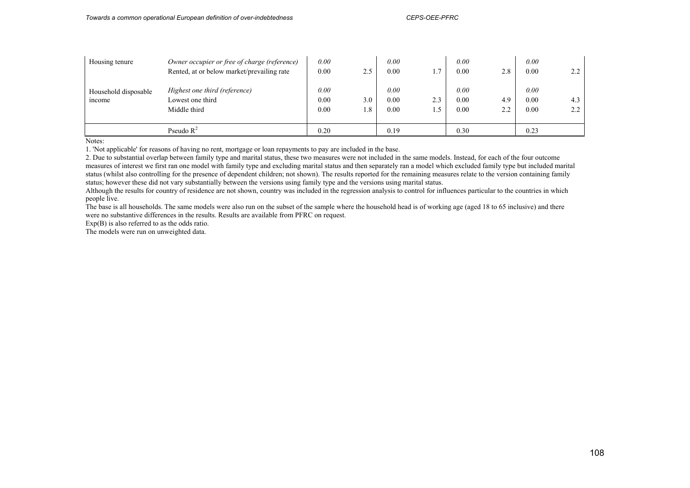| Housing tenure                        | Owner occupier or free of charge (reference)<br>Rented, at or below market/prevailing rate | 0.00<br>0.00         | 2.5        | 0.00<br>0.00         |     | 0.00<br>0.00         | 2.8                               | 0.00<br>0.00         |            |
|---------------------------------------|--------------------------------------------------------------------------------------------|----------------------|------------|----------------------|-----|----------------------|-----------------------------------|----------------------|------------|
| Household disposable<br><i>n</i> come | Highest one third (reference)<br>Lowest one third<br>Middle third                          | 0.00<br>0.00<br>0.00 | 3.0<br>1.8 | 0.00<br>0.00<br>0.00 | 2.3 | 0.00<br>0.00<br>0.00 | 4.9<br>$\gamma$<br>$\overline{a}$ | 0.00<br>0.00<br>0.00 | 4.3<br>2.2 |
|                                       | Pseudo $R^2$                                                                               | 0.20                 |            | 0.19                 |     | 0.30                 |                                   | 0.23                 |            |

Notes:

1. 'Not applicable' for reasons of having no rent, mortgage or loan repayments to pay are included in the base.

2. Due to substantial overlap between family type and marital status, these two measures were not included in the same models. Instead, for each of the four outcome measures of interest we first ran one model with family type and excluding marital status and then separately ran a model which excluded family type but included marital status (whilst also controlling for the presence of dependent children; not shown). The results reported for the remaining measures relate to the version containing family status; however these did not vary substantially between the versions using family type and the versions using marital status.

Although the results for country of residence are not shown, country was included in the regression analysis to control for influences particular to the countries in which people live.

The base is all households. The same models were also run on the subset of the sample where the household head is of working age (aged 18 to 65 inclusive) and there were no substantive differences in the results. Results are available from PFRC on request.

Exp(B) is also referred to as the odds ratio.

The models were run on unweighted data.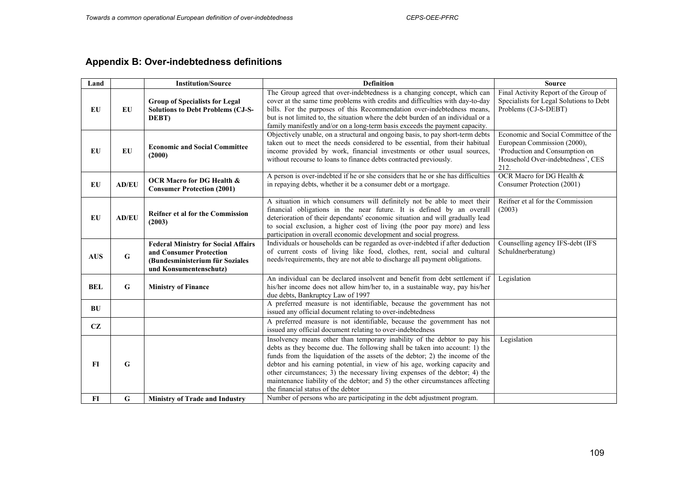# **Appendix B: Over-indebtedness definitions**

| Land       |              | <b>Institution/Source</b>                                                                                                          | <b>Definition</b>                                                                                                                                                                                                                                                                                                                                                                                                                                                                                                           | <b>Source</b>                                                                                                                                      |
|------------|--------------|------------------------------------------------------------------------------------------------------------------------------------|-----------------------------------------------------------------------------------------------------------------------------------------------------------------------------------------------------------------------------------------------------------------------------------------------------------------------------------------------------------------------------------------------------------------------------------------------------------------------------------------------------------------------------|----------------------------------------------------------------------------------------------------------------------------------------------------|
| EU         | EU           | <b>Group of Specialists for Legal</b><br><b>Solutions to Debt Problems (CJ-S-</b><br>DEBT)                                         | The Group agreed that over-indebtedness is a changing concept, which can<br>cover at the same time problems with credits and difficulties with day-to-day<br>bills. For the purposes of this Recommendation over-indebtedness means,<br>but is not limited to, the situation where the debt burden of an individual or a<br>family manifestly and/or on a long-term basis exceeds the payment capacity.                                                                                                                     | Final Activity Report of the Group of<br>Specialists for Legal Solutions to Debt<br>Problems (CJ-S-DEBT)                                           |
| EU         | $E$ U        | <b>Economic and Social Committee</b><br>(2000)                                                                                     | Objectively unable, on a structural and ongoing basis, to pay short-term debts<br>taken out to meet the needs considered to be essential, from their habitual<br>income provided by work, financial investments or other usual sources,<br>without recourse to loans to finance debts contracted previously.                                                                                                                                                                                                                | Economic and Social Committee of the<br>European Commission (2000),<br>'Production and Consumption on<br>Household Over-indebtedness', CES<br>212. |
| EU         | <b>AD/EU</b> | <b>OCR Macro for DG Health &amp;</b><br><b>Consumer Protection (2001)</b>                                                          | A person is over-indebted if he or she considers that he or she has difficulties<br>in repaying debts, whether it be a consumer debt or a mortgage.                                                                                                                                                                                                                                                                                                                                                                         | <b>OCR Macro for DG Health &amp;</b><br>Consumer Protection (2001)                                                                                 |
| <b>EU</b>  | <b>AD/EU</b> | <b>Reifner et al for the Commission</b><br>(2003)                                                                                  | A situation in which consumers will definitely not be able to meet their<br>financial obligations in the near future. It is defined by an overall<br>deterioration of their dependants' economic situation and will gradually lead<br>to social exclusion, a higher cost of living (the poor pay more) and less<br>participation in overall economic development and social progress.                                                                                                                                       | Reifner et al for the Commission<br>(2003)                                                                                                         |
| <b>AUS</b> | ${\bf G}$    | <b>Federal Ministry for Social Affairs</b><br>and Consumer Protection<br>(Bundesministerium für Soziales<br>und Konsumentenschutz) | Individuals or households can be regarded as over-indebted if after deduction<br>of current costs of living like food, clothes, rent, social and cultural<br>needs/requirements, they are not able to discharge all payment obligations.                                                                                                                                                                                                                                                                                    | Counselling agency IFS-debt (IFS<br>Schuldnerberatung)                                                                                             |
| <b>BEL</b> | $\bf G$      | <b>Ministry of Finance</b>                                                                                                         | An individual can be declared insolvent and benefit from debt settlement if<br>his/her income does not allow him/her to, in a sustainable way, pay his/her<br>due debts, Bankruptcy Law of 1997                                                                                                                                                                                                                                                                                                                             | Legislation                                                                                                                                        |
| BU         |              |                                                                                                                                    | A preferred measure is not identifiable, because the government has not<br>issued any official document relating to over-indebtedness                                                                                                                                                                                                                                                                                                                                                                                       |                                                                                                                                                    |
| CZ         |              |                                                                                                                                    | A preferred measure is not identifiable, because the government has not<br>issued any official document relating to over-indebtedness                                                                                                                                                                                                                                                                                                                                                                                       |                                                                                                                                                    |
| FI         | G            |                                                                                                                                    | Insolvency means other than temporary inability of the debtor to pay his<br>debts as they become due. The following shall be taken into account: 1) the<br>funds from the liquidation of the assets of the debtor; 2) the income of the<br>debtor and his earning potential, in view of his age, working capacity and<br>other circumstances; 3) the necessary living expenses of the debtor; 4) the<br>maintenance liability of the debtor; and 5) the other circumstances affecting<br>the financial status of the debtor | Legislation                                                                                                                                        |
| $FI$       | $\bf G$      | <b>Ministry of Trade and Industry</b>                                                                                              | Number of persons who are participating in the debt adjustment program.                                                                                                                                                                                                                                                                                                                                                                                                                                                     |                                                                                                                                                    |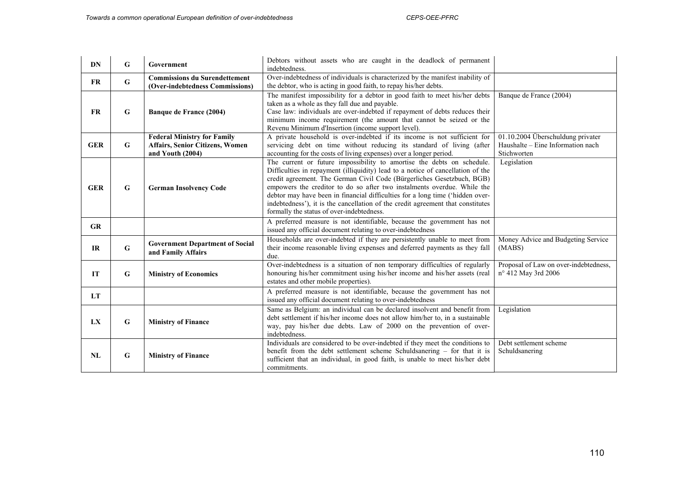| <b>DN</b>  | G           | Government                                                                                       | Debtors without assets who are caught in the deadlock of permanent<br>indebtedness.                                                                                                                                                                                                                                                                                                                                                                                                                                             |                                                                                       |
|------------|-------------|--------------------------------------------------------------------------------------------------|---------------------------------------------------------------------------------------------------------------------------------------------------------------------------------------------------------------------------------------------------------------------------------------------------------------------------------------------------------------------------------------------------------------------------------------------------------------------------------------------------------------------------------|---------------------------------------------------------------------------------------|
| <b>FR</b>  | $\mathbf G$ | <b>Commissions du Surendettement</b><br>(Over-indebtedness Commissions)                          | Over-indebtedness of individuals is characterized by the manifest inability of<br>the debtor, who is acting in good faith, to repay his/her debts.                                                                                                                                                                                                                                                                                                                                                                              |                                                                                       |
| <b>FR</b>  | G           | Banque de France (2004)                                                                          | The manifest impossibility for a debtor in good faith to meet his/her debts<br>taken as a whole as they fall due and payable.<br>Case law: individuals are over-indebted if repayment of debts reduces their<br>minimum income requirement (the amount that cannot be seized or the<br>Revenu Minimum d'Insertion (income support level).                                                                                                                                                                                       | Banque de France (2004)                                                               |
| <b>GER</b> | G           | <b>Federal Ministry for Family</b><br><b>Affairs, Senior Citizens, Women</b><br>and Youth (2004) | A private household is over-indebted if its income is not sufficient for<br>servicing debt on time without reducing its standard of living (after<br>accounting for the costs of living expenses) over a longer period.                                                                                                                                                                                                                                                                                                         | 01.10.2004 Überschuldung privater<br>Haushalte – Eine Information nach<br>Stichworten |
| <b>GER</b> | $\mathbf G$ | <b>German Insolvency Code</b>                                                                    | The current or future impossibility to amortise the debts on schedule.<br>Difficulties in repayment (illiquidity) lead to a notice of cancellation of the<br>credit agreement. The German Civil Code (Bürgerliches Gesetzbuch, BGB)<br>empowers the creditor to do so after two instalments overdue. While the<br>debtor may have been in financial difficulties for a long time ('hidden over-<br>indebtedness'), it is the cancellation of the credit agreement that constitutes<br>formally the status of over-indebtedness. | Legislation                                                                           |
| GR         |             |                                                                                                  | A preferred measure is not identifiable, because the government has not<br>issued any official document relating to over-indebtedness                                                                                                                                                                                                                                                                                                                                                                                           |                                                                                       |
| IR         | $\bf G$     | <b>Government Department of Social</b><br>and Family Affairs                                     | Households are over-indebted if they are persistently unable to meet from<br>their income reasonable living expenses and deferred payments as they fall<br>due.                                                                                                                                                                                                                                                                                                                                                                 | Money Advice and Budgeting Service<br>(MABS)                                          |
| IT         | $\mathbf G$ | <b>Ministry of Economics</b>                                                                     | Over-indebtedness is a situation of non temporary difficulties of regularly<br>honouring his/her commitment using his/her income and his/her assets (real<br>estates and other mobile properties).                                                                                                                                                                                                                                                                                                                              | Proposal of Law on over-indebtedness,<br>n° 412 May 3rd 2006                          |
| <b>LT</b>  |             |                                                                                                  | A preferred measure is not identifiable, because the government has not<br>issued any official document relating to over-indebtedness                                                                                                                                                                                                                                                                                                                                                                                           |                                                                                       |
| LX         | $\mathbf G$ | <b>Ministry of Finance</b>                                                                       | Same as Belgium: an individual can be declared insolvent and benefit from<br>debt settlement if his/her income does not allow him/her to, in a sustainable<br>way, pay his/her due debts. Law of 2000 on the prevention of over-<br>indebtedness.                                                                                                                                                                                                                                                                               | Legislation                                                                           |
| <b>NL</b>  | G           | <b>Ministry of Finance</b>                                                                       | Individuals are considered to be over-indebted if they meet the conditions to<br>benefit from the debt settlement scheme Schuldsanering - for that it is<br>sufficient that an individual, in good faith, is unable to meet his/her debt<br>commitments.                                                                                                                                                                                                                                                                        | Debt settlement scheme<br>Schuldsanering                                              |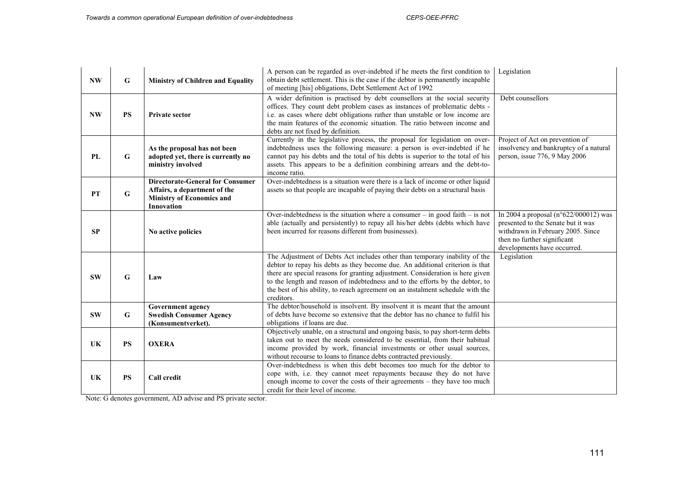| <b>NW</b> | G         | <b>Ministry of Children and Equality</b>                                                                                  | A person can be regarded as over-indebted if he meets the first condition to<br>obtain debt settlement. This is the case if the debtor is permanently incapable<br>of meeting [his] obligations, Debt Settlement Act of 1992                                                                                                                                                                                                   | Legislation                                                                                                                                                                               |
|-----------|-----------|---------------------------------------------------------------------------------------------------------------------------|--------------------------------------------------------------------------------------------------------------------------------------------------------------------------------------------------------------------------------------------------------------------------------------------------------------------------------------------------------------------------------------------------------------------------------|-------------------------------------------------------------------------------------------------------------------------------------------------------------------------------------------|
| <b>NW</b> | <b>PS</b> | <b>Private sector</b>                                                                                                     | A wider definition is practised by debt counsellors at the social security<br>offices. They count debt problem cases as instances of problematic debts -<br>i.e. as cases where debt obligations rather than unstable or low income are<br>the main features of the economic situation. The ratio between income and<br>debts are not fixed by definition.                                                                     | Debt counsellors                                                                                                                                                                          |
| PL        | G         | As the proposal has not been<br>adopted yet, there is currently no<br>ministry involved                                   | Currently in the legislative process, the proposal for legislation on over-<br>indebtedness uses the following measure: a person is over-indebted if he<br>cannot pay his debts and the total of his debts is superior to the total of his<br>assets. This appears to be a definition combining arrears and the debt-to-<br>income ratio.                                                                                      | Project of Act on prevention of<br>insolvency and bankruptcy of a natural<br>person, issue 776, 9 May 2006                                                                                |
| <b>PT</b> | G         | <b>Directorate-General for Consumer</b><br>Affairs, a department of the<br><b>Ministry of Economics and</b><br>Innovation | Over-indebtedness is a situation were there is a lack of income or other liquid<br>assets so that people are incapable of paying their debts on a structural basis                                                                                                                                                                                                                                                             |                                                                                                                                                                                           |
| SP        |           | No active policies                                                                                                        | Over-indebtedness is the situation where a consumer $-$ in good faith $-$ is not<br>able (actually and persistently) to repay all his/her debts (debts which have<br>been incurred for reasons different from businesses).                                                                                                                                                                                                     | In 2004 a proposal ( $n^{\circ}622/000012$ ) was<br>presented to the Senate but it was<br>withdrawn in February 2005. Since<br>then no further significant<br>developments have occurred. |
| <b>SW</b> | G         | Law                                                                                                                       | The Adjustment of Debts Act includes other than temporary inability of the<br>debtor to repay his debts as they become due. An additional criterion is that<br>there are special reasons for granting adjustment. Consideration is here given<br>to the length and reason of indebtedness and to the efforts by the debtor, to<br>the best of his ability, to reach agreement on an instalment schedule with the<br>creditors. | Legislation                                                                                                                                                                               |
| <b>SW</b> | G         | <b>Government agency</b><br><b>Swedish Consumer Agency</b><br>(Konsumentverket).                                          | The debtor/household is insolvent. By insolvent it is meant that the amount<br>of debts have become so extensive that the debtor has no chance to fulfil his<br>obligations if loans are due.                                                                                                                                                                                                                                  |                                                                                                                                                                                           |
| UK        | <b>PS</b> | <b>OXERA</b>                                                                                                              | Objectively unable, on a structural and ongoing basis, to pay short-term debts<br>taken out to meet the needs considered to be essential, from their habitual<br>income provided by work, financial investments or other usual sources,<br>without recourse to loans to finance debts contracted previously.                                                                                                                   |                                                                                                                                                                                           |
| UK        | <b>PS</b> | <b>Call credit</b>                                                                                                        | Over-indebtedness is when this debt becomes too much for the debtor to<br>cope with, i.e. they cannot meet repayments because they do not have<br>enough income to cover the costs of their agreements - they have too much<br>credit for their level of income.                                                                                                                                                               |                                                                                                                                                                                           |

Note: G denotes government, AD advise and PS private sector.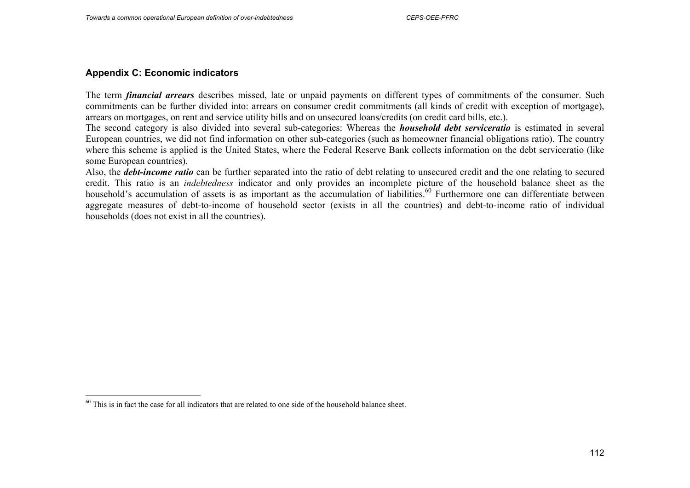## **Appendix C: Economic indicators**

The term *financial arrears* describes missed, late or unpaid payments on different types of commitments of the consumer. Such commitments can be further divided into: arrears on consumer credit commitments (all kinds of credit with exception of mortgage), arrears on mortgages, on rent and service utility bills and on unsecured loans/credits (on credit card bills, etc.).

The second category is also divided into several sub-categories: Whereas the *household debt serviceratio* is estimated in several European countries, we did not find information on other sub-categories (such as homeowner financial obligations ratio). The country where this scheme is applied is the United States, where the Federal Reserve Bank collects information on the debt serviceratio (like some European countries).

Also, the *debt-income ratio* can be further separated into the ratio of debt relating to unsecured credit and the one relating to secured credit. This ratio is an *indebtedness* indicator and only provides an incomplete picture of the household balance sheet as the household's accumulation of assets is as important as the accumulation of liabilities.<sup>60</sup> Furthermore one can differentiate between aggregate measures of debt-to-income of household sector (exists in all the countries) and debt-to-income ratio of individual households (does not exist in all the countries).

 $60$  This is in fact the case for all indicators that are related to one side of the household balance sheet.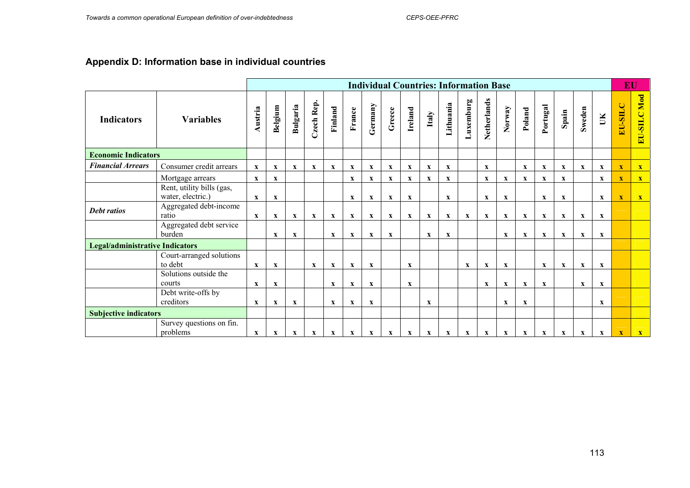# **Appendix D: Information base in individual countries**

|                                        |                                                |                           |                           |              |              |              |                           |              |                           |                           |              | <b>Individual Countries: Information Base</b> |             |                           |              |              |              |              |              |              | EU                      |              |
|----------------------------------------|------------------------------------------------|---------------------------|---------------------------|--------------|--------------|--------------|---------------------------|--------------|---------------------------|---------------------------|--------------|-----------------------------------------------|-------------|---------------------------|--------------|--------------|--------------|--------------|--------------|--------------|-------------------------|--------------|
| <b>Indicators</b>                      | <b>Variables</b>                               | Austria                   | Belgium                   | Bulgaria     | Czech Rep.   | Finland      | France                    | Germany      | Greece                    | Ireland                   | Italy        | Lithuania                                     | Luxemburg   | Netherlands               | Norway       | Poland       | Portugal     | Spain        | Sweden       | $\mathbb H$  | EU-SILC                 | EU-SILC Mod  |
| <b>Economic Indicators</b>             |                                                |                           |                           |              |              |              |                           |              |                           |                           |              |                                               |             |                           |              |              |              |              |              |              |                         |              |
| <b>Financial Arrears</b>               | Consumer credit arrears                        | $\boldsymbol{\mathrm{X}}$ | $\mathbf X$               | $\mathbf{x}$ | $\mathbf{x}$ | $\mathbf{x}$ | $\mathbf{X}$              | $\mathbf{x}$ | $\boldsymbol{\mathrm{X}}$ | $\mathbf{x}$              | $\mathbf{x}$ | $\mathbf{x}$                                  |             | $\mathbf{X}$              |              | $\mathbf{x}$ | $\mathbf X$  | $\mathbf{x}$ | $\mathbf{x}$ | $\mathbf{x}$ | $\mathbf X$             | $\mathbf{X}$ |
|                                        | Mortgage arrears                               | $\mathbf{X}$              | $\mathbf{x}$              |              |              |              | $\mathbf{x}$              | $\mathbf{x}$ | $\boldsymbol{\mathrm{X}}$ | $\boldsymbol{\mathrm{X}}$ | $\mathbf X$  | $\mathbf{x}$                                  |             | $\mathbf{X}$              | $\mathbf{X}$ | $\mathbf{x}$ | $\mathbf{x}$ | $\mathbf{x}$ |              | $\mathbf{x}$ | $\overline{\mathbf{X}}$ | $\mathbf{X}$ |
|                                        | Rent, utility bills (gas,<br>water, electric.) | $\mathbf{x}$              | $\mathbf x$               |              |              |              | $\mathbf{x}$              | $\mathbf x$  | $\mathbf{x}$              | $\mathbf{x}$              |              | $\mathbf{x}$                                  |             | $\mathbf{x}$              | $\mathbf x$  |              | $\mathbf{x}$ | $\mathbf x$  |              | $\mathbf{x}$ | $\mathbf x$             | $\mathbf{X}$ |
| <b>Debt ratios</b>                     | Aggregated debt-income<br>ratio                | $\mathbf x$               | $\mathbf x$               | $\mathbf x$  | $\mathbf X$  | $\mathbf x$  | $\boldsymbol{\mathrm{X}}$ | $\mathbf x$  | $\mathbf{x}$              | $\mathbf{x}$              | $\mathbf{x}$ | $\mathbf X$                                   | $\mathbf x$ | $\boldsymbol{\mathrm{X}}$ | $\mathbf{x}$ | $\mathbf x$  | $\mathbf x$  | $\mathbf x$  | $\mathbf x$  | $\mathbf{x}$ |                         |              |
|                                        | Aggregated debt service<br>burden              |                           | $\mathbf{x}$              | $\mathbf{x}$ |              | X            | $\mathbf X$               | $\mathbf{x}$ | $\mathbf{x}$              |                           | $\mathbf{x}$ | $\mathbf x$                                   |             |                           | $\mathbf{x}$ | $\mathbf x$  | $\mathbf x$  | $\mathbf{x}$ | $\mathbf x$  | $\mathbf{x}$ |                         |              |
| <b>Legal/administrative Indicators</b> |                                                |                           |                           |              |              |              |                           |              |                           |                           |              |                                               |             |                           |              |              |              |              |              |              |                         |              |
|                                        | Court-arranged solutions<br>to debt            | $\boldsymbol{\mathrm{X}}$ | $\mathbf X$               |              | $\mathbf{x}$ | $\mathbf x$  | $\mathbf{X}$              | $\mathbf x$  |                           | $\mathbf{x}$              |              |                                               | $\mathbf X$ | $\boldsymbol{\mathrm{X}}$ | $\mathbf{x}$ |              | $\mathbf X$  | $\mathbf X$  | $\mathbf X$  | $\mathbf{x}$ |                         |              |
|                                        | Solutions outside the<br>courts                | $\mathbf x$               | $\mathbf{x}$              |              |              | $\mathbf{x}$ | $\mathbf{x}$              | $\mathbf x$  |                           | $\mathbf{x}$              |              |                                               |             | $\mathbf{x}$              | $\mathbf{x}$ | $\mathbf{x}$ | $\mathbf{x}$ |              | $\mathbf{x}$ | $\mathbf{x}$ |                         |              |
|                                        | Debt write-offs by<br>creditors                | $\mathbf x$               | $\mathbf x$               | $\mathbf{x}$ |              | $\mathbf{x}$ | $\mathbf x$               | $\mathbf{x}$ |                           |                           | $\mathbf{x}$ |                                               |             |                           | $\mathbf x$  | $\mathbf x$  |              |              |              | $\mathbf{x}$ |                         |              |
| <b>Subjective indicators</b>           |                                                |                           |                           |              |              |              |                           |              |                           |                           |              |                                               |             |                           |              |              |              |              |              |              |                         |              |
|                                        | Survey questions on fin.<br>problems           | $\mathbf x$               | $\boldsymbol{\mathrm{X}}$ | $\mathbf x$  | $\mathbf x$  | $\mathbf x$  | $\boldsymbol{\mathrm{X}}$ | $\mathbf x$  | $\mathbf x$               | X                         | $\mathbf X$  | $\mathbf x$                                   | X           | $\mathbf x$               | $\mathbf x$  | $\mathbf x$  | $\mathbf X$  | $\mathbf x$  | $\mathbf x$  | $\mathbf{x}$ | $\mathbf x$             | $\mathbf{X}$ |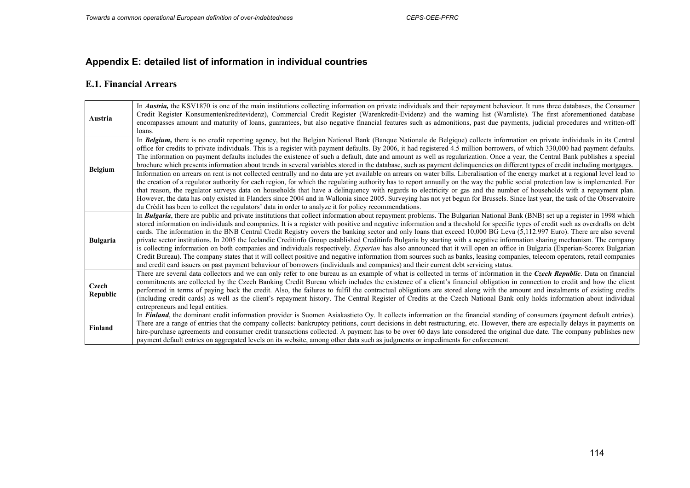# **Appendix E: detailed list of information in individual countries**

### **E.1. Financial Arrears**

| Austria           | In <i>Austria</i> , the KSV1870 is one of the main institutions collecting information on private individuals and their repayment behaviour. It runs three databases, the Consumer<br>Credit Register Konsumentenkreditevidenz), Commercial Credit Register (Warenkredit-Evidenz) and the warning list (Warnliste). The first aforementioned database<br>encompasses amount and maturity of loans, guarantees, but also negative financial features such as admonitions, past due payments, judicial procedures and written-off<br>loans.                                                                                                                                                                                                                                                                                                                                                                                                                                                                                                                                                                                                                                                                                          |
|-------------------|------------------------------------------------------------------------------------------------------------------------------------------------------------------------------------------------------------------------------------------------------------------------------------------------------------------------------------------------------------------------------------------------------------------------------------------------------------------------------------------------------------------------------------------------------------------------------------------------------------------------------------------------------------------------------------------------------------------------------------------------------------------------------------------------------------------------------------------------------------------------------------------------------------------------------------------------------------------------------------------------------------------------------------------------------------------------------------------------------------------------------------------------------------------------------------------------------------------------------------|
| <b>Belgium</b>    | In Belgium, there is no credit reporting agency, but the Belgian National Bank (Banque Nationale de Belgique) collects information on private individuals in its Central<br>office for credits to private individuals. This is a register with payment defaults. By 2006, it had registered 4.5 million borrowers, of which 330,000 had payment defaults.<br>The information on payment defaults includes the existence of such a default, date and amount as well as regularization. Once a year, the Central Bank publishes a special<br>brochure which presents information about trends in several variables stored in the database, such as payment delinquencies on different types of credit including mortgages.                                                                                                                                                                                                                                                                                                                                                                                                                                                                                                           |
|                   | Information on arrears on rent is not collected centrally and no data are yet available on arrears on water bills. Liberalisation of the energy market at a regional level lead to<br>the creation of a regulator authority for each region, for which the regulating authority has to report annually on the way the public social protection law is implemented. For<br>that reason, the regulator surveys data on households that have a delinquency with regards to electricity or gas and the number of households with a repayment plan.<br>However, the data has only existed in Flanders since 2004 and in Wallonia since 2005. Surveying has not yet begun for Brussels. Since last year, the task of the Observatoire<br>du Crédit has been to collect the regulators' data in order to analyze it for policy recommendations.                                                                                                                                                                                                                                                                                                                                                                                           |
| <b>Bulgaria</b>   | In <b>Bulgaria</b> , there are public and private institutions that collect information about repayment problems. The Bulgarian National Bank (BNB) set up a register in 1998 which<br>stored information on individuals and companies. It is a register with positive and negative information and a threshold for specific types of credit such as overdrafts on debt<br>cards. The information in the BNB Central Credit Registry covers the banking sector and only loans that exceed 10,000 BG Leva (5,112.997 Euro). There are also several<br>private sector institutions. In 2005 the Icelandic Creditinfo Group established Creditinfo Bulgaria by starting with a negative information sharing mechanism. The company<br>is collecting information on both companies and individuals respectively. Experian has also announced that it will open an office in Bulgaria (Experian-Scorex Bulgarian<br>Credit Bureau). The company states that it will collect positive and negative information from sources such as banks, leasing companies, telecom operators, retail companies<br>and credit card issuers on past payment behaviour of borrowers (individuals and companies) and their current debt servicing status. |
| Czech<br>Republic | There are several data collectors and we can only refer to one bureau as an example of what is collected in terms of information in the Czech Republic. Data on financial<br>commitments are collected by the Czech Banking Credit Bureau which includes the existence of a client's financial obligation in connection to credit and how the client<br>performed in terms of paying back the credit. Also, the failures to fulfil the contractual obligations are stored along with the amount and instalments of existing credits<br>(including credit cards) as well as the client's repayment history. The Central Register of Credits at the Czech National Bank only holds information about individual<br>entrepreneurs and legal entities.                                                                                                                                                                                                                                                                                                                                                                                                                                                                                 |
| <b>Finland</b>    | In <b>Finland</b> , the dominant credit information provider is Suomen Asiakastieto Oy. It collects information on the financial standing of consumers (payment default entries).<br>There are a range of entries that the company collects: bankruptcy petitions, court decisions in debt restructuring, etc. However, there are especially delays in payments on<br>hire-purchase agreements and consumer credit transactions collected. A payment has to be over 60 days late considered the original due date. The company publishes new<br>payment default entries on aggregated levels on its website, among other data such as judgments or impediments for enforcement.                                                                                                                                                                                                                                                                                                                                                                                                                                                                                                                                                    |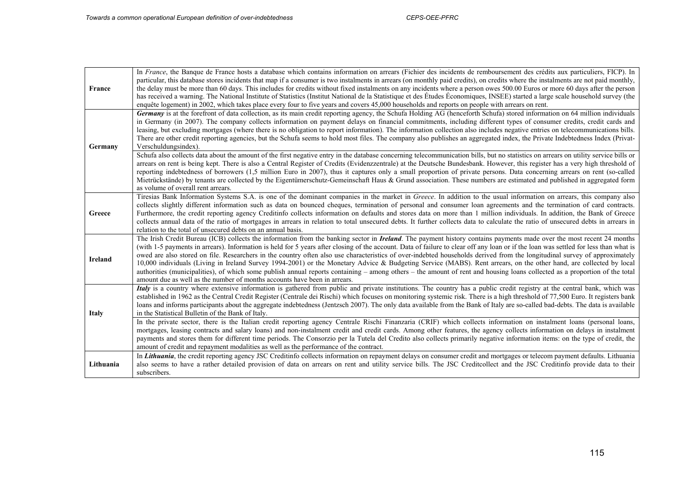$\mathbf{r}$ 

| France         | In France, the Banque de France hosts a database which contains information on arrears (Fichier des incidents de remboursement des crédits aux particuliers, FICP). In<br>particular, this database stores incidents that map if a consumer is two instalments in arrears (on monthly paid credits), on credits where the instalments are not paid monthly,<br>the delay must be more than 60 days. This includes for credits without fixed instalments on any incidents where a person owes 500.00 Euros or more 60 days after the person<br>has received a warning. The National Institute of Statistics (Institut National de la Statistique et des Études Économiques, INSEE) started a large scale household survey (the<br>enquête logement) in 2002, which takes place every four to five years and covers 45,000 households and reports on people with arrears on rent.                                                                                                    |
|----------------|------------------------------------------------------------------------------------------------------------------------------------------------------------------------------------------------------------------------------------------------------------------------------------------------------------------------------------------------------------------------------------------------------------------------------------------------------------------------------------------------------------------------------------------------------------------------------------------------------------------------------------------------------------------------------------------------------------------------------------------------------------------------------------------------------------------------------------------------------------------------------------------------------------------------------------------------------------------------------------|
| Germany        | Germany is at the forefront of data collection, as its main credit reporting agency, the Schufa Holding AG (henceforth Schufa) stored information on 64 million individuals<br>in Germany (in 2007). The company collects information on payment delays on financial commitments, including different types of consumer credits, credit cards and<br>leasing, but excluding mortgages (where there is no obligation to report information). The information collection also includes negative entries on telecommunications bills.<br>There are other credit reporting agencies, but the Schufa seems to hold most files. The company also publishes an aggregated index, the Private Indebtedness Index (Privat-<br>Verschuldungsindex).                                                                                                                                                                                                                                          |
|                | Schufa also collects data about the amount of the first negative entry in the database concerning telecommunication bills, but no statistics on arrears on utility service bills or<br>arrears on rent is being kept. There is also a Central Register of Credits (Evidenzzentrale) at the Deutsche Bundesbank. However, this register has a very high threshold of<br>reporting indebtedness of borrowers (1,5 million Euro in 2007), thus it captures only a small proportion of private persons. Data concerning arrears on rent (so-called<br>Mietrückstände) by tenants are collected by the Eigentümerschutz-Gemeinschaft Haus & Grund association. These numbers are estimated and published in aggregated form<br>as volume of overall rent arrears.                                                                                                                                                                                                                       |
| Greece         | Tiresias Bank Information Systems S.A. is one of the dominant companies in the market in Greece. In addition to the usual information on arrears, this company also<br>collects slightly different information such as data on bounced cheques, termination of personal and consumer loan agreements and the termination of card contracts.<br>Furthermore, the credit reporting agency Creditinfo collects information on defaults and stores data on more than 1 million individuals. In addition, the Bank of Greece<br>collects annual data of the ratio of mortgages in arrears in relation to total unsecured debts. It further collects data to calculate the ratio of unsecured debts in arrears in<br>relation to the total of unsecured debts on an annual basis.                                                                                                                                                                                                        |
| <b>Ireland</b> | The Irish Credit Bureau (ICB) collects the information from the banking sector in <i>Ireland</i> . The payment history contains payments made over the most recent 24 months<br>(with 1-5 payments in arrears). Information is held for 5 years after closing of the account. Data of failure to clear off any loan or if the loan was settled for less than what is<br>owed are also stored on file. Researchers in the country often also use characteristics of over-indebted households derived from the longitudinal survey of approximately<br>10,000 individuals (Living in Ireland Survey 1994-2001) or the Monetary Advice & Budgeting Service (MABS). Rent arrears, on the other hand, are collected by local<br>authorities (municipalities), of which some publish annual reports containing – among others – the amount of rent and housing loans collected as a proportion of the total<br>amount due as well as the number of months accounts have been in arrears. |
| <b>Italy</b>   | Italy is a country where extensive information is gathered from public and private institutions. The country has a public credit registry at the central bank, which was<br>established in 1962 as the Central Credit Register (Centrale dei Rischi) which focuses on monitoring systemic risk. There is a high threshold of 77,500 Euro. It registers bank<br>loans and informs participants about the aggregate indebtedness (Jentzsch 2007). The only data available from the Bank of Italy are so-called bad-debts. The data is available<br>in the Statistical Bulletin of the Bank of Italy.                                                                                                                                                                                                                                                                                                                                                                                 |
|                | In the private sector, there is the Italian credit reporting agency Centrale Rischi Finanzaria (CRIF) which collects information on instalment loans (personal loans,<br>mortgages, leasing contracts and salary loans) and non-instalment credit and credit cards. Among other features, the agency collects information on delays in instalment<br>payments and stores them for different time periods. The Consorzio per la Tutela del Credito also collects primarily negative information items: on the type of credit, the<br>amount of credit and repayment modalities as well as the performance of the contract.                                                                                                                                                                                                                                                                                                                                                          |
| Lithuania      | In Lithuania, the credit reporting agency JSC Creditinfo collects information on repayment delays on consumer credit and mortgages or telecom payment defaults. Lithuania<br>also seems to have a rather detailed provision of data on arrears on rent and utility service bills. The JSC Creditcollect and the JSC Creditinfo provide data to their<br>subscribers.                                                                                                                                                                                                                                                                                                                                                                                                                                                                                                                                                                                                               |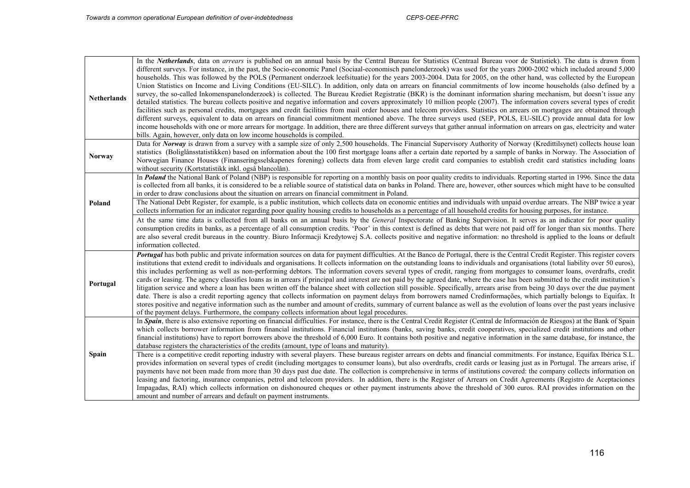| <b>Netherlands</b> | In the <i>Netherlands</i> , data on <i>arrears</i> is published on an annual basis by the Central Bureau for Statistics (Centraal Bureau voor de Statistiek). The data is drawn from<br>different surveys. For instance, in the past, the Socio-economic Panel (Sociaal-economisch panelonderzoek) was used for the years 2000-2002 which included around 5,000<br>households. This was followed by the POLS (Permanent onderzoek leefsituatie) for the years 2003-2004. Data for 2005, on the other hand, was collected by the European<br>Union Statistics on Income and Living Conditions (EU-SILC). In addition, only data on arrears on financial commitments of low income households (also defined by a<br>survey, the so-called Inkomenspanelonderzoek) is collected. The Bureau Krediet Registratie (BKR) is the dominant information sharing mechanism, but doesn't issue any<br>detailed statistics. The bureau collects positive and negative information and covers approximately 10 million people (2007). The information covers several types of credit<br>facilities such as personal credits, mortgages and credit facilities from mail order houses and telecom providers. Statistics on arrears on mortgages are obtained through<br>different surveys, equivalent to data on arrears on financial commitment mentioned above. The three surveys used (SEP, POLS, EU-SILC) provide annual data for low<br>income households with one or more arrears for mortgage. In addition, there are three different surveys that gather annual information on arrears on gas, electricity and water<br>bills. Again, however, only data on low income households is compiled. |
|--------------------|-----------------------------------------------------------------------------------------------------------------------------------------------------------------------------------------------------------------------------------------------------------------------------------------------------------------------------------------------------------------------------------------------------------------------------------------------------------------------------------------------------------------------------------------------------------------------------------------------------------------------------------------------------------------------------------------------------------------------------------------------------------------------------------------------------------------------------------------------------------------------------------------------------------------------------------------------------------------------------------------------------------------------------------------------------------------------------------------------------------------------------------------------------------------------------------------------------------------------------------------------------------------------------------------------------------------------------------------------------------------------------------------------------------------------------------------------------------------------------------------------------------------------------------------------------------------------------------------------------------------------------------------------------------------------------------------|
| <b>Norway</b>      | Data for Norway is drawn from a survey with a sample size of only 2,500 households. The Financial Supervisory Authority of Norway (Kredittilsynet) collects house loan<br>statistics (Boliglånsstatistikken) based on information about the 100 first mortgage loans after a certain date reported by a sample of banks in Norway. The Association of<br>Norwegian Finance Houses (Finanseringsselskapenes forening) collects data from eleven large credit card companies to establish credit card statistics including loans<br>without security (Kortstatistikk inkl. også blancolån).                                                                                                                                                                                                                                                                                                                                                                                                                                                                                                                                                                                                                                                                                                                                                                                                                                                                                                                                                                                                                                                                                               |
| Poland             | In Poland the National Bank of Poland (NBP) is responsible for reporting on a monthly basis on poor quality credits to individuals. Reporting started in 1996. Since the data<br>is collected from all banks, it is considered to be a reliable source of statistical data on banks in Poland. There are, however, other sources which might have to be consulted<br>in order to draw conclusions about the situation on arrears on financial commitment in Poland.<br>The National Debt Register, for example, is a public institution, which collects data on economic entities and individuals with unpaid overdue arrears. The NBP twice a year<br>collects information for an indicator regarding poor quality housing credits to households as a percentage of all household credits for housing purposes, for instance.                                                                                                                                                                                                                                                                                                                                                                                                                                                                                                                                                                                                                                                                                                                                                                                                                                                          |
|                    | At the same time data is collected from all banks on an annual basis by the <i>General</i> Inspectorate of Banking Supervision. It serves as an indicator for poor quality<br>consumption credits in banks, as a percentage of all consumption credits. 'Poor' in this context is defined as debts that were not paid off for longer than six months. There<br>are also several credit bureaus in the country. Biuro Informacji Kredytowej S.A. collects positive and negative information: no threshold is applied to the loans or default<br>information collected.                                                                                                                                                                                                                                                                                                                                                                                                                                                                                                                                                                                                                                                                                                                                                                                                                                                                                                                                                                                                                                                                                                                   |
| Portugal           | Portugal has both public and private information sources on data for payment difficulties. At the Banco de Portugal, there is the Central Credit Register. This register covers<br>institutions that extend credit to individuals and organisations. It collects information on the outstanding loans to individuals and organisations (total liability over 50 euros),<br>this includes performing as well as non-performing debtors. The information covers several types of credit, ranging from mortgages to consumer loans, overdrafts, credit<br>cards or leasing. The agency classifies loans as in arrears if principal and interest are not paid by the agreed date, where the case has been submitted to the credit institution's<br>litigation service and where a loan has been written off the balance sheet with collection still possible. Specifically, arrears arise from being 30 days over the due payment<br>date. There is also a credit reporting agency that collects information on payment delays from borrowers named Credinformações, which partially belongs to Equifax. It<br>stores positive and negative information such as the number and amount of credits, summary of current balance as well as the evolution of loans over the past years inclusive<br>of the payment delays. Furthermore, the company collects information about legal procedures.                                                                                                                                                                                                                                                                                                |
|                    | In Spain, there is also extensive reporting on financial difficulties. For instance, there is the Central Credit Register (Central de Información de Riesgos) at the Bank of Spain<br>which collects borrower information from financial institutions. Financial institutions (banks, saving banks, credit cooperatives, specialized credit institutions and other<br>financial institutions) have to report borrowers above the threshold of 6,000 Euro. It contains both positive and negative information in the same database, for instance, the<br>database registers the characteristics of the credits (amount, type of loans and maturity).                                                                                                                                                                                                                                                                                                                                                                                                                                                                                                                                                                                                                                                                                                                                                                                                                                                                                                                                                                                                                                     |
| Spain              | There is a competitive credit reporting industry with several players. These bureaus register arrears on debts and financial commitments. For instance, Equifax Ibérica S.L.<br>provides information on several types of credit (including mortgages to consumer loans), but also overdrafts, credit cards or leasing just as in Portugal. The arrears arise, if<br>payments have not been made from more than 30 days past due date. The collection is comprehensive in terms of institutions covered: the company collects information on<br>leasing and factoring, insurance companies, petrol and telecom providers. In addition, there is the Register of Arrears on Credit Agreements (Registro de Aceptaciones<br>Impagadas, RAI) which collects information on dishonoured cheques or other payment instruments above the threshold of 300 euros. RAI provides information on the<br>amount and number of arrears and default on payment instruments.                                                                                                                                                                                                                                                                                                                                                                                                                                                                                                                                                                                                                                                                                                                           |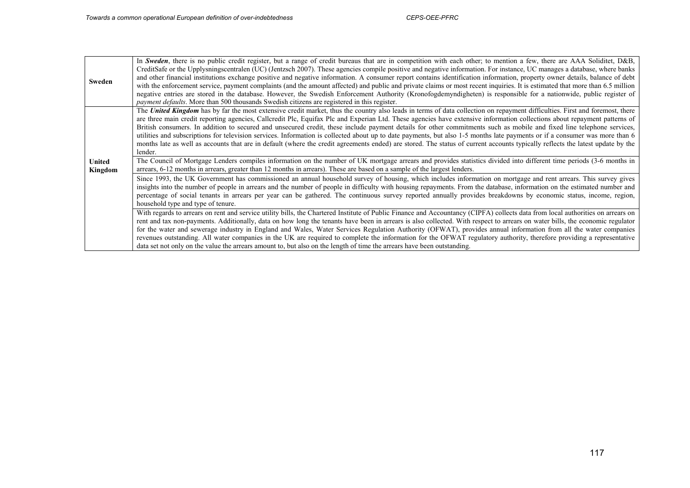| Sweden            | In Sweden, there is no public credit register, but a range of credit bureaus that are in competition with each other; to mention a few, there are AAA Soliditet, D&B,<br>CreditSafe or the Upplysningscentralen (UC) (Jentzsch 2007). These agencies compile positive and negative information. For instance, UC manages a database, where banks<br>and other financial institutions exchange positive and negative information. A consumer report contains identification information, property owner details, balance of debt<br>with the enforcement service, payment complaints (and the amount affected) and public and private claims or most recent inquiries. It is estimated that more than 6.5 million<br>negative entries are stored in the database. However, the Swedish Enforcement Authority (Kronofogdemyndigheten) is responsible for a nationwide, public register of<br><i>payment defaults</i> . More than 500 thousands Swedish citizens are registered in this register.                                                                                                                                                                                                                     |
|-------------------|--------------------------------------------------------------------------------------------------------------------------------------------------------------------------------------------------------------------------------------------------------------------------------------------------------------------------------------------------------------------------------------------------------------------------------------------------------------------------------------------------------------------------------------------------------------------------------------------------------------------------------------------------------------------------------------------------------------------------------------------------------------------------------------------------------------------------------------------------------------------------------------------------------------------------------------------------------------------------------------------------------------------------------------------------------------------------------------------------------------------------------------------------------------------------------------------------------------------|
| United<br>Kingdom | The United Kingdom has by far the most extensive credit market, thus the country also leads in terms of data collection on repayment difficulties. First and foremost, there<br>are three main credit reporting agencies, Callcredit Plc, Equifax Plc and Experian Ltd. These agencies have extensive information collections about repayment patterns of<br>British consumers. In addition to secured and unsecured credit, these include payment details for other commitments such as mobile and fixed line telephone services,<br>utilities and subscriptions for television services. Information is collected about up to date payments, but also 1-5 months late payments or if a consumer was more than 6<br>months late as well as accounts that are in default (where the credit agreements ended) are stored. The status of current accounts typically reflects the latest update by the<br>lender.<br>The Council of Mortgage Lenders compiles information on the number of UK mortgage arrears and provides statistics divided into different time periods (3-6 months in<br>arrears, 6-12 months in arrears, greater than 12 months in arrears). These are based on a sample of the largest lenders. |
|                   | Since 1993, the UK Government has commissioned an annual household survey of housing, which includes information on mortgage and rent arrears. This survey gives<br>insights into the number of people in arrears and the number of people in difficulty with housing repayments. From the database, information on the estimated number and<br>percentage of social tenants in arrears per year can be gathered. The continuous survey reported annually provides breakdowns by economic status, income, region,<br>household type and type of tenure.                                                                                                                                                                                                                                                                                                                                                                                                                                                                                                                                                                                                                                                            |
|                   | With regards to arrears on rent and service utility bills, the Chartered Institute of Public Finance and Accountancy (CIPFA) collects data from local authorities on arrears on<br>rent and tax non-payments. Additionally, data on how long the tenants have been in arrears is also collected. With respect to arrears on water bills, the economic regulator<br>for the water and sewerage industry in England and Wales, Water Services Regulation Authority (OFWAT), provides annual information from all the water companies<br>revenues outstanding. All water companies in the UK are required to complete the information for the OFWAT regulatory authority, therefore providing a representative<br>data set not only on the value the arrears amount to, but also on the length of time the arrears have been outstanding.                                                                                                                                                                                                                                                                                                                                                                             |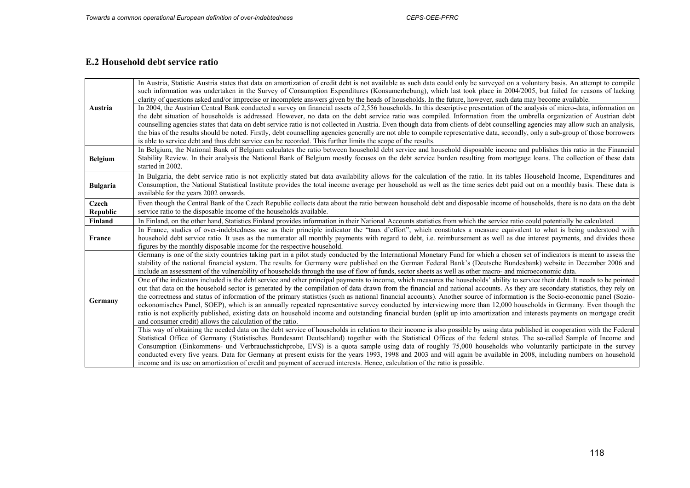### **E.2 Household debt service ratio**

| Austria           | In Austria, Statistic Austria states that data on amortization of credit debt is not available as such data could only be surveyed on a voluntary basis. An attempt to compile<br>such information was undertaken in the Survey of Consumption Expenditures (Konsumerhebung), which last took place in 2004/2005, but failed for reasons of lacking<br>clarity of questions asked and/or imprecise or incomplete answers given by the heads of households. In the future, however, such data may become available.<br>In 2004, the Austrian Central Bank conducted a survey on financial assets of 2,556 households. In this descriptive presentation of the analysis of micro-data, information on<br>the debt situation of households is addressed. However, no data on the debt service ratio was compiled. Information from the umbrella organization of Austrian debt<br>counselling agencies states that data on debt service ratio is not collected in Austria. Even though data from clients of debt counselling agencies may allow such an analysis,<br>the bias of the results should be noted. Firstly, debt counselling agencies generally are not able to compile representative data, secondly, only a sub-group of those borrowers<br>is able to service debt and thus debt service can be recorded. This further limits the scope of the results.                                                                                                                                                                                                                                                                                                                                                                                                                                                                                                                                                                                                                                                                                                                                                                                                                                                                                                                                              |
|-------------------|----------------------------------------------------------------------------------------------------------------------------------------------------------------------------------------------------------------------------------------------------------------------------------------------------------------------------------------------------------------------------------------------------------------------------------------------------------------------------------------------------------------------------------------------------------------------------------------------------------------------------------------------------------------------------------------------------------------------------------------------------------------------------------------------------------------------------------------------------------------------------------------------------------------------------------------------------------------------------------------------------------------------------------------------------------------------------------------------------------------------------------------------------------------------------------------------------------------------------------------------------------------------------------------------------------------------------------------------------------------------------------------------------------------------------------------------------------------------------------------------------------------------------------------------------------------------------------------------------------------------------------------------------------------------------------------------------------------------------------------------------------------------------------------------------------------------------------------------------------------------------------------------------------------------------------------------------------------------------------------------------------------------------------------------------------------------------------------------------------------------------------------------------------------------------------------------------------------------------------------------------------------------------------------------------------------|
| <b>Belgium</b>    | In Belgium, the National Bank of Belgium calculates the ratio between household debt service and household disposable income and publishes this ratio in the Financial<br>Stability Review. In their analysis the National Bank of Belgium mostly focuses on the debt service burden resulting from mortgage loans. The collection of these data<br>started in 2002.                                                                                                                                                                                                                                                                                                                                                                                                                                                                                                                                                                                                                                                                                                                                                                                                                                                                                                                                                                                                                                                                                                                                                                                                                                                                                                                                                                                                                                                                                                                                                                                                                                                                                                                                                                                                                                                                                                                                           |
| <b>Bulgaria</b>   | In Bulgaria, the debt service ratio is not explicitly stated but data availability allows for the calculation of the ratio. In its tables Household Income, Expenditures and<br>Consumption, the National Statistical Institute provides the total income average per household as well as the time series debt paid out on a monthly basis. These data is<br>available for the years 2002 onwards.                                                                                                                                                                                                                                                                                                                                                                                                                                                                                                                                                                                                                                                                                                                                                                                                                                                                                                                                                                                                                                                                                                                                                                                                                                                                                                                                                                                                                                                                                                                                                                                                                                                                                                                                                                                                                                                                                                            |
| Czech<br>Republic | Even though the Central Bank of the Czech Republic collects data about the ratio between household debt and disposable income of households, there is no data on the debt<br>service ratio to the disposable income of the households available.                                                                                                                                                                                                                                                                                                                                                                                                                                                                                                                                                                                                                                                                                                                                                                                                                                                                                                                                                                                                                                                                                                                                                                                                                                                                                                                                                                                                                                                                                                                                                                                                                                                                                                                                                                                                                                                                                                                                                                                                                                                               |
| Finland           | In Finland, on the other hand, Statistics Finland provides information in their National Accounts statistics from which the service ratio could potentially be calculated.                                                                                                                                                                                                                                                                                                                                                                                                                                                                                                                                                                                                                                                                                                                                                                                                                                                                                                                                                                                                                                                                                                                                                                                                                                                                                                                                                                                                                                                                                                                                                                                                                                                                                                                                                                                                                                                                                                                                                                                                                                                                                                                                     |
| France            | In France, studies of over-indebtedness use as their principle indicator the "taux d'effort", which constitutes a measure equivalent to what is being understood with<br>household debt service ratio. It uses as the numerator all monthly payments with regard to debt, i.e. reimbursement as well as due interest payments, and divides those<br>figures by the monthly disposable income for the respective household.                                                                                                                                                                                                                                                                                                                                                                                                                                                                                                                                                                                                                                                                                                                                                                                                                                                                                                                                                                                                                                                                                                                                                                                                                                                                                                                                                                                                                                                                                                                                                                                                                                                                                                                                                                                                                                                                                     |
| Germany           | Germany is one of the sixty countries taking part in a pilot study conducted by the International Monetary Fund for which a chosen set of indicators is meant to assess the<br>stability of the national financial system. The results for Germany were published on the German Federal Bank's (Deutsche Bundesbank) website in December 2006 and<br>include an assessment of the vulnerability of households through the use of flow of funds, sector sheets as well as other macro- and microeconomic data.<br>One of the indicators included is the debt service and other principal payments to income, which measures the households' ability to service their debt. It needs to be pointed<br>out that data on the household sector is generated by the compilation of data drawn from the financial and national accounts. As they are secondary statistics, they rely on<br>the correctness and status of information of the primary statistics (such as national financial accounts). Another source of information is the Socio-economic panel (Sozio-<br>oekonomisches Panel, SOEP), which is an annually repeated representative survey conducted by interviewing more than 12,000 households in Germany. Even though the<br>ratio is not explicitly published, existing data on household income and outstanding financial burden (split up into amortization and interests payments on mortgage credit<br>and consumer credit) allows the calculation of the ratio.<br>This way of obtaining the needed data on the debt service of households in relation to their income is also possible by using data published in cooperation with the Federal<br>Statistical Office of Germany (Statistisches Bundesamt Deutschland) together with the Statistical Offices of the federal states. The so-called Sample of Income and<br>Consumption (Einkommens- und Verbrauchsstichprobe, EVS) is a quota sample using data of roughly 75,000 households who voluntarily participate in the survey<br>conducted every five years. Data for Germany at present exists for the years 1993, 1998 and 2003 and will again be available in 2008, including numbers on household<br>income and its use on amortization of credit and payment of accrued interests. Hence, calculation of the ratio is possible. |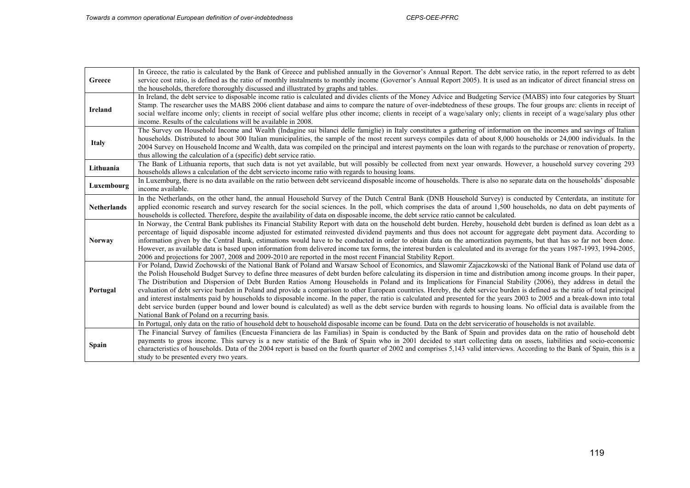| Greece             | In Greece, the ratio is calculated by the Bank of Greece and published annually in the Governor's Annual Report. The debt service ratio, in the report referred to as debt<br>service cost ratio, is defined as the ratio of monthly instalments to monthly income (Governor's Annual Report 2005). It is used as an indicator of direct financial stress on<br>the households, therefore thoroughly discussed and illustrated by graphs and tables.                                                                                                                                                                                                                                                                                                                                                                                                                                                                                                                                                                                                                                                                                                                                                                                                                               |
|--------------------|------------------------------------------------------------------------------------------------------------------------------------------------------------------------------------------------------------------------------------------------------------------------------------------------------------------------------------------------------------------------------------------------------------------------------------------------------------------------------------------------------------------------------------------------------------------------------------------------------------------------------------------------------------------------------------------------------------------------------------------------------------------------------------------------------------------------------------------------------------------------------------------------------------------------------------------------------------------------------------------------------------------------------------------------------------------------------------------------------------------------------------------------------------------------------------------------------------------------------------------------------------------------------------|
| <b>Ireland</b>     | In Ireland, the debt service to disposable income ratio is calculated and divides clients of the Money Advice and Budgeting Service (MABS) into four categories by Stuart<br>Stamp. The researcher uses the MABS 2006 client database and aims to compare the nature of over-indebtedness of these groups. The four groups are: clients in receipt of<br>social welfare income only; clients in receipt of social welfare plus other income; clients in receipt of a wage/salary only; clients in receipt of a wage/salary plus other<br>income. Results of the calculations will be available in 2008.                                                                                                                                                                                                                                                                                                                                                                                                                                                                                                                                                                                                                                                                            |
| <b>Italy</b>       | The Survey on Household Income and Wealth (Indagine sui bilanci delle famiglie) in Italy constitutes a gathering of information on the incomes and savings of Italian<br>households. Distributed to about 300 Italian municipalities, the sample of the most recent surveys compiles data of about 8,000 households or 24,000 individuals. In the<br>2004 Survey on Household Income and Wealth, data was compiled on the principal and interest payments on the loan with regards to the purchase or renovation of property,<br>thus allowing the calculation of a (specific) debt service ratio.                                                                                                                                                                                                                                                                                                                                                                                                                                                                                                                                                                                                                                                                                 |
| Lithuania          | The Bank of Lithuania reports, that such data is not yet available, but will possibly be collected from next year onwards. However, a household survey covering 293<br>households allows a calculation of the debt service to income ratio with regards to housing loans.                                                                                                                                                                                                                                                                                                                                                                                                                                                                                                                                                                                                                                                                                                                                                                                                                                                                                                                                                                                                          |
| Luxembourg         | In Luxemburg, there is no data available on the ratio between debt serviceand disposable income of households. There is also no separate data on the households' disposable<br>income available.                                                                                                                                                                                                                                                                                                                                                                                                                                                                                                                                                                                                                                                                                                                                                                                                                                                                                                                                                                                                                                                                                   |
| <b>Netherlands</b> | In the Netherlands, on the other hand, the annual Household Survey of the Dutch Central Bank (DNB Household Survey) is conducted by Centerdata, an institute for<br>applied economic research and survey research for the social sciences. In the poll, which comprises the data of around 1,500 households, no data on debt payments of<br>households is collected. Therefore, despite the availability of data on disposable income, the debt service ratio cannot be calculated.                                                                                                                                                                                                                                                                                                                                                                                                                                                                                                                                                                                                                                                                                                                                                                                                |
| <b>Norway</b>      | In Norway, the Central Bank publishes its Financial Stability Report with data on the household debt burden. Hereby, household debt burden is defined as loan debt as a<br>percentage of liquid disposable income adjusted for estimated reinvested dividend payments and thus does not account for aggregate debt payment data. According to<br>information given by the Central Bank, estimations would have to be conducted in order to obtain data on the amortization payments, but that has so far not been done.<br>However, as available data is based upon information from delivered income tax forms, the interest burden is calculated and its average for the years 1987-1993, 1994-2005,<br>2006 and projections for 2007, 2008 and 2009-2010 are reported in the most recent Financial Stability Report.                                                                                                                                                                                                                                                                                                                                                                                                                                                            |
| Portugal           | For Poland, Dawid Zochowski of the National Bank of Poland and Warsaw School of Economics, and Slawomir Zajaczkowski of the National Bank of Poland use data of<br>the Polish Household Budget Survey to define three measures of debt burden before calculating its dispersion in time and distribution among income groups. In their paper,<br>The Distribution and Dispersion of Debt Burden Ratios Among Households in Poland and its Implications for Financial Stability (2006), they address in detail the<br>evaluation of debt service burden in Poland and provide a comparison to other European countries. Hereby, the debt service burden is defined as the ratio of total principal<br>and interest instalments paid by households to disposable income. In the paper, the ratio is calculated and presented for the years 2003 to 2005 and a break-down into total<br>debt service burden (upper bound and lower bound is calculated) as well as the debt service burden with regards to housing loans. No official data is available from the<br>National Bank of Poland on a recurring basis.<br>In Portugal, only data on the ratio of household debt to household disposable income can be found. Data on the debt serviceratio of households is not available. |
| <b>Spain</b>       | The Financial Survey of families (Encuesta Financiera de las Familias) in Spain is conducted by the Bank of Spain and provides data on the ratio of household debt<br>payments to gross income. This survey is a new statistic of the Bank of Spain who in 2001 decided to start collecting data on assets, liabilities and socio-economic<br>characteristics of households. Data of the 2004 report is based on the fourth quarter of 2002 and comprises 5,143 valid interviews. According to the Bank of Spain, this is a<br>study to be presented every two years.                                                                                                                                                                                                                                                                                                                                                                                                                                                                                                                                                                                                                                                                                                              |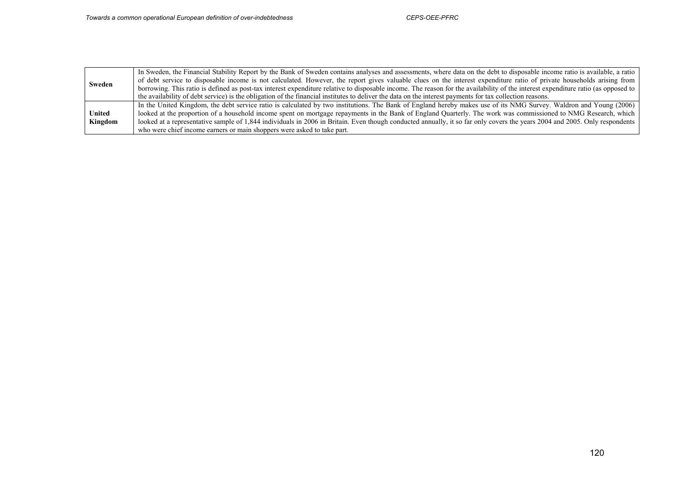|         | In Sweden, the Financial Stability Report by the Bank of Sweden contains analyses and assessments, where data on the debt to disposable income ratio is available, a ratio        |
|---------|-----------------------------------------------------------------------------------------------------------------------------------------------------------------------------------|
| Sweden  | of debt service to disposable income is not calculated. However, the report gives valuable clues on the interest expenditure ratio of private households arising from             |
|         | borrowing. This ratio is defined as post-tax interest expenditure relative to disposable income. The reason for the availability of the interest expenditure ratio (as opposed to |
|         | the availability of debt service) is the obligation of the financial institutes to deliver the data on the interest payments for tax collection reasons.                          |
|         | In the United Kingdom, the debt service ratio is calculated by two institutions. The Bank of England hereby makes use of its NMG Survey. Waldron and Young (2006)                 |
| United  | looked at the proportion of a household income spent on mortgage repayments in the Bank of England Quarterly. The work was commissioned to NMG Research, which                    |
| Kingdom | looked at a representative sample of 1,844 individuals in 2006 in Britain. Even though conducted annually, it so far only covers the years 2004 and 2005. Only respondents        |
|         | who were chief income earners or main shoppers were asked to take part.                                                                                                           |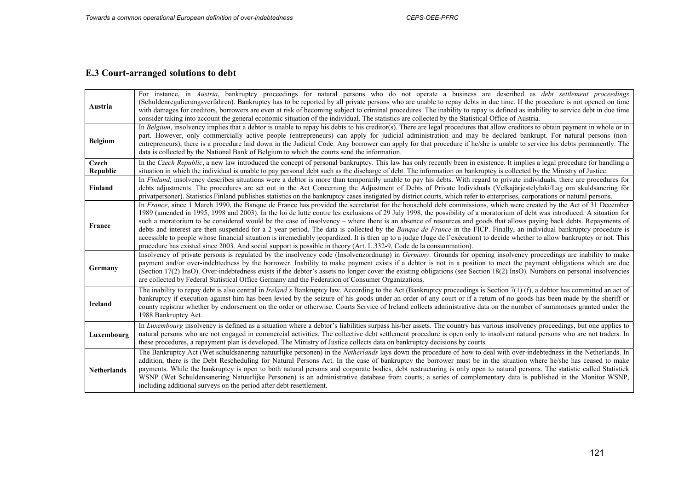# **E.3 Court-arranged solutions to debt**

| Austria            | For instance, in Austria, bankruptcy proceedings for natural persons who do not operate a business are described as <i>debt settlement proceedings</i><br>(Schuldenregulierungsverfahren). Bankruptcy has to be reported by all private persons who are unable to repay debts in due time. If the procedure is not opened on time<br>with damages for creditors, borrowers are even at risk of becoming subject to criminal procedures. The inability to repay is defined as inability to service debt in due time<br>consider taking into account the general economic situation of the individual. The statistics are collected by the Statistical Office of Austria.                                                                                                                                                                                                                                                                                                                                     |
|--------------------|-------------------------------------------------------------------------------------------------------------------------------------------------------------------------------------------------------------------------------------------------------------------------------------------------------------------------------------------------------------------------------------------------------------------------------------------------------------------------------------------------------------------------------------------------------------------------------------------------------------------------------------------------------------------------------------------------------------------------------------------------------------------------------------------------------------------------------------------------------------------------------------------------------------------------------------------------------------------------------------------------------------|
| <b>Belgium</b>     | In Belgium, insolvency implies that a debtor is unable to repay his debts to his creditor(s). There are legal procedures that allow creditors to obtain payment in whole or in<br>part. However, only commercially active people (entrepreneurs) can apply for judicial administration and may be declared bankrupt. For natural persons (non-<br>entrepreneurs), there is a procedure laid down in the Judicial Code. Any borrower can apply for that procedure if he/she is unable to service his debts permanently. The<br>data is collected by the National Bank of Belgium to which the courts send the information.                                                                                                                                                                                                                                                                                                                                                                                   |
| Czech<br>Republic  | In the Czech Republic, a new law introduced the concept of personal bankruptcy. This law has only recently been in existence. It implies a legal procedure for handling a<br>situation in which the individual is unable to pay personal debt such as the discharge of debt. The information on bankruptcy is collected by the Ministry of Justice.                                                                                                                                                                                                                                                                                                                                                                                                                                                                                                                                                                                                                                                         |
| Finland            | In Finland, insolvency describes situations were a debtor is more than temporarily unable to pay his debts. With regard to private individuals, there are procedures for<br>debts adjustments. The procedures are set out in the Act Concerning the Adjustment of Debts of Private Individuals (Velkajärjestelylaki/Lag om skuldsanering för<br>privatpersoner). Statistics Finland publishes statistics on the bankruptcy cases instigated by district courts, which refer to enterprises, corporations or natural persons.                                                                                                                                                                                                                                                                                                                                                                                                                                                                                |
| France             | In France, since 1 March 1990, the Banque de France has provided the secretariat for the household debt commissions, which were created by the Act of 31 December<br>1989 (amended in 1995, 1998 and 2003). In the loi de lutte contre les exclusions of 29 July 1998, the possibility of a moratorium of debt was introduced. A situation for<br>such a moratorium to be considered would be the case of insolvency – where there is an absence of resources and goods that allows paying back debts. Repayments of<br>debts and interest are then suspended for a 2 year period. The data is collected by the <i>Banque de France</i> in the FICP. Finally, an individual bankruptcy procedure is<br>accessible to people whose financial situation is irremediably jeopardized. It is then up to a judge (Juge de l'exécution) to decide whether to allow bankruptcy or not. This<br>procedure has existed since 2003. And social support is possible in theory (Art. L.332-9, Code de la consummation). |
| Germany            | Insolvency of private persons is regulated by the insolvency code (Insolvenzordnung) in Germany. Grounds for opening insolvency proceedings are inability to make<br>payment and/or over-indebtedness by the borrower. Inability to make payment exists if a debtor is not in a position to meet the payment obligations which are due<br>(Section 17(2) InsO). Over-indebtedness exists if the debtor's assets no longer cover the existing obligations (see Section 18(2) InsO). Numbers on personal insolvencies<br>are collected by Federal Statistical Office Germany and the Federation of Consumer Organizations.                                                                                                                                                                                                                                                                                                                                                                                    |
| <b>Ireland</b>     | The inability to repay debt is also central in <i>Ireland's</i> Bankruptcy law. According to the Act (Bankruptcy proceedings is Section 7(1) (f), a debtor has committed an act of<br>bankruptcy if execution against him has been levied by the seizure of his goods under an order of any court or if a return of no goods has been made by the sheriff or<br>county registrar whether by endorsement on the order or otherwise. Courts Service of Ireland collects administrative data on the number of summonses granted under the<br>1988 Bankruptcy Act.                                                                                                                                                                                                                                                                                                                                                                                                                                              |
| Luxembourg         | In Luxembourg insolvency is defined as a situation where a debtor's liabilities surpass his/her assets. The country has various insolvency proceedings, but one applies to<br>natural persons who are not engaged in commercial activities. The collective debt settlement procedure is open only to insolvent natural persons who are not traders. In<br>these procedures, a repayment plan is developed. The Ministry of Justice collects data on bankruptcy decisions by courts.                                                                                                                                                                                                                                                                                                                                                                                                                                                                                                                         |
| <b>Netherlands</b> | The Bankruptcy Act (Wet schuldsanering natuurlijke personen) in the Netherlands lays down the procedure of how to deal with over-indebtedness in the Netherlands. In<br>addition, there is the Debt Rescheduling for Natural Persons Act. In the case of bankruptcy the borrower must be in the situation where he/she has ceased to make<br>payments. While the bankruptcy is open to both natural persons and corporate bodies, debt restructuring is only open to natural persons. The statistic called Statistiek<br>WSNP (Wet Schuldensanering Natuurlijke Personen) is an administrative database from courts; a series of complementary data is published in the Monitor WSNP,<br>including additional surveys on the period after debt resettlement.                                                                                                                                                                                                                                                |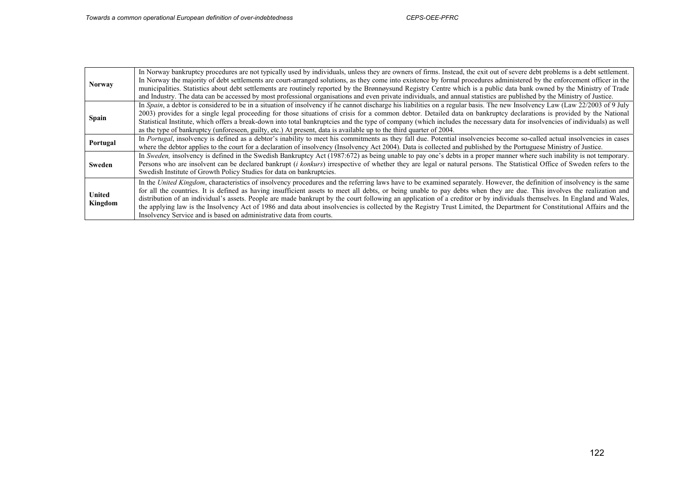| <b>Norway</b>            | In Norway bankruptcy procedures are not typically used by individuals, unless they are owners of firms. Instead, the exit out of severe debt problems is a debt settlement.<br>In Norway the majority of debt settlements are court-arranged solutions, as they come into existence by formal procedures administered by the enforcement officer in the<br>municipalities. Statistics about debt settlements are routinely reported by the Brønnøysund Registry Centre which is a public data bank owned by the Ministry of Trade<br>and Industry. The data can be accessed by most professional organisations and even private individuals, and annual statistics are published by the Ministry of Justice.                                                                       |
|--------------------------|------------------------------------------------------------------------------------------------------------------------------------------------------------------------------------------------------------------------------------------------------------------------------------------------------------------------------------------------------------------------------------------------------------------------------------------------------------------------------------------------------------------------------------------------------------------------------------------------------------------------------------------------------------------------------------------------------------------------------------------------------------------------------------|
| <b>Spain</b>             | In Spain, a debtor is considered to be in a situation of insolvency if he cannot discharge his liabilities on a regular basis. The new Insolvency Law (Law 22/2003 of 9 July<br>2003) provides for a single legal proceeding for those situations of crisis for a common debtor. Detailed data on bankruptcy declarations is provided by the National<br>Statistical Institute, which offers a break-down into total bankruptcies and the type of company (which includes the necessary data for insolvencies of individuals) as well<br>as the type of bankruptcy (unforeseen, guilty, etc.) At present, data is available up to the third quarter of 2004.                                                                                                                       |
| Portugal                 | In Portugal, insolvency is defined as a debtor's inability to meet his commitments as they fall due. Potential insolvencies become so-called actual insolvencies in cases<br>where the debtor applies to the court for a declaration of insolvency (Insolvency Act 2004). Data is collected and published by the Portuguese Ministry of Justice.                                                                                                                                                                                                                                                                                                                                                                                                                                   |
| Sweden                   | In Sweden, insolvency is defined in the Swedish Bankruptcy Act (1987:672) as being unable to pay one's debts in a proper manner where such inability is not temporary.<br>Persons who are insolvent can be declared bankrupt <i>(i konkurs)</i> irrespective of whether they are legal or natural persons. The Statistical Office of Sweden refers to the<br>Swedish Institute of Growth Policy Studies for data on bankruptcies.                                                                                                                                                                                                                                                                                                                                                  |
| <b>United</b><br>Kingdom | In the United Kingdom, characteristics of insolvency procedures and the referring laws have to be examined separately. However, the definition of insolvency is the same<br>for all the countries. It is defined as having insufficient assets to meet all debts, or being unable to pay debts when they are due. This involves the realization and<br>distribution of an individual's assets. People are made bankrupt by the court following an application of a creditor or by individuals themselves. In England and Wales,<br>the applying law is the Insolvency Act of 1986 and data about insolvencies is collected by the Registry Trust Limited, the Department for Constitutional Affairs and the<br>Insolvency Service and is based on administrative data from courts. |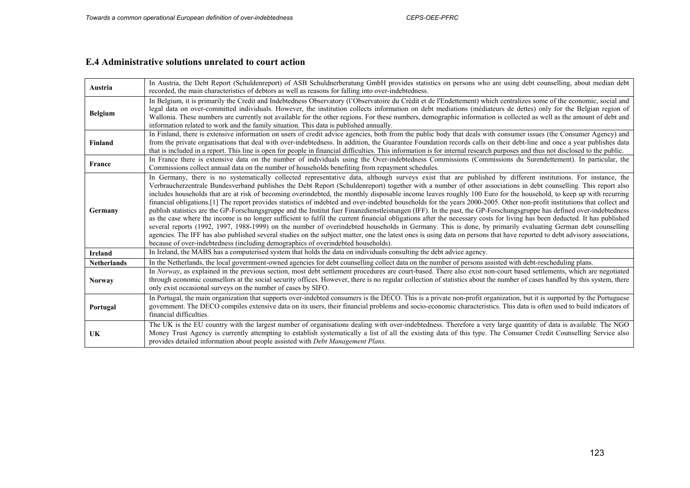#### **E.4 Administrative solutions unrelated to court action**

| Austria            | In Austria, the Debt Report (Schuldenreport) of ASB Schuldnerberatung GmbH provides statistics on persons who are using debt counselling, about median debt                                                                                                                                                                                                                                                                                                                                                                                                                                                                                                                                                                                                                                                                                                                                                                                                                                                                                                                                                                                                                                                                                                                                                                                                                                                                                                               |  |
|--------------------|---------------------------------------------------------------------------------------------------------------------------------------------------------------------------------------------------------------------------------------------------------------------------------------------------------------------------------------------------------------------------------------------------------------------------------------------------------------------------------------------------------------------------------------------------------------------------------------------------------------------------------------------------------------------------------------------------------------------------------------------------------------------------------------------------------------------------------------------------------------------------------------------------------------------------------------------------------------------------------------------------------------------------------------------------------------------------------------------------------------------------------------------------------------------------------------------------------------------------------------------------------------------------------------------------------------------------------------------------------------------------------------------------------------------------------------------------------------------------|--|
|                    | recorded, the main characteristics of debtors as well as reasons for falling into over-indebtedness.                                                                                                                                                                                                                                                                                                                                                                                                                                                                                                                                                                                                                                                                                                                                                                                                                                                                                                                                                                                                                                                                                                                                                                                                                                                                                                                                                                      |  |
| <b>Belgium</b>     | In Belgium, it is primarily the Credit and Indebtedness Observatory (l'Observatoire du Crédit et de l'Endettement) which centralizes some of the economic, social and<br>legal data on over-committed individuals. However, the institution collects information on debt mediations (médiateurs de dettes) only for the Belgian region of<br>Wallonia. These numbers are currently not available for the other regions. For these numbers, demographic information is collected as well as the amount of debt and<br>information related to work and the family situation. This data is published annually.                                                                                                                                                                                                                                                                                                                                                                                                                                                                                                                                                                                                                                                                                                                                                                                                                                                               |  |
| Finland            | In Finland, there is extensive information on users of credit advice agencies, both from the public body that deals with consumer issues (the Consumer Agency) and<br>from the private organisations that deal with over-indebtedness. In addition, the Guarantee Foundation records calls on their debt-line and once a year publishes data<br>that is included in a report. This line is open for people in financial difficulties. This information is for internal research purposes and thus not disclosed to the public.                                                                                                                                                                                                                                                                                                                                                                                                                                                                                                                                                                                                                                                                                                                                                                                                                                                                                                                                            |  |
| France             | In France there is extensive data on the number of individuals using the Over-indebtedness Commissions (Commissions du Surendettement). In particular, the<br>Commissions collect annual data on the number of households benefiting from repayment schedules.                                                                                                                                                                                                                                                                                                                                                                                                                                                                                                                                                                                                                                                                                                                                                                                                                                                                                                                                                                                                                                                                                                                                                                                                            |  |
| Germany            | In Germany, there is no systematically collected representative data, although surveys exist that are published by different institutions. For instance, the<br>Verbraucherzentrale Bundesverband publishes the Debt Report (Schuldenreport) together with a number of other associations in debt counselling. This report also<br>includes households that are at risk of becoming overindebted, the monthly disposable income leaves roughly 100 Euro for the household, to keep up with recurring<br>financial obligations. [1] The report provides statistics of indebted and over-indebted households for the years 2000-2005. Other non-profit institutions that collect and<br>publish statistics are the GP-Forschungsgruppe and the Institut fuer Finanzdienstleistungen (IFF). In the past, the GP-Forschungsgruppe has defined over-indebtedness<br>as the case where the income is no longer sufficient to fulfil the current financial obligations after the necessary costs for living has been deducted. It has published<br>several reports (1992, 1997, 1988-1999) on the number of overindebted households in Germany. This is done, by primarily evaluating German debt counselling<br>agencies. The IFF has also published several studies on the subject matter, one the latest ones is using data on persons that have reported to debt advisory associations,<br>because of over-indebtedness (including demographics of overindebted households). |  |
| <b>Ireland</b>     | In Ireland, the MABS has a computerised system that holds the data on individuals consulting the debt advice agency.                                                                                                                                                                                                                                                                                                                                                                                                                                                                                                                                                                                                                                                                                                                                                                                                                                                                                                                                                                                                                                                                                                                                                                                                                                                                                                                                                      |  |
| <b>Netherlands</b> | In the Netherlands, the local government-owned agencies for debt counselling collect data on the number of persons assisted with debt-rescheduling plans.                                                                                                                                                                                                                                                                                                                                                                                                                                                                                                                                                                                                                                                                                                                                                                                                                                                                                                                                                                                                                                                                                                                                                                                                                                                                                                                 |  |
| <b>Norway</b>      | In Norway, as explained in the previous section, most debt settlement procedures are court-based. There also exist non-court based settlements, which are negotiated<br>through economic counsellors at the social security offices. However, there is no regular collection of statistics about the number of cases handled by this system, there<br>only exist occasional surveys on the number of cases by SIFO.                                                                                                                                                                                                                                                                                                                                                                                                                                                                                                                                                                                                                                                                                                                                                                                                                                                                                                                                                                                                                                                       |  |
| Portugal           | In Portugal, the main organization that supports over-indebted consumers is the DECO. This is a private non-profit organization, but it is supported by the Portuguese<br>government. The DECO compiles extensive data on its users, their financial problems and socio-economic characteristics. This data is often used to build indicators of<br>financial difficulties.                                                                                                                                                                                                                                                                                                                                                                                                                                                                                                                                                                                                                                                                                                                                                                                                                                                                                                                                                                                                                                                                                               |  |
| UK                 | The UK is the EU country with the largest number of organisations dealing with over-indebtedness. Therefore a very large quantity of data is available. The NGO<br>Money Trust Agency is currently attempting to establish systematically a list of all the existing data of this type. The Consumer Credit Counselling Service also<br>provides detailed information about people assisted with <i>Debt Management Plans</i> .                                                                                                                                                                                                                                                                                                                                                                                                                                                                                                                                                                                                                                                                                                                                                                                                                                                                                                                                                                                                                                           |  |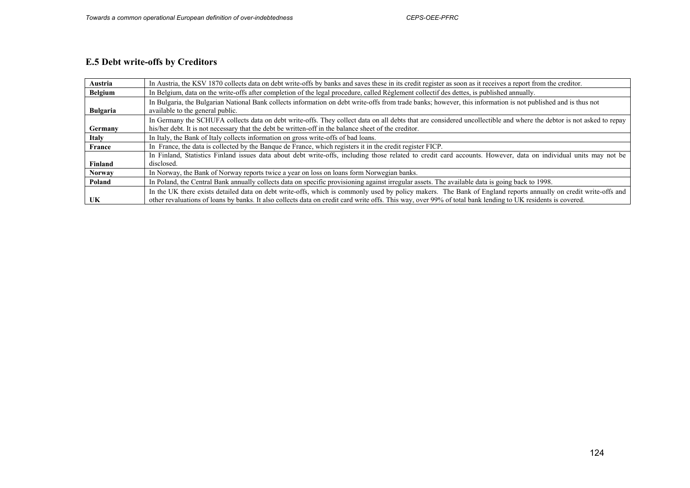# **E.5 Debt write-offs by Creditors**

| Austria        | In Austria, the KSV 1870 collects data on debt write-offs by banks and saves these in its credit register as soon as it receives a report from the creditor.                                                                                                                                                                   |  |
|----------------|--------------------------------------------------------------------------------------------------------------------------------------------------------------------------------------------------------------------------------------------------------------------------------------------------------------------------------|--|
| <b>Belgium</b> | In Belgium, data on the write-offs after completion of the legal procedure, called Règlement collectif des dettes, is published annually.                                                                                                                                                                                      |  |
| Bulgaria       | In Bulgaria, the Bulgarian National Bank collects information on debt write-offs from trade banks; however, this information is not published and is thus not<br>available to the general public.                                                                                                                              |  |
| Germany        | In Germany the SCHUFA collects data on debt write-offs. They collect data on all debts that are considered uncollectible and where the debtor is not asked to repay<br>his/her debt. It is not necessary that the debt be written-off in the balance sheet of the creditor.                                                    |  |
| <b>Italy</b>   | In Italy, the Bank of Italy collects information on gross write-offs of bad loans.                                                                                                                                                                                                                                             |  |
| France         | In France, the data is collected by the Banque de France, which registers it in the credit register FICP.                                                                                                                                                                                                                      |  |
| Finland        | In Finland, Statistics Finland issues data about debt write-offs, including those related to credit card accounts. However, data on individual units may not be<br>disclosed.                                                                                                                                                  |  |
| <b>Norway</b>  | In Norway, the Bank of Norway reports twice a year on loss on loans form Norwegian banks.                                                                                                                                                                                                                                      |  |
| Poland         | In Poland, the Central Bank annually collects data on specific provisioning against irregular assets. The available data is going back to 1998.                                                                                                                                                                                |  |
| UK             | In the UK there exists detailed data on debt write-offs, which is commonly used by policy makers. The Bank of England reports annually on credit write-offs and<br>other revaluations of loans by banks. It also collects data on credit card write offs. This way, over 99% of total bank lending to UK residents is covered. |  |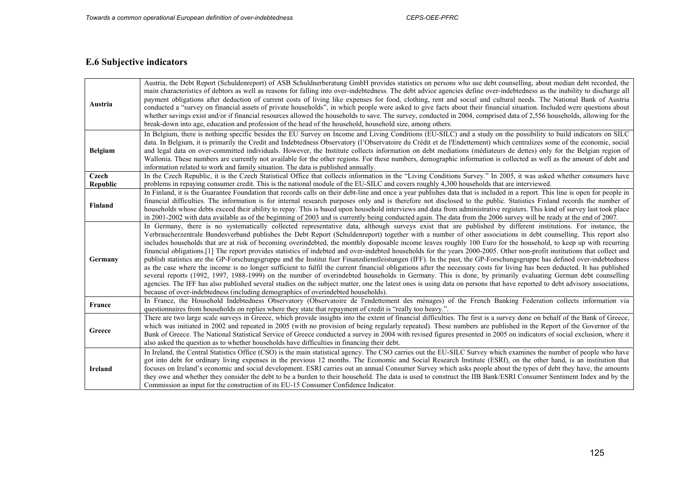## **E.6 Subjective indicators**

 $\overline{ }$ 

| Austria           | Austria, the Debt Report (Schuldenreport) of ASB Schuldnerberatung GmbH provides statistics on persons who use debt counselling, about median debt recorded, the<br>main characteristics of debtors as well as reasons for falling into over-indebtedness. The debt advice agencies define over-indebtedness as the inability to discharge all<br>payment obligations after deduction of current costs of living like expenses for food, clothing, rent and social and cultural needs. The National Bank of Austria<br>conducted a "survey on financial assets of private households", in which people were asked to give facts about their financial situation. Included were questions about<br>whether savings exist and/or if financial resources allowed the households to save. The survey, conducted in 2004, comprised data of 2,556 households, allowing for the<br>break-down into age, education and profession of the head of the household, household size, among others.                                                                                                                                                                                                                                                                                                                                                                                                                                                                                    |
|-------------------|---------------------------------------------------------------------------------------------------------------------------------------------------------------------------------------------------------------------------------------------------------------------------------------------------------------------------------------------------------------------------------------------------------------------------------------------------------------------------------------------------------------------------------------------------------------------------------------------------------------------------------------------------------------------------------------------------------------------------------------------------------------------------------------------------------------------------------------------------------------------------------------------------------------------------------------------------------------------------------------------------------------------------------------------------------------------------------------------------------------------------------------------------------------------------------------------------------------------------------------------------------------------------------------------------------------------------------------------------------------------------------------------------------------------------------------------------------------------------|
| <b>Belgium</b>    | In Belgium, there is nothing specific besides the EU Survey on Income and Living Conditions (EU-SILC) and a study on the possibility to build indicators on SILC<br>data. In Belgium, it is primarily the Credit and Indebtedness Observatory (l'Observatoire du Crédit et de l'Endettement) which centralizes some of the economic, social<br>and legal data on over-committed individuals. However, the Institute collects information on debt mediations (médiateurs de dettes) only for the Belgian region of<br>Wallonia. These numbers are currently not available for the other regions. For these numbers, demographic information is collected as well as the amount of debt and<br>information related to work and family situation. The data is published annually.                                                                                                                                                                                                                                                                                                                                                                                                                                                                                                                                                                                                                                                                                            |
| Czech<br>Republic | In the Czech Republic, it is the Czech Statistical Office that collects information in the "Living Conditions Survey." In 2005, it was asked whether consumers have<br>problems in repaying consumer credit. This is the national module of the EU-SILC and covers roughly 4,300 households that are interviewed.                                                                                                                                                                                                                                                                                                                                                                                                                                                                                                                                                                                                                                                                                                                                                                                                                                                                                                                                                                                                                                                                                                                                                         |
| Finland           | In Finland, it is the Guarantee Foundation that records calls on their debt-line and once a year publishes data that is included in a report. This line is open for people in<br>financial difficulties. The information is for internal research purposes only and is therefore not disclosed to the public. Statistics Finland records the number of<br>households whose debts exceed their ability to repay. This is based upon household interviews and data from administrative registers. This kind of survey last took place<br>in 2001-2002 with data available as of the beginning of 2003 and is currently being conducted again. The data from the 2006 survey will be ready at the end of 2007.                                                                                                                                                                                                                                                                                                                                                                                                                                                                                                                                                                                                                                                                                                                                                               |
| Germany           | In Germany, there is no systematically collected representative data, although surveys exist that are published by different institutions. For instance, the<br>Verbraucherzentrale Bundesverband publishes the Debt Report (Schuldenreport) together with a number of other associations in debt counselling. This report also<br>includes households that are at risk of becoming overindebted, the monthly disposable income leaves roughly 100 Euro for the household, to keep up with recurring<br>financial obligations. [1] The report provides statistics of indebted and over-indebted households for the years 2000-2005. Other non-profit institutions that collect and<br>publish statistics are the GP-Forschungsgruppe and the Institut fuer Finanzdienstleistungen (IFF). In the past, the GP-Forschungsgruppe has defined over-indebtedness<br>as the case where the income is no longer sufficient to fulfil the current financial obligations after the necessary costs for living has been deducted. It has published<br>several reports (1992, 1997, 1988-1999) on the number of overindebted households in Germany. This is done, by primarily evaluating German debt counselling<br>agencies. The IFF has also published several studies on the subject matter, one the latest ones is using data on persons that have reported to debt advisory associations,<br>because of over-indebtedness (including demographics of overindebted households). |
| France            | In France, the Household Indebtedness Observatory (Observatoire de l'endettement des ménages) of the French Banking Federation collects information via<br>questionnaires from households on replies where they state that repayment of credit is "really too heavy.".                                                                                                                                                                                                                                                                                                                                                                                                                                                                                                                                                                                                                                                                                                                                                                                                                                                                                                                                                                                                                                                                                                                                                                                                    |
| Greece            | There are two large scale surveys in Greece, which provide insights into the extent of financial difficulties. The first is a survey done on behalf of the Bank of Greece,<br>which was initiated in 2002 and repeated in 2005 (with no provision of being regularly repeated). These numbers are published in the Report of the Governor of the<br>Bank of Greece. The National Statistical Service of Greece conducted a survey in 2004 with revised figures presented in 2005 on indicators of social exclusion, where it<br>also asked the question as to whether households have difficulties in financing their debt.                                                                                                                                                                                                                                                                                                                                                                                                                                                                                                                                                                                                                                                                                                                                                                                                                                               |
| <b>Ireland</b>    | In Ireland, the Central Statistics Office (CSO) is the main statistical agency. The CSO carries out the EU-SILC Survey which examines the number of people who have<br>got into debt for ordinary living expenses in the previous 12 months. The Economic and Social Research Institute (ESRI), on the other hand, is an institution that<br>focuses on Ireland's economic and social development. ESRI carries out an annual Consumer Survey which asks people about the types of debt they have, the amounts<br>they owe and whether they consider the debt to be a burden to their household. The data is used to construct the IIB Bank/ESRI Consumer Sentiment Index and by the<br>Commission as input for the construction of its EU-15 Consumer Confidence Indicator.                                                                                                                                                                                                                                                                                                                                                                                                                                                                                                                                                                                                                                                                                              |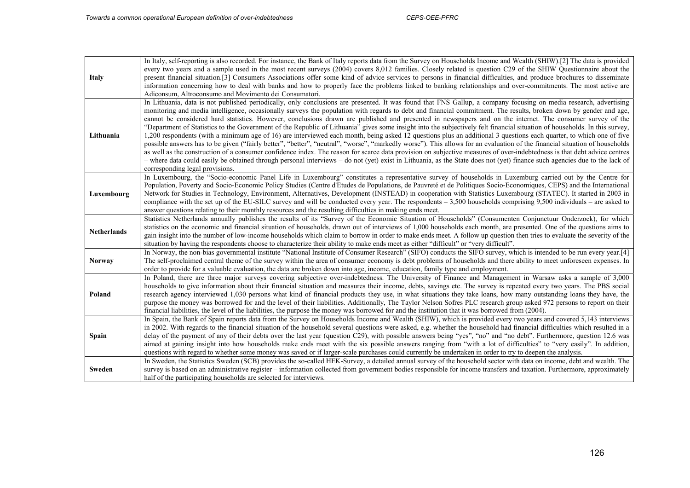| <b>Italy</b>       | In Italy, self-reporting is also recorded. For instance, the Bank of Italy reports data from the Survey on Households Income and Wealth (SHIW).[2] The data is provided<br>every two years and a sample used in the most recent surveys (2004) covers 8,012 families. Closely related is question C29 of the SHIW Questionnaire about the<br>present financial situation.[3] Consumers Associations offer some kind of advice services to persons in financial difficulties, and produce brochures to disseminate<br>information concerning how to deal with banks and how to properly face the problems linked to banking relationships and over-commitments. The most active are<br>Adiconsum, Altroconsumo and Movimento dei Consumatori.                                                                                                                                                                                                                                                                                                                                                                                                                                                                                                                                                                                                                                                                                        |
|--------------------|-------------------------------------------------------------------------------------------------------------------------------------------------------------------------------------------------------------------------------------------------------------------------------------------------------------------------------------------------------------------------------------------------------------------------------------------------------------------------------------------------------------------------------------------------------------------------------------------------------------------------------------------------------------------------------------------------------------------------------------------------------------------------------------------------------------------------------------------------------------------------------------------------------------------------------------------------------------------------------------------------------------------------------------------------------------------------------------------------------------------------------------------------------------------------------------------------------------------------------------------------------------------------------------------------------------------------------------------------------------------------------------------------------------------------------------|
| Lithuania          | In Lithuania, data is not published periodically, only conclusions are presented. It was found that FNS Gallup, a company focusing on media research, advertising<br>monitoring and media intelligence, occasionally surveys the population with regards to debt and financial commitment. The results, broken down by gender and age,<br>cannot be considered hard statistics. However, conclusions drawn are published and presented in newspapers and on the internet. The consumer survey of the<br>"Department of Statistics to the Government of the Republic of Lithuania" gives some insight into the subjectively felt financial situation of households. In this survey,<br>1,200 respondents (with a minimum age of 16) are interviewed each month, being asked 12 questions plus an additional 3 questions each quarter, to which one of five<br>possible answers has to be given ("fairly better", "better", "neutral", "worse", "markedly worse"). This allows for an evaluation of the financial situation of households<br>as well as the construction of a consumer confidence index. The reason for scarce data provision on subjective measures of over-indebtedness is that debt advice centres<br>- where data could easily be obtained through personal interviews - do not (yet) exist in Lithuania, as the State does not (yet) finance such agencies due to the lack of<br>corresponding legal provisions. |
| Luxembourg         | In Luxembourg, the "Socio-economic Panel Life in Luxembourg" constitutes a representative survey of households in Luxemburg carried out by the Centre for<br>Population, Poverty and Socio-Economic Policy Studies (Centre d'Etudes de Populations, de Pauvreté et de Politiques Socio-Economiques, CEPS) and the International<br>Network for Studies in Technology, Environment, Alternatives, Development (INSTEAD) in cooperation with Statistics Luxembourg (STATEC). It started in 2003 in<br>compliance with the set up of the EU-SILC survey and will be conducted every year. The respondents $-3,500$ households comprising 9,500 individuals – are asked to<br>answer questions relating to their monthly resources and the resulting difficulties in making ends meet.                                                                                                                                                                                                                                                                                                                                                                                                                                                                                                                                                                                                                                                  |
| <b>Netherlands</b> | Statistics Netherlands annually publishes the results of its "Survey of the Economic Situation of Households" (Consumenten Conjunctuur Onderzoek), for which<br>statistics on the economic and financial situation of households, drawn out of interviews of 1,000 households each month, are presented. One of the questions aims to<br>gain insight into the number of low-income households which claim to borrow in order to make ends meet. A follow up question then tries to evaluate the severity of the<br>situation by having the respondents choose to characterize their ability to make ends meet as either "difficult" or "very difficult".                                                                                                                                                                                                                                                                                                                                                                                                                                                                                                                                                                                                                                                                                                                                                                           |
| <b>Norway</b>      | In Norway, the non-bias governmental institute "National Institute of Consumer Research" (SIFO) conducts the SIFO survey, which is intended to be run every year.[4]<br>The self-proclaimed central theme of the survey within the area of consumer economy is debt problems of households and there ability to meet unforeseen expenses. In<br>order to provide for a valuable evaluation, the data are broken down into age, income, education, family type and employment.                                                                                                                                                                                                                                                                                                                                                                                                                                                                                                                                                                                                                                                                                                                                                                                                                                                                                                                                                       |
| Poland             | In Poland, there are three major surveys covering subjective over-indebtedness. The University of Finance and Management in Warsaw asks a sample of 3,000<br>households to give information about their financial situation and measures their income, debts, savings etc. The survey is repeated every two years. The PBS social<br>research agency interviewed 1,030 persons what kind of financial products they use, in what situations they take loans, how many outstanding loans they have, the<br>purpose the money was borrowed for and the level of their liabilities. Additionally, The Taylor Nelson Sofres PLC research group asked 972 persons to report on their<br>financial liabilities, the level of the liabilities, the purpose the money was borrowed for and the institution that it was borrowed from (2004).                                                                                                                                                                                                                                                                                                                                                                                                                                                                                                                                                                                                |
| <b>Spain</b>       | In Spain, the Bank of Spain reports data from the Survey on Households Income and Wealth (SHIW), which is provided every two years and covered 5,143 interviews<br>in 2002. With regards to the financial situation of the household several questions were asked, e.g. whether the household had financial difficulties which resulted in a<br>delay of the payment of any of their debts over the last year (question C29), with possible answers being "yes", "no" and "no debt". Furthermore, question 12.6 was<br>aimed at gaining insight into how households make ends meet with the six possible answers ranging from "with a lot of difficulties" to "very easily". In addition,<br>questions with regard to whether some money was saved or if larger-scale purchases could currently be undertaken in order to try to deepen the analysis.                                                                                                                                                                                                                                                                                                                                                                                                                                                                                                                                                                               |
| Sweden             | In Sweden, the Statistics Sweden (SCB) provides the so-called HEK-Survey, a detailed annual survey of the household sector with data on income, debt and wealth. The<br>survey is based on an administrative register – information collected from government bodies responsible for income transfers and taxation. Furthermore, approximately<br>half of the participating households are selected for interviews.                                                                                                                                                                                                                                                                                                                                                                                                                                                                                                                                                                                                                                                                                                                                                                                                                                                                                                                                                                                                                 |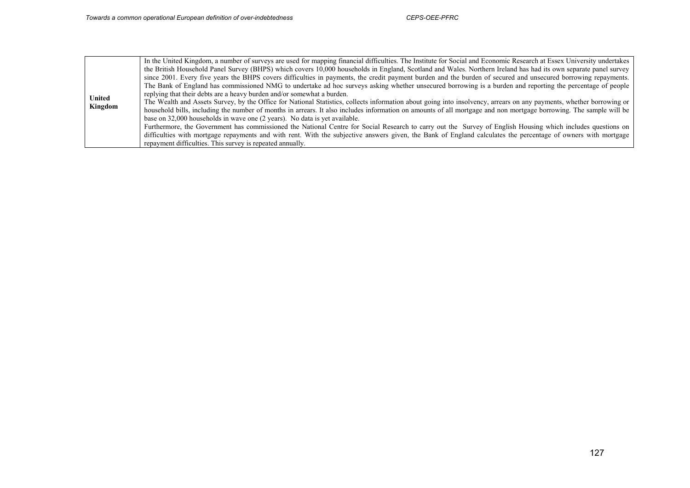|                          | In the United Kingdom, a number of surveys are used for mapping financial difficulties. The Institute for Social and Economic Research at Essex University undertakes<br>the British Household Panel Survey (BHPS) which covers 10,000 households in England, Scotland and Wales. Northern Ireland has had its own separate panel survey<br>since 2001. Every five years the BHPS covers difficulties in payments, the credit payment burden and the burden of secured and unsecured borrowing repayments.                                                                                                                                                                                                                                                                                                                      |
|--------------------------|---------------------------------------------------------------------------------------------------------------------------------------------------------------------------------------------------------------------------------------------------------------------------------------------------------------------------------------------------------------------------------------------------------------------------------------------------------------------------------------------------------------------------------------------------------------------------------------------------------------------------------------------------------------------------------------------------------------------------------------------------------------------------------------------------------------------------------|
| <b>United</b><br>Kingdom | The Bank of England has commissioned NMG to undertake ad hoc surveys asking whether unsecured borrowing is a burden and reporting the percentage of people<br>replying that their debts are a heavy burden and/or somewhat a burden.<br>The Wealth and Assets Survey, by the Office for National Statistics, collects information about going into insolvency, arrears on any payments, whether borrowing or<br>household bills, including the number of months in arrears. It also includes information on amounts of all mortgage and non mortgage borrowing. The sample will be<br>base on 32,000 households in wave one (2 years). No data is yet available.<br>Furthermore, the Government has commissioned the National Centre for Social Research to carry out the Survey of English Housing which includes questions on |
|                          | difficulties with mortgage repayments and with rent. With the subjective answers given, the Bank of England calculates the percentage of owners with mortgage<br>repayment difficulties. This survey is repeated annually.                                                                                                                                                                                                                                                                                                                                                                                                                                                                                                                                                                                                      |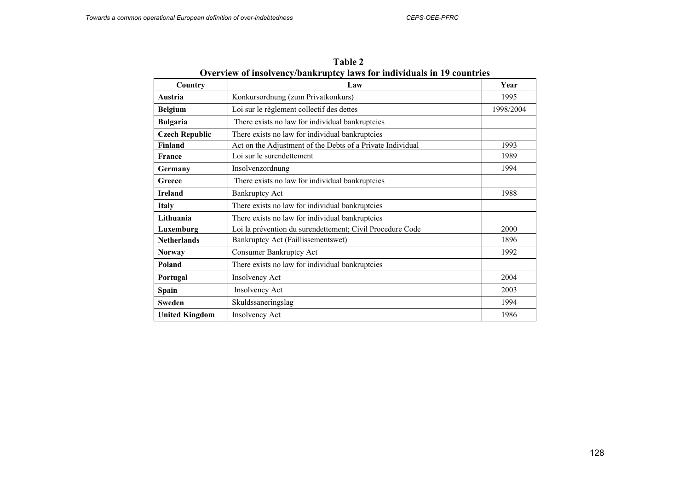| Country               | Law                                                        | Year      |
|-----------------------|------------------------------------------------------------|-----------|
| Austria               | Konkursordnung (zum Privatkonkurs)                         | 1995      |
| <b>Belgium</b>        | Loi sur le règlement collectif des dettes                  | 1998/2004 |
| <b>Bulgaria</b>       | There exists no law for individual bankruptcies            |           |
| <b>Czech Republic</b> | There exists no law for individual bankruptcies            |           |
| <b>Finland</b>        | Act on the Adjustment of the Debts of a Private Individual | 1993      |
| <b>France</b>         | Loi sur le surendettement                                  | 1989      |
| Germany               | Insolvenzordnung                                           | 1994      |
| Greece                | There exists no law for individual bankruptcies            |           |
| <b>Ireland</b>        | <b>Bankruptcy Act</b>                                      | 1988      |
| <b>Italy</b>          | There exists no law for individual bankruptcies            |           |
| Lithuania             | There exists no law for individual bankruptcies            |           |
| Luxemburg             | Loi la prévention du surendettement; Civil Procedure Code  | 2000      |
| <b>Netherlands</b>    | Bankruptcy Act (Faillissementswet)                         | 1896      |
| <b>Norway</b>         | <b>Consumer Bankruptcy Act</b>                             | 1992      |
| Poland                | There exists no law for individual bankruptcies            |           |
| Portugal              | <b>Insolvency Act</b>                                      | 2004      |
| Spain                 | <b>Insolvency Act</b>                                      | 2003      |
| <b>Sweden</b>         | Skuldssaneringslag                                         | 1994      |
| <b>United Kingdom</b> | <b>Insolvency Act</b>                                      | 1986      |

**Table 2 Overview of insolvency/bankruptcy laws for individuals in 19 countries**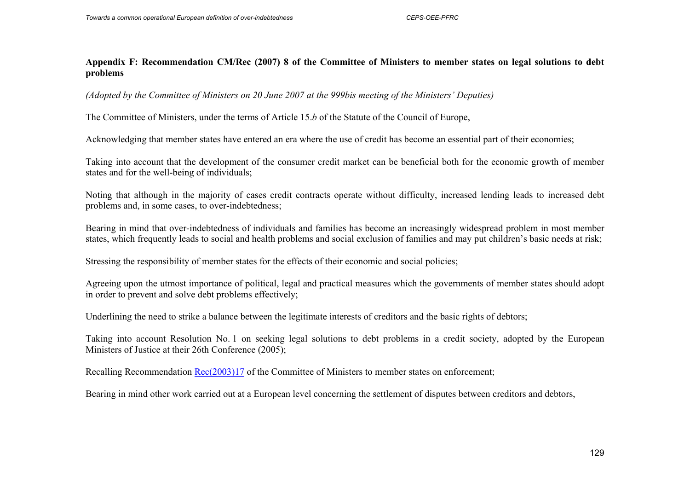## **Appendix F: Recommendation CM/Rec (2007) 8 of the Committee of Ministers to member states on legal solutions to debt problems**

*(Adopted by the Committee of Ministers on 20 June 2007 at the 999bis meeting of the Ministers' Deputies)*

The Committee of Ministers, under the terms of Article 15. *b* of the Statute of the Council of Europe,

Acknowledging that member states have entered an era where the use of credit has become an essential part of their economies;

Taking into account that the development of the consumer credit market can be beneficial both for the economic growth of member states and for the well-being of individuals;

Noting that although in the majority of cases credit contracts operate without difficulty, increased lending leads to increased debt problems and, in some cases, to over-indebtedness;

Bearing in mind that over-indebtedness of individuals and families has become an increasingly widespread problem in most member states, which frequently leads to social and health problems and social exclusion of families and may put children's basic needs at risk;

Stressing the responsibility of member states for the effects of their economic and social policies;

Agreeing upon the utmost importance of political, legal and practical measures which the governments of member states should adopt in order to prevent and solve debt problems effectively;

Underlining the need to strike a balance between the legitimate interests of creditors and the basic rights of debtors;

Taking into account Resolution No. 1 on seeking legal solutions to debt problems in a credit society, adopted by the European Ministers of Justice at their 26th Conference (2005);

Recalling Recommendation Rec(2003)17 of the Committee of Ministers to member states on enforcement;

Bearing in mind other work carried out at a European level concerning the settlement of disputes between creditors and debtors,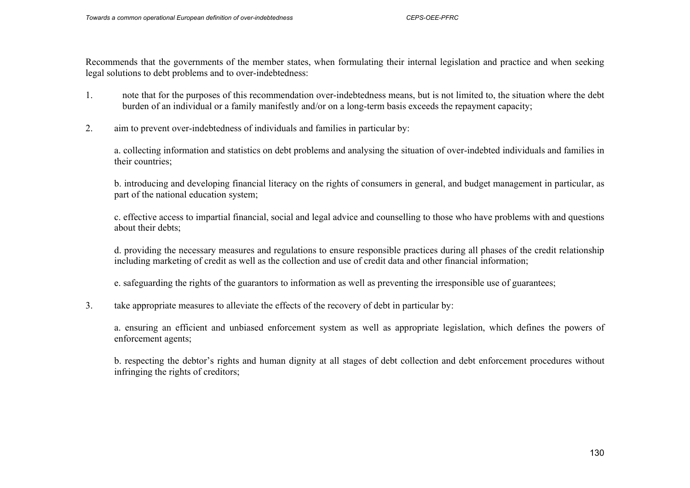Recommends that the governments of the member states, when formulating their internal legislation and practice and when seeking legal solutions to debt problems and to over-indebtedness:

- 1. note that for the purposes of this recommendation over-indebtedness means, but is not limited to, the situation where the debt burden of an individual or a family manifestly and/or on a long-term basis exceeds the repayment capacity;
- 2. aim to prevent over-indebtedness of individuals and families in particular by:

a. collecting information and statistics on debt problems and analysing the situation of over-indebted individuals and families in their countries;

b. introducing and developing financial literacy on the rights of consumers in general, and budget management in particular, as part of the national education system;

c. effective access to impartial financial, social and legal advice and counselling to those who have problems with and questions about their debts;

d. providing the necessary measures and regulations to ensure responsible practices during all phases of the credit relationship including marketing of credit as well as the collection and use of credit data and other financial information;

e. safeguarding the rights of the guarantors to information as well as preventing the irresponsible use of guarantees;

## 3. take appropriate measures to alleviate the effects of the recovery of debt in particular by:

a. ensuring an efficient and unbiased enforcement system as well as appropriate legislation, which defines the powers of enforcement agents;

b. respecting the debtor's rights and human dignity at all stages of debt collection and debt enforcement procedures without infringing the rights of creditors;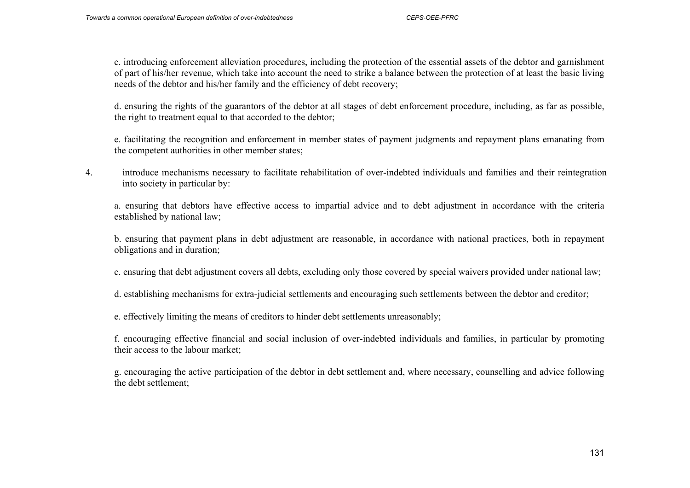c. introducing enforcement alleviation procedures, including the protection of the essential assets of the debtor and garnishment of part of his/her revenue, which take into account the need to strike a balance between the protection of at least the basic living needs of the debtor and his/her family and the efficiency of debt recovery;

d. ensuring the rights of the guarantors of the debtor at all stages of debt enforcement procedure, including, as far as possible, the right to treatment equal to that accorded to the debtor;

e. facilitating the recognition and enforcement in member states of payment judgments and repayment plans emanating from the competent authorities in other member states;

4. introduce mechanisms necessary to facilitate rehabilitation of over-indebted individuals and families and their reintegration into society in particular by:

a. ensuring that debtors have effective access to impartial advice and to debt adjustment in accordance with the criteria established by national law;

b. ensuring that payment plans in debt adjustment are reasonable, in accordance with national practices, both in repayment obligations and in duration;

- c. ensuring that debt adjustment covers all debts, excluding only those covered by special waivers provided under national law;
- d. establishing mechanisms for extra-judicial settlements and encouraging such settlements between the debtor and creditor;
- e. effectively limiting the means of creditors to hinder debt settlements unreasonably;

f. encouraging effective financial and social inclusion of over-indebted individuals and families, in particular by promoting their access to the labour market;

g. encouraging the active participation of the debtor in debt settlement and, where necessary, counselling and advice following the debt settlement;